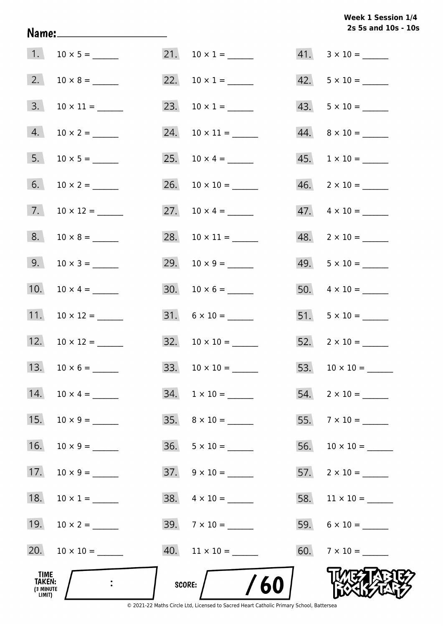# **2s 5s and 10s - 10s Week 1 Session 1/4**

| 1.                                    |                      |     | 21. $10 \times 1 =$        |     | $41. \quad 3 \times 10 =$ |
|---------------------------------------|----------------------|-----|----------------------------|-----|---------------------------|
| 2.                                    |                      |     | 22. $10 \times 1 =$        |     | $42. 5 \times 10 =$       |
| 3.                                    |                      |     | 23. $10 \times 1 =$        |     |                           |
| 4.                                    | $10 \times 2 =$      |     |                            |     |                           |
| 5.                                    |                      |     |                            |     | $45. 1 \times 10 =$       |
| 6.                                    | $10 \times 2 =$      |     |                            |     | $46. \quad 2 \times 10 =$ |
| 7.                                    |                      |     | 27. $10 \times 4 =$        |     | $47. \quad 4 \times 10 =$ |
| 8.                                    |                      |     |                            |     | $48. 2 \times 10 =$       |
| 9.                                    |                      |     |                            |     | $49. 5 \times 10 =$       |
| 10.                                   | $10 \times 4 =$      |     |                            |     |                           |
| 11.                                   |                      |     | $31. 6 \times 10 =$        |     | $51. 5 \times 10 =$       |
|                                       | 12. $10 \times 12 =$ |     | $32. \quad 10 \times 10 =$ |     | $52.2 \times 10 =$        |
|                                       |                      |     |                            |     | 53. $10 \times 10 =$      |
| 14.                                   | $10 \times 4 =$      | 34. | $1 \times 10 =$            | 54. | $2 \times 10 =$           |
| 15.                                   |                      |     | $35. \quad 8 \times 10 =$  |     | 55. $7 \times 10 =$       |
| 16.                                   |                      |     | $36. 5 \times 10 =$        |     |                           |
| 17.                                   | $10 \times 9 =$      |     | $37. \quad 9 \times 10 =$  |     | $57.$ 2 × 10 = ______     |
| 18.                                   | $10 \times 1 =$      |     | $38. \quad 4 \times 10 =$  |     |                           |
| 19.                                   |                      |     | $39.7 \times 10 =$         |     |                           |
| 20.                                   |                      |     | $40.$ 11 × 10 = ______     |     |                           |
| TIME<br>TAKEN:<br>(3 MINUTE<br>LIMIT) |                      |     | /60<br>SCORE:              |     |                           |

Name: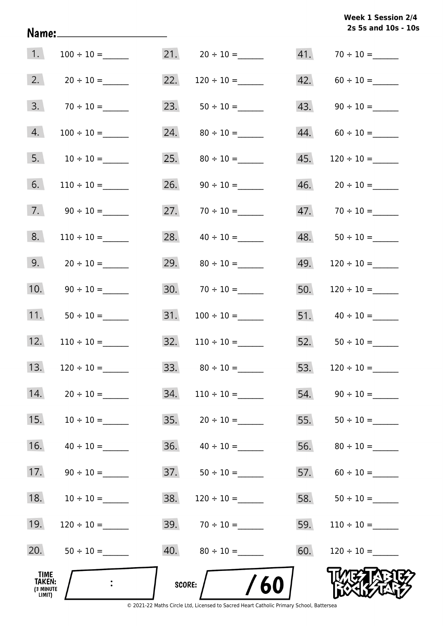**2s 5s and 10s - 10s Week 1 Session 2/4** 

| 4.<br>5.                                            | $10 \div 10 =$  | 24.<br>25. |                    | 44.<br>45. |                    |
|-----------------------------------------------------|-----------------|------------|--------------------|------------|--------------------|
| 6.                                                  | $110 \div 10 =$ | 26.        |                    | 46.        | $20 \div 10 =$     |
| 7.                                                  |                 | 27.        | $70 \div 10 =$     |            |                    |
| 8.                                                  |                 | 28.        |                    |            | 48. $50 \div 10 =$ |
| 9.                                                  |                 |            | 29. $80 \div 10 =$ | 49.        |                    |
| 10.                                                 |                 |            | $30.70 \div 10 =$  | 50.        | $120 \div 10 =$    |
| 11.                                                 |                 | 31.        |                    |            |                    |
| 12.                                                 |                 | 32.        |                    |            | 52. $50 \div 10 =$ |
| 13.                                                 |                 | 33.        | $80 \div 10 =$     | 53.        | $120 \div 10 =$    |
| 14.                                                 | $20 \div 10 =$  | 34.        | $110 \div 10 =$    | 54.        |                    |
| 15.                                                 |                 |            |                    | 55.        |                    |
| 16.                                                 | $40 \div 10 =$  | 36.        |                    | 56.        |                    |
| 17.                                                 | $90 \div 10 =$  | 37.        | $50 \div 10 =$     | 57.        |                    |
| 18.                                                 | $10 \div 10 =$  | 38.        | $120 \div 10 =$    | 58.        |                    |
| 19.                                                 |                 |            | $39. 70 \div 10 =$ | 59.        |                    |
| 20.                                                 | $50 \div 10 =$  |            |                    | 60.        | $120 \div 10 =$    |
| <b>TIME</b><br><b>TAKEN:</b><br>(3 MINUTE<br>LIMIT) |                 | SCORE:     | /60                |            |                    |

Name: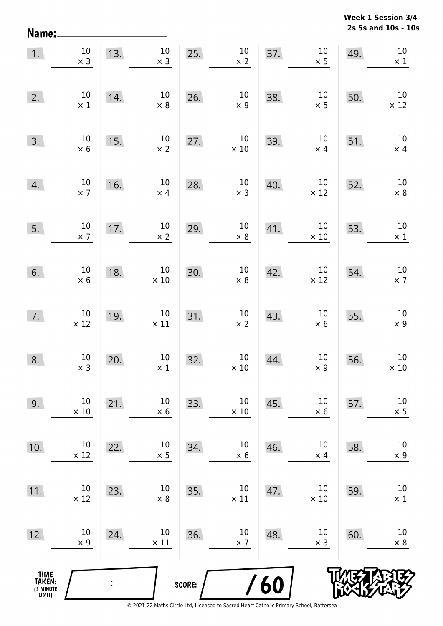**2s 5s and 10s - 10s Week 1 Session 3/4** 

| 1.                                    | $10\,$<br>$\times$ 3  | 13. | $10\,$<br>$\times$ 3  | 25.    | $10\,$<br>$\times$ 2  | 37. | $10\,$<br>$\times$ 5  | 49. | $10\,$<br>$\times$ 1  |
|---------------------------------------|-----------------------|-----|-----------------------|--------|-----------------------|-----|-----------------------|-----|-----------------------|
| 2.                                    | $10\,$<br>$\times$ 1  | 14. | $10\,$<br>$\times$ 8  | 26.    | $10\,$<br>$\times$ 9  | 38. | $10\,$<br>$\times$ 5  | 50. | $10\,$<br>$\times$ 12 |
| 3.                                    | $10\,$<br>$\times$ 6  | 15. | $10\,$<br>$\times$ 2  | 27.    | $10\,$<br>$\times$ 10 | 39. | $10\,$<br>$\times$ 4  | 51. | $10\,$<br>$\times$ 4  |
| 4.                                    | $10\,$<br>$\times$ 7  | 16. | $10\,$<br>$\times$ 4  | 28.    | $10\,$<br>$\times$ 3  | 40. | $10\,$<br>$\times$ 12 | 52. | $10\,$<br>$\times$ 8  |
| 5.                                    | $10\,$<br>$\times$ 7  | 17. | $10\,$<br>$\times$ 2  | 29.    | $10\,$<br>$\times$ 8  | 41. | $10\,$<br>$\times$ 10 | 53. | $10\,$<br>$\times$ 1  |
| 6.                                    | $10\,$<br>$\times$ 6  | 18. | $10\,$<br>$\times$ 10 | 30.    | $10\,$<br>$\times$ 8  | 42. | $10\,$<br>$\times$ 12 | 54. | $10\,$<br>$\times$ 7  |
| 7.                                    | $10\,$<br>$\times$ 12 | 19. | $10\,$<br>$\times$ 11 | 31.    | $10\,$<br>$\times$ 2  | 43. | $10\,$<br>$\times$ 6  | 55. | $10\,$<br>$\times$ 9  |
| 8.                                    | $10\,$<br>$\times$ 3  | 20. | $10\,$<br>$\times$ 1  | 32.    | $10\,$<br>$\times$ 10 | 44. | $10\,$<br>$\times$ 9  | 56. | $10\,$<br>$\times$ 10 |
| 9.                                    | $10\,$<br>$\times$ 10 | 21. | 10<br>$\times$ 6      | 33.    | $10\,$<br>$\times$ 10 | 45. | 10<br>$\times$ 6      | 57. | 10<br>$\times$ 5      |
| 10.                                   | 10<br>$\times$ 12     | 22. | 10<br>$\times$ 5      | 34.    | $10\,$<br>$\times$ 6  | 46. | 10<br>$\times$ 4      | 58. | 10<br>$\times$ 9      |
| 11.                                   | 10<br>$\times$ 12     | 23. | 10<br>$\times 8$      | 35.    | 10<br>$\times$ 11     | 47. | 10<br>$\times$ 10     | 59. | 10<br>$\times$ 1      |
| 12.                                   | 10<br>$\times$ 9      | 24. | 10<br>$\times$ 11     | 36.    | $10\,$<br>$\times$ 7  | 48. | 10<br>$\times$ 3      | 60. | 10<br>$\times$ 8      |
| TIME<br>TAKEN:<br>(3 MINUTE<br>LIMIT) |                       |     |                       | SCORE: |                       | 60  |                       |     |                       |

Name: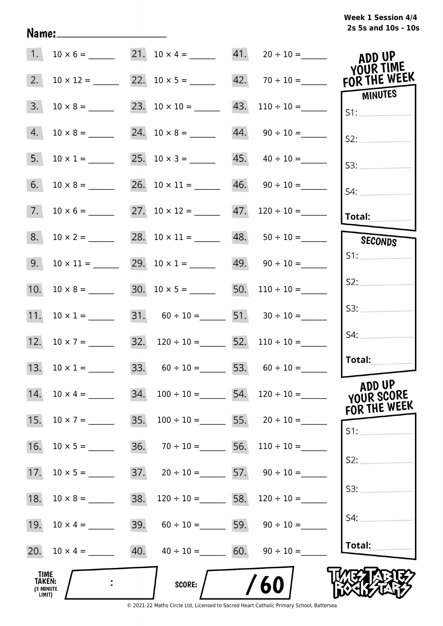| 1.                                           |                        | $10 \times 6 =$ 21. $10 \times 4 =$ 41. $20 \div 10 =$      |                                 | ADD UP<br>YOUR TIME                         |
|----------------------------------------------|------------------------|-------------------------------------------------------------|---------------------------------|---------------------------------------------|
| 2.                                           |                        |                                                             | 42. $70 \div 10 =$ FOR THE WEEK | <b>MINUTES</b>                              |
| 3.                                           | $10 \times 8 =$        | 23. $10 \times 10 =$ 43. $110 \div 10 =$                    |                                 | S1:                                         |
| 4.                                           |                        |                                                             |                                 | S2:                                         |
| 5.                                           | $10 \times 1 =$        | 25. $10 \times 3 =$ 45. $40 \div 10 =$                      |                                 | S3:                                         |
| 6.                                           | $10 \times 8 =$        | 26. $10 \times 11 =$ 46. $90 \div 10 =$                     |                                 | S4:                                         |
| 7.                                           |                        | 27. $10 \times 12 =$ 47. $120 \div 10 =$                    |                                 | Total:                                      |
| 8.                                           | $10 \times 2 =$        | 28. $10 \times 11 =$ 48. $50 \div 10 =$                     |                                 | SECONDS                                     |
| 9.                                           | $10 \times 11 =$       | 29. $10 \times 1 =$ 49. $90 \div 10 =$                      |                                 | S1:                                         |
|                                              |                        | 30. $10 \times 5 =$ 50. $110 \div 10 =$                     |                                 | S2:                                         |
| 11. $10 \times 1 =$                          |                        | 31. $60 \div 10 =$ 51. $30 \div 10 =$                       |                                 | S3:                                         |
|                                              |                        | 12. $10 \times 7 =$ 32. $120 \div 10 =$ 52. $110 \div 10 =$ |                                 | S4:                                         |
| 13. $10 \times 1 =$                          |                        | 33. $60 \div 10 =$ 53. $60 \div 10 =$                       |                                 | Total:                                      |
| 14.                                          | 34.<br>$10 \times 4 =$ | $100 \div 10 =$ 54. $120 \div 10 =$                         |                                 | <b>ADD UP</b><br>YOUR SCORE<br>FOR THE WEEK |
| 15.                                          | 35.<br>$10 \times 7 =$ | $100 \div 10 =$ 55. $20 \div 10 =$                          |                                 | S1:                                         |
| 16.                                          |                        | 36. $70 \div 10 =$ 56. $110 \div 10 =$                      |                                 |                                             |
| 17.                                          |                        | 37. $20 \div 10 =$ 57. $90 \div 10 =$                       |                                 | S2:                                         |
| 18.                                          | 38.<br>$10 \times 8 =$ | $120 \div 10 =$ 58. $120 \div 10 =$                         |                                 | S3:                                         |
| 19.                                          | $10 \times 4 =$        | 39. $60 \div 10 =$ 59. $90 \div 10 =$                       |                                 | S4:                                         |
|                                              |                        | 40. $40 \div 10 =$ 60. $90 \div 10 =$                       |                                 | Total:                                      |
| <b>TIME</b><br>TAKEN:<br>(3 MINUTE<br>LIMIT) |                        | <b>SCORE:</b>                                               | /60                             |                                             |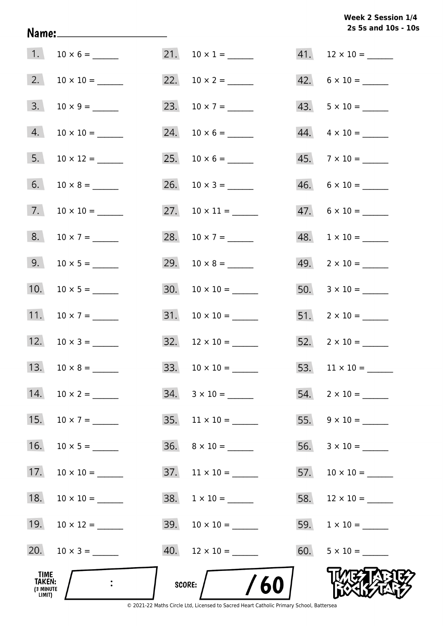# **2s 5s and 10s - 10s Week 2 Session 1/4**

| 1.                                            | $10 \times 6 =$     | 21. $10 \times 1 =$        | $41.$ 12 × 10 = ______    |
|-----------------------------------------------|---------------------|----------------------------|---------------------------|
| 2.                                            |                     |                            | $42. 6 \times 10 =$       |
| 3.                                            |                     |                            |                           |
| 4.                                            |                     |                            | $44. \quad 4 \times 10 =$ |
| 5.                                            |                     |                            | $45. \quad 7 \times 10 =$ |
| 6.                                            |                     | 26. $10 \times 3 =$        | $46. 6 \times 10 =$       |
| 7.                                            |                     |                            | $47.6 \times 10 =$        |
| 8.                                            | $10 \times 7 =$     | 28. $10 \times 7 =$        | $48. 1 \times 10 =$       |
| 9.                                            |                     |                            | $49. \quad 2 \times 10 =$ |
| 10.                                           |                     |                            |                           |
| 11.                                           | $10 \times 7 =$     |                            | $51. 2 \times 10 =$       |
|                                               | 12. $10 \times 3 =$ | $32. \quad 12 \times 10 =$ | $52. \quad 2 \times 10 =$ |
|                                               | 13. $10 \times 8 =$ |                            |                           |
| 14.                                           |                     | $34. 3 \times 10 =$        | $54.$ 2 × 10 = _______    |
| 15.                                           | $10 \times 7 =$     | $35. \quad 11 \times 10 =$ |                           |
| 16.                                           |                     | $36. \quad 8 \times 10 =$  |                           |
| 17.                                           |                     | $37.$ 11 × 10 = ______     |                           |
| 18.                                           | $10 \times 10 =$    |                            |                           |
| 19.                                           |                     |                            |                           |
| 20.                                           |                     | $40.$ 12 × 10 = ______     |                           |
| _TIME<br><b>TAKEN:</b><br>(3 MINUTE<br>LIMIT) |                     | /60<br>SCORE: $/$          |                           |

Name: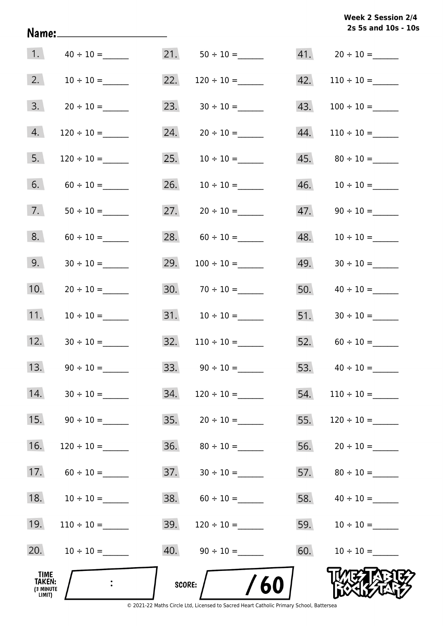**2s 5s and 10s - 10s Week 2 Session 2/4** 

| 1.                                    |                 | 21.    | $50 \div 10 =$    |     |                 |
|---------------------------------------|-----------------|--------|-------------------|-----|-----------------|
| 2.                                    |                 | 22.    |                   | 42. |                 |
| 3.                                    |                 | 23.    |                   | 43. |                 |
| 4.                                    |                 | 24.    |                   | 44. | $110 \div 10 =$ |
| 5.                                    | $120 \div 10 =$ | 25.    |                   | 45. |                 |
| 6.                                    |                 | 26.    |                   | 46. |                 |
| 7.                                    |                 | 27.    |                   | 47. |                 |
| 8.                                    |                 | 28.    |                   | 48. |                 |
| 9.                                    |                 | 29.    |                   | 49. |                 |
| 10.                                   |                 |        | $30.70 \div 10 =$ | 50. | $40 \div 10 =$  |
| 11.                                   |                 |        |                   | 51. |                 |
| 12.                                   |                 | 32.    | $110 \div 10 =$   | 52. |                 |
| 13.                                   |                 | 33.    |                   | 53. |                 |
| 14.                                   |                 | 34.    | $120 \div 10 =$   | 54. | $110 \div 10 =$ |
| 15.                                   | $90 \div 10 =$  | 35.    | $20 \div 10 =$    | 55. | $120 \div 10 =$ |
| 16.                                   | $120 \div 10 =$ | 36.    | $80 \div 10 =$    | 56. | $20 \div 10 =$  |
| 17.                                   | $60 \div 10 =$  | 37.    |                   | 57. |                 |
| 18.                                   |                 | 38.    |                   | 58. |                 |
| 19.                                   |                 | 39.    |                   | 59. | $10 \div 10 =$  |
| 20.                                   | $10 \div 10 =$  |        |                   | 60. | $10 \div 10 =$  |
| TIME<br>TAKEN:<br>(3 MINUTE<br>LIMIT) | $\ddot{\cdot}$  | SCORE: | /60               |     |                 |

Name: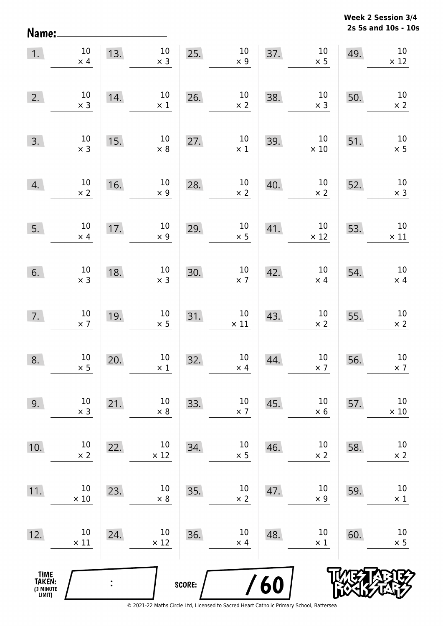**2s 5s and 10s - 10s Week 2 Session 3/4** 

| 1.                                            | $10\,$<br>$\times$ 4 | 13.            | $10\,$<br>$\times$ 3 | 25.    | $10\,$<br>$\times$ 9  | 37. | $10\,$<br>$\times$ 5  | 49. | 10<br>$\times$ 12     |
|-----------------------------------------------|----------------------|----------------|----------------------|--------|-----------------------|-----|-----------------------|-----|-----------------------|
| 2.                                            | $10\,$<br>$\times$ 3 | 14.            | $10\,$<br>$\times$ 1 | 26.    | $10\,$<br>$\times$ 2  | 38. | $10\,$<br>$\times$ 3  | 50. | $10\,$<br>$\times$ 2  |
| 3.                                            | $10\,$<br>$\times$ 3 | 15.            | $10\,$<br>$\times$ 8 | 27.    | $10\,$<br>$\times$ 1  | 39. | $10\,$<br>$\times$ 10 | 51. | $10\,$<br>$\times$ 5  |
| 4.                                            | $10\,$<br>$\times$ 2 | 16.            | $10\,$<br>$\times$ 9 | 28.    | $10\,$<br>$\times$ 2  | 40. | $10\,$<br>$\times$ 2  | 52. | $10\,$<br>$\times$ 3  |
| 5.                                            | $10\,$<br>$\times$ 4 | 17.            | $10\,$<br>$\times$ 9 | 29.    | $10\,$<br>$\times$ 5  | 41. | $10\,$<br>$\times$ 12 | 53. | $10\,$<br>$\times$ 11 |
| 6.                                            | $10\,$<br>$\times$ 3 | 18.            | $10\,$<br>$\times$ 3 | 30.    | $10\,$<br>$\times$ 7  | 42. | $10\,$<br>$\times$ 4  | 54. | $10\,$<br>$\times$ 4  |
| 7.                                            | $10\,$<br>$\times$ 7 | 19.            | $10\,$<br>$\times$ 5 | 31.    | $10\,$<br>$\times$ 11 | 43. | $10\,$<br>$\times$ 2  | 55. | $10\,$<br>$\times$ 2  |
| 8.                                            | $10\,$<br>$\times$ 5 | 20.            | $10\,$<br>$\times$ 1 | 32.    | $10\,$<br>$\times$ 4  | 44. | $10\,$<br>$\times$ 7  | 56. | $10\,$<br>$\times$ 7  |
| 9.                                            | $10\,$<br>$\times$ 3 | 21.            | 10<br>$\times$ 8     | 33.    | $10\,$<br>$\times$ 7  | 45. | 10<br>$\times$ 6      | 57. | $10\,$<br>$\times$ 10 |
| 10.                                           | 10<br>$\times$ 2     | 22.            | 10<br>$\times$ 12    | 34.    | $10\,$<br>$\times$ 5  | 46. | 10<br>$\times$ 2      | 58. | $10\,$<br>$\times$ 2  |
| 11.                                           | 10<br>$\times$ 10    | 23.            | 10<br>$\times$ 8     | 35.    | 10<br>$\times$ 2      | 47. | 10<br>$\times$ 9      | 59. | $10\,$<br>$\times$ 1  |
| 12.                                           | 10<br>$\times$ 11    | 24.            | 10<br>$\times$ 12    | 36.    | 10<br>$\times$ 4      | 48. | 10<br>$\times$ 1      | 60. | 10<br>$\times$ 5      |
| <b>TIME<br/>TAKEN:</b><br>(3 MINUTE<br>LIMIT) |                      | $\ddot{\cdot}$ |                      | SCORE: |                       | 60  |                       |     |                       |

Name: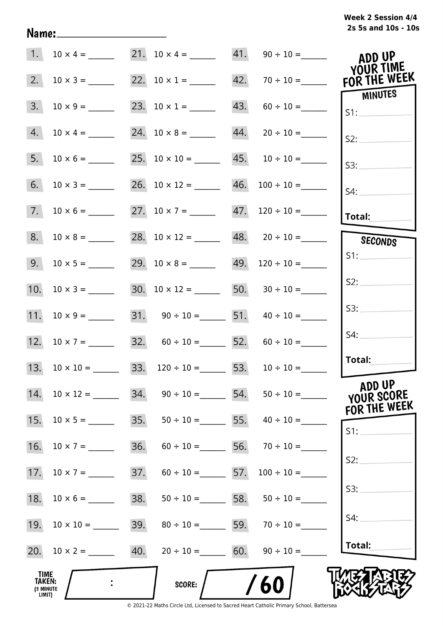| 1.                                    | $10 \times 4 =$         |     | 21. $10 \times 4 =$                      |     |                                    | ADD UP<br>YOUR TIME  |
|---------------------------------------|-------------------------|-----|------------------------------------------|-----|------------------------------------|----------------------|
| 2.                                    | $10 \times 3 =$         |     | 22. $10 \times 1 =$                      |     | $42. 70 \div 10 =$                 | FOR THE WEEK         |
| 3.                                    |                         |     | 23. $10 \times 1 =$                      | 43. |                                    | MINUTES<br>S1:       |
| 4.                                    | $10 \times 4 =$         |     |                                          | 44. |                                    | S2:                  |
| 5.                                    | $10 \times 6 =$         |     | 25. $10 \times 10 =$ 45. $10 \div 10 =$  |     |                                    | S3:                  |
| 6.                                    |                         |     | 26. $10 \times 12 =$ 46. $100 \div 10 =$ |     |                                    | S4:                  |
| 7.                                    |                         |     | 27. $10 \times 7 =$ 47. $120 \div 10 =$  |     |                                    | Total:               |
| 8.                                    |                         |     | 28. $10 \times 12 =$ 48. $20 \div 10 =$  |     |                                    | SECONDS              |
| 9.                                    | $10 \times 5 =$         |     | 29. $10 \times 8 =$ 49. $120 \div 10 =$  |     |                                    | S1:                  |
| 10.                                   |                         |     | 30. $10 \times 12 =$ 50. $30 \div 10 =$  |     |                                    | S2:                  |
|                                       |                         |     | 31. $90 \div 10 =$ 51. $40 \div 10 =$    |     |                                    | S3:                  |
|                                       | 12. $10 \times 7 =$     |     | 32. $60 \div 10 =$ 52. $60 \div 10 =$    |     |                                    | S4:                  |
|                                       | 13. $10 \times 10 =$    |     | 33. $120 \div 10 =$ 53. $10 \div 10 =$   |     |                                    | Total:               |
| 14.                                   | $10 \times 12 =$ 34.    |     |                                          |     | $90 \div 10 =$ 54. $50 \div 10 =$  | ADD UP<br>YOUR SCORE |
| 15.                                   |                         | 35. |                                          |     | $50 \div 10 =$ 55. $40 \div 10 =$  | FOR THE WEEK         |
| 16.                                   | $10 \times 7 =$         | 36. |                                          |     | $60 \div 10 =$ 56. $70 \div 10 =$  | S1:                  |
| 17.                                   |                         | 37. |                                          |     | $60 \div 10 =$ 57. $100 \div 10 =$ | S2:                  |
| 18.                                   |                         | 38. |                                          |     | $50 \div 10 =$ 58. $50 \div 10 =$  | S3:                  |
| 19.                                   |                         | 39. |                                          |     | $80 \div 10 =$ 59. $70 \div 10 =$  | S4:                  |
|                                       | 20. $10 \times 2 =$ 40. |     | $20 \div 10 =$ 60. $90 \div 10 =$        |     |                                    | Total:               |
| TIME<br>TAKEN:<br>(3 MINUTE<br>LIMIT) |                         |     | <b>SCORE:</b>                            |     | /60                                |                      |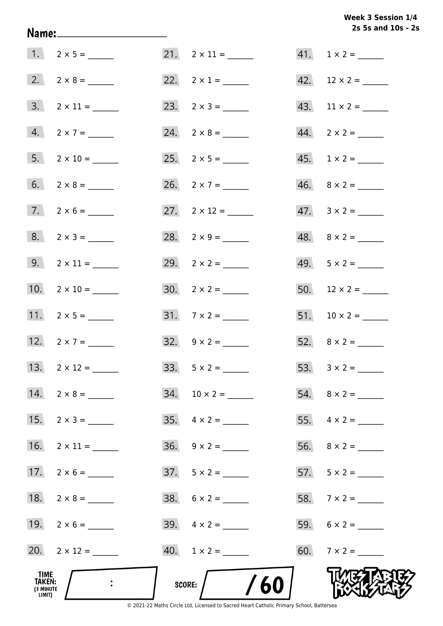# Week 3 Session 1/4 2s 5s and 10s - 2s

| TIME<br>TAKEN:<br>(3 MINUTE<br>LIMIT) |                          | /60<br>SCORE:       |                          |
|---------------------------------------|--------------------------|---------------------|--------------------------|
|                                       | $20. 2 \times 12 =$      | $40. 1 \times 2 =$  |                          |
|                                       | 19. $2 \times 6 =$       | 39. $4 \times 2 =$  |                          |
|                                       | 18. $2 \times 8 =$       | $38. 6 \times 2 =$  |                          |
|                                       | 17. $2 \times 6 =$       |                     |                          |
| 16.                                   |                          |                     |                          |
| 15.                                   |                          |                     |                          |
|                                       | 14. $2 \times 8 =$       |                     |                          |
|                                       | 13. $2 \times 12 =$      |                     |                          |
|                                       | 12. $2 \times 7 =$       | 32. $9 \times 2 =$  |                          |
|                                       | 11. $2 \times 5 =$       | $31.7 \times 2 =$   |                          |
|                                       | 10. $2 \times 10 =$      |                     |                          |
|                                       | $9. 2 \times 11 =$       |                     |                          |
|                                       | $8. 2 \times 3 =$        |                     | $48. \quad 8 \times 2 =$ |
|                                       | $7. 2 \times 6 =$        | 27. $2 \times 12 =$ | $47. \quad 3 \times 2 =$ |
|                                       | $6. 2 \times 8 =$        | 26. $2 \times 7 =$  | $46. \quad 8 \times 2 =$ |
|                                       |                          |                     |                          |
|                                       | $4. 2 \times 7 =$        |                     |                          |
|                                       | $3. \quad 2 \times 11 =$ |                     |                          |
|                                       |                          |                     |                          |
|                                       | $1. 2 \times 5 =$        |                     | $41. 1 \times 2 =$       |

Name: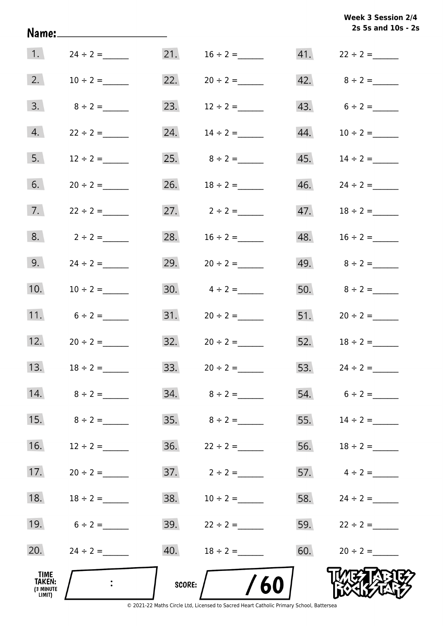|                                       | Name:________________________ |        |                   |     | 2s 5s and 10s - 2s  |
|---------------------------------------|-------------------------------|--------|-------------------|-----|---------------------|
| 1.                                    | $24 \div 2 =$                 | 21.    | $16 \div 2 =$     |     | 41. $22 \div 2 =$   |
| 2.                                    | $10 \div 2 =$                 |        | 22. $20 \div 2 =$ |     | 42. $8 \div 2 =$    |
| 3.                                    | $8 \div 2 =$                  |        | 23. $12 \div 2 =$ |     | 43. $6 \div 2 =$    |
| 4.                                    | $22 \div 2 =$                 | 24.    | $14 \div 2 =$     |     | 44. $10 \div 2 =$   |
| 5.                                    | $12 \div 2 =$                 |        | 25. $8 \div 2 =$  |     | $45.$ $14 \div 2 =$ |
| 6.                                    | $20 \div 2 =$                 |        | 26. $18 \div 2 =$ |     |                     |
| 7.                                    | $22 \div 2 =$                 |        | 27. $2 \div 2 =$  | 47. | $18 \div 2 =$       |
| 8.                                    | $2 \div 2 =$                  | 28.    | $16 \div 2 =$     | 48. | $16 \div 2 =$       |
| 9.                                    | $24 \div 2 =$                 |        | 29. $20 \div 2 =$ |     | 49. $8 \div 2 =$    |
| 10.                                   | $10 \div 2 =$                 |        | 30. $4 \div 2 =$  |     |                     |
| 11.                                   | $6 \div 2 =$                  |        |                   |     | 51. $20 \div 2 =$   |
| 12.                                   |                               |        |                   |     | 52. $18 \div 2 =$   |
| 13.                                   | $18 \div 2 =$                 | 33.    | $20 \div 2 =$     | 53. | $24 \div 2 =$       |
| 14.                                   | $8 \div 2 =$                  |        |                   |     | $54. 6 \div 2 =$    |
| 15.                                   | $8 \div 2 =$                  |        |                   | 55. | $14 \div 2 =$       |
| 16.                                   | $12 \div 2 =$                 | 36.    | $22 \div 2 =$     |     | 56. $18 \div 2 =$   |
| 17.                                   | $20 \div 2 =$                 |        |                   |     | 57. $4 \div 2 =$    |
| 18.                                   | $18 \div 2 =$                 | 38.    | $10 \div 2 =$     |     | 58. $24 \div 2 =$   |
| 19.                                   | $6 \div 2 =$                  |        | 39. $22 \div 2 =$ |     | 59. $22 \div 2 =$   |
| 20.                                   | $24 \div 2 =$                 | 40.    | $18 \div 2 =$     | 60. | $20 \div 2 =$       |
| TIME<br>TAKEN:<br>(3 MINUTE<br>LIMIT) |                               | SCORE: | /60               |     |                     |

**Week 3 Session 2/4**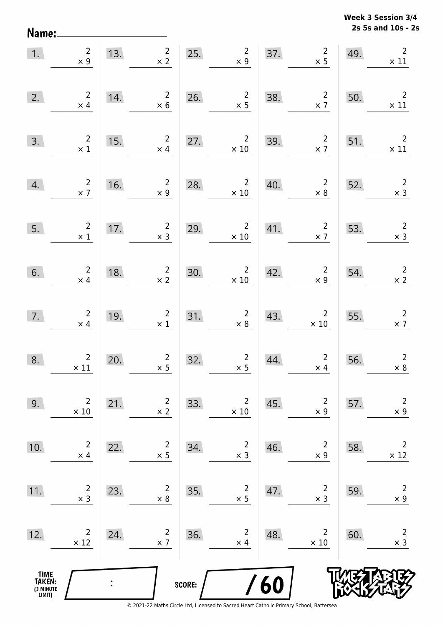**2s 5s and 10s - 2s Week 3 Session 3/4** 

| 1.                                            | $\overline{2}$<br>$\times 9$                 | 13.            | $2^{\circ}$<br>$\times$ 2                                      | 25.    | $\overline{2}$<br>$\times 9$                 | 37. | $\begin{array}{c} 2 \\ \times 5 \end{array}$ | 49. | $\overline{2}$<br>$\times$ 11                                                                                                                                                                                                                                                                                                                                                                                                                                                 |
|-----------------------------------------------|----------------------------------------------|----------------|----------------------------------------------------------------|--------|----------------------------------------------|-----|----------------------------------------------|-----|-------------------------------------------------------------------------------------------------------------------------------------------------------------------------------------------------------------------------------------------------------------------------------------------------------------------------------------------------------------------------------------------------------------------------------------------------------------------------------|
| 2.                                            | $\overline{2}$<br>$\times$ 4                 | 14.            | $\overline{2}$<br>$\times$ 6                                   | 26.    | $\frac{2}{x}$                                | 38. | $\overline{2}$<br>$\times$ 7                 | 50. | $\overline{2}$<br>$\times$ 11                                                                                                                                                                                                                                                                                                                                                                                                                                                 |
| 3.                                            | $\begin{array}{c} 2 \\ \times 1 \end{array}$ | 15.            | $2^{\circ}$<br>$\times$ 4                                      | 27.    | $2^{\circ}$<br>$\times$ 10                   | 39. | $\overline{\mathbf{c}}$<br>$\times$ 7        | 51. | $\overline{\phantom{a}}$<br>$\times$ 11                                                                                                                                                                                                                                                                                                                                                                                                                                       |
| 4.                                            | $\begin{array}{c}2\\ \times 7\end{array}$    | 16.            | $\begin{array}{c} 2 \\ \times 9 \end{array}$                   | 28.    | $2^{\circ}$<br>$\times$ 10                   | 40. | $\begin{array}{c} 2 \\ \times 8 \end{array}$ | 52. | $\begin{array}{c} 2 \\ \times 3 \end{array}$                                                                                                                                                                                                                                                                                                                                                                                                                                  |
| 5.                                            | $\overline{\phantom{a}}$<br>$\times$ 1       | 17.            | $\begin{array}{c}2\\ \times 3\end{array}$                      | 29.    | $2^{\circ}$<br>$\times$ 10                   | 41. | $\begin{array}{r}2\\ \times 7\end{array}$    | 53. | $\begin{array}{@{}c@{\hspace{1em}}c@{\hspace{1em}}}\n & \multicolumn{1}{c}\n & \multicolumn{1}{c}\n & \multicolumn{1}{c}\n & \multicolumn{1}{c}\n & \multicolumn{1}{c}\n & \multicolumn{1}{c}\n & \multicolumn{1}{c}\n & \multicolumn{1}{c}\n & \multicolumn{1}{c}\n & \multicolumn{1}{c}\n & \multicolumn{1}{c}\n & \multicolumn{1}{c}\n & \multicolumn{1}{c}\n & \multicolumn{1}{c}\n & \multicolumn{1}{c}\n & \multicolumn{1}{c}\n & \multicolumn{1}{c}\n & \multicolumn{$ |
| 6.                                            | $\begin{array}{c} 2 \\ \times 4 \end{array}$ | 18.            | $\begin{array}{c} 2 \\ \times 2 \end{array}$                   | 30.    | $\begin{array}{c}2\\ \times 10\end{array}$   | 42. | $\begin{array}{c} 2 \\ \times 9 \end{array}$ | 54. | $\begin{array}{c} 2 \\ \times 2 \end{array}$                                                                                                                                                                                                                                                                                                                                                                                                                                  |
| 7.                                            | $\begin{array}{c} 2 \\ \times 4 \end{array}$ | 19.            | $\begin{array}{c} 2 \\ \times 1 \end{array}$                   | 31.    | $\begin{array}{r} 2 \\ \times 8 \end{array}$ | 43. | $\overline{2}$<br>$\times$ 10                | 55. | $\overline{\phantom{a}}$<br>$\times$ 7                                                                                                                                                                                                                                                                                                                                                                                                                                        |
| 8.                                            | $\begin{array}{c}2\\ \times \ 11\end{array}$ | 20.            | $\overline{2}$<br>$\begin{array}{c} 2 \\ \times 5 \end{array}$ | 32.    | $\begin{array}{c} 2 \\ \times 5 \end{array}$ | 44. | $\overline{2}$<br>$\times$ 4                 | 56. | $\overline{2}$<br>$\times$ 8                                                                                                                                                                                                                                                                                                                                                                                                                                                  |
| 9.                                            | $\overline{2}$<br>$\times$ 10                | 21.            | $\overline{2}$<br>$\times 2$                                   | 33.    | $\overline{c}$<br>$\times$ 10                | 45. | $\overline{2}$<br>$\times$ 9                 | 57. | $\mathsf{2}$<br>$\times$ 9                                                                                                                                                                                                                                                                                                                                                                                                                                                    |
| 10.                                           | $\overline{2}$<br>$\times$ 4                 | 22.            | $\overline{2}$<br>$\times$ 5                                   | 34.    | $\overline{c}$<br>$\times$ 3                 | 46. | $\overline{2}$<br>$\times$ 9                 | 58. | $\overline{2}$<br>$\times$ 12                                                                                                                                                                                                                                                                                                                                                                                                                                                 |
| 11.                                           | $\overline{c}$<br>$\times$ 3                 | 23.            | $\overline{2}$<br>$\times 8$                                   | 35.    | $\overline{c}$<br>$\times$ 5                 | 47. | $\overline{2}$<br>$\times$ 3                 | 59. | $\overline{2}$<br>$\times$ 9                                                                                                                                                                                                                                                                                                                                                                                                                                                  |
| 12.                                           | $\overline{2}$<br>$\times$ 12                | 24.            | $\overline{2}$<br>$\times$ 7                                   | 36.    | 2<br>$\times$ 4                              | 48. | $\overline{2}$<br>$\times$ 10                | 60. | $\overline{c}$<br>$\times$ 3                                                                                                                                                                                                                                                                                                                                                                                                                                                  |
| <b>TIME<br/>TAKEN:</b><br>(3 MINUTE<br>LIMIT) |                                              | $\ddot{\cdot}$ |                                                                | SCORE: |                                              | 60  |                                              |     |                                                                                                                                                                                                                                                                                                                                                                                                                                                                               |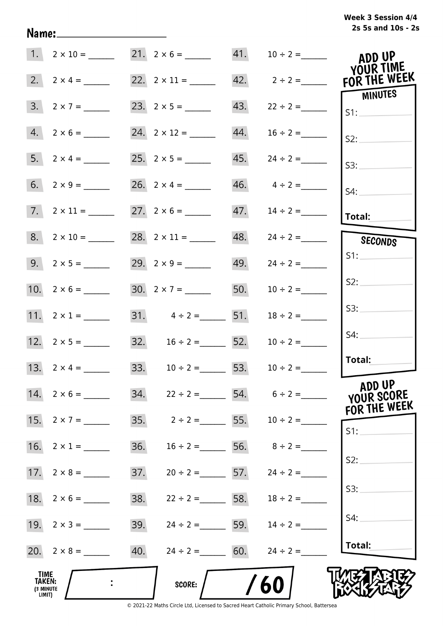# **2s 5s and 10s - 2s Week 3 Session 4/4**

|                                       | 1. $2 \times 10 =$ 21. $2 \times 6 =$ 41. $10 \div 2 =$ |     |                                 |     |                                     | ADD UP<br>YOUR TIME  |
|---------------------------------------|---------------------------------------------------------|-----|---------------------------------|-----|-------------------------------------|----------------------|
|                                       |                                                         |     |                                 |     | 42. $2 \div 2 =$                    | FOR THE WEEK         |
|                                       | $3. 2 \times 7 =$                                       |     |                                 | 43. | $22 \div 2 =$                       | MINUTES<br>S1:       |
|                                       | $4. 2 \times 6 =$                                       |     |                                 | 44. | $16 \div 2 =$                       | S2:                  |
|                                       | 5. $2 \times 4 =$                                       |     |                                 |     |                                     | S3:                  |
|                                       |                                                         |     |                                 |     | $46. \qquad 4 \div 2 =$             | S4:                  |
|                                       | $7. 2 \times 11 =$                                      |     | $27. 2 \times 6 =$              |     | 47. $14 \div 2 =$                   | Total:               |
|                                       | $8. 2 \times 10 =$                                      |     |                                 |     | $48. \qquad 24 \div 2 =$            | SECONDS              |
|                                       |                                                         |     |                                 |     | 49. $24 \div 2 =$                   | S1:                  |
|                                       |                                                         |     |                                 | 50. | $10 \div 2 =$                       | S2:                  |
|                                       | 11. $2 \times 1 =$                                      |     | 31. $4 \div 2 =$ 51.            |     | $18 \div 2 =$                       | S3:                  |
|                                       | 12. $2 \times 5 =$                                      |     | 32. $16 \div 2 =$ 52.           |     | $10 \div 2 =$                       | S4:                  |
|                                       | 13. $2 \times 4 =$                                      |     |                                 |     | 33. $10 \div 2 =$ 53. $10 \div 2 =$ | Total:               |
|                                       | 14. $2 \times 6 =$                                      |     |                                 |     | 34. $22 \div 2 =$ 54. $6 \div 2 =$  | ADD UP<br>YOUR SCORE |
|                                       |                                                         |     |                                 |     | 35. $2 \div 2 =$ 55. $10 \div 2 =$  | FOR THE WEEK<br>S1:  |
|                                       | 16. $2 \times 1 =$                                      | 36. | $16 \div 2 =$ 56. $8 \div 2 =$  |     |                                     |                      |
|                                       |                                                         | 37. | $20 \div 2 =$ 57. $24 \div 2 =$ |     |                                     | S2:                  |
| 18.                                   | $2 \times 6 =$                                          | 38. | $22 \div 2 =$ 58. $18 \div 2 =$ |     |                                     | S3:                  |
|                                       |                                                         | 39. | $24 \div 2 =$ 59.               |     | $14 \div 2 =$                       | S4:                  |
|                                       |                                                         | 40. | $24 \div 2 = 60.$               |     | $24 \div 2 =$                       | Total:               |
| TIME<br>TAKEN:<br>(3 MINUTE<br>LIMIT) |                                                         |     | <b>SCORE:</b>                   |     | 60                                  |                      |

Name: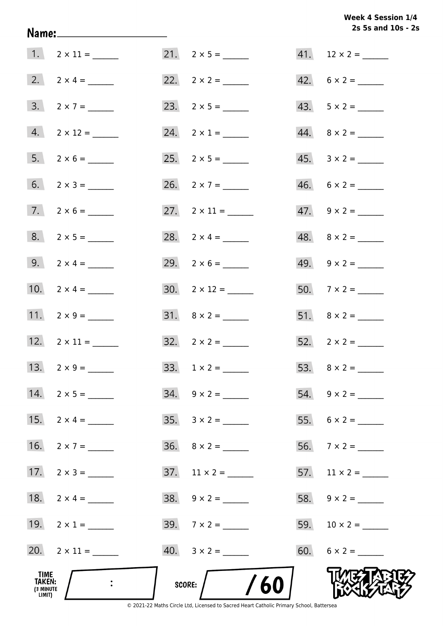Week 4 Session 1/4 2s 5s and 10s - 2s

|                                              |                     |                          | 2s 5s and 10s - 2        |
|----------------------------------------------|---------------------|--------------------------|--------------------------|
|                                              |                     | $21. 2 \times 5 =$       |                          |
|                                              | 2. $2 \times 4 =$   |                          | $42. 6 \times 2 =$       |
|                                              | $3. 2 \times 7 =$   |                          | $43. 5 \times 2 =$       |
|                                              | $4. 2 \times 12 =$  | 24. $2 \times 1 =$       | $44. \quad 8 \times 2 =$ |
|                                              | $5. 2 \times 6 =$   |                          | $45. \quad 3 \times 2 =$ |
|                                              | 6. $2 \times 3 =$   | 26. $2 \times 7 =$       | $46. 6 \times 2 =$       |
|                                              | $7. 2 \times 6 =$   | 27. $2 \times 11 =$      |                          |
|                                              | $8. 2 \times 5 =$   | 28. $2 \times 4 =$       | $48. \quad 8 \times 2 =$ |
|                                              | 9. $2 \times 4 =$   |                          | 49. $9 \times 2 =$       |
|                                              | 10. $2 \times 4 =$  | $30. 2 \times 12 =$      | $50.7 \times 2 =$        |
|                                              | 11. $2 \times 9 =$  |                          |                          |
|                                              | 12. $2 \times 11 =$ | $32. \quad 2 \times 2 =$ | $52.2 \times 2 =$        |
|                                              | 13. $2 \times 9 =$  |                          |                          |
|                                              | 14. $2 \times 5 =$  | $34. \quad 9 \times 2 =$ |                          |
|                                              | 15. $2 \times 4 =$  |                          |                          |
|                                              | 16. $2 \times 7 =$  | $36. \quad 8 \times 2 =$ |                          |
|                                              | 17. $2 \times 3 =$  | $37.$ 11 × 2 = ______    | 57. $11 \times 2 =$      |
|                                              |                     |                          |                          |
|                                              | 19. $2 \times 1 =$  | $39.7 \times 2 =$        |                          |
|                                              | 20. $2 \times 11 =$ |                          | $60. 6 \times 2 =$       |
| TIME<br><b>TAKEN:</b><br>(3 MINUTE<br>LIMIT) |                     | $/$ /60<br>score:        |                          |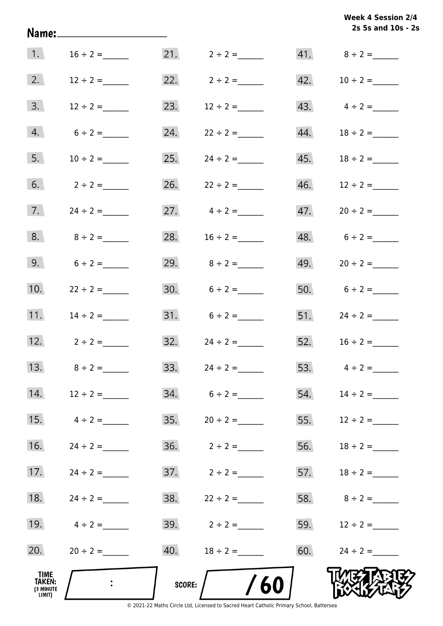|                                       | Name:_______________________ |        |                                  |     | 2s 5s and 10s - 2s |
|---------------------------------------|------------------------------|--------|----------------------------------|-----|--------------------|
| 1.                                    | $16 \div 2 =$                |        | $21. 2 \div 2 =$                 |     |                    |
| 2.                                    | $12 \div 2 =$                |        | 22. $2 \div 2 =$                 |     | 42. $10 \div 2 =$  |
| 3.                                    | $12 \div 2 =$                | 23.    | $12 \div 2 =$                    |     | 43. $4 \div 2 =$   |
| 4.                                    | $6 \div 2 =$                 |        | 24. $22 \div 2 =$                |     | 44. $18 \div 2 =$  |
| 5.                                    | $10 \div 2 =$                |        | 25. $24 \div 2 =$                |     |                    |
| 6.                                    | $2 \div 2 =$                 |        | 26. $22 \div 2 =$                |     | 46. $12 \div 2 =$  |
| 7.                                    | $24 \div 2 =$                |        | 27. $4 \div 2 =$                 |     |                    |
| 8.                                    | $8 \div 2 =$                 |        | 28. $16 \div 2 =$                |     | 48. $6 \div 2 =$   |
| 9.                                    | $6 \div 2 =$                 |        | 29. $8 \div 2 =$                 |     | 49. $20 \div 2 =$  |
| 10.                                   | $22 \div 2 =$                |        | 30. $6 \div 2 =$                 |     | 50. $6 \div 2 =$   |
| 11.                                   | $14 \div 2 =$                |        | $31. 6 \div 2 =$                 |     | 51. $24 \div 2 =$  |
| 12.                                   | $2 \div 2 =$                 |        | $32. \hspace{1.5cm} 24 \div 2 =$ |     | 52. $16 \div 2 =$  |
| 13.                                   | $8 \div 2 =$                 |        | 33. $24 \div 2 =$                |     | 53. $4 \div 2 =$   |
| 14.                                   | $12 \div 2 =$                |        | $34. 6 \div 2 =$                 | 54. | $14 \div 2 =$      |
| 15.                                   | $4 \div 2 =$                 |        |                                  | 55. | $12 \div 2 =$      |
| 16.                                   | $24 \div 2 =$                |        |                                  | 56. | $18 \div 2 =$      |
| 17.                                   | $24 \div 2 =$                |        |                                  |     | 57. $18 \div 2 =$  |
| 18.                                   | $24 \div 2 =$                |        | $38. 22 \div 2 =$                |     |                    |
| 19.                                   | $4 \div 2 =$                 |        | 39. $2 \div 2 =$                 |     | 59. $12 \div 2 =$  |
| 20.                                   | $20 \div 2 =$                |        | 40. $18 \div 2 =$                |     |                    |
| TIME<br>TAKEN:<br>(3 MINUTE<br>LIMIT) | $\ddot{\phantom{a}}$         | SCORE: | /60                              |     |                    |

**Week 4 Session 2/4**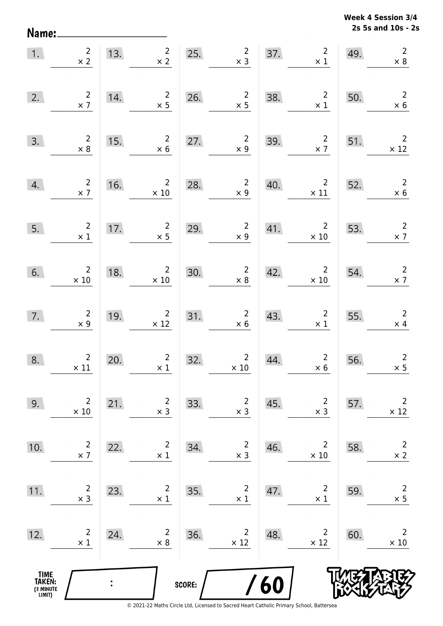**2s 5s and 10s - 2s Week 4 Session 3/4** 

| 1.                                            | $\frac{2}{x}$                                 |                | $2 \mid$<br>13.<br>$\times$ 2                                     | 25.    | $\begin{array}{r} 2 \\ \times 3 \end{array}$  |     | $\overline{2}$<br>37.<br>$\times$ 1                 | 49. | $\overline{2}$<br>$\times 8$                 |
|-----------------------------------------------|-----------------------------------------------|----------------|-------------------------------------------------------------------|--------|-----------------------------------------------|-----|-----------------------------------------------------|-----|----------------------------------------------|
| 2.                                            | $\frac{2}{\times 7}$                          | 14.            | $\overline{2}$<br>$\times$ 5                                      |        | 26. $2 \times 5$                              | 38. | $\overline{\mathbf{c}}$<br>$\times$ 1               | 50. | $\overline{2}$<br>$\times$ 6                 |
| 3.                                            | $\begin{array}{r} 2 \\ \times 8 \end{array}$  | 15.            | $\overline{2}$<br>$\times$ 6                                      | 27.    | $\begin{array}{c} 2 \\ \times 9 \end{array}$  | 39. | $\overline{\mathbf{c}}$<br>$\times$ 7               | 51. | $\overline{\phantom{a}}$<br>$\times$ 12      |
| 4.                                            | $\begin{array}{c}2\\ \times 7\end{array}$     | 16.            | $\overline{\mathbf{c}}$<br>$\times$ 10                            | 28.    | $\begin{array}{r} 2 \\ \times 9 \end{array}$  | 40. | $2 \mid 52$ .<br>$\times$ 11                        |     | $\begin{array}{c} 2 \\ \times 6 \end{array}$ |
| 5.                                            | $\overline{\phantom{a}}$<br>$\times$ 1        |                | $\frac{2}{1}$<br>17. $\begin{array}{c} 2 \\ \times 5 \end{array}$ | 29.    | $\frac{2}{x\cdot 9}$                          | 41. | $\begin{array}{c c} & 2 \\ \times 10 & \end{array}$ | 53. | $\frac{2}{x}$                                |
| 6.                                            | $\begin{array}{c}2\\ \times 10\end{array}$    | 18.            | $\begin{array}{r} 2 \\ \times 10 \end{array}$                     | 30.    | $\begin{array}{r} 2 \\ \times 8 \end{array}$  | 42. | $\begin{array}{c}2\\ \times 10\end{array}$          | 54. | $\begin{array}{c} 2 \\ \times 7 \end{array}$ |
| 7.                                            | $\begin{array}{c} 2 \\ \times 9 \end{array}$  | 19.            | $\frac{2}{12}$                                                    | 31.    | $\begin{array}{r} 2 \\ \times 6 \end{array}$  | 43. | $\begin{array}{c} 2 \\ \times 1 \end{array}$        | 55. | $\begin{array}{c} 2 \\ \times 4 \end{array}$ |
| 8.                                            | $\begin{array}{c} 2 \\ \times 11 \end{array}$ | 20.            | $\begin{array}{c} 2 \\ \times 1 \end{array}$                      | 32.    | $\begin{array}{r} 2 \\ \times 10 \end{array}$ | 44. | $\overline{\mathbf{c}}$<br>$\times 6$               | 56. | $\overline{2}$<br>$\times$ 5                 |
| 9.                                            | $\overline{2}$<br>$\times$ 10                 | 21.            | $\overline{2}$<br>$\times$ 3                                      | 33.    | $\overline{c}$<br>$\times$ 3                  | 45. | $\overline{2}$<br>$\times$ 3                        | 57. | $\overline{2}$<br>$\times$ 12                |
| 10.                                           | $\overline{c}$<br>$\times$ 7                  | 22.            | $\overline{2}$<br>$\times$ 1                                      | 34.    | $\overline{c}$<br>$\times$ 3                  | 46. | $\overline{2}$<br>$\times 10$                       | 58. | $\overline{2}$<br>$\times$ 2                 |
| 11.                                           | $\overline{c}$<br>$\times$ 3                  | 23.            | $\overline{2}$<br>$\times$ 1                                      | 35.    | $\overline{c}$<br>$\times$ 1                  | 47. | $\overline{2}$<br>$\times$ 1                        | 59. | $\overline{c}$<br>$\times$ 5                 |
| 12.                                           | $\overline{c}$<br>$\times$ 1                  | 24.            | 2<br>$\times$ 8                                                   | 36.    | 2<br>$\times$ 12                              | 48. | $\overline{2}$<br>$\times$ 12                       | 60. | $\overline{2}$<br>$\times$ 10                |
| <b>TIME<br/>TAKEN:</b><br>(3 MINUTE<br>LIMIT) |                                               | $\ddot{\cdot}$ |                                                                   | SCORE: |                                               | 60  |                                                     |     |                                              |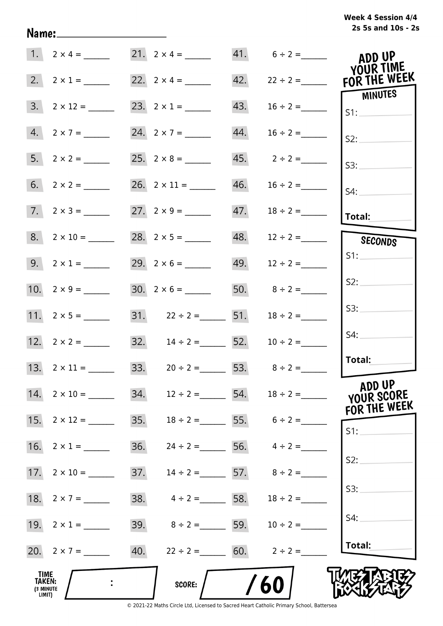# **2s 5s and 10s - 2s Week 4 Session 4/4**

|                                              | 1. $2 \times 4 =$        | 21. $2 \times 4 =$                  |     | $41. 6 \div 2 =$               | ADD UP<br>YOUR TIME                       |
|----------------------------------------------|--------------------------|-------------------------------------|-----|--------------------------------|-------------------------------------------|
|                                              | 2. $2 \times 1 =$        |                                     |     |                                | 42. $22 \div 2 =$ FOR THE WEEK<br>MINUTES |
|                                              | $3. \quad 2 \times 12 =$ | 23. $2 \times 1 =$                  | 43. | $16 \div 2 =$                  | IS1:                                      |
|                                              | $4. 2 \times 7 =$        |                                     | 44. | $16 \div 2 =$                  | S2:                                       |
|                                              |                          | $25. 2 \times 8 =$                  |     |                                | S3:                                       |
|                                              |                          |                                     |     |                                | S4:                                       |
|                                              | $7. 2 \times 3 =$        |                                     |     |                                | Total:                                    |
|                                              | $8. 2 \times 10 =$       |                                     |     |                                | SECONDS                                   |
|                                              | 9. $2 \times 1 =$        |                                     |     | 49. $12 \div 2 =$              | S1:                                       |
|                                              |                          | $30. 2 \times 6 =$                  |     | 50. $8 \div 2 =$               | S2:                                       |
|                                              | 11. $2 \times 5 =$       | 31. $22 \div 2 =$ 51.               |     | $18 \div 2 =$                  | S3:                                       |
|                                              | 12. $2 \times 2 =$       | 32. $14 \div 2 =$ 52. $10 \div 2 =$ |     |                                | S4:                                       |
|                                              | 13. $2 \times 11 =$      | 33. $20 \div 2 =$ 53. $8 \div 2 =$  |     |                                | Total:                                    |
| 14.                                          | $2 \times 10 =$          | 34.<br>$12 \div 2 =$                | 54. | $18 \div 2 =$                  | ADD UP<br>YOUR SCORE<br>FOR THE WEEK      |
| 15.                                          |                          | 35.                                 |     | $18 \div 2 =$ 55. $6 \div 2 =$ | S1:                                       |
| 16.                                          | $2 \times 1 =$           | 36.                                 |     | $24 \div 2 =$ 56. $4 \div 2 =$ | S2:                                       |
| 17.                                          |                          | 37.                                 |     | $14 \div 2 =$ 57. $8 \div 2 =$ |                                           |
| 18.                                          | $2 \times 7 =$           | 38.<br>$4 \div 2 =$ 58.             |     | $18 \div 2 =$                  | S3:                                       |
| 19.                                          | $2 \times 1 =$           | 39. $8 \div 2 =$ 59.                |     | $10 \div 2 =$                  | S4:                                       |
|                                              | 20. $2 \times 7 =$       |                                     |     | 60. $2 \div 2 =$               | Total:                                    |
| TIME<br><b>TAKEN:</b><br>(3 MINUTE<br>LIMIT) |                          | <b>SCORE:</b>                       |     | 60                             |                                           |

Name: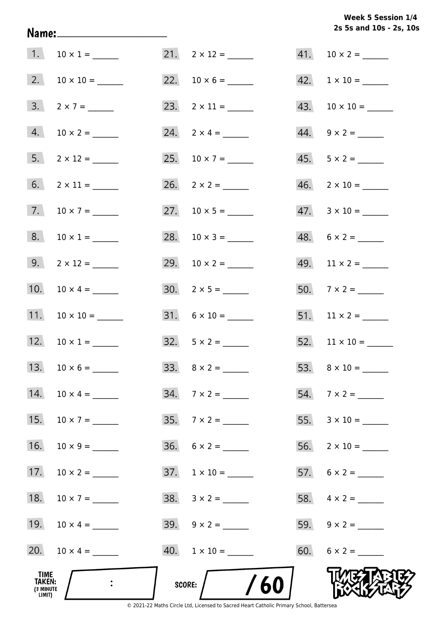# **2s 5s and 10s - 2s, 10s Week 5 Session 1/4**

| TIME<br><b>TAKEN:</b><br>(3 MINUTE<br>LIMIT) |                              | /60<br>SCORE:             |                           |
|----------------------------------------------|------------------------------|---------------------------|---------------------------|
|                                              | 20. $10 \times 4 =$          |                           |                           |
|                                              | 19. $10 \times 4 =$          | $39. \quad 9 \times 2 =$  | 59. $9 \times 2 =$        |
| 18.                                          |                              |                           |                           |
| 17.                                          |                              | $37. 1 \times 10 =$       |                           |
| 16.                                          | $10 \times 9 =$              | $36. 6 \times 2 =$        |                           |
| 15.                                          | $10 \times 7 =$              | $35.7 \times 2 =$         |                           |
|                                              | 14. $10 \times 4 =$          | $34. 7 \times 2 =$        |                           |
|                                              | 13. $10 \times 6 =$          |                           |                           |
|                                              | 12. $10 \times 1 =$          |                           |                           |
|                                              | 11. $10 \times 10 =$         | $31. 6 \times 10 =$       | $51.$ 11 × 2 = ______     |
|                                              | 10. $10 \times 4 =$          |                           | $50.7 \times 2 =$         |
|                                              | $9. \qquad 2 \times 12 =$    | 29. $10 \times 2 =$       | 49. $11 \times 2 =$       |
|                                              | $8. 10 \times 1 =$           |                           | $48. 6 \times 2 =$        |
|                                              | 7. $10 \times 7 =$           |                           | $47.3 \times 10 =$        |
|                                              |                              | $26. \quad 2 \times 2 =$  | $46. \quad 2 \times 10 =$ |
|                                              | $5. \qquad 2 \times 12 = \_$ |                           | $45. 5 \times 2 =$        |
|                                              | $4. 10 \times 2 =$           | $24. \quad 2 \times 4 =$  | 44. $9 \times 2 =$        |
|                                              | $3. 2 \times 7 =$            | 23. $2 \times 11 =$       |                           |
|                                              |                              |                           | $42. \quad 1 \times 10 =$ |
|                                              | 1. $10 \times 1 =$           | $21. \quad 2 \times 12 =$ |                           |

Name: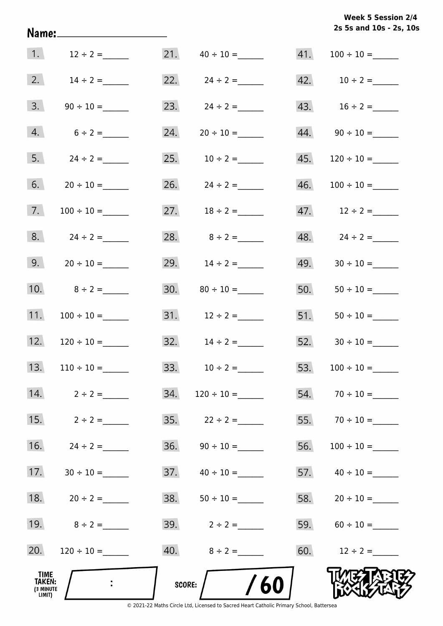|  |  | Week 5 Session 2/4      |  |
|--|--|-------------------------|--|
|  |  | 2s 5s and 10s - 2s, 10s |  |

| 1.                                    | $12 \div 2 =$  | 21.    | $40 \div 10 =$      | 41. | $100 \div 10 =$    |
|---------------------------------------|----------------|--------|---------------------|-----|--------------------|
| 2.                                    | $14 \div 2 =$  |        | 22. $24 \div 2 =$   |     | 42. $10 \div 2 =$  |
| 3.                                    |                |        | 23. $24 \div 2 =$   |     | 43. $16 \div 2 =$  |
| 4.                                    | $6 \div 2 =$   | 24.    |                     |     |                    |
| 5.                                    | $24 \div 2 =$  |        | 25. $10 \div 2 =$   | 45. |                    |
| 6.                                    |                |        | $26. \t24 \div 2 =$ | 46. |                    |
| 7.                                    |                |        | 27. $18 \div 2 =$   |     | 47. $12 \div 2 =$  |
| 8.                                    | $24 \div 2 =$  |        | 28. $8 \div 2 =$    |     | $48. 24 \div 2 =$  |
| 9.                                    | $20 \div 10 =$ |        | 29. $14 \div 2 =$   | 49. |                    |
| 10.                                   | $8 \div 2 =$   | 30.    |                     | 50. |                    |
| 11.                                   |                |        |                     | 51. |                    |
| 12.                                   |                |        | 32. $14 \div 2 =$   |     |                    |
| 13.                                   |                |        | 33. $10 \div 2 =$   | 53. |                    |
| 14.                                   | $2 \div 2 =$   | 34.    |                     |     | $54.70 \div 10 =$  |
| 15.                                   | $2 \div 2 =$   | 35.    | $22 \div 2 =$       |     |                    |
| 16.                                   | $24 \div 2 =$  | 36.    |                     | 56. | $100 \div 10 =$    |
| 17.                                   |                |        |                     |     |                    |
| 18.                                   | $20 \div 2 =$  |        |                     |     | 58. $20 \div 10 =$ |
| 19.                                   | $8 \div 2 =$   |        | 39. $2 \div 2 =$    |     | 59. $60 \div 10 =$ |
| 20.                                   |                |        | 40. $8 \div 2 =$    |     | 60. $12 \div 2 =$  |
| TIME<br>TAKEN:<br>(3 MINUTE<br>LIMIT) | $\ddot{\cdot}$ | SCORE: | /60                 |     |                    |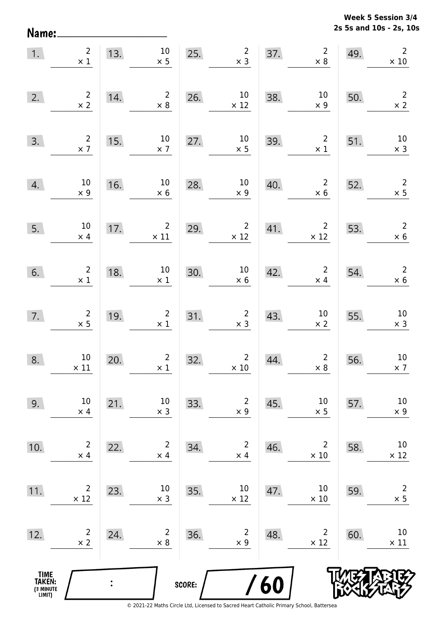**2s 5s and 10s - 2s, 10s Week 5 Session 3/4** 

| 1.                                            | $\begin{array}{c} 2 \\ \times 1 \end{array}$         |     | $13.$ $10$<br>$\times$ 5      |        | 25. $\begin{array}{c} 2 \\ \times 3 \end{array}$ |     | $37.$ 2<br>$\times$ 8         | 49. | $\overline{2}$<br>$\times 10$                |
|-----------------------------------------------|------------------------------------------------------|-----|-------------------------------|--------|--------------------------------------------------|-----|-------------------------------|-----|----------------------------------------------|
| 2.                                            | $\overline{2}$<br>$\times$ 2                         | 14. | $\overline{2}$<br>$\times 8$  | 26.    | $10\,$<br>$\times$ 12                            | 38. | $10\,$<br>$\times$ 9          | 50. | $\overline{2}$<br>$\times$ 2                 |
| 3.                                            | $\begin{array}{c} 2 \\ \times 7 \end{array}$         | 15. | $10\,$<br>$\times$ 7          | 27.    | $10\,$<br>$\times$ 5                             | 39. | $\overline{2}$<br>$\times$ 1  | 51. | $10\,$<br>$\times$ 3                         |
| 4.                                            | $10\,$<br>$\times$ 9                                 | 16. | $10\,$<br>$\times$ 6          |        | 10<br>28.<br>$\times$ 9                          | 40. | $\overline{2}$<br>$\times$ 6  | 52. | $\overline{2}$<br>$\times$ 5                 |
| 5.                                            | $10\,$<br>$\times$ 4                                 | 17. | $\overline{2}$<br>$\times$ 11 | 29.    | $\overline{2}$<br>$\times$ 12                    | 41. | $\overline{2}$<br>$\times$ 12 | 53. | $\mathbf 2$<br>$\times$ 6                    |
| 6.                                            | $\begin{smallmatrix}2\\ \times \ 1\end{smallmatrix}$ | 18. | $10\,$<br>$\times$ 1          | 30.    | $\begin{array}{c} 10 \\ \times 6 \end{array}$    | 42. | $\overline{2}$<br>$\times$ 4  | 54. | $\begin{array}{c} 2 \\ \times 6 \end{array}$ |
| 7.                                            | $\begin{array}{c} 2 \\ \times 5 \end{array}$         | 19. | $\overline{2}$<br>$\times$ 1  | 31.    | $\overline{2}$<br>$\times$ 3                     | 43. | $10\,$<br>$\times$ 2          | 55. | $10\,$<br>$\times$ 3                         |
| 8.                                            | $10\,$<br>$\times$ 11                                | 20. | $\overline{2}$<br>$\times$ 1  | 32.    | $\begin{array}{c}2\\ \times \ 10\end{array}$     | 44. | $\overline{2}$<br>$\times 8$  | 56. | $10\,$<br>$\times$ 7                         |
| 9.                                            | 10<br>$\times$ 4                                     | 21. | $10\,$<br>$\times$ 3          | 33.    | $\overline{c}$<br>$\times$ 9                     | 45. | $10\,$<br>$\times$ 5          | 57. | $10\,$<br>$\times$ 9                         |
| 10.                                           | $\overline{2}$<br>$\times$ 4                         | 22. | $\overline{2}$<br>$\times$ 4  | 34.    | $\overline{2}$<br>$\times$ 4                     | 46. | $\overline{2}$<br>$\times$ 10 | 58. | 10<br>$\times$ 12                            |
| 11.                                           | $\overline{2}$<br>$\times$ 12                        | 23. | 10<br>$\times$ 3              | 35.    | $10\,$<br>$\times$ 12                            | 47. | 10<br>$\times$ 10             | 59. | $\overline{2}$<br>$\times$ 5                 |
| 12.                                           | $\overline{2}$<br>$\times$ 2                         | 24. | $\overline{2}$<br>$\times$ 8  | 36.    | $\overline{2}$<br>$\times$ 9                     | 48. | $\overline{2}$<br>$\times$ 12 | 60. | 10<br>$\times$ 11                            |
| <b>TIME<br/>TAKEN:</b><br>(3 MINUTE<br>LIMIT) |                                                      |     |                               | SCORE: |                                                  | 60  |                               |     |                                              |

Name: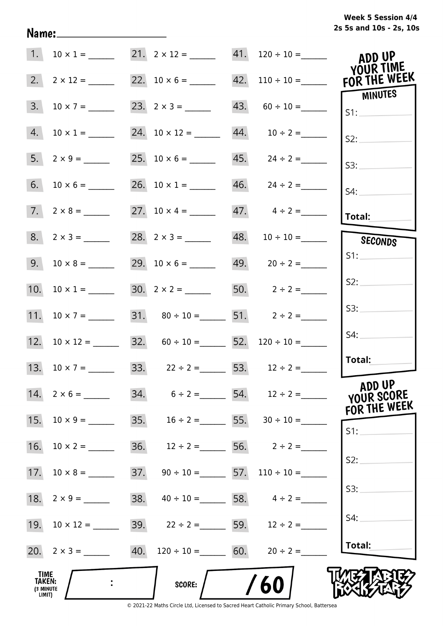| 1.                                           |                    |     |                                                          | $10 \times 1 =$ 21. $2 \times 12 =$ 41. $120 \div 10 =$ | ADD UP<br>YOUR TIME                  |
|----------------------------------------------|--------------------|-----|----------------------------------------------------------|---------------------------------------------------------|--------------------------------------|
| 2.                                           | $2 \times 12 =$    |     |                                                          | 22. $10 \times 6 =$ 42. $110 \div 10 =$                 | FOR THE WEEK<br>MINUTES              |
| 3.                                           |                    |     |                                                          | $43. 60 \div 10 =$                                      | S1:                                  |
| 4.                                           | $10 \times 1 =$    |     |                                                          |                                                         | S2:                                  |
|                                              |                    |     |                                                          |                                                         | S3:                                  |
|                                              |                    |     | 26. $10 \times 1 =$                                      |                                                         | S4:                                  |
|                                              |                    |     |                                                          | $47. \qquad 4 \div 2 =$                                 | Total:                               |
| 8.                                           | $2 \times 3 =$     |     |                                                          | 48. $10 \div 10 =$                                      | SECONDS                              |
| 9.                                           | $10 \times 8 =$    |     |                                                          | 49. $20 \div 2 =$                                       | S1:                                  |
| 10.                                          | $10 \times 1 =$    |     |                                                          | 50. $2 \div 2 =$                                        | S2:                                  |
| 11.                                          | $10 \times 7 =$    |     | 31. $80 \div 10 =$ 51. $2 \div 2 =$                      |                                                         | SS:                                  |
| 12.                                          | $10 \times 12 =$   |     | 32. $60 \div 10 =$ 52. $120 \div 10 =$                   |                                                         | S4:                                  |
|                                              |                    |     | 13. $10 \times 7 =$ 33. $22 \div 2 =$ 53. $12 \div 2 =$  |                                                         | Total:                               |
|                                              | 14. $2 \times 6 =$ |     | 34. $6 \div 2 =$ 54. $12 \div 2 =$                       |                                                         | ADD UP<br>YOUR SCORE<br>FOR THE WEEK |
| 15.                                          | $10 \times 9 =$    |     | 35. $16 \div 2 =$ 55. $30 \div 10 =$                     |                                                         | S1:                                  |
| 16.                                          | $10 \times 2 =$    | 36. |                                                          | $12 \div 2 =$ 56. $2 \div 2 =$                          |                                      |
| 17.                                          | $10 \times 8 =$    | 37. |                                                          | $90 \div 10 =$ 57. $110 \div 10 =$                      | S2:                                  |
| 18.                                          | $2 \times 9 =$     | 38. |                                                          | $40 \div 10 =$ 58. $4 \div 2 =$                         | S3:                                  |
| 19.                                          |                    |     | 39. $22 \div 2 =$ 59. $12 \div 2 =$                      |                                                         | S4:                                  |
|                                              |                    |     | 20. $2 \times 3 =$ 40. $120 \div 10 =$ 60. $20 \div 2 =$ |                                                         | Total:                               |
| TIME<br><b>TAKEN:</b><br>(3 MINUTE<br>LIMIT) |                    |     | SCORE:                                                   | /60                                                     |                                      |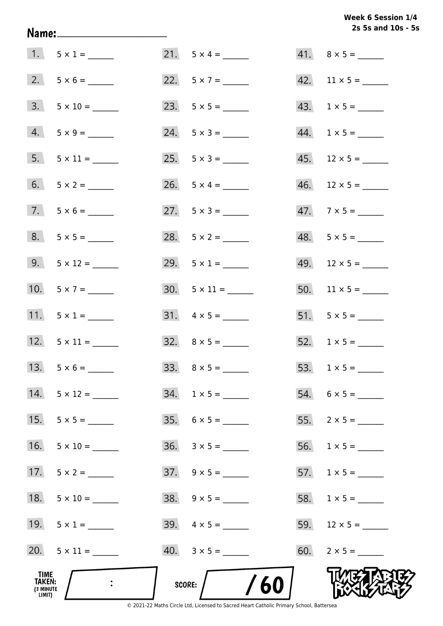# Week 6 Session 1/4 2s 5s and 10s - 5s

| TIME<br>TAKEN:<br>(3 MINUTE<br>LIMIT) | $\ddot{\cdot}$      | /60<br><b>SCORE:</b>     |                       |
|---------------------------------------|---------------------|--------------------------|-----------------------|
|                                       | 20. $5 \times 11 =$ |                          | 60. $2 \times 5 =$    |
|                                       | 19. $5 \times 1 =$  | 39. $4 \times 5 =$       |                       |
| 18.                                   |                     | $38. 9 \times 5 =$       |                       |
| 17.                                   |                     | $37. \quad 9 \times 5 =$ | 57. $1 \times 5 =$    |
| 16.                                   | $5 \times 10 =$     | $36. 3 \times 5 =$       |                       |
| 15.                                   |                     | $35. 6 \times 5 =$       |                       |
| 14.                                   |                     |                          |                       |
|                                       |                     |                          |                       |
|                                       | 12. $5 \times 11 =$ | $32. \quad 8 \times 5 =$ | 52. $1 \times 5 =$    |
|                                       | 11. $5 \times 1 =$  | $31. \quad 4 \times 5 =$ | $51. 5 \times 5 =$    |
|                                       | 10. $5 \times 7 =$  | $30. 5 \times 11 =$      |                       |
|                                       | 9. $5 \times 12 =$  | 29. $5 \times 1 =$       | $49. 12 \times 5 =$   |
|                                       | $8. 5 \times 5 =$   | 28. $5 \times 2 =$       |                       |
|                                       | $7.5 \times 6 =$    | $27. 5 \times 3 =$       | $47.7 \times 5 =$     |
|                                       |                     | 26. $5 \times 4 =$       | $46.$ 12 × 5 = ______ |
|                                       | $5. 5 \times 11 =$  | $25. \quad 5 \times 3 =$ | $45.$ 12 × 5 = ______ |
|                                       | $4. 5 \times 9 =$   |                          | $44. 1 \times 5 =$    |
|                                       | $3. 5 \times 10 =$  |                          |                       |
|                                       | $2. 5 \times 6 =$   |                          | $42.$ 11 × 5 = ______ |
|                                       | $1. 5 \times 1 =$   |                          | $41. 8 \times 5 =$    |

Name: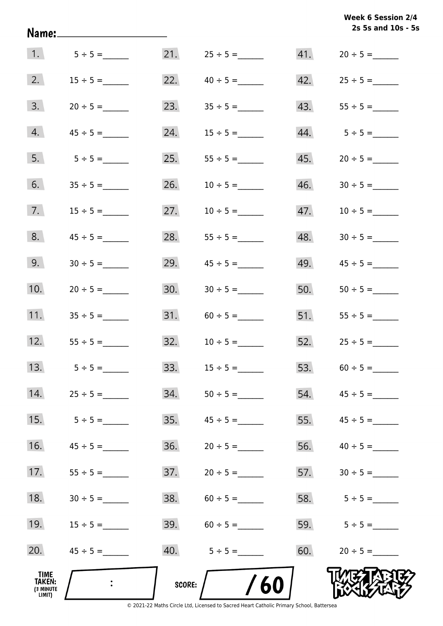|                                                     | Name:_____________________ |               |                   |     | Week 6 Session 2/4<br>2s 5s and 10s - 5s |
|-----------------------------------------------------|----------------------------|---------------|-------------------|-----|------------------------------------------|
| 1.                                                  | $5 \div 5 =$               |               |                   |     |                                          |
| 2.                                                  | $15 \div 5 =$              | 22.           | $40 \div 5 =$     |     |                                          |
| 3.                                                  | $20 \div 5 =$              | 23.           | $35 \div 5 =$     |     |                                          |
| 4.                                                  | $45 \div 5 =$              | 24.           | $15 \div 5 =$     |     | 44. $5 \div 5 =$                         |
| 5.                                                  | $5 \div 5 =$               | 25.           |                   |     | $45. 20 \div 5 =$                        |
| 6.                                                  |                            | 26.           | $10 \div 5 =$     | 46. | $30 \div 5 =$                            |
| 7.                                                  | $15 \div 5 =$              | 27.           | $10 \div 5 =$     | 47. | $10 \div 5 =$                            |
| 8.                                                  |                            | 28.           |                   | 48. |                                          |
| 9.                                                  | $30 \div 5 =$              | 29.           | $45 \div 5 =$     | 49. |                                          |
| 10.                                                 | $20 \div 5 =$              | 30.           | $30 \div 5 =$     | 50. |                                          |
| 11.                                                 | $35 \div 5 =$              |               |                   |     | 51. $55 \div 5 =$                        |
| 12.                                                 | $55 \div 5 =$              |               | $32. 10 \div 5 =$ |     | $52.$ $25 \div 5 =$                      |
| 13.                                                 | $5 \div 5 =$               | 33.           |                   | 53. |                                          |
| 14.                                                 |                            | 34.           |                   | 54. |                                          |
| 15.                                                 |                            | 35.           |                   | 55. |                                          |
| 16.                                                 |                            | 36.           |                   | 56. |                                          |
| 17.                                                 | $55 \div 5 =$              | 37.           | $20 \div 5 =$     | 57. | $30 \div 5 =$                            |
| 18.                                                 | $30 \div 5 =$              | 38.           | $60 \div 5 =$     | 58. | $5 \div 5 =$                             |
| 19.                                                 | $15 \div 5 =$              | 39.           | $60 \div 5 =$     | 59. | $5 \div 5 =$                             |
| 20.                                                 |                            |               |                   | 60. | $20 \div 5 =$                            |
| <b>TIME</b><br><b>TAKEN:</b><br>(3 MINUTE<br>LIMIT) |                            | <b>SCORE:</b> | /60               |     |                                          |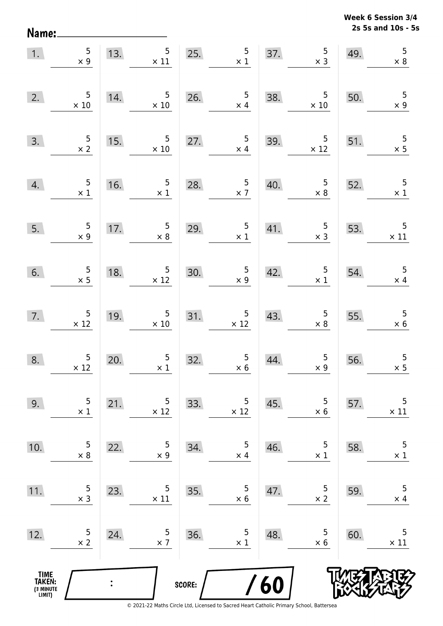**2s 5s and 10s - 5s Week 6 Session 3/4** 

|                                               | 1. $5 \times 9$                               |     | 13. $5 \times 11$                                                          |        | 25. $5 \times 1$                                 |            | 37. $5 \times 3$                                  | 49. | 5<br>$\times 8$                                  |
|-----------------------------------------------|-----------------------------------------------|-----|----------------------------------------------------------------------------|--------|--------------------------------------------------|------------|---------------------------------------------------|-----|--------------------------------------------------|
| 2.                                            | $\begin{array}{r} 5 \\ \times 10 \end{array}$ | 14. | $\begin{array}{r} 5 \\ \times 10 \end{array}$                              |        | 26. $\frac{5}{x 4}$                              |            | 38. $\begin{array}{c} 5 \\ \times 10 \end{array}$ | 50. | $\begin{array}{r} 5 \\ \times 9 \end{array}$     |
| 3.                                            | $\frac{5}{x}$                                 |     | 15. $\frac{5}{\times 10}$                                                  |        | 27. $5 \times 4$                                 |            | $39. \frac{5}{x 12}$                              | 51. | 51. $\begin{array}{c} 5 \\ \times 5 \end{array}$ |
| 4.                                            | $\begin{array}{c} 5 \\ \times 1 \end{array}$  | 16. | $\begin{array}{c c}\n5 \\ \times 1\n\end{array}$                           | 28.    | 28. $\begin{array}{c} 5 \\ \times 7 \end{array}$ |            | 40. $\begin{array}{r} 5 \\ \times 8 \end{array}$  | 52. | 52. $\begin{array}{c} 5 \\ \times 1 \end{array}$ |
| 5.                                            | $\frac{5}{x}$                                 | 17. | $\begin{array}{c c}\n 17. & 5 \\  \times 8\n \end{array}$                  | 29.    | $\frac{5}{1}$                                    |            | 41. $\begin{array}{r} 5 \\ \times 3 \end{array}$  | 53. | $\overline{\phantom{0}}$ 5<br>$\times$ 11        |
| 6.                                            | $\frac{5}{2}$                                 | 18. | $\frac{5}{\times 12}$                                                      |        | 30. $5 \times 9$                                 |            | 42. $5 \times 1$                                  |     | 54. $\begin{array}{c} 5 \\ \times 4 \end{array}$ |
|                                               | 7. $5 \times 12$                              |     | 19. $\begin{array}{c} 5 \\ \times 10 \end{array}$                          |        | $31. \hspace{1.5cm} 5 \times 12$                 |            | 43. $5 \times 8$                                  | 55. | $\begin{array}{r} 5 \\ \times 6 \end{array}$     |
| 8.                                            | $\begin{array}{r} 5 \\ \times 12 \end{array}$ | 20. | 20. $\begin{array}{c c} 5 & 32. & 5 \\ \hline x 1 & 32. & x 6 \end{array}$ |        |                                                  | 44.        | $\begin{array}{c} 5 \\ \times 9 \end{array}$      | 56. | $\frac{5}{x}$                                    |
| 9.                                            | 5<br>$\times$ 1                               | 21. | 5<br>$\times$ 12                                                           | 33.    | 5<br>$\times 12$                                 | 45.        | 5<br>$\times$ 6                                   | 57. | 5<br>$\times$ 11                                 |
| 10.                                           | 5<br>$\times 8$                               | 22. | 5<br>$\times$ 9                                                            | 34.    | 5<br>$\times$ 4                                  | 46.        | 5<br>$\times$ 1                                   | 58. | 5<br>$\times$ 1                                  |
| 11.                                           | 5<br>$\times$ 3                               | 23. | 5<br>$\times$ 11                                                           | 35.    | 5<br>$\times$ 6                                  | 47.        | 5<br>$\times$ 2                                   | 59. | 5<br>$\times$ 4                                  |
| 12.                                           | 5<br>$\times$ 2                               | 24. | 5<br>$\times$ 7                                                            | 36.    | 5<br>$\times$ 1                                  | 48.        | 5<br>$\times$ 6                                   | 60. | 5<br>$\times$ 11                                 |
| <b>TIME<br/>TAKEN:</b><br>(3 MINUTE<br>LIMIT) |                                               |     |                                                                            | SCORE: |                                                  | <b>/60</b> |                                                   |     |                                                  |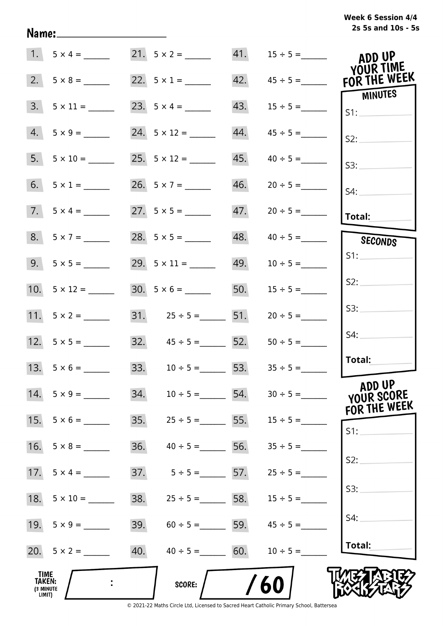# **2s 5s and 10s - 5s Week 6 Session 4/4**

|                                              | $1. 5 \times 4 =$   | $21. 5 \times 2 =$                  |     | 41. $15 \div 5 =$        | ADD UP<br>YOUR TIME            |
|----------------------------------------------|---------------------|-------------------------------------|-----|--------------------------|--------------------------------|
|                                              |                     | 22. $5 \times 1 =$                  |     |                          | 42. $45 \div 5 =$ FOR THE WEEK |
|                                              | $3. 5 \times 11 =$  |                                     | 43. | $15 \div 5 =$            | MINUTES                        |
|                                              | $4. 5 \times 9 =$   | 24. $5 \times 12 =$                 | 44. | $45 \div 5 =$            | S2:                            |
|                                              | $5. 5 \times 10 =$  |                                     |     | $45. \qquad 40 \div 5 =$ | S3:                            |
|                                              | 6. $5 \times 1 =$   | 26. $5 \times 7 =$                  |     |                          | S4:                            |
|                                              | $7.5 \times 4 =$    |                                     |     |                          | Total:                         |
|                                              | $8. 5 \times 7 =$   | $28. 5 \times 5 =$                  |     | $48. \qquad 40 \div 5 =$ | SECONDS                        |
|                                              |                     |                                     |     | $49. 10 \div 5 =$        | S1:                            |
|                                              | 10. $5 \times 12 =$ |                                     |     | 50. $15 \div 5 =$        | S2:                            |
|                                              |                     | 31. $25 \div 5 =$ 51.               |     | $20 \div 5 =$            | S3:                            |
|                                              |                     | 32. $45 \div 5 =$ 52.               |     | $50 \div 5 =$            | S4:                            |
|                                              | 13. $5 \times 6 =$  | 33. $10 \div 5 =$ 53. $35 \div 5 =$ |     |                          | Total:                         |
|                                              | 14. $5 \times 9 =$  | 34.<br>$10 \div 5 =$                | 54. | $30 \div 5 =$            | ADD UP<br>YOUR SCORE           |
| 15.                                          | $5 \times 6 =$      | 35.<br>$25 \div 5 =$ 5.             |     | $15 \div 5 =$            | FOR THE WEEK<br>S1:            |
| 16.                                          | $5 \times 8 =$      | 36.<br>$40 \div 5 =$                | 56. | $35 \div 5 =$            |                                |
|                                              | 17. $5 \times 4 =$  | 37.<br>$5 \div 5 =$ 57.             |     | $25 \div 5 =$            | S2:                            |
| 18.                                          | $5 \times 10 =$     | 38.<br>$25 \div 5 =$ 58.            |     | $15 \div 5 =$            | S3:                            |
|                                              |                     | 39.<br>$60 \div 5 =$                | 59. | $45 \div 5 =$            | S4:                            |
|                                              | 20. $5 \times 2 =$  | 40.<br>$40 \div 5 =$                | 60. | $10 \div 5 =$            | Total:                         |
| TIME<br><b>TAKEN:</b><br>(3 MINUTE<br>LIMIT) |                     | <b>SCORE:</b>                       |     | 60                       |                                |

Name: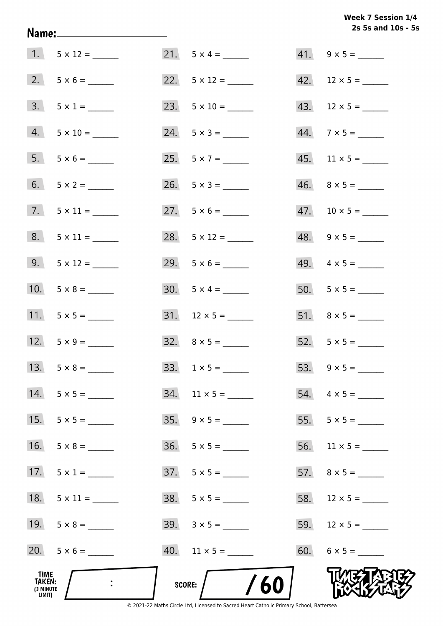# **2s 5s and 10s - 5s Week 7 Session 1/4**

| TIME<br>TAKEN:<br>(3 MINUTE<br>LIMIT) |                    | <b>SCORE:</b> | /60                      |                          |
|---------------------------------------|--------------------|---------------|--------------------------|--------------------------|
|                                       |                    |               | $40.$ 11 x 5 = ______    | $60. 6 \times 5 =$       |
|                                       | 19. $5 \times 8 =$ |               | $39. 3 \times 5 =$       |                          |
| 18.                                   |                    |               | $38. 5 \times 5 =$       |                          |
| 17.                                   | $5 \times 1 =$     |               | $37.5 \times 5 =$        |                          |
| 16.                                   | $5 \times 8 =$     |               |                          |                          |
| 15.                                   |                    |               |                          |                          |
| 14.                                   | $5 \times 5 =$     |               | $34.$ 11 x 5 = ______    |                          |
|                                       |                    |               |                          |                          |
|                                       | 12. $5 \times 9 =$ |               | $32. \quad 8 \times 5 =$ |                          |
|                                       | 11. $5 \times 5 =$ |               |                          |                          |
|                                       | 10. $5 \times 8 =$ |               | $30. 5 \times 4 =$       |                          |
|                                       | 9. $5 \times 12 =$ |               |                          | 49. $4 \times 5 =$       |
|                                       | $8. 5 \times 11 =$ |               | 28. $5 \times 12 =$      | $48. \quad 9 \times 5 =$ |
|                                       | 7. $5 \times 11 =$ |               | 27. $5 \times 6 =$       |                          |
|                                       |                    |               | $26. 5 \times 3 =$       |                          |
|                                       | $5. 5 \times 6 =$  |               |                          | $45.$ 11 × 5 = ______    |
|                                       | $4. 5 \times 10 =$ |               | $24. 5 \times 3 =$       | $44.7 \times 5 =$        |
|                                       | $3. 5 \times 1 =$  |               |                          |                          |
|                                       |                    |               |                          | 42. $12 \times 5 =$      |
|                                       | $1. 5 \times 12 =$ |               |                          | $41. 9 \times 5 =$       |

Name: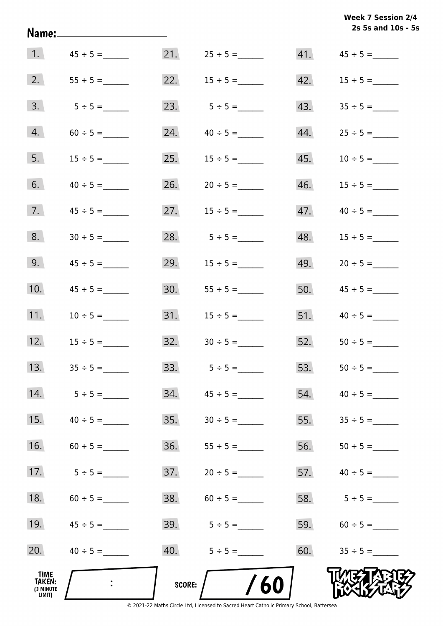|                                       | <u> Name:____________________</u> |               |                   |     | 2s 5s and 10s - 5s  |
|---------------------------------------|-----------------------------------|---------------|-------------------|-----|---------------------|
|                                       |                                   |               | $21. 25 \div 5 =$ |     |                     |
| 2.                                    | $55 \div 5 =$                     |               | 22. $15 \div 5 =$ |     |                     |
| 3.                                    |                                   |               |                   |     | 43. $35 \div 5 =$   |
| 4.                                    | $60 \div 5 =$                     |               |                   |     |                     |
| 5.                                    | $15 \div 5 =$                     |               | 25. $15 \div 5 =$ | 45. | $10 \div 5 =$       |
| 6.                                    | $40 \div 5 =$                     |               |                   | 46. | $15 \div 5 =$       |
| 7.                                    | $45 \div 5 =$                     |               | 27. $15 \div 5 =$ | 47. |                     |
| 8.                                    | $30 \div 5 =$                     |               |                   | 48. | $15 \div 5 =$       |
| 9.                                    | $45 \div 5 =$                     |               | 29. $15 \div 5 =$ | 49. |                     |
| 10.                                   | $45 \div 5 =$                     |               |                   | 50. | $45 \div 5 =$       |
| 11.                                   | $10 \div 5 =$                     |               |                   | 51. | $40 \div 5 =$       |
| 12.                                   | $15 \div 5 =$                     |               |                   |     | 52. $50 \div 5 =$   |
| 13.                                   |                                   | 33.           | $5 \div 5 =$      | 53. |                     |
| 14.                                   | $5 \div 5 =$                      | 34.           |                   | 54. |                     |
| 15.                                   | $40 \div 5 =$                     | 35.           |                   | 55. |                     |
| 16.                                   | $60 \div 5 =$                     | 36.           |                   | 56. | $50 \div 5 =$       |
| 17.                                   | $5 \div 5 =$                      | 37.           | $20 \div 5 =$     | 57. | $40 \div 5 =$       |
| 18.                                   | $60 \div 5 =$                     | 38.           |                   |     | 58. $5 \div 5 =$    |
| 19.                                   | $45 \div 5 =$                     |               | 39. $5 \div 5 =$  | 59. | $60 \div 5 =$       |
| 20.                                   | $40 \div 5 =$                     |               |                   |     | $60.$ $35 \div 5 =$ |
| TIME<br>TAKEN:<br>(3 MINUTE<br>LIMIT) |                                   | <b>SCORE:</b> | 60                |     |                     |

**Week 7 Session 2/4**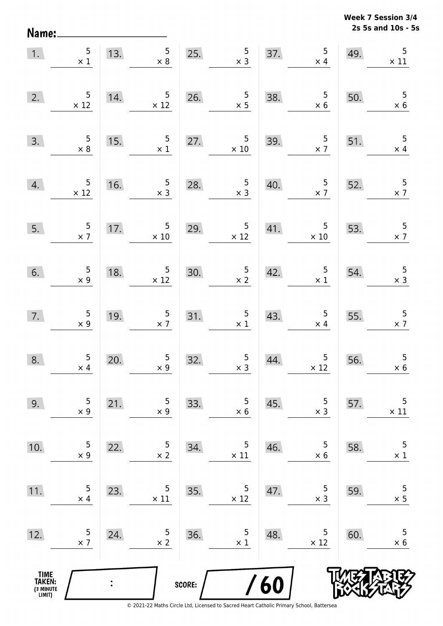**2s 5s and 10s - 5s Week 7 Session 3/4** 

| 1.                                            | $\begin{array}{c} 5 \\ \times 1 \end{array}$  |                | 13. $5 \times 8$                              | 25.    | $\begin{array}{r} 5 \\ \times 3 \end{array}$     |     | $\overline{5}$<br>37.<br>$\times$ 4           | 49. | 5<br>$\times$ 11                             |
|-----------------------------------------------|-----------------------------------------------|----------------|-----------------------------------------------|--------|--------------------------------------------------|-----|-----------------------------------------------|-----|----------------------------------------------|
| 2.                                            | $\begin{array}{r} 5 \\ \times 12 \end{array}$ | 14.            | $\begin{array}{r} 5 \\ \times 12 \end{array}$ |        | 26. $\frac{5}{x}$                                | 38. | $\begin{array}{r} 5 \\ \times 6 \end{array}$  | 50. | $\frac{5}{x}$ 6                              |
| 3.                                            | $\begin{array}{r} 5 \\ \times 8 \end{array}$  | 15.            | $5\overline{)}$<br>$\times$ 1                 | 27.    | $\begin{array}{r} 5 \\ \times 10 \end{array}$    | 39. | $\frac{5}{x}$                                 | 51. | $\overline{\phantom{0}}$<br>$\times$ 4       |
| 4.                                            | $\begin{array}{r} 5 \\ \times 12 \end{array}$ | 16.            | $\begin{array}{r} 5 \\ \times 3 \end{array}$  | 28.    | $\begin{array}{r} 5 \\ \times 3 \end{array}$     | 40. | $\frac{5}{x}$                                 | 52. | $\frac{5}{2}$                                |
| 5.                                            | $\frac{5}{\times 7}$                          |                | 17. $\frac{5}{\times 10}$                     |        | 29. $5 \times 12$                                | 41. | $\begin{array}{r} 5 \\ \times 10 \end{array}$ | 53. | $\frac{5}{\times 7}$                         |
| 6.                                            | $\begin{array}{c} 5 \\ \times 9 \end{array}$  | 18.            | $\begin{array}{c} 5 \\ \times 12 \end{array}$ | 30.    | $\frac{5}{\times 2}$<br>0.                       | 42. | $\begin{array}{c} 5 \\ \times 1 \end{array}$  | 54. | $\begin{array}{r} 5 \\ \times 3 \end{array}$ |
| 7.                                            | $\frac{5}{x}$ 9                               | 19.            | $\begin{array}{c} 5 \\ \times 7 \end{array}$  |        | 31. $\begin{array}{c} 5 \\ \times 1 \end{array}$ | 43. | $\frac{5}{3}$                                 | 55. | $\frac{5}{2}$                                |
| 8.                                            | $\begin{array}{c} 5 \\ \times 4 \end{array}$  | 20.            | $\begin{array}{c} 5 \\ x \end{array}$         | 32.    | $\begin{array}{c} 5 \\ x \end{array}$            | 44. | $\begin{array}{c} 5 \\ \times 12 \end{array}$ | 56. | $\overline{5}$<br>$\times$ 6                 |
| 9.                                            | 5<br>$\times$ 9                               | 21.            | 5<br>$\times$ 9                               | 33.    | 5<br>$\times$ 6                                  | 45. | 5<br>$\times$ 3                               | 57. | 5<br>$\times$ 11                             |
| 10.                                           | 5<br>$\times$ 9                               | 22.            | 5<br>$\times$ 2                               | 34.    | 5<br>$\times$ 11                                 | 46. | 5<br>$\times$ 6                               | 58. | 5<br>$\times$ 1                              |
| 11.                                           | 5<br>$\times$ 4                               | 23.            | 5<br>$\times$ 11                              | 35.    | 5<br>$\times$ 12                                 | 47. | 5<br>$\times$ 3                               | 59. | 5<br>$\times$ 5                              |
| 12.                                           | 5<br>$\times$ 7                               | 24.            | 5<br>$\times$ 2                               | 36.    | 5<br>$\times$ 1                                  | 48. | 5<br>$\times$ 12                              | 60. | 5<br>$\times$ 6                              |
| <b>TIME<br/>TAKEN:</b><br>(3 MINUTE<br>LIMIT) |                                               | $\ddot{\cdot}$ |                                               | SCORE: |                                                  | 60  |                                               |     |                                              |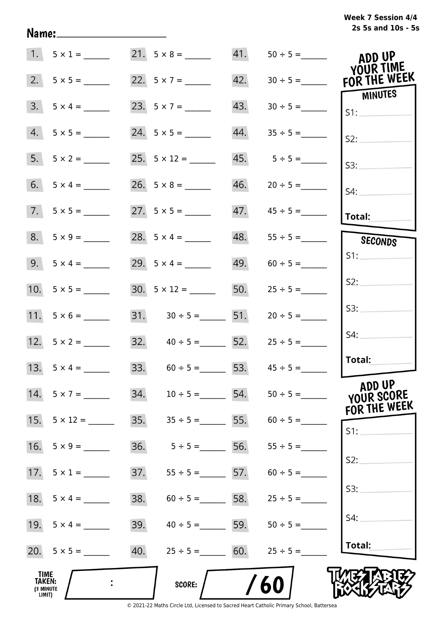# **2s 5s and 10s - 5s Week 7 Session 4/4**

|                                                     | $1. 5 \times 1 =$  |     | $21. 5 \times 8 =$                  | 41. | $50 \div 5 =$                   | ADD UP<br>YOUR TIME                  |
|-----------------------------------------------------|--------------------|-----|-------------------------------------|-----|---------------------------------|--------------------------------------|
|                                                     |                    |     | 22. $5 \times 7 =$                  | 42. | $30 \div 5 =$                   | FOR THE WEEK                         |
|                                                     | $3. 5 \times 4 =$  |     |                                     | 43. |                                 | MINUTES<br>S1:                       |
|                                                     | $4. 5 \times 5 =$  |     |                                     | 44. |                                 | S2:                                  |
|                                                     | 5. $5 \times 2 =$  |     |                                     |     | $45. 5 \div 5 =$                | S3:                                  |
|                                                     |                    |     |                                     | 46. |                                 | $S4$ :                               |
|                                                     | $7.5 \times 5 =$   |     |                                     |     |                                 | Total:                               |
|                                                     | $8. 5 \times 9 =$  |     | 28. $5 \times 4 =$                  |     | $48. 55 \div 5 =$               | SECONDS                              |
|                                                     | 9. $5 \times 4 =$  |     | 29. $5 \times 4 =$                  |     | $49. 60 \div 5 =$               | S1:                                  |
|                                                     |                    |     |                                     |     | 50. $25 \div 5 =$               | S2:                                  |
|                                                     | 11. $5 \times 6 =$ |     | 31. $30 \div 5 =$ 51. $20 \div 5 =$ |     |                                 | S3:                                  |
|                                                     |                    |     | 32. $40 \div 5 =$ 52. $25 \div 5 =$ |     |                                 | S4:                                  |
|                                                     | 13. $5 \times 4 =$ |     | 33. $60 \div 5 =$ 53. $45 \div 5 =$ |     |                                 | Total:                               |
|                                                     | $14. 5 \times 7 =$ | 34. | $10 \div 5 =$                       | 54. | $50 \div 5 =$                   | ADD UP<br>YOUR SCORE<br>FOR THE WEEK |
| 15.                                                 | $5 \times 12 =$    | 35. |                                     |     | $35 \div 5 =$ 55. $60 \div 5 =$ | S1:                                  |
| 16.                                                 | $5 \times 9 =$     | 36. | $5 \div 5 =$                        | 56. | $55 \div 5 =$                   |                                      |
|                                                     | 17. $5 \times 1 =$ | 37. | $55 \div 5 =$ 57.                   |     | $60 \div 5 =$                   | S2:                                  |
|                                                     |                    | 38. | $60 \div 5 =$ 58.                   |     | $25 \div 5 =$                   | S3:                                  |
|                                                     | 19. $5 \times 4 =$ | 39. | $40 \div 5 =$ 59.                   |     | $50 \div 5 =$                   | S4:                                  |
|                                                     |                    | 40. | $25 \div 5 =$ 60.                   |     | $25 \div 5 =$                   | Total:                               |
| <b>TIME</b><br><b>TAKEN:</b><br>(3 MINUTE<br>LIMIT) |                    |     | <b>SCORE:</b>                       |     | 60                              |                                      |

Name: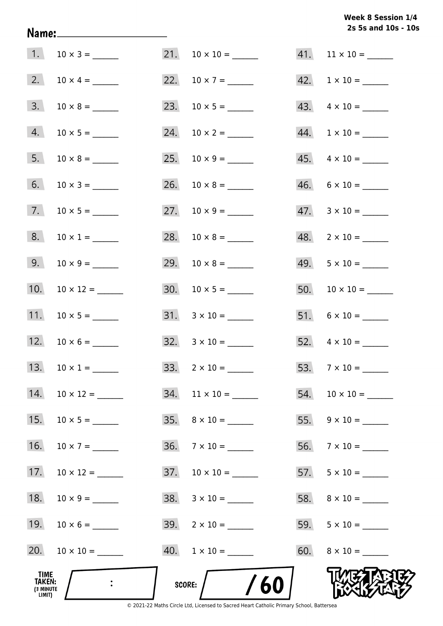# **2s 5s and 10s - 10s Week 8 Session 1/4**

|                                       | 1. $10 \times 3 =$  |     |                           | $41.$ 11 × 10 = ______    |
|---------------------------------------|---------------------|-----|---------------------------|---------------------------|
|                                       |                     |     |                           | $42. 1 \times 10 =$       |
| 3.                                    |                     |     | 23. $10 \times 5 =$       | $43. \quad 4 \times 10 =$ |
| 4.                                    |                     | 24. |                           |                           |
| 5.                                    |                     | 25. |                           | $45. \quad 4 \times 10 =$ |
| 6.                                    |                     | 26. |                           | $46. 6 \times 10 =$       |
| 7.                                    |                     |     |                           | $47. 3 \times 10 =$       |
| 8.                                    | $10 \times 1 =$     |     |                           | $48. 2 \times 10 =$       |
| 9.                                    |                     |     |                           | $49. 5 \times 10 =$       |
| 10.                                   | $10 \times 12 =$    |     |                           |                           |
| 11.                                   |                     |     |                           |                           |
|                                       | 12. $10 \times 6 =$ |     | $32. \quad 3 \times 10 =$ |                           |
| 13.                                   | $10 \times 1 =$     |     |                           |                           |
| 14.                                   |                     |     | $34.$ 11 × 10 = ______    |                           |
| 15.                                   |                     |     | $35. \quad 8 \times 10 =$ |                           |
| 16.                                   | $10 \times 7 =$     |     | $36. 7 \times 10 =$       |                           |
| 17.                                   |                     |     |                           |                           |
| 18.                                   |                     |     |                           |                           |
| 19.                                   |                     |     | $39. \quad 2 \times 10 =$ |                           |
| 20.                                   |                     |     | $40. 1 \times 10 =$       |                           |
| TIME<br>TAKEN:<br>(3 MINUTE<br>LIMIT) |                     |     | /60<br>SCORE:             |                           |

Name: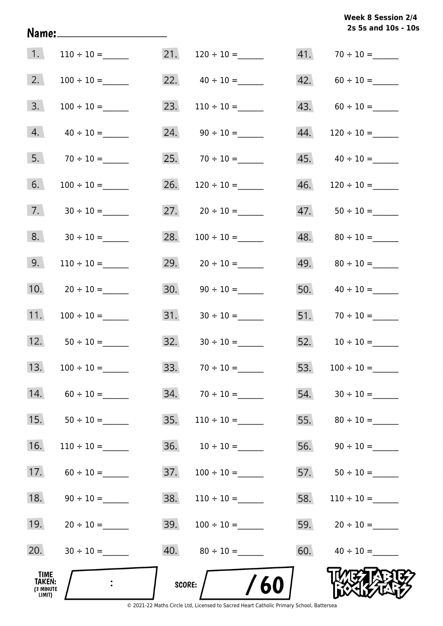# **2s 5s and 10s - 10s Week 8 Session 2/4**

| 1.                                            |                 | 21.    | $120 \div 10 =$                   |     | $41. 70 \div 10 =$ |
|-----------------------------------------------|-----------------|--------|-----------------------------------|-----|--------------------|
| 2.                                            |                 |        | 22. $40 \div 10 =$                |     | 42. $60 \div 10 =$ |
| 3.                                            |                 | 23.    | $110 \div 10 =$                   |     | 43. $60 \div 10 =$ |
| 4.                                            | $40 \div 10 =$  |        |                                   | 44. | $120 \div 10 =$    |
| 5.                                            |                 |        | $25. 70 \div 10 =$                |     |                    |
| 6.                                            |                 | 26.    |                                   | 46. |                    |
| 7.                                            |                 |        |                                   | 47. |                    |
| 8.                                            |                 | 28.    |                                   |     |                    |
| 9.                                            | $110 \div 10 =$ | 29.    |                                   |     |                    |
| 10.                                           |                 | 30.    |                                   | 50. |                    |
| 11.                                           |                 | 31.    |                                   |     | $51.70 \div 10 =$  |
| 12.                                           |                 |        | $32. \hspace{1.5cm} 30 \div 10 =$ |     |                    |
| 13.                                           |                 | 33.    |                                   | 53. | $100 \div 10 =$    |
| 14.                                           |                 |        |                                   | 54. |                    |
| 15.                                           |                 | 35.    | $110 \div 10 =$                   | 55. |                    |
| 16.                                           | $110 \div 10 =$ |        |                                   |     |                    |
| 17.                                           | $60 \div 10 =$  | 37.    | $100 \div 10 =$                   |     |                    |
| 18.                                           | $90 \div 10 =$  | 38.    | $110 \div 10 =$                   | 58. | $110 \div 10 =$    |
| 19.                                           |                 | 39.    |                                   |     | $59. 20 \div 10 =$ |
| 20.                                           | $30 \div 10 =$  |        |                                   |     | 60. $40 \div 10 =$ |
| _TIME<br><b>TAKEN:</b><br>(3 MINUTE<br>LIMIT) |                 | SCORE: | /60                               |     |                    |

Name: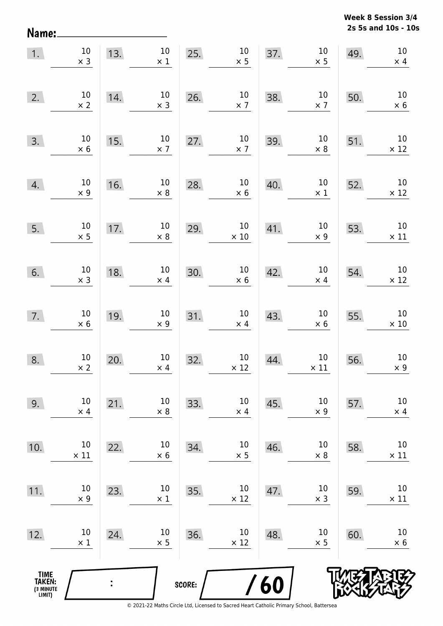**2s 5s and 10s - 10s Week 8 Session 3/4** 

| 1.                                            | $10\,$<br>$\times$ 3 | 13.            | $10\,$<br>$\times$ 1 | 25.    | $10\,$<br>$\times$ 5  | 37. | $10\,$<br>$\times$ 5  | 49. | $10\,$<br>$\times$ 4  |
|-----------------------------------------------|----------------------|----------------|----------------------|--------|-----------------------|-----|-----------------------|-----|-----------------------|
| 2.                                            | $10\,$<br>$\times$ 2 | 14.            | $10\,$<br>$\times$ 3 | 26.    | 10<br>$\times$ 7      | 38. | $10\,$<br>$\times$ 7  | 50. | $10\,$<br>$\times$ 6  |
| 3.                                            | $10\,$<br>$\times$ 6 | 15.            | $10\,$<br>$\times$ 7 | 27.    | $10\,$<br>$\times$ 7  | 39. | $10\,$<br>$\times$ 8  | 51. | $10\,$<br>$\times$ 12 |
| 4.                                            | $10\,$<br>$\times$ 9 | 16.            | $10\,$<br>$\times$ 8 | 28.    | $10\,$<br>$\times$ 6  | 40. | $10\,$<br>$\times$ 1  | 52. | $10\,$<br>$\times$ 12 |
| 5.                                            | $10\,$<br>$\times$ 5 | 17.            | $10\,$<br>$\times$ 8 | 29.    | $10\,$<br>$\times$ 10 | 41. | $10\,$<br>$\times$ 9  | 53. | $10\,$<br>$\times$ 11 |
| 6.                                            | $10\,$<br>$\times$ 3 | 18.            | $10\,$<br>$\times$ 4 | 30.    | $10\,$<br>$\times$ 6  | 42. | $10\,$<br>$\times$ 4  | 54. | $10\,$<br>$\times$ 12 |
| 7.                                            | $10\,$<br>$\times$ 6 | 19.            | $10\,$<br>$\times$ 9 | 31.    | $10\,$<br>$\times$ 4  | 43. | $10\,$<br>$\times$ 6  | 55. | $10\,$<br>$\times$ 10 |
| 8.                                            | $10\,$<br>$\times$ 2 | 20.            | $10\,$<br>$\times$ 4 | 32.    | $10\,$<br>$\times$ 12 | 44. | $10\,$<br>$\times$ 11 | 56. | $10\,$<br>$\times$ 9  |
| 9.                                            | $10\,$<br>$\times$ 4 | 21.            | 10<br>$\times 8$     | 33.    | $10\,$<br>$\times$ 4  | 45. | 10<br>$\times$ 9      | 57. | $10\,$<br>$\times$ 4  |
| 10.                                           | 10<br>$\times$ 11    | 22.            | 10<br>$\times$ 6     | 34.    | $10\,$<br>$\times$ 5  | 46. | 10<br>$\times 8$      | 58. | $10\,$<br>$\times$ 11 |
| 11.                                           | 10<br>$\times$ 9     | 23.            | 10<br>$\times$ 1     | 35.    | $10\,$<br>$\times$ 12 | 47. | 10<br>$\times$ 3      | 59. | 10<br>$\times$ 11     |
| 12.                                           | 10<br>$\times$ 1     | 24.            | 10<br>$\times$ 5     | 36.    | $10\,$<br>$\times$ 12 | 48. | 10<br>$\times$ 5      | 60. | 10<br>$\times$ 6      |
| <b>TIME<br/>TAKEN:</b><br>(3 MINUTE<br>LIMIT) |                      | $\ddot{\cdot}$ |                      | SCORE: |                       | 60  |                       |     |                       |

Name: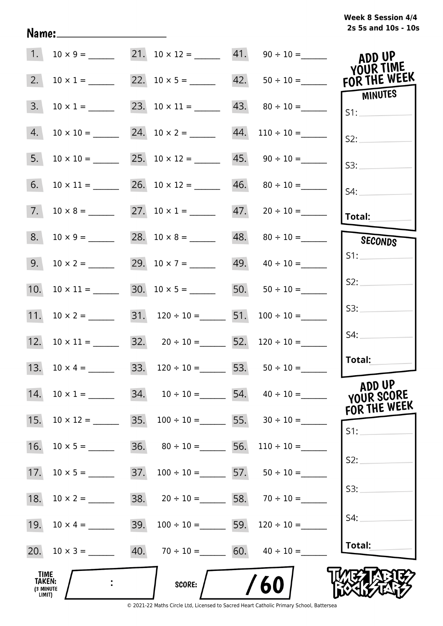|  | Week 8 Session 4/4  |  |  |
|--|---------------------|--|--|
|  | 2s 5s and 10s - 10s |  |  |

|                                       |                     |     | 21. $10 \times 12 =$ 41. $90 \div 10 =$                     |                                                     | ADD UP<br>YOUR TIME                  |
|---------------------------------------|---------------------|-----|-------------------------------------------------------------|-----------------------------------------------------|--------------------------------------|
| 2.                                    | $10 \times 1 =$     |     |                                                             | 22. $10 \times 5 =$ 42. $50 \div 10 =$ FOR THE WEEK | <b>MINUTES</b>                       |
| 3.                                    | $10 \times 1 =$     |     | 23. $10 \times 11 =$ 43. $80 \div 10 =$                     |                                                     | S1:                                  |
| 4.                                    | $10 \times 10 =$    |     | 24. $10 \times 2 =$ 44. $110 \div 10 =$                     |                                                     | S2:                                  |
| 5.                                    | $10 \times 10 =$    |     | 25. $10 \times 12 =$ 45. $90 \div 10 =$                     |                                                     | S3:                                  |
| 6.                                    |                     |     | 26. $10 \times 12 =$ 46. $80 \div 10 =$                     |                                                     | S4:                                  |
| 7.                                    | $10 \times 8 =$     |     | 27. $10 \times 1 =$ 47. $20 \div 10 =$                      |                                                     | <b>Total:</b>                        |
| 8.                                    | $10 \times 9 =$     |     |                                                             | $48. \qquad 80 \div 10 =$                           | SECONDS                              |
| 9.                                    |                     |     |                                                             | $49. \qquad 40 \div 10 =$                           | S1:                                  |
| 10.                                   | $10 \times 11 =$    |     |                                                             | 50. $50 \div 10 =$                                  | S2:                                  |
| 11.                                   |                     |     | 31. $120 \div 10 =$ 51. $100 \div 10 =$                     |                                                     | S3:                                  |
|                                       |                     |     | 12. $10 \times 11 =$ 32. $20 \div 10 =$ 52. $120 \div 10 =$ |                                                     | S4:                                  |
|                                       | 13. $10 \times 4 =$ |     | 33. $120 \div 10 =$ 53. $50 \div 10 =$                      |                                                     | Total:                               |
| 14.                                   | $10 \times 1 =$     |     | $34.$ $10 \div 10 =$ $54.$ $40 \div 10 =$                   |                                                     | ADD UP<br>YOUR SCORE<br>FOR THE WEEK |
| 15.                                   | $10 \times 12 =$    | 35. |                                                             | $100 \div 10 =$ 55. $30 \div 10 =$                  | S1:                                  |
| 16.                                   |                     |     | 36. $80 \div 10 =$ 56.                                      | $110 \div 10 =$                                     | S2:                                  |
| 17.                                   | $10 \times 5 =$     | 37. | $100 \div 10 =$ 57. $50 \div 10 =$                          |                                                     |                                      |
| 18.                                   | $10 \times 2 =$     |     | 38. $20 \div 10 =$ 58. $70 \div 10 =$                       |                                                     | S3:                                  |
| 19.                                   |                     | 39. |                                                             | $100 \div 10 =$ 59. $120 \div 10 =$                 | S4:                                  |
|                                       |                     |     | 40. $70 \div 10 =$ 60. $40 \div 10 =$                       |                                                     | Total:                               |
| TIME<br>TAKEN:<br>(3 MINUTE<br>LIMIT) | $\ddot{\cdot}$      |     | <b>SCORE:</b>                                               | /60                                                 |                                      |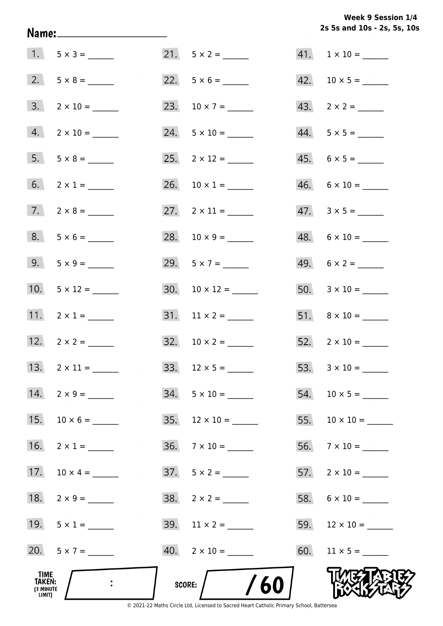**2s 5s and 10s - 2s, 5s, 10s Week 9 Session 1/4** 

|                                              | $1. 5 \times 3 =$   |     |                                                                                                         |     | $41. 1 \times 10 =$       |
|----------------------------------------------|---------------------|-----|---------------------------------------------------------------------------------------------------------|-----|---------------------------|
|                                              |                     |     |                                                                                                         |     |                           |
|                                              | $3. 2 \times 10 =$  |     | 23. $10 \times 7 =$                                                                                     |     |                           |
|                                              | $4. 2 \times 10 =$  |     | $24. 5 \times 10 =$                                                                                     |     | $44. 5 \times 5 =$        |
|                                              | $5. 5 \times 8 =$   |     |                                                                                                         |     | $45. 6 \times 5 =$        |
| 6.                                           | $2 \times 1 =$      |     | 26. $10 \times 1 =$                                                                                     |     | $46. 6 \times 10 =$       |
| 7.                                           |                     |     | 27. $2 \times 11 =$                                                                                     |     | $47.3 \times 5 =$         |
|                                              | $8. 5 \times 6 =$   |     | 28. $10 \times 9 =$                                                                                     |     | $48. 6 \times 10 =$       |
|                                              | 9. $5 \times 9 =$   |     | 29. $5 \times 7 =$                                                                                      |     | 49. $6 \times 2 =$        |
|                                              | 10. $5 \times 12 =$ |     | 30. $10 \times 12 =$                                                                                    |     |                           |
|                                              | 11. $2 \times 1 =$  |     |                                                                                                         |     | $51. \quad 8 \times 10 =$ |
|                                              | 12. $2 \times 2 =$  |     | 32. $10 \times 2 =$                                                                                     |     | $52.2 \times 10 =$        |
|                                              | 13. $2 \times 11 =$ |     | 33. $12 \times 5 =$                                                                                     |     |                           |
| 14.                                          | $2 \times 9 =$      | 34. |                                                                                                         | 54. |                           |
| 15.                                          |                     | 35. |                                                                                                         | 55. |                           |
| 16.                                          |                     | 36. |                                                                                                         | 56. | $7 \times 10 =$           |
| 17.                                          | $10 \times 4 =$     |     | $37. 5 \times 2 =$                                                                                      |     |                           |
| 18.                                          |                     |     |                                                                                                         |     |                           |
| 19.                                          |                     |     | 39. $11 \times 2 =$                                                                                     | 59. | $12 \times 10 =$          |
|                                              | 20. $5 \times 7 =$  |     | $40.$ 2 x 10 = ______                                                                                   |     |                           |
| TIME<br><b>TAKEN:</b><br>(3 MINUTE<br>LIMIT) |                     |     | 60<br>SCORE:<br>© 2021-22 Maths Circle Ltd. Licensed to Sacred Heart Catholic Primary School. Battersea |     |                           |

Name: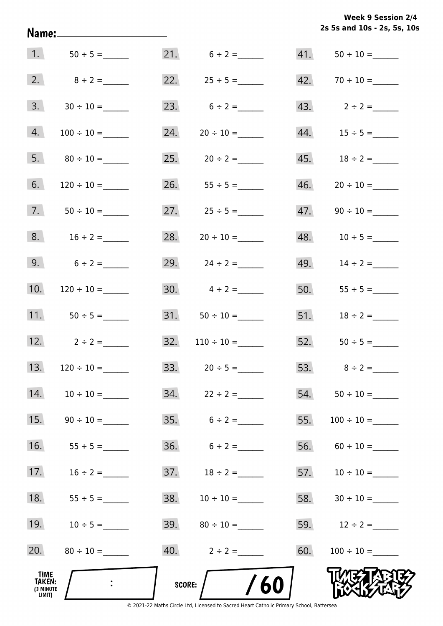**2s 5s and 10s - 2s, 5s, 10s Week 9 Session 2/4** 

|                                       | 1. $50 \div 5 =$    |        | 21. $6 \div 2 =$  |     |                   |
|---------------------------------------|---------------------|--------|-------------------|-----|-------------------|
|                                       | 2. $8 \div 2 =$     |        | 22. $25 \div 5 =$ |     |                   |
| 3.                                    |                     |        | 23. $6 \div 2 =$  |     | 43. $2 \div 2 =$  |
| 4.                                    |                     | 24.    |                   |     |                   |
| 5.                                    |                     |        | $25. 20 \div 2 =$ |     |                   |
| 6.                                    |                     |        | 26. $55 \div 5 =$ | 46. |                   |
|                                       | 7. $50 \div 10 =$   |        | 27. $25 \div 5 =$ | 47. |                   |
| 8.                                    | $16 \div 2 =$       | 28.    | $20 \div 10 =$    |     | 48. $10 \div 5 =$ |
| 9.                                    | $6 \div 2 =$        |        | 29. $24 \div 2 =$ |     | 49. $14 \div 2 =$ |
| 10.                                   |                     |        | 30. $4 \div 2 =$  |     | 50. $55 \div 5 =$ |
|                                       | 11. $50 \div 5 =$   |        |                   |     | 51. $18 \div 2 =$ |
|                                       | 12. $2 \div 2 =$    |        |                   |     |                   |
|                                       | 13. $120 \div 10 =$ |        | 33. $20 \div 5 =$ |     |                   |
| 14.                                   |                     | 34.    | $22 \div 2 =$     |     |                   |
| 15.                                   |                     |        | $35. 6 \div 2 =$  | 55. | $100 \div 10 =$   |
| 16.                                   | $55 \div 5 =$       |        |                   | 56. |                   |
| 17.                                   | $16 \div 2 =$       |        |                   |     |                   |
| 18.                                   |                     | 38.    |                   | 58. |                   |
| 19.                                   | $10 \div 5 =$       |        |                   |     | 59. $12 \div 2 =$ |
| 20.                                   |                     |        | 40. $2 \div 2 =$  | 60. |                   |
| TIME<br>TAKEN:<br>(3 MINUTE<br>LIMIT) |                     | SCORE: | /60               |     |                   |

Name: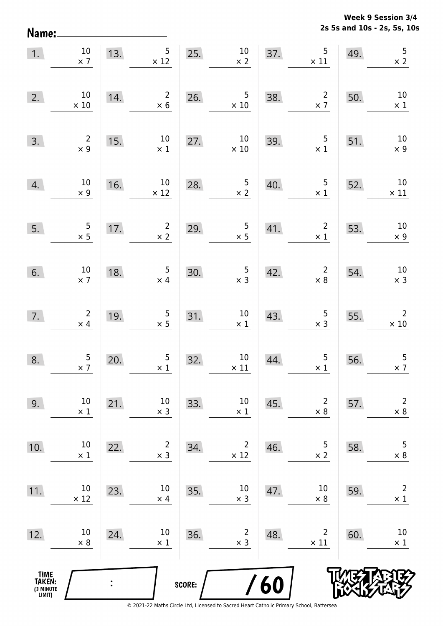**2s 5s and 10s - 2s, 5s, 10s Week 9 Session 3/4** 

| 1.                                            | $10\,$<br>$\times$ 7                         |                | 5 <sub>1</sub><br>13.<br>$\times$ 12         |        | 25. $10$<br>$\times 2$                       | 37. | $\overline{5}$<br>$\times$ 11                | 49. | 5<br>$\times$ 2               |
|-----------------------------------------------|----------------------------------------------|----------------|----------------------------------------------|--------|----------------------------------------------|-----|----------------------------------------------|-----|-------------------------------|
| 2.                                            | 10<br>$\times$ 10                            | 14.            | $\overline{2}$<br>$\times$ 6                 | 26.    | $\overline{5}$<br>$\times$ 10                | 38. | $\overline{\mathbf{c}}$<br>$\times$ 7        | 50. | $10\,$<br>$\times$ 1          |
| 3.                                            | $\begin{array}{c} 2 \\ \times 9 \end{array}$ | 15.            | $10\,$<br>$\times$ 1                         | 27.    | $10\,$<br>$\times$ 10                        |     | 39. 5<br>$\times$ 1                          | 51. | $10\,$<br>$\times$ 9          |
| 4.                                            | 10<br>$\times$ 9                             | 16.            | 10<br>$\times$ 12                            | 28.    | 5 <sub>5</sub><br>$\times$ 2                 | 40. | 5 <sub>5</sub><br>$\times$ 1                 | 52. | $10\,$<br>$\times$ 11         |
| 5.                                            | $\begin{array}{r} 5 \\ \times 5 \end{array}$ | 17.            | $\overline{2}$<br>$\times$ 2                 | 29.    | $\frac{5}{x}$                                | 41. | $\overline{2}$<br>$\times$ 1                 | 53. | $10\,$<br>$\times$ 9          |
| 6.                                            | 10<br>$\times$ 7                             | 18.            | $\overline{5}$<br>$\times$ 4                 | 30.    | $\begin{array}{c} 5 \\ \times 3 \end{array}$ | 42. | $\overline{2}$<br>$\times 8$                 | 54. | $10\,$<br>$\times$ 3          |
| 7.                                            | $\begin{array}{c} 2 \\ \times \end{array}$   | 19.            | $\begin{array}{c} 5 \\ \times 5 \end{array}$ | 31.    | $10\,$<br>$\times$ 1                         | 43. | $\begin{array}{c} 5 \\ \times 3 \end{array}$ | 55. | $\overline{2}$<br>$\times$ 10 |
| 8.                                            | $\frac{5}{2}$                                | 20.            | $\overline{5}$<br>$\times$ 1                 | 32.    | $10\,$<br>$\times$ 11                        | 44. | $\begin{array}{c} 5 \\ \times 1 \end{array}$ | 56. | $\overline{5}$<br>$\times$ 7  |
| 9.                                            | 10<br>$\times$ 1                             | 21.            | 10<br>$\times$ 3                             | 33.    | $10\,$<br>$\times$ 1                         | 45. | $\overline{2}$<br>$\times 8$                 | 57. | $\mathbf 2$<br>$\times$ 8     |
| 10.                                           | 10<br>$\times$ 1                             | 22.            | 2<br>$\times$ 3                              | 34.    | $\overline{c}$<br>$\times$ 12                | 46. | 5<br>$\times 2$                              | 58. | $\overline{5}$<br>$\times$ 8  |
| 11.                                           | 10<br>$\times$ 12                            | 23.            | 10<br>$\times$ 4                             | 35.    | $10\,$<br>$\times$ 3                         | 47. | 10<br>$\times$ 8                             | 59. | $\overline{2}$<br>$\times$ 1  |
| 12.                                           | 10<br>$\times$ 8                             | 24.            | 10<br>$\times$ 1                             | 36.    | 2<br>$\times$ 3                              | 48. | $\overline{2}$<br>$\times$ 11                | 60. | 10<br>$\times$ 1              |
| <b>TIME<br/>TAKEN:</b><br>(3 MINUTE<br>LIMIT) |                                              | $\ddot{\cdot}$ |                                              | SCORE: |                                              | /60 |                                              |     |                               |

Name: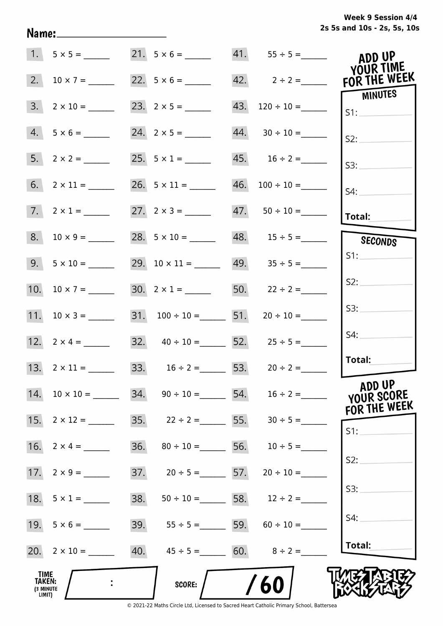**2s 5s and 10s - 2s, 5s, 10s Week 9 Session 4/4** 

|                                              |                     |     | 21. $5 \times 6 =$                     |     |                                  | ADD UP<br>YOUR TIME                  |
|----------------------------------------------|---------------------|-----|----------------------------------------|-----|----------------------------------|--------------------------------------|
| 2.                                           |                     |     | 22. $5 \times 6 =$                     |     | 42. $2 \div 2 =$ FOR THE WEEK    | <b>MINUTES</b>                       |
| 3.                                           | $2 \times 10 =$     |     |                                        | 43. | $120 \div 10 =$                  | S1:                                  |
| 4.                                           |                     |     |                                        |     | $44. 30 \div 10 =$               | S2:                                  |
| 5.                                           |                     |     | 25. $5 \times 1 =$                     |     |                                  | S3:                                  |
|                                              |                     |     |                                        |     | $46. 100 \div 10 =$              | $S4$ :                               |
|                                              | 7. $2 \times 1 =$   |     |                                        |     |                                  | Total:                               |
| 8.                                           | $10 \times 9 =$     |     |                                        |     |                                  | SECONDS                              |
|                                              | $9. 5 \times 10 =$  |     |                                        |     | $49.$ $35 \div 5 =$              | S1:                                  |
|                                              |                     |     | 30. $2 \times 1 =$ 50. $22 \div 2 =$   |     |                                  | S2:                                  |
|                                              | 11. $10 \times 3 =$ |     | 31. $100 \div 10 =$ 51. $20 \div 10 =$ |     |                                  | S3:                                  |
|                                              |                     |     | 32. $40 \div 10 =$ 52. $25 \div 5 =$   |     |                                  | S4:                                  |
|                                              | 13. $2 \times 11 =$ |     | 33. $16 \div 2 =$ 53. $20 \div 2 =$    |     |                                  | Total:                               |
| 14.                                          | $10 \times 10 =$    |     | 34. $90 \div 10 =$ 54. $16 \div 2 =$   |     |                                  | ADD UP<br>YOUR SCORE<br>FOR THE WEEK |
| 15.                                          | $2 \times 12 =$     |     | 35. $22 \div 2 =$ 55. $30 \div 5 =$    |     |                                  | S1:                                  |
| 16.                                          | $2 \times 4 =$      |     | 36. $80 \div 10 =$ 56. $10 \div 5 =$   |     |                                  | S2:                                  |
|                                              |                     |     | 37. $20 \div 5 =$ 57. $20 \div 10 =$   |     |                                  |                                      |
|                                              |                     | 38. |                                        |     | $50 \div 10 =$ 58. $12 \div 2 =$ | S3:                                  |
|                                              |                     |     | 39. $55 \div 5 =$ 59. $60 \div 10 =$   |     |                                  | S4:                                  |
|                                              | 20. $2 \times 10 =$ |     | 40. $45 \div 5 =$ 60. $8 \div 2 =$     |     |                                  | Total:                               |
| <b>TIME</b><br>TAKEN:<br>(3 MINUTE<br>LIMIT) |                     |     | SCORE:                                 |     | /60                              |                                      |

Name: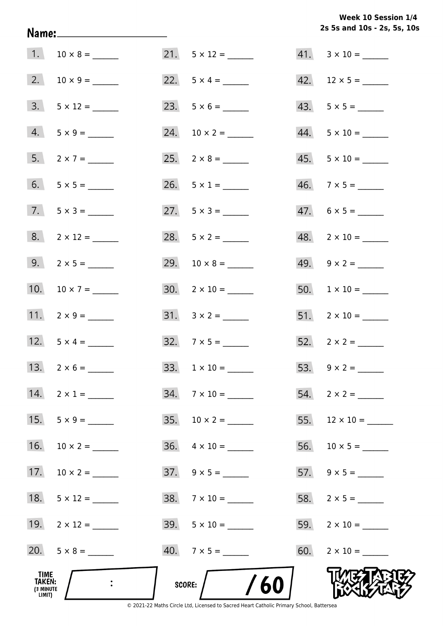**2s 5s and 10s - 2s, 5s, 10s Week 10 Session 1/4** 

| TIME<br>TAKEN:<br>(3 MINUTE<br>LIMIT) |                     | /60<br>SCORE:             |                          |
|---------------------------------------|---------------------|---------------------------|--------------------------|
|                                       |                     | $40.7 \times 5 =$         |                          |
|                                       | 19. $2 \times 12 =$ | $39. 5 \times 10 =$       |                          |
| 18.                                   |                     | $38. 7 \times 10 =$       |                          |
| 17.                                   | $10 \times 2 =$     | $37. \quad 9 \times 5 =$  |                          |
| 16.                                   |                     | $36. \quad 4 \times 10 =$ |                          |
| 15.                                   | $5 \times 9 =$      |                           |                          |
| 14.                                   | $2 \times 1 =$      | $34. 7 \times 10 =$       |                          |
|                                       |                     |                           |                          |
|                                       | 12. $5 \times 4 =$  | $32.7 \times 5 =$         |                          |
|                                       | 11. $2 \times 9 =$  |                           | $51. 2 \times 10 =$      |
|                                       | 10. $10 \times 7 =$ |                           |                          |
|                                       | 9. $2 \times 5 =$   |                           |                          |
|                                       |                     | 28. $5 \times 2 =$        | $48. 2 \times 10 =$      |
|                                       | $7. 5 \times 3 =$   | 27. $5 \times 3 =$        | $47. 6 \times 5 =$       |
|                                       |                     | 26. $5 \times 1 =$        | $46. \quad 7 \times 5 =$ |
|                                       |                     |                           | $45. 5 \times 10 =$      |
|                                       | $4. 5 \times 9 =$   |                           | $44. 5 \times 10 =$      |
|                                       | $3. 5 \times 12 =$  |                           | $43. 5 \times 5 =$       |
|                                       |                     |                           | 42. $12 \times 5 =$      |
|                                       |                     |                           |                          |

Name: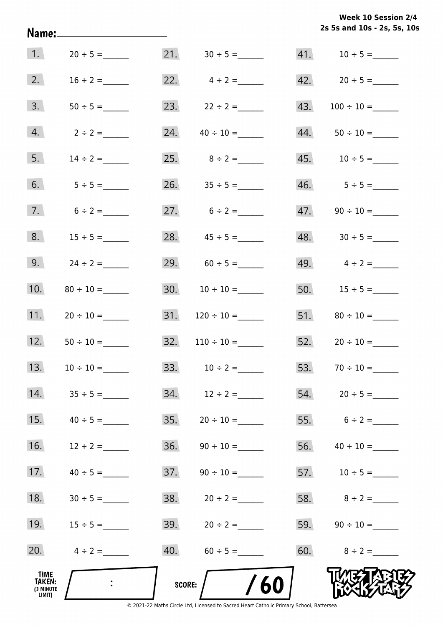**2s 5s and 10s - 2s, 5s, 10s Week 10 Session 2/4** 

|                                       |                            |     |                   |     | 2s 5s and 10s - 2s, 5s, 10       |
|---------------------------------------|----------------------------|-----|-------------------|-----|----------------------------------|
|                                       | 1. $20 \div 5 =$           |     |                   |     |                                  |
| 2.                                    | $16 \div 2 =$              |     | 22. $4 \div 2 =$  |     | 42. $20 \div 5 =$                |
| 3.                                    |                            |     | 23. $22 \div 2 =$ | 43. |                                  |
| 4.                                    | $2 \div 2 =$               | 24. | $40 \div 10 =$    |     |                                  |
| 5.                                    | $14 \div 2 =$              |     | 25. $8 \div 2 =$  |     |                                  |
| 6.                                    | $5 \div 5 =$               |     |                   |     |                                  |
| 7.                                    | $6 \div 2 =$               |     | 27. $6 \div 2 =$  |     |                                  |
| 8.                                    | $15 \div 5 =$              |     | 28. $45 \div 5 =$ |     | $48. \hspace{1.5cm} 30 \div 5 =$ |
| 9.                                    | $24 \div 2 =$              |     | 29. $60 \div 5 =$ |     | 49. $4 \div 2 =$                 |
| 10.                                   |                            |     |                   |     | 50. $15 \div 5 =$                |
| 11.                                   |                            | 31. |                   |     |                                  |
| 12.                                   | $50 \div 10 =$             | 32. | $110 \div 10 =$   |     |                                  |
| 13.                                   | $10 \div 10 =$             | 33. | $10 \div 2 =$     | 53. | $70 \div 10 =$                   |
| 14.                                   |                            |     |                   |     |                                  |
| 15.                                   | $40 \div 5 =$              | 35. | $20 \div 10 =$    |     | 55. $6 \div 2 =$                 |
| 16.                                   | $12 \div 2 =$              | 36. |                   |     |                                  |
| 17.                                   | $40 \div 5 =$              | 37. |                   |     |                                  |
| 18.                                   | $30 \div 5 =$              |     |                   |     |                                  |
| 19.                                   | $15 \div 5 =$              |     |                   |     |                                  |
| 20.                                   | $4 \div 2 =$               |     | 40. $60 \div 5 =$ |     | 60. $8 \div 2 =$                 |
| TIME<br>TAKEN:<br>(3 MINUTE<br>LIMIT) | $\mathcal{L}^{\text{max}}$ |     | /60<br>score:     |     |                                  |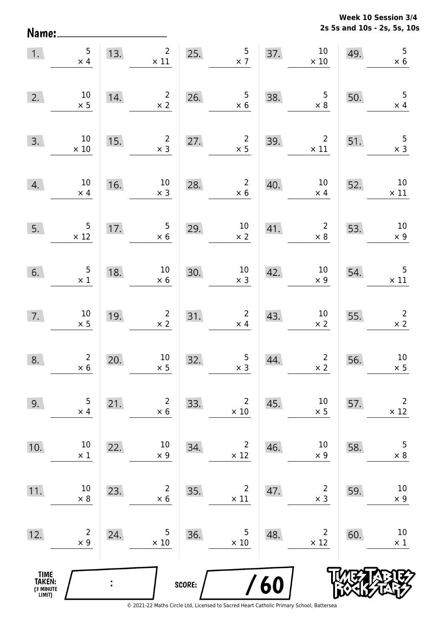**2s 5s and 10s - 2s, 5s, 10s Week 10 Session 3/4** 

| 1.                                            | 5<br>$\times$ 4                              | 13. | 2 <sup>1</sup><br>$\times$ 11 | 25.    | $\frac{5}{2}$                                 | 37. | $10\,$<br>$\times$ 10                        | 49. | 5<br>$\times$ 6               |
|-----------------------------------------------|----------------------------------------------|-----|-------------------------------|--------|-----------------------------------------------|-----|----------------------------------------------|-----|-------------------------------|
| 2.                                            | $10\,$<br>$\times$ 5                         | 14. | $\overline{2}$<br>$\times$ 2  | 26.    | $\begin{array}{c} 5 \\ \times 6 \end{array}$  | 38. | $\begin{array}{c} 5 \\ \times 8 \end{array}$ | 50. | 5<br>$\times$ 4               |
| 3.                                            | $10\,$<br>$\times$ 10                        | 15. | $\overline{2}$<br>$\times$ 3  | 27.    | $\overline{2}$<br>$\times$ 5                  | 39. | $\overline{2}$<br>$\times$ 11                | 51. | 5<br>$\times$ 3               |
| 4.                                            | $10\,$<br>$\times$ 4                         | 16. | $10\,$<br>$\times$ 3          | 28.    | $\overline{2}$<br>$\times$ 6                  | 40. | $10\,$<br>$\times$ 4                         | 52. | $10\,$<br>$\times$ 11         |
| 5.                                            | 5<br>$\frac{5}{\times 12}$                   | 17. | $5\phantom{.0}$<br>$\times$ 6 | 29.    | $10\,$<br>$\times$ 2                          | 41. | $\overline{2}$<br>$\times$ 8                 | 53. | $10\,$<br>$\times$ 9          |
| 6.                                            | $\begin{array}{c} 5 \\ \times 1 \end{array}$ | 18. | $10\,$<br>$\times$ 6          | 30.    | $\begin{array}{c} 10 \\ \times 3 \end{array}$ | 42. | $10\,$<br>$\times$ 9                         | 54. | $\overline{5}$<br>$\times$ 11 |
| 7.                                            | $10\,$<br>$\times$ 5                         | 19. | $\overline{2}$<br>$\times$ 2  | 31.    | $\overline{2}$<br>$\times$ 4                  | 43. | $10\,$<br>$\times$ 2                         | 55. | $\overline{2}$<br>$\times$ 2  |
| 8.                                            | $\overline{2}$<br>$\times$ 6                 | 20. | $10\,$<br>$\times$ 5          | 32.    | $\begin{array}{c} 5 \\ \times 3 \end{array}$  | 44. | $\overline{2}$<br>$\times 2$                 | 56. | $10\,$<br>$\times$ 5          |
| 9.                                            | 5<br>$\times$ 4                              | 21. | $\overline{2}$<br>$\times 6$  | 33.    | $\overline{2}$<br>$\times$ 10                 | 45. | 10<br>$\times$ 5                             | 57. | $\overline{2}$<br>$\times$ 12 |
| 10.                                           | 10<br>$\times$ 1                             | 22. | $10\,$<br>$\times$ 9          | 34.    | $\overline{2}$<br>$\times$ 12                 | 46. | 10<br>$\times$ 9                             | 58. | $\mathsf S$<br>$\times$ 8     |
| 11.                                           | 10<br>$\times 8$                             | 23. | $\overline{2}$<br>$\times$ 6  | 35.    | $\overline{2}$<br>$\times$ 11                 | 47. | $\overline{2}$<br>$\times$ 3                 | 59. | $10\,$<br>$\times$ 9          |
| 12.                                           | $\overline{2}$<br>$\times$ 9                 | 24. | 5<br>$\times$ 10              | 36.    | 5<br>$\times$ 10                              | 48. | $\overline{2}$<br>$\times$ 12                | 60. | 10<br>$\times$ 1              |
| <b>TIME<br/>TAKEN:</b><br>(3 MINUTE<br>LIMIT) |                                              |     |                               | SCORE: |                                               | /60 |                                              |     |                               |

Name: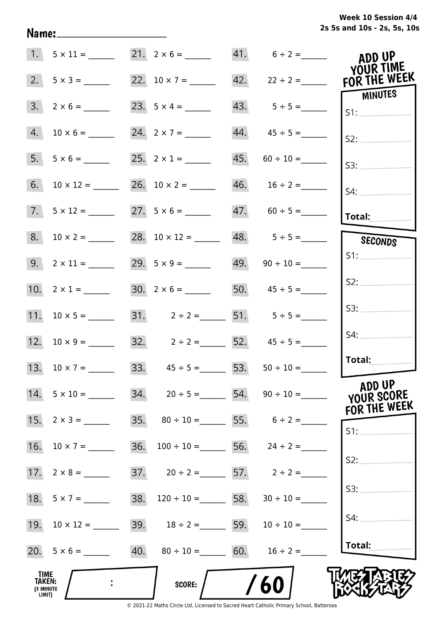**2s 5s and 10s - 2s, 5s, 10s Week 10 Session 4/4** 

|                                              |                     |                                        | 41. $6 \div 2 =$   | ADD UP<br>YOUR TIME                       |
|----------------------------------------------|---------------------|----------------------------------------|--------------------|-------------------------------------------|
| 2.                                           |                     | 22. $10 \times 7 =$                    |                    | 42. $22 \div 2 =$ FOR THE WEEK<br>MINUTES |
| 3.                                           | $2 \times 6 =$      | 23. $5 \times 4 =$                     | $43. 5 \div 5 =$   | S1:                                       |
| 4.                                           |                     |                                        |                    | S2:                                       |
| 5.                                           | $5 \times 6 =$      | 25. $2 \times 1 =$                     | $45. 60 \div 10 =$ | S3:                                       |
| 6.                                           |                     |                                        |                    | $S4$ :                                    |
|                                              | $7. 5 \times 12 =$  | $27. 5 \times 6 =$                     | $47. 60 \div 5 =$  | Total:                                    |
|                                              |                     |                                        | $48. 5 \div 5 =$   | SECONDS                                   |
|                                              | $9. 2 \times 11 =$  | 29. $5 \times 9 =$ 49. $90 \div 10 =$  |                    | S1:                                       |
|                                              | 10. $2 \times 1 =$  | 30. $2 \times 6 =$ 50. $45 \div 5 =$   |                    | S2:                                       |
|                                              |                     | 31. $2 \div 2 =$ 51. $5 \div 5 =$      |                    | S3:                                       |
|                                              | 12. $10 \times 9 =$ | 32. $2 \div 2 =$ 52. $45 \div 5 =$     |                    | S4:                                       |
|                                              | 13. $10 \times 7 =$ | 33. $45 \div 5 = 53. 50 \div 10 =$     |                    | Total:                                    |
|                                              | $14. 5 \times 10 =$ | 34. $20 \div 5 =$ 54. $90 \div 10 =$   |                    | ADD UP<br>YOUR SCORE                      |
| 15.                                          | $2 \times 3 =$      | 35. $80 \div 10 =$ 55. $6 \div 2 =$    |                    | FOR THE WEEK<br>S1:                       |
| 16.                                          | $10 \times 7 =$     | $36. 100 \div 10 =$                    | 56. $24 \div 2 =$  |                                           |
|                                              |                     | 37. $20 \div 2 =$ 57. $2 \div 2 =$     |                    | S2:                                       |
|                                              | 18. $5 \times 7 =$  | 38. $120 \div 10 =$ 58. $30 \div 10 =$ |                    | S3:                                       |
| 19.                                          | $10 \times 12 =$    | 39. $18 \div 2 =$ 59. $10 \div 10 =$   |                    | S4:                                       |
|                                              |                     | 40. $80 \div 10 =$ 60. $16 \div 2 =$   |                    | Total:                                    |
| <b>TIME</b><br>TAKEN:<br>(3 MINUTE<br>LIMIT) |                     | <b>SCORE:</b>                          | 60                 |                                           |

Name: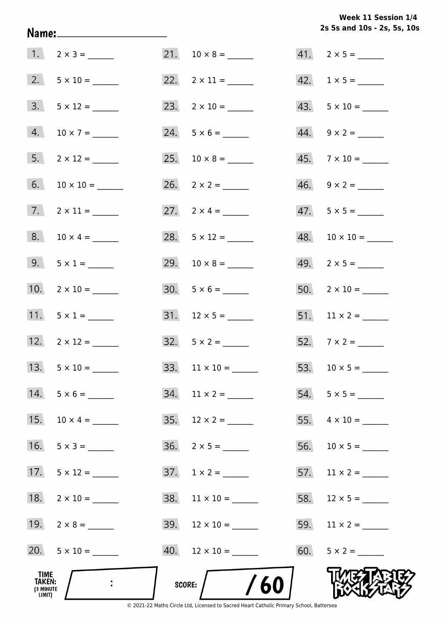**2s 5s and 10s - 2s, 5s, 10s Week 11 Session 1/4** 

| TIME<br>TAKEN:<br>(3 MINUTE<br>LIMIT) |                     | /60<br>SCORE:          |                          |
|---------------------------------------|---------------------|------------------------|--------------------------|
|                                       | 20. $5 \times 10 =$ | $40.$ 12 × 10 = _____  |                          |
|                                       | 19. $2 \times 8 =$  | 39. $12 \times 10 =$   |                          |
| 18.                                   |                     | $38.$ 11 × 10 = ______ |                          |
| 17.                                   |                     |                        |                          |
| 16.                                   |                     |                        |                          |
| 15.                                   | $10 \times 4 =$     |                        |                          |
| 14.                                   | $5 \times 6 =$      | $34.$ 11 × 2 = ______  |                          |
|                                       | 13. $5 \times 10 =$ | 33. $11 \times 10 =$   |                          |
|                                       | 12. $2 \times 12 =$ | $32.5 \times 2 =$      |                          |
|                                       | 11. $5 \times 1 =$  |                        |                          |
|                                       | 10. $2 \times 10 =$ | $30. 5 \times 6 =$     |                          |
|                                       | 9. $5 \times 1 =$   |                        |                          |
|                                       | 8. $10 \times 4 =$  | 28. $5 \times 12 =$    |                          |
| 7.                                    |                     | 27. $2 \times 4 =$     | $47.5 \times 5 =$        |
| 6.                                    |                     |                        | $46. \quad 9 \times 2 =$ |
|                                       |                     |                        | $45.7 \times 10 =$       |
|                                       |                     | $24. 5 \times 6 =$     | $44. \quad 9 \times 2 =$ |
|                                       | $3. 5 \times 12 =$  | 23. $2 \times 10 =$    | $43. 5 \times 10 =$      |
|                                       | 2. $5 \times 10 =$  | 22. $2 \times 11 =$    | $42. 1 \times 5 =$       |
|                                       | $1. 2 \times 3 =$   |                        |                          |

Name: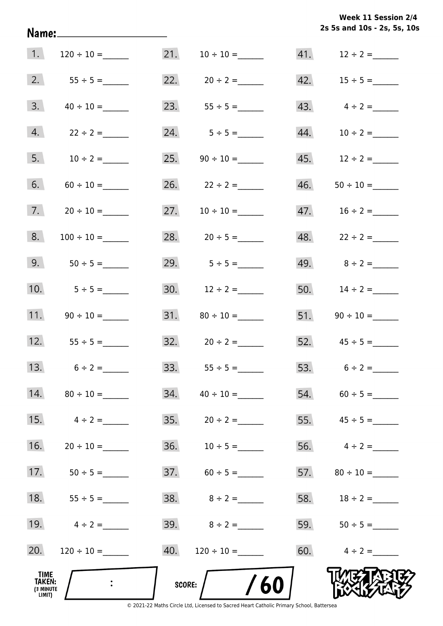**2s 5s and 10s - 2s, 5s, 10s Week 11 Session 2/4** 

| 1.                                    |                    | 21.    |                                  |     | 41. $12 \div 2 =$ |
|---------------------------------------|--------------------|--------|----------------------------------|-----|-------------------|
| 2.                                    |                    |        | 22. $20 \div 2 =$                |     | 42. $15 \div 5 =$ |
| 3.                                    |                    | 23.    |                                  |     | 43. $4 \div 2 =$  |
| 4.                                    | $22 \div 2 =$      |        | 24. $5 \div 5 =$                 | 44. | $10 \div 2 =$     |
| 5.                                    | $10 \div 2 =$      |        | 25. $90 \div 10 =$               |     |                   |
| 6.                                    |                    |        | 26. $22 \div 2 =$                | 46. |                   |
| 7.                                    |                    |        |                                  |     |                   |
| 8.                                    |                    |        | 28. $20 \div 5 =$                |     | 48. $22 \div 2 =$ |
| 9.                                    | $50 \div 5 =$      |        | 29. $5 \div 5 =$                 |     | 49. $8 \div 2 =$  |
| 10.                                   | $5 \div 5 =$       |        | 30. $12 \div 2 =$                |     | 50. $14 \div 2 =$ |
| 11.                                   |                    |        |                                  |     |                   |
| 12.                                   | $55 \div 5 =$      |        | $32. \hspace{1.5cm} 20 \div 2 =$ |     |                   |
| 13.                                   | $6 \div 2 =$       |        |                                  |     | 53. $6 \div 2 =$  |
|                                       | 14. $80 \div 10 =$ | 34.    |                                  |     | $54. 60 \div 5 =$ |
| 15.                                   | $4 \div 2 =$       |        |                                  |     | 55. $45 \div 5 =$ |
| 16.                                   |                    |        |                                  |     | 56. $4 \div 2 =$  |
| 17.                                   | $50 \div 5 =$      |        | $37.60 \div 5 =$                 |     |                   |
| 18.                                   | $55 \div 5 =$      |        |                                  |     |                   |
| 19.                                   | $4 \div 2 =$       |        | 39. $8 \div 2 =$                 |     | 59. $50 \div 5 =$ |
| 20.                                   | $120 \div 10 =$    | 40.    | $120 \div 10 =$                  |     | 60. $4 \div 2 =$  |
| TIME<br>TAKEN:<br>(3 MINUTE<br>LIMIT) |                    | SCORE: | 60                               |     |                   |

Name: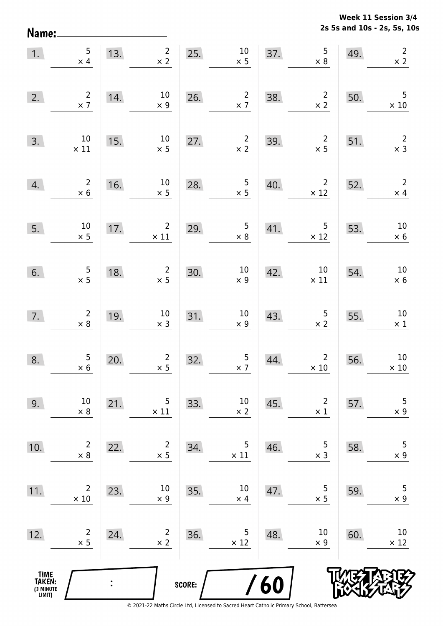**2s 5s and 10s - 2s, 5s, 10s Week 11 Session 3/4** 

| 1.                                            | 5<br>$\times$ 4                              | 13.            | $2^{\circ}$<br>$\times$ 2     |        | $25.$ $10$<br>$\times$ 5                      | 37. | $\begin{array}{c} 5 \\ \times 8 \end{array}$   | 49. | $\overline{2}$<br>$\times$ 2 |
|-----------------------------------------------|----------------------------------------------|----------------|-------------------------------|--------|-----------------------------------------------|-----|------------------------------------------------|-----|------------------------------|
| 2.                                            | $\frac{2}{\times 7}$                         | 14.            | 10<br>$\times$ 9              | 26.    | $\frac{2}{x}$ 7                               | 38. | $\overline{\mathbf{c}}$<br>$\times$ 2          | 50. | 5<br>$\times 10$             |
| 3.                                            | 10<br>$\times$ 11                            | 15.            | $10\,$<br>$\times$ 5          | 27.    | $\frac{2}{x}$                                 | 39. | $\begin{array}{c} 2 \\ \times 5 \end{array}$   | 51. | $\overline{c}$<br>$\times$ 3 |
| 4.                                            | $\begin{array}{c} 2 \\ \times 6 \end{array}$ | 16.            | $10\,$<br>$\times$ 5          | 28.    | $\frac{5}{x}$                                 | 40. | 2 <sup>7</sup><br>$\times$ 12                  | 52. | $\overline{2}$<br>$\times$ 4 |
| 5.                                            | $\frac{10}{\times}$ 5                        | 17.            | $\overline{2}$<br>$\times$ 11 | 29.    | $\begin{array}{c} 5 \\ \times 8 \end{array}$  | 41. | 5 <sub>5</sub><br>$\times$ 12                  | 53. | $10\,$<br>$\times$ 6         |
| 6.                                            | $\begin{array}{c} 5 \\ \times 5 \end{array}$ | 18.            | $\frac{2}{1} \times 5$        | 30.    | $\begin{array}{c} 10 \\ \times 9 \end{array}$ | 42. | $\begin{array}{c} 10 \\ \times 11 \end{array}$ | 54. | $10\,$<br>$\times$ 6         |
| 7.                                            | $\begin{array}{c} 2 \\ \times 8 \end{array}$ | 19.            | 10<br>$\times$ 3              | 31.    | $\begin{array}{c} 10 \\ \times 9 \end{array}$ | 43. | $\frac{5}{2}$                                  | 55. | $10\,$<br>$\times$ 1         |
| 8.                                            | $\begin{array}{c} 5 \\ \times 6 \end{array}$ | 20.            | $\overline{2}$<br>$\times$ 5  | 32.    | $\frac{5}{2}$                                 | 44. | $\overline{2}$<br>$\times$ 10                  | 56. | $10\,$<br>$\times$ 10        |
| 9.                                            | $10\,$<br>$\times 8$                         | 21.            | 5<br>$\times$ 11              | 33.    | $10\,$<br>$\times 2$                          | 45. | $\overline{2}$<br>$\times$ 1                   | 57. | 5<br>$\times$ 9              |
| 10.                                           | $\overline{c}$<br>$\times 8$                 | 22.            | $\overline{2}$<br>$\times$ 5  | 34.    | 5<br>$\times$ 11                              | 46. | 5<br>$\times$ 3                                | 58. | $\overline{5}$<br>$\times$ 9 |
| 11.                                           | 2<br>$\times$ 10                             | 23.            | 10<br>$\times$ 9              | 35.    | $10\,$<br>$\times$ 4                          | 47. | 5<br>$\times$ 5                                | 59. | 5<br>$\times$ 9              |
| 12.                                           | $\overline{2}$<br>$\times$ 5                 | 24.            | $\overline{2}$<br>$\times$ 2  | 36.    | 5<br>$\times$ 12                              | 48. | 10<br>$\times$ 9                               | 60. | $10\,$<br>$\times$ 12        |
| <b>TIME<br/>TAKEN:</b><br>(3 MINUTE<br>LIMIT) |                                              | $\ddot{\cdot}$ |                               | SCORE: |                                               | 60  |                                                |     |                              |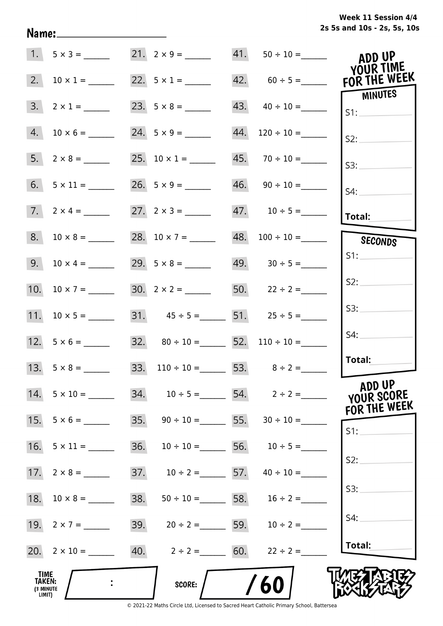**2s 5s and 10s - 2s, 5s, 10s Week 11 Session 4/4** 

| $1. 5 \times 3 =$                                      |     |                     |     | $41. 50 \div 10 =$                     | ADD UP<br>YOUR TIME                  |
|--------------------------------------------------------|-----|---------------------|-----|----------------------------------------|--------------------------------------|
| 2.<br>$10 \times 1 =$                                  |     | 22. $5 \times 1 =$  |     |                                        | FOR THE WEEK                         |
| 3.<br>$2 \times 1 =$                                   |     |                     |     | 43. $40 \div 10 =$                     | <b>MINUTES</b><br>S1:                |
| 4.                                                     |     | 24. $5 \times 9 =$  | 44. | $120 \div 10 =$                        | S2:                                  |
| 5.                                                     |     | 25. $10 \times 1 =$ |     | $45. 70 \div 10 =$                     | S3:                                  |
| 6.                                                     |     |                     |     | $46. \qquad 90 \div 10 =$              | S4:                                  |
| 7. $2 \times 4 =$                                      |     |                     |     |                                        | Total:                               |
| 8.<br>$10 \times 8 =$                                  |     | 28. $10 \times 7 =$ |     | $48. 100 \div 10 =$                    | SECONDS                              |
| 9.<br>$10 \times 4 =$                                  |     | 29. $5 \times 8 =$  |     | $49. 30 \div 5 =$                      | S1:                                  |
| 10. $10 \times 7 =$                                    |     |                     |     | 50. $22 \div 2 =$                      | S2:                                  |
|                                                        |     |                     |     | 31. $45 \div 5 =$ 51. $25 \div 5 =$    | S3:                                  |
|                                                        |     |                     |     | 32. $80 \div 10 =$ 52. $110 \div 10 =$ | S4:                                  |
| 13. $5 \times 8 =$                                     |     |                     |     | 33. $110 \div 10 =$ 53. $8 \div 2 =$   | Total:                               |
| $14. 5 \times 10 =$                                    |     |                     |     | 34. $10 \div 5 =$ 54. $2 \div 2 =$     | ADD UP<br>YOUR SCORE<br>FOR THE WEEK |
| 15.<br>$5 \times 6 =$                                  |     |                     |     | 35. $90 \div 10 =$ 55. $30 \div 10 =$  | S1:                                  |
| 16.<br>$5 \times 11 =$                                 | 36. |                     |     | $10 \div 10 =$ 56. $10 \div 5 =$       |                                      |
|                                                        |     |                     |     | 37. $10 \div 2 =$ 57. $40 \div 10 =$   | S2:                                  |
| 18.                                                    | 38. |                     |     | $50 \div 10 =$ 58. $16 \div 2 =$       | S3:                                  |
|                                                        |     |                     |     | 39. $20 \div 2 =$ 59. $10 \div 2 =$    | S4:                                  |
| 20. $2 \times 10 =$ 40. $2 \div 2 =$ 60. $22 \div 2 =$ |     |                     |     |                                        | Total:                               |
| <b>TIME</b><br>TAKEN:<br>(3 MINUTE<br>LIMIT)           |     | SCORE:              |     | 60                                     |                                      |

Name: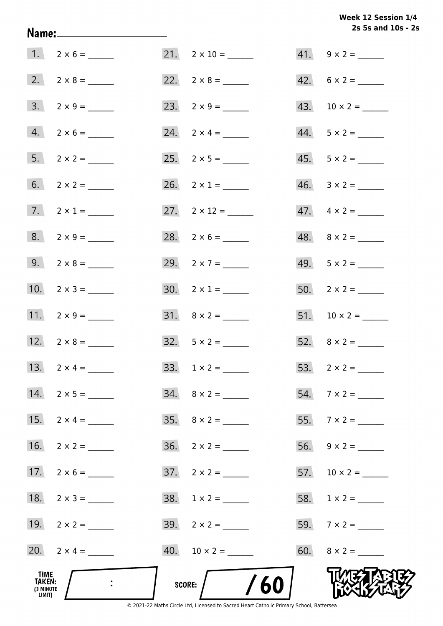Week 12 Session 1/4 2s 5s and 10s - 2s

|                                              |                         |                           | 2s 5s and 10s - 2s       |
|----------------------------------------------|-------------------------|---------------------------|--------------------------|
|                                              | $1. 2 \times 6 =$       | $21. \quad 2 \times 10 =$ | $41. 9 \times 2 =$       |
|                                              |                         |                           | $42. 6 \times 2 =$       |
|                                              | $3. \quad 2 \times 9 =$ | 23. $2 \times 9 =$        |                          |
|                                              | $4. 2 \times 6 =$       | 24. $2 \times 4 =$        | $44. 5 \times 2 =$       |
|                                              |                         |                           | $45. 5 \times 2 =$       |
|                                              | 6. $2 \times 2 =$       | 26. $2 \times 1 =$        |                          |
|                                              | 7. $2 \times 1 =$       | 27. $2 \times 12 =$       | $47. \quad 4 \times 2 =$ |
|                                              | $8. 2 \times 9 =$       | 28. $2 \times 6 =$        | $48. \quad 8 \times 2 =$ |
|                                              |                         | 29. $2 \times 7 =$        | 49. $5 \times 2 =$       |
|                                              | 10. $2 \times 3 =$      | $30. \quad 2 \times 1 =$  |                          |
|                                              | 11. $2 \times 9 =$      |                           |                          |
|                                              | 12. $2 \times 8 =$      | $32. 5 \times 2 =$        |                          |
|                                              | 13. $2 \times 4 =$      | $33. 1 \times 2 =$        |                          |
|                                              | 14. $2 \times 5 =$      |                           | $54.7 \times 2 =$        |
|                                              | 15. $2 \times 4 =$      | $35. \quad 8 \times 2 =$  |                          |
|                                              |                         | $36. 2 \times 2 =$        |                          |
|                                              |                         | $37. \quad 2 \times 2 =$  |                          |
|                                              |                         |                           |                          |
|                                              |                         | $39. \quad 2 \times 2 =$  |                          |
|                                              | 20. $2 \times 4 =$      |                           | 60. $8 \times 2 =$       |
| TIME<br><b>TAKEN:</b><br>(3 MINUTE<br>LIMIT) |                         | /60<br>SCORE: $\bigg$     |                          |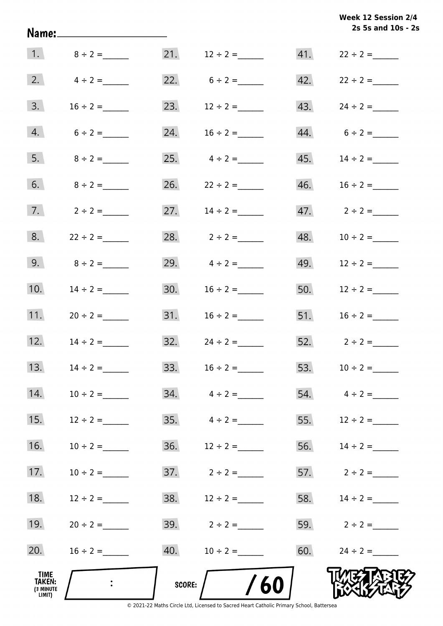|     | Week 12 Session 2/4<br>2s 5s and 10s - 2s |
|-----|-------------------------------------------|
| 41. | $22 \div 2 =$                             |

| TIME<br>TAKEN:<br>(3 MINUTE<br>LIMIT) | $\mathbb{R}^{\mathbb{Z}}$ | SCORE: | /60                              |     |                   |
|---------------------------------------|---------------------------|--------|----------------------------------|-----|-------------------|
| 20.                                   |                           | 40.    | $10 \div 2 =$                    | 60. | $24 \div 2 =$     |
| 19.                                   | $20 \div 2 =$             | 39.    | $2 \div 2 =$                     | 59. | $2 \div 2 =$      |
| 18.                                   | $12 \div 2 =$             | 38.    | $12 \div 2 =$                    | 58. | $14 \div 2 =$     |
| 17.                                   | $10 \div 2 =$             | 37.    | $2 \div 2 =$                     | 57. | $2 \div 2 =$      |
| 16.                                   | $10 \div 2 =$             | 36.    | $12 \div 2 =$                    | 56. |                   |
| 15.                                   | $12 \div 2 =$             | 35.    | $4 \div 2 =$                     | 55. | $12 \div 2 =$     |
| 14.                                   | $10 \div 2 =$             | 34.    | $4 \div 2 =$                     | 54. | $4 \div 2 =$      |
| 13.                                   | $14 \div 2 =$             |        | 33. $16 \div 2 =$                |     | 53. $10 \div 2 =$ |
| 12.                                   | $14 \div 2 =$             |        | $32. \hspace{1.5cm} 24 \div 2 =$ |     | 52. $2 \div 2 =$  |
| 11.                                   | $20 \div 2 =$             | 31.    | $16 \div 2 =$                    | 51. | $16 \div 2 =$     |
| 10.                                   | $14 \div 2 =$             | 30.    | $16 \div 2 =$                    | 50. | $12 \div 2 =$     |
| 9.                                    | $8 \div 2 =$              |        | 29. $4 \div 2 =$                 | 49. | $12 \div 2 =$     |
| 8.                                    | $22 \div 2 =$             |        | 28. $2 \div 2 =$                 | 48. | $10 \div 2 =$     |
| 7.                                    | $2 \div 2 =$              | 27.    | $14 \div 2 =$                    |     |                   |
| 6.                                    | $8 \div 2 =$              |        |                                  | 46. | $16 \div 2 =$     |
| 5.                                    | $8 \div 2 =$              |        | 25. $4 \div 2 =$                 |     |                   |
| 4.                                    | $6 \div 2 =$              |        | 24. $16 \div 2 =$                |     | $44. 6 \div 2 =$  |
| 3.                                    | $16 \div 2 =$             |        | 23. $12 \div 2 =$                |     |                   |
|                                       | 2. $4 \div 2 =$           |        | 22. $6 \div 2 =$                 |     | 42. $22 \div 2 =$ |
|                                       | 1. $8 \div 2 =$           |        | 21. $12 \div 2 =$                |     | 41. $22 \div 2 =$ |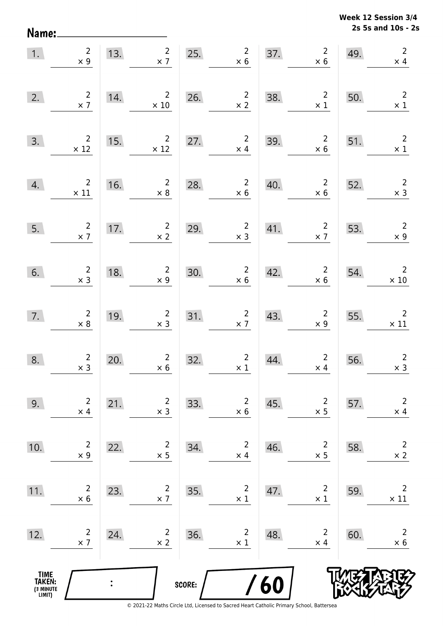**2s 5s and 10s - 2s Week 12 Session 3/4** 

| 1.                                            | $\overline{2}$<br>$\times 9$                  | 13.            | 2 <sub>2</sub><br>$\times$ 7                                   | 25.    | $\overline{2}$<br>$\times 6$                 | 37. | $\overline{2}$<br>$\times$ 6                 | 49. | $\overline{2}$<br>$\times$ 4            |
|-----------------------------------------------|-----------------------------------------------|----------------|----------------------------------------------------------------|--------|----------------------------------------------|-----|----------------------------------------------|-----|-----------------------------------------|
| 2.                                            | $\begin{array}{c}2\\ \times 7\end{array}$     | 14.            | $\overline{2}$<br>$\times$ 10                                  | 26.    | $\frac{2}{x^2}$                              | 38. | $\overline{\mathbf{c}}$<br>$\times$ 1        | 50. | $\overline{2}$<br>$\times$ 1            |
| 3.                                            | $\begin{array}{c} 2 \\ \times 12 \end{array}$ | 15.            | $2\overline{ }$<br>$\times$ 12                                 | 27.    | $\overline{2}$<br>$\times$ 4                 | 39. | $\overline{\mathbf{c}}$<br>$\times$ 6        | 51. | $\overline{\phantom{a}}$<br>$\times$ 1  |
| 4.                                            | $\overline{2}$<br>$\times$ 11                 | 16.            | $\overline{2}$<br>$\times 8$                                   | 28.    | $\overline{2}$<br>$\times 6$                 | 40. | $\overline{2}$<br>$\times$ 6                 | 52. | $\overline{c}$<br>$\times$ 3            |
| 5.                                            | $\overline{\phantom{a}}$<br>$\times$ 7        | 17.            | $\overline{2}$<br>$\times$ 2                                   | 29.    | $\begin{array}{c} 2 \\ \times 3 \end{array}$ | 41. | $\overline{\phantom{a}}$<br>$\times$ 7       | 53. | $\overline{\phantom{a}}$<br>$\times$ 9  |
| 6.                                            | $\begin{array}{c}2\\ \times 3\end{array}$     | 18.            | $\begin{array}{c} 2 \\ \times 9 \end{array}$                   | 30.    | $\begin{array}{c}2\\ \times 6\end{array}$    | 42. | $\times 6$                                   | 54. | $\overline{2}$<br>$\times$ 10           |
| 7.                                            | $\begin{array}{c} 2 \\ \times 8 \end{array}$  | 19.            | $\begin{array}{c}2\\ \times 3\end{array}$                      | 31.    | $\frac{2}{x}$                                | 43. | $\begin{array}{c} 2 \\ \times 9 \end{array}$ | 55. | $\overline{\phantom{a}}$<br>$\times$ 11 |
| 8.                                            | $\begin{array}{c} 2 \\ \times 3 \end{array}$  | 20.            | $\overline{2}$<br>$\begin{array}{r} 2 \\ \times 6 \end{array}$ | 32.    | $\begin{array}{c} 2 \\ \times 1 \end{array}$ | 44. | $\overline{2}$<br>$\times$ 4                 | 56. | $\overline{2}$<br>$\times$ 3            |
| 9.                                            | $\overline{2}$<br>$\times$ 4                  | 21.            | $\overline{2}$<br>$\times$ 3                                   | 33.    | $\overline{c}$<br>$\times$ 6                 | 45. | $\overline{2}$<br>$\times$ 5                 | 57. | $\overline{2}$<br>$\times$ 4            |
| 10.                                           | $\overline{2}$<br>$\times$ 9                  | 22.            | $\overline{2}$<br>$\times$ 5                                   | 34.    | $\overline{c}$<br>$\times$ 4                 | 46. | $\overline{2}$<br>$\times$ 5                 | 58. | $\overline{2}$<br>$\times$ 2            |
| 11.                                           | $\overline{c}$<br>$\times$ 6                  | 23.            | $\overline{2}$<br>$\times$ 7                                   | 35.    | $\overline{c}$<br>$\times$ 1                 | 47. | $\overline{2}$<br>$\times$ 1                 | 59. | $\overline{2}$<br>$\times$ 11           |
| 12.                                           | $\overline{c}$<br>$\times$ 7                  | 24.            | $\overline{2}$<br>$\times$ 2                                   | 36.    | $\overline{2}$<br>$\times$ 1                 | 48. | $\overline{2}$<br>$\times$ 4                 | 60. | $\overline{2}$<br>$\times$ 6            |
| <b>TIME<br/>TAKEN:</b><br>(3 MINUTE<br>LIMIT) |                                               | $\ddot{\cdot}$ |                                                                | SCORE: | $\overline{I}$                               | 60  |                                              |     |                                         |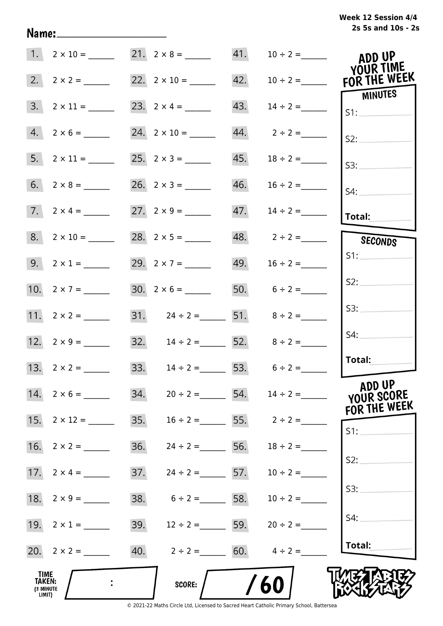## **2s 5s and 10s - 2s Week 12 Session 4/4**

|                                              |                             | 21. $2 \times 8 =$ 41. $10 \div 2 =$  |                                 | ADD UP<br>YOUR TIME     |
|----------------------------------------------|-----------------------------|---------------------------------------|---------------------------------|-------------------------|
|                                              | 2. $2 \times 2 =$           | 22. $2 \times 10 =$ 42. $10 \div 2 =$ |                                 | FOR THE WEEK<br>MINUTES |
|                                              | $3. \quad 2 \times 11 = \_$ |                                       | $43.$ $14 \div 2 =$             | S1:                     |
|                                              | $4. 2 \times 6 =$           | $24. 2 \times 10 =$                   |                                 | S2:                     |
|                                              |                             |                                       |                                 | S3:                     |
|                                              |                             | $26. 2 \times 3 =$                    |                                 | S4:                     |
|                                              | 7. $2 \times 4 =$           |                                       | $47.$ $14 \div 2 =$             | Total:                  |
|                                              | $8. 2 \times 10 =$          |                                       | 48. $2 \div 2 =$                | SECONDS                 |
|                                              | 9. $2 \times 1 =$           | 29. $2 \times 7 =$                    | 49. $16 \div 2 =$               | S1:                     |
|                                              | 10. $2 \times 7 =$          | $30. 2 \times 6 =$                    | 50. $6 \div 2 =$                | S2:                     |
|                                              | 11. $2 \times 2 =$          | 31. $24 \div 2 =$ 51. $8 \div 2 =$    |                                 | S3:                     |
|                                              |                             | 32. $14 \div 2 =$ 52. $8 \div 2 =$    |                                 | S4:                     |
|                                              | 13. $2 \times 2 =$          | 33. $14 \div 2 =$ 53. $6 \div 2 =$    |                                 | Total:                  |
|                                              | $14. 2 \times 6 =$          | 34.                                   | $20 \div 2 =$ 54. $14 \div 2 =$ | ADD UP<br>YOUR SCORE    |
|                                              | 15. $2 \times 12 =$         | 35.                                   | $16 \div 2 =$ 55. $2 \div 2 =$  | FOR THE WEEK<br>$S1$ :  |
|                                              |                             | 36.<br>$24 \div 2 =$ 56.              | $18 \div 2 =$                   |                         |
| 17.                                          | $2 \times 4 =$              | 37.<br>$24 \div 2 =$ 57.              | $10 \div 2 =$                   | S2:                     |
| 18.                                          | $2 \times 9 =$              | 38.<br>$6 \div 2 =$ 58.               | $10 \div 2 =$                   | S3:                     |
|                                              | 19. $2 \times 1 =$          | 39.<br>$12 \div 2 =$ 59.              | $20 \div 2 =$                   | S4:                     |
|                                              |                             | 40. $2 \div 2 =$ 60. $4 \div 2 =$     |                                 | Total:                  |
| TIME<br><b>TAKEN:</b><br>(3 MINUTE<br>LIMIT) |                             | <b>SCORE:</b>                         | 60                              |                         |

Name: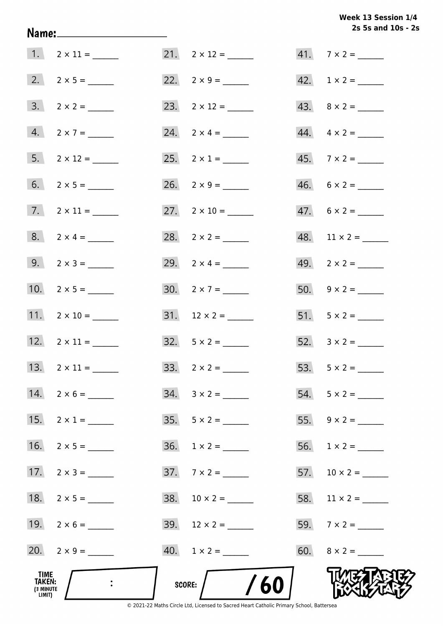Week 13 Session 1/4 2s 5s and 10s - 2s

| TIME<br>TAKEN:<br>(3 MINUTE<br>LIMIT) |                              | SCORE: $/$ /60              |                          |
|---------------------------------------|------------------------------|-----------------------------|--------------------------|
|                                       | 20. $2 \times 9 =$           | $40. 1 \times 2 =$          |                          |
|                                       | 19. $2 \times 6 =$           |                             |                          |
|                                       | 18. $2 \times 5 =$           |                             |                          |
|                                       | 17. $2 \times 3 =$           | $37.7 \times 2 =$           |                          |
|                                       |                              |                             |                          |
|                                       | 15. $2 \times 1 =$           |                             |                          |
|                                       | 14. $2 \times 6 =$           |                             | $54. 5 \times 2 =$       |
|                                       | 13. $2 \times 11 =$          |                             |                          |
|                                       | 12. $2 \times 11 =$          | $32.5 \times 2 =$           |                          |
|                                       | 11. $2 \times 10 =$          |                             | 51. $5 \times 2 =$       |
|                                       | 10. $2 \times 5 =$           | 30. $2 \times 7 =$          |                          |
|                                       | 9. $2 \times 3 =$            | 29. $2 \times 4 =$          |                          |
|                                       | $8. 2 \times 4 =$            |                             |                          |
|                                       | $7. \qquad 2 \times 11 = \_$ | 27. $2 \times 10 =$         | $47. 6 \times 2 =$       |
|                                       |                              | $26. \quad 2 \times 9 = \_$ | $46. 6 \times 2 =$       |
|                                       | 5. $2 \times 12 =$           | 25. $2 \times 1 =$          | $45.7 \times 2 =$        |
|                                       | $4. 2 \times 7 =$            |                             | $44. \quad 4 \times 2 =$ |
|                                       |                              | 23. $2 \times 12 =$         |                          |
|                                       |                              |                             | 42. $1 \times 2 =$       |
|                                       | 1. $2 \times 11 =$           | $21. 2 \times 12 =$         | $41.7 \times 2 =$        |

Name: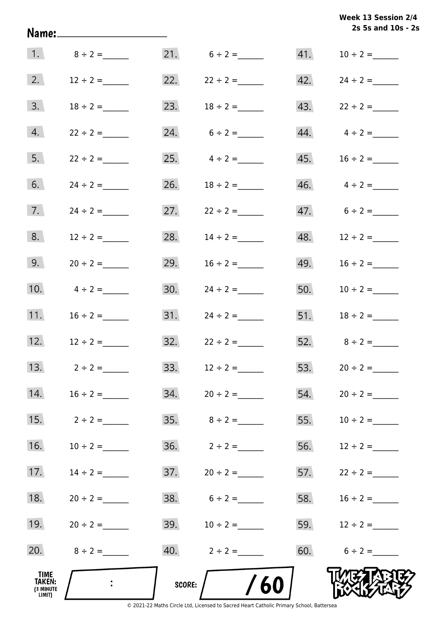|                                       |                 |     |                         |     | 2s 5s and 10s - 2s      |
|---------------------------------------|-----------------|-----|-------------------------|-----|-------------------------|
|                                       | 1. $8 \div 2 =$ |     | $21. 6 \div 2 =$        |     |                         |
| 2.                                    | $12 \div 2 =$   |     | 22. $22 \div 2 =$       |     | 42. $24 \div 2 =$       |
| 3.                                    | $18 \div 2 =$   |     | 23. $18 \div 2 =$       |     | 43. $22 \div 2 =$       |
| 4.                                    | $22 \div 2 =$   |     | 24. $6 \div 2 =$        |     | $44.$ $4 \div 2 =$      |
| 5.                                    | $22 \div 2 =$   |     | 25. $4 \div 2 =$        |     |                         |
| 6.                                    | $24 \div 2 =$   |     | 26. $18 \div 2 =$       |     | $46. \qquad 4 \div 2 =$ |
| 7.                                    | $24 \div 2 =$   |     | 27. $22 \div 2 =$       |     | 47. $6 \div 2 =$        |
| 8.                                    | $12 \div 2 =$   |     | 28. $14 \div 2 =$       |     | 48. $12 \div 2 =$       |
| 9.                                    | $20 \div 2 =$   | 29. | $16 \div 2 =$           |     | 49. $16 \div 2 =$       |
| 10.                                   | $4 \div 2 =$    | 30. | $24 \div 2 =$           |     | 50. $10 \div 2 =$       |
| 11.                                   | $16 \div 2 =$   |     |                         |     | 51. $18 \div 2 =$       |
| 12.                                   | $12 \div 2 =$   |     | $32.22 \div 2 =$        |     | 52. $8 \div 2 =$        |
| 13.                                   | $2 \div 2 =$    | 33. | $12 \div 2 =$           | 53. | $20 \div 2 =$           |
| 14.                                   | $16 \div 2 =$   |     |                         |     |                         |
| 15.                                   | $2 \div 2 =$    |     |                         | 55. | $10 \div 2 =$           |
| 16.                                   | $10 \div 2 =$   |     | $36. \qquad 2 \div 2 =$ |     | 56. $12 \div 2 =$       |
| 17.                                   | $14 \div 2 =$   |     |                         |     | 57. $22 \div 2 =$       |
| 18.                                   | $20 \div 2 =$   |     | $38. 6 \div 2 =$        |     | 58. $16 \div 2 =$       |
| 19.                                   | $20 \div 2 =$   |     | 39. $10 \div 2 =$       |     | 59. $12 \div 2 =$       |
| 20.                                   | $8 \div 2 =$    |     | 40. $2 \div 2 =$        |     | 60. $6 \div 2 =$        |
| TIME<br>TAKEN:<br>(3 MINUTE<br>LIMIT) | $\mathbf{r}$    |     | /60<br>SCORE: $\bigg/$  |     |                         |

**Week 13 Session 2/4**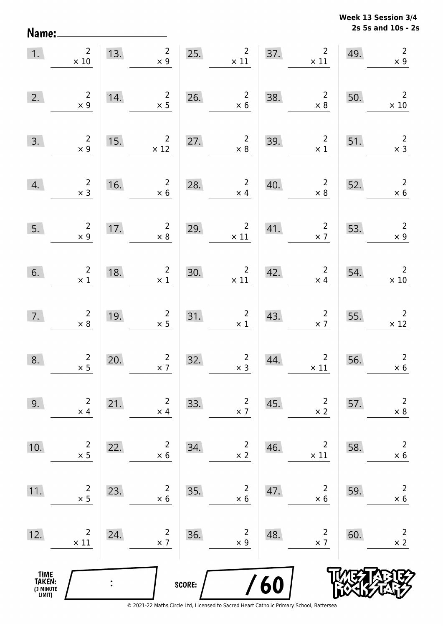**2s 5s and 10s - 2s Week 13 Session 3/4** 

| 1.                                    | $\overline{2}$<br>$\times$ 10                | 13.            | $\overline{2}$<br>$\times$ 9                 |        | 25.<br>$\overline{2}$<br>$\times$ 11             | 37. | $\overline{2}$<br>$\times$ 11             | 49. | $\overline{2}$<br>$\times$ 9                 |
|---------------------------------------|----------------------------------------------|----------------|----------------------------------------------|--------|--------------------------------------------------|-----|-------------------------------------------|-----|----------------------------------------------|
| 2.                                    | $\begin{array}{c} 2 \\ \times 9 \end{array}$ | 14.            | $\frac{2}{x}$ 5                              | 26.    | $\begin{array}{c} 2 \\ \times 6 \end{array}$     | 38. | $\begin{array}{c}2\\ \times 8\end{array}$ | 50. | $\overline{2}$<br>$\times$ 10                |
| 3.                                    | $\begin{array}{c} 2 \\ \times 9 \end{array}$ | 15.            | $\overline{\mathbf{c}}$<br>$\times$ 12       | 27.    | $\begin{array}{r} 2 \\ \times 8 \end{array}$     | 39. | $\frac{2}{x}$                             | 51. | $\begin{array}{c} 2 \\ \times 3 \end{array}$ |
| 4.                                    | $\begin{array}{c} 2 \\ \times 3 \end{array}$ | 16.            | $\overline{2}$<br>$\times$ 6                 | 28.    | $\overline{2}$<br>$\times$ 4                     | 40. | $\overline{\mathbf{c}}$<br>$\times 8$     | 52. | $\overline{2}$<br>$\times$ 6                 |
| 5.                                    | $\begin{array}{c} 2 \\ \times 9 \end{array}$ | 17.            | $\overline{2}$<br>$\times$ 8                 | 29.    | $2\overline{ }$<br>$\times$ 11                   | 41. | $\overline{\phantom{a}}$<br>$\times$ 7    | 53. | $\overline{2}$<br>$\times$ 9                 |
| 6.                                    | $\overline{\mathbf{c}}$<br>$\times$ 1        | 18.            | $\overline{2}$<br>$\times$ 1                 | 30.    | $\begin{array}{c}2\\ \times 11\end{array}$       | 42. | $2\overline{ }$<br>$\times$ 4             | 54. | $\overline{2}$<br>$\times$ 10                |
| 7.                                    | $\begin{array}{c} 2 \\ \times 8 \end{array}$ | 19.            | $\begin{array}{c}2\\ \times 5\end{array}$    |        | $\begin{array}{c}2\\ \times 1\end{array}$<br>31. | 43. | $\overline{\mathbf{c}}$<br>$\times$ 7     | 55. | $\overline{\phantom{a}}$<br>$\times$ 12      |
| 8.                                    | $\frac{2}{x}$ 5                              | 20.            | $\begin{array}{c} 2 \\ \times 7 \end{array}$ | 32.    | $\begin{array}{c} 2 \\ x \end{array}$            | 44. | $\overline{2}$<br>$\times$ 11             | 56. | $\begin{array}{c} 2 \\ \times 6 \end{array}$ |
| 9.                                    | $\overline{2}$<br>$\times$ 4                 | 21.            | $\overline{2}$<br>$\times$ 4                 | 33.    | $\overline{c}$<br>$\times$ 7                     | 45. | $\overline{2}$<br>$\times$ 2              | 57. | $\overline{2}$<br>$\times$ 8                 |
| 10.                                   | $\overline{c}$<br>$\times$ 5                 | 22.            | $\overline{2}$<br>$\times$ 6                 | 34.    | $\overline{c}$<br>$\times$ 2                     | 46. | $\overline{2}$<br>$\times$ 11             | 58. | $\overline{2}$<br>$\times$ 6                 |
| 11.                                   | $\overline{c}$<br>$\times$ 5                 | 23.            | 2<br>$\times$ 6                              | 35.    | $\overline{c}$<br>$\times$ 6                     | 47. | $\overline{2}$<br>$\times$ 6              | 59. | $\overline{2}$<br>$\times$ 6                 |
| 12.                                   | $\overline{2}$<br>$\times$ 11                | 24.            | $\overline{2}$<br>$\times$ 7                 | 36.    | $\overline{c}$<br>$\times$ 9                     | 48. | $\overline{2}$<br>$\times$ 7              | 60. | $\overline{2}$<br>$\times$ 2                 |
| TIME<br>TAKEN:<br>(3 MINUTE<br>LIMIT) |                                              | $\ddot{\cdot}$ |                                              | SCORE: |                                                  | /60 |                                           |     |                                              |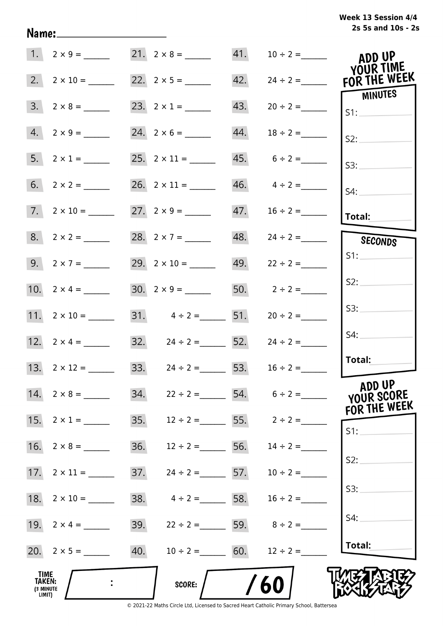# **2s 5s and 10s - 2s Week 13 Session 4/4**

|                                              | $1. 2 \times 9 =$        |                                        |     |                                | ADD UP<br>YOUR TIME                   |
|----------------------------------------------|--------------------------|----------------------------------------|-----|--------------------------------|---------------------------------------|
| 2.                                           |                          |                                        | 42. |                                | $24 \div 2 =$ FOR THE WEEK<br>MINUTES |
| 3.                                           | $2 \times 8 =$           |                                        | 43. | $20 \div 2 =$                  | SI:                                   |
|                                              | $4. 2 \times 9 =$        |                                        | 44. | $18 \div 2 =$                  | S2:                                   |
|                                              | 5. $2 \times 1 =$        |                                        |     | $45. 6 \div 2 =$               | S3:                                   |
|                                              |                          |                                        |     | $46. \qquad 4 \div 2 =$        | S4:                                   |
|                                              | $7. \quad 2 \times 10 =$ |                                        |     |                                | Total:                                |
|                                              |                          | 28. $2 \times 7 =$                     |     | $48. 24 \div 2 =$              | SECONDS                               |
|                                              | 9. $2 \times 7 =$        | 29. $2 \times 10 =$ 49. $22 \div 2 =$  |     |                                | S1:                                   |
|                                              |                          |                                        |     | 50. $2 \div 2 =$               | S2:                                   |
|                                              | 11. $2 \times 10 =$      | 31. $4 \div 2 =$ 51.                   |     | $20 \div 2 =$                  | S3:                                   |
|                                              | 12. $2 \times 4 =$       | 32. $24 \div 2 =$ 52. $24 \div 2 =$    |     |                                | S4:                                   |
|                                              |                          | 33. $24 \div 2 =$ 53. $16 \div 2 =$    |     |                                | Total:                                |
|                                              | 14. $2 \times 8 =$       | 34.                                    |     | $22 \div 2 =$ 54. $6 \div 2 =$ | ADD UP<br>YOUR SCORE<br>FOR THE WEEK  |
|                                              |                          | 35. $12 \div 2 =$ 55. $2 \div 2 =$     |     |                                | S1:                                   |
|                                              |                          | 36. $12 \div 2 =$ 56. $14 \div 2 =$    |     |                                |                                       |
|                                              |                          | 37.<br>$24 \div 2 =$ 57. $10 \div 2 =$ |     |                                | S2:                                   |
|                                              |                          | 38.<br>$4 \div 2 =$ 58. $16 \div 2 =$  |     |                                | S3:                                   |
|                                              |                          | 39. $22 \div 2 =$ 59. $8 \div 2 =$     |     |                                | S4:                                   |
|                                              |                          | 40. $10 \div 2 =$ 60.                  |     | $12 \div 2 =$                  | Total:                                |
| TIME<br><b>TAKEN:</b><br>(3 MINUTE<br>LIMIT) |                          | <b>SCORE:</b>                          |     | 60                             |                                       |

Name: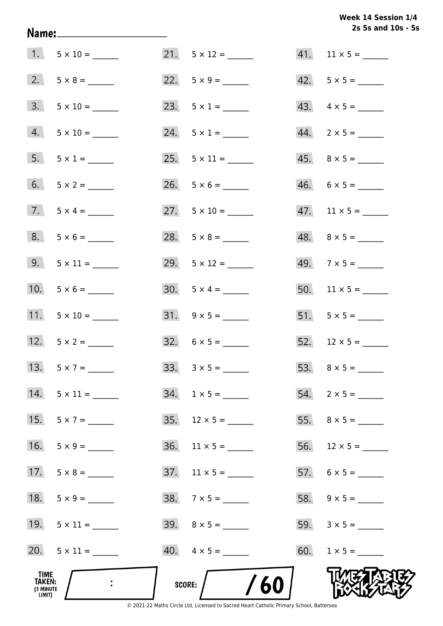**2s 5s and 10s - 5s Week 14 Session 1/4** 

| TIME<br>TAKEN:<br>(3 MINUTE<br>LIMIT) |                     | /60<br>SCORE:                |                               |
|---------------------------------------|---------------------|------------------------------|-------------------------------|
|                                       | 20. $5 \times 11 =$ | $40. \quad 4 \times 5 =$     | 60. $1 \times 5 =$            |
|                                       | 19. $5 \times 11 =$ | $39. \quad 8 \times 5 =$     |                               |
| 18.                                   | $5 \times 9 =$      | $38. 7 \times 5 =$           |                               |
| 17.                                   | $5 \times 8 =$      | 37. $11 \times 5 =$          |                               |
| 16.                                   | $5 \times 9 =$      | $36. \quad 11 \times 5 = \_$ |                               |
| 15.                                   | $5 \times 7 =$      |                              |                               |
| 14.                                   |                     | $34. 1 \times 5 =$           | $54. 2 \times 5 =$            |
|                                       |                     |                              |                               |
|                                       | 12. $5 \times 2 =$  | $32. 6 \times 5 =$           |                               |
|                                       | 11. $5 \times 10 =$ | $31. 9 \times 5 =$           |                               |
|                                       |                     | $30. 5 \times 4 =$           |                               |
|                                       | 9. $5 \times 11 =$  | 29. $5 \times 12 =$          |                               |
|                                       | $8. 5 \times 6 =$   |                              | $48. \quad 8 \times 5 =$      |
|                                       | 7. $5 \times 4 =$   |                              | $47.$ 11 $\times$ 5 = _______ |
|                                       |                     | $26. 5 \times 6 =$           | $46. 6 \times 5 =$            |
|                                       | $5. 5 \times 1 =$   |                              |                               |
|                                       | $4. 5 \times 10 =$  | $24. 5 \times 1 =$           | $44. \quad 2 \times 5 =$      |
|                                       | $3. 5 \times 10 =$  |                              | 43. $4 \times 5 =$            |
|                                       | $2. 5 \times 8 =$   |                              |                               |
|                                       | $1. 5 \times 10 =$  | $21. 5 \times 12 =$          | $41.$ 11 × 5 = ______         |

Name: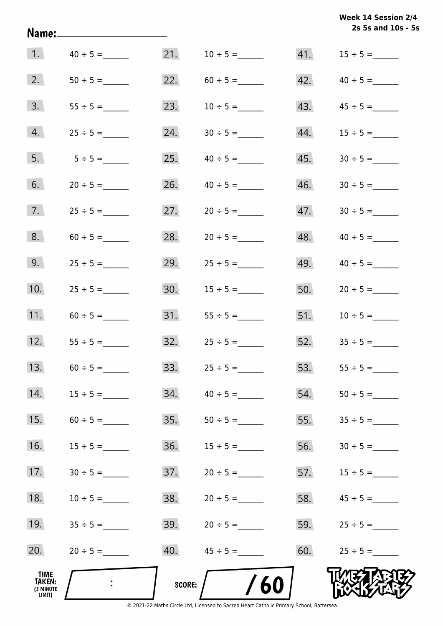|                                       | Name:_____________________ |        |                     |     | Week 14 Session 2/4<br>2s 5s and 10s - 5s |
|---------------------------------------|----------------------------|--------|---------------------|-----|-------------------------------------------|
| 1.                                    | $40 \div 5 =$              |        |                     |     |                                           |
| 2.                                    |                            |        |                     | 42. | $40 \div 5 =$                             |
| 3.                                    |                            | 23.    | $10 \div 5 =$       | 43. | $45 \div 5 =$                             |
| 4.                                    | $25 \div 5 =$              | 24.    | $30 \div 5 =$       | 44. | $15 \div 5 =$                             |
| 5.                                    | $5 \div 5 =$               | 25.    | $40 \div 5 =$       | 45. |                                           |
| 6.                                    | $20 \div 5 =$              | 26.    | $40 \div 5 =$       | 46. |                                           |
| 7.                                    |                            | 27.    |                     | 47. |                                           |
| 8.                                    | $60 \div 5 =$              | 28.    | $20 \div 5 =$       | 48. |                                           |
| 9.                                    | $25 \div 5 =$              | 29.    | $25 \div 5 =$       | 49. |                                           |
| 10.                                   | $25 \div 5 =$              | 30.    | $15 \div 5 =$       | 50. | $20 \div 5 =$                             |
| 11.                                   | $60 \div 5 =$              |        |                     |     | 51. $10 \div 5 =$                         |
| 12.                                   | $55 \div 5 =$              |        | $32.$ $25 \div 5 =$ |     | $52.$ $35 \div 5 =$                       |
| 13.                                   |                            | 33.    |                     | 53. |                                           |
| 14.                                   |                            | 34.    | $40 \div 5 =$       | 54. |                                           |
| 15.                                   |                            | 35.    |                     | 55. |                                           |
| 16.                                   | $15 \div 5 =$              | 36.    |                     | 56. |                                           |
| 17.                                   | $30 \div 5 =$              | 37.    | $20 \div 5 =$       | 57. |                                           |
| 18.                                   | $10 \div 5 =$              | 38.    | $20 \div 5 =$       | 58. | $45 \div 5 =$                             |
| 19.                                   |                            | 39.    | $20 \div 5 =$       | 59. | $25 \div 5 =$                             |
| 20.                                   | $20 \div 5 =$              | 40.    |                     | 60. | $25 \div 5 =$                             |
| TIME<br>TAKEN:<br>(3 MINUTE<br>LIMIT) |                            | SCORE: | /60                 |     |                                           |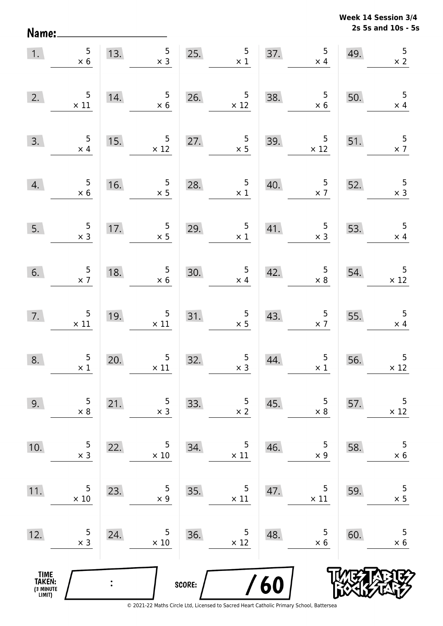**2s 5s and 10s - 5s Week 14 Session 3/4** 

| 1.                                            | $\frac{5}{\times 6}$                                       | 13.            | $\overline{\mathbf{5}}$<br>$\times$ 3         |        | 25. $5 \times 1$                                 |     | 37. $5 \times 4$                              | 49.                                     | $\overline{5}$<br>$\times$ 2                  |
|-----------------------------------------------|------------------------------------------------------------|----------------|-----------------------------------------------|--------|--------------------------------------------------|-----|-----------------------------------------------|-----------------------------------------|-----------------------------------------------|
| 2.                                            | $\begin{array}{c} 5 \\ \times 11 \end{array}$              | 14.            | $\frac{5}{\times 6}$                          | 26.    | $\frac{5}{\times 12}$                            | 38. | $\begin{array}{r} 5 \\ \times 6 \end{array}$  | 50.                                     | 5<br>$\times$ 4                               |
| 3.                                            | $\begin{array}{r} 5 \\ \times 4 \end{array}$               | 15.            | $\begin{array}{r} 5 \\ \times 12 \end{array}$ | 27.    | $\frac{5}{x}$                                    | 39. | $\begin{array}{r} 5 \\ \times 12 \end{array}$ | 51.                                     | $\frac{5}{x}$                                 |
| 4.                                            | $\begin{array}{r} 5 \\ \times 6 \end{array}$               | 16.            | $\frac{5}{2}$                                 | 28.    | $\frac{5}{\times 1}$                             | 40. | $\begin{array}{r} 5 \\ \times 7 \end{array}$  | 52.                                     | $\frac{5}{\times 3}$                          |
| 5.                                            | $\begin{array}{c} 5 \\ x \end{array}$                      | 17.            | $\frac{5}{x}$                                 | 29.    | $\frac{5}{\times 1}$                             |     | 41. $5 \times 3$                              | 53.                                     | $\overline{\phantom{0}}$<br>$\times$ 4        |
| 6.                                            | $\begin{array}{r} 5 \\ \times 7 \end{array}$               | 18.            | $\begin{array}{c} 5 \\ \times 6 \end{array}$  |        | 30. $\begin{array}{c} 5 \\ \times 4 \end{array}$ | 42. | $\begin{array}{c} 5 \\ \times 8 \end{array}$  | 54.                                     | $\begin{array}{c} 5 \\ \times 12 \end{array}$ |
|                                               | $\begin{array}{c c}\n7. & & 5 \\ & \times 11\n\end{array}$ | 19.            | $\begin{array}{c} 5 \\ \times 11 \end{array}$ | 31.    | $\frac{5}{x}$                                    | 43. | $\begin{array}{c} 5 \\ \times 7 \end{array}$  | $\begin{array}{c} 55. \\ - \end{array}$ | $\overline{\phantom{0}}$<br>$\times 4$        |
| 8.                                            | $\frac{5}{\times 1}$                                       | 20.            | $\begin{array}{c} 5 \\ \times 11 \end{array}$ | 32.    | $\begin{array}{c} 5 \\ x 3 \end{array}$          | 44. | $\begin{array}{c} 5 \\ \times 1 \end{array}$  | 56.                                     | $\overline{5}$<br>$\times$ 12                 |
| 9.                                            | 5<br>$\times$ 8                                            | 21.            | 5<br>$\times$ 3                               | 33.    | 5<br>$\times$ 2                                  | 45. | 5<br>$\times 8$                               | 57.                                     | 5<br>$\times$ 12                              |
| 10.                                           | 5<br>$\times$ 3                                            | 22.            | 5<br>$\times$ 10                              | 34.    | 5<br>$\times$ 11                                 | 46. | 5<br>$\times$ 9                               | 58.                                     | 5<br>$\times$ 6                               |
| 11.                                           | 5<br>$\times$ 10                                           | 23.            | 5<br>$\times$ 9                               | 35.    | 5<br>$\times$ 11                                 | 47. | 5<br>$\times$ 11                              | 59.                                     | $\mathsf S$<br>$\times$ 5                     |
| 12.                                           | 5<br>$\times$ 3                                            | 24.            | 5<br>$\times$ 10                              | 36.    | 5<br>$\times$ 12                                 | 48. | 5<br>$\times$ 6                               | 60.                                     | 5<br>$\times$ 6                               |
| <b>TIME<br/>TAKEN:</b><br>(3 MINUTE<br>LIMIT) |                                                            | $\ddot{\cdot}$ |                                               | SCORE: |                                                  | /60 |                                               |                                         |                                               |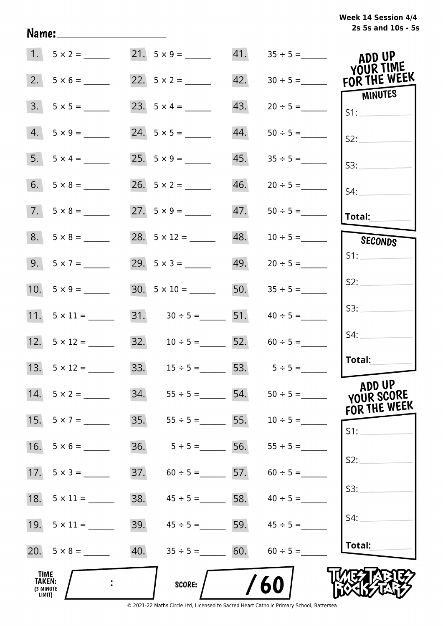# **2s 5s and 10s - 5s Week 14 Session 4/4**

|                                              | $1. 5 \times 2 =$   |     | $21. 5 \times 9 =$                    |     |                   | ADD UP<br>YOUR TIME     |
|----------------------------------------------|---------------------|-----|---------------------------------------|-----|-------------------|-------------------------|
| 2.                                           |                     |     |                                       | 42. | $30 \div 5 =$     | FOR THE WEEK<br>MINUTES |
| 3.                                           |                     |     | 23. $5 \times 4 =$                    | 43. |                   | S1:                     |
| 4.                                           | $5 \times 9 =$      |     |                                       | 44. | $50 \div 5 =$     | S2:                     |
|                                              | $5. 5 \times 4 =$   |     |                                       | 45. | $35 \div 5 =$     | S3:                     |
|                                              | $6. 5 \times 8 =$   |     |                                       | 46. | $20 \div 5 =$     | S4:                     |
|                                              | $7. 5 \times 8 =$   |     | 27. $5 \times 9 =$                    | 47. | $50 \div 5 =$     | Total:                  |
|                                              | $8. 5 \times 8 =$   |     |                                       | 48. | $10 \div 5 =$     | <b>SECONDS</b>          |
|                                              | $9.5 \times 7 =$    |     |                                       |     | $49. 20 \div 5 =$ | S1:                     |
|                                              |                     |     | 30. $5 \times 10 =$ 50. $35 \div 5 =$ |     |                   | S2:                     |
|                                              |                     |     | 31. $30 \div 5 =$ 51. $40 \div 5 =$   |     |                   | S3:                     |
|                                              | 12. $5 \times 12 =$ |     | 32. $10 \div 5 =$ 52.                 |     | $60 \div 5 =$     | S4:                     |
|                                              |                     |     | 33. $15 \div 5 =$ 53. $5 \div 5 =$    |     |                   | Total:                  |
|                                              | 14. $5 \times 2 =$  |     |                                       | 54. |                   | ADD UP<br>YOUR SCORE    |
| 15.                                          | $5 \times 7 =$      | 35. | $55 \div 5 =$ 55.                     |     | $10 \div 5 =$     | FOR THE WEEK<br>S1:     |
| 16.                                          | $5 \times 6 =$      | 36. | $5 \div 5 =$                          | 56. | $55 \div 5 =$     |                         |
|                                              |                     | 37. | $60 \div 5 = 57$ .                    |     | $60 \div 5 =$     | S2:                     |
|                                              |                     | 38. | $45 \div 5 = 58$ .                    |     | $40 \div 5 =$     | S3:                     |
|                                              |                     | 39. | $45 \div 5 =$ 59. $45 \div 5 =$       |     |                   | S4:                     |
|                                              |                     | 40. | $35 \div 5 =$ 60.                     |     | $60 \div 5 =$     | Total:                  |
| <b>TIME</b><br>TAKEN:<br>(3 MINUTE<br>LIMIT) |                     |     | <b>SCORE:</b>                         |     | 60                |                         |

Name: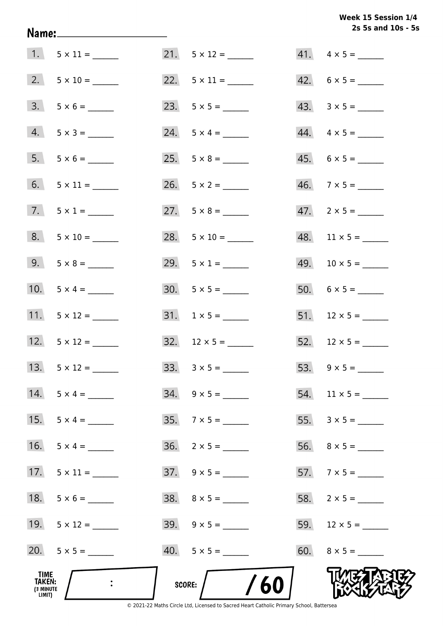**2s 5s and 10s - 5s Week 15 Session 1/4** 

|                                              |                          |                          | 2s 5s and 10s - 5        |
|----------------------------------------------|--------------------------|--------------------------|--------------------------|
|                                              |                          | $21. 5 \times 12 =$      | $41. \quad 4 \times 5 =$ |
|                                              | $2. \quad 5 \times 10 =$ |                          | $42. 6 \times 5 =$       |
|                                              | $3. 5 \times 6 =$        |                          |                          |
|                                              | $4. 5 \times 3 =$        | $24. 5 \times 4 =$       | $44. \quad 4 \times 5 =$ |
|                                              | $5. 5 \times 6 =$        | 25. $5 \times 8 =$       | $45. 6 \times 5 =$       |
|                                              |                          | $26. 5 \times 2 =$       | $46. 7 \times 5 =$       |
|                                              | 7. $5 \times 1 =$        | 27. $5 \times 8 =$       | $47.2 \times 5 =$        |
|                                              | $8. 5 \times 10 =$       | $28. 5 \times 10 =$      | $48.$ 11 × 5 = ______    |
|                                              | $9. 5 \times 8 =$        | 29. $5 \times 1 =$       |                          |
|                                              | 10. $5 \times 4 =$       |                          |                          |
|                                              | 11. $5 \times 12 =$      |                          | $51.$ 12 × 5 = _____     |
|                                              | 12. $5 \times 12 =$      | 32. $12 \times 5 =$      | $52.$ 12 × 5 = ______    |
| 13.                                          | $5 \times 12 =$          | $33. \quad 3 \times 5 =$ |                          |
|                                              | 14. $5 \times 4 =$       | $34. \quad 9 \times 5 =$ | $54.$ 11 × 5 = ______    |
| 15.                                          | $5 \times 4 =$           | $35.7 \times 5 =$        |                          |
| 16.                                          | $5 \times 4 =$           | $36. 2 \times 5 =$       |                          |
| 17.                                          | $5 \times 11 =$          | $37. \quad 9 \times 5 =$ |                          |
| 18.                                          |                          |                          |                          |
|                                              | 19. $5 \times 12 =$      |                          | 59. $12 \times 5 =$      |
|                                              | 20. $5 \times 5 =$       |                          |                          |
| TIME<br><b>TAKEN:</b><br>(3 MINUTE<br>LIMIT) |                          | /60<br>SCORE:            |                          |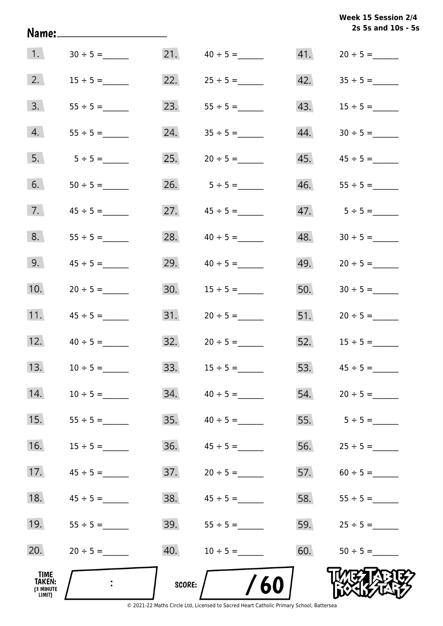|                                                     | Name:____________________ |               |                     |     | Week 15 Session 2/4<br>2s 5s and 10s - 5s |
|-----------------------------------------------------|---------------------------|---------------|---------------------|-----|-------------------------------------------|
| 1.                                                  | $30 \div 5 =$             |               | 21. $40 \div 5 =$   |     | $41. 20 \div 5 =$                         |
| 2.                                                  | $15 \div 5 =$             |               |                     |     |                                           |
| 3.                                                  |                           | 23.           | $55 \div 5 =$       |     |                                           |
| 4.                                                  |                           |               |                     | 44. |                                           |
| 5.                                                  | $5 \div 5 =$              | 25.           | $20 \div 5 =$       |     |                                           |
| 6.                                                  |                           |               | 26. $5 \div 5 =$    |     |                                           |
| 7.                                                  |                           | 27.           |                     |     |                                           |
| 8.                                                  |                           | 28.           | $40 \div 5 =$       | 48. |                                           |
| 9.                                                  | $45 \div 5 =$             | 29.           | $40 \div 5 =$       | 49. |                                           |
| 10.                                                 | $20 \div 5 =$             | 30.           | $15 \div 5 =$       | 50. | $30 \div 5 =$                             |
| 11.                                                 | $45 \div 5 =$             |               |                     |     | 51. $20 \div 5 =$                         |
| 12.                                                 | $40 \div 5 =$             |               | $32.$ $20 \div 5 =$ |     | $52.$ $15 \div 5 =$                       |
| 13.                                                 |                           | 33.           |                     | 53. |                                           |
| 14.                                                 | $10 \div 5 =$             | 34.           | $40 \div 5 =$       | 54. |                                           |
| 15.                                                 |                           | 35.           | $40 \div 5 =$       | 55. | $5 \div 5 =$                              |
| 16.                                                 |                           | 36.           |                     | 56. |                                           |
| 17.                                                 | $45 \div 5 =$             | 37.           | $20 \div 5 =$       | 57. | $60 \div 5 =$                             |
| 18.                                                 | $45 \div 5 =$             | 38.           | $45 \div 5 =$       | 58. | $55 \div 5 =$                             |
| 19.                                                 |                           | 39.           |                     | 59. | $25 \div 5 =$                             |
| 20.                                                 | $20 \div 5 =$             | 40.           | $10 \div 5 =$       | 60. |                                           |
| <b>TIME</b><br><b>TAKEN:</b><br>(3 MINUTE<br>LIMIT) |                           | <b>SCORE:</b> | /60                 |     |                                           |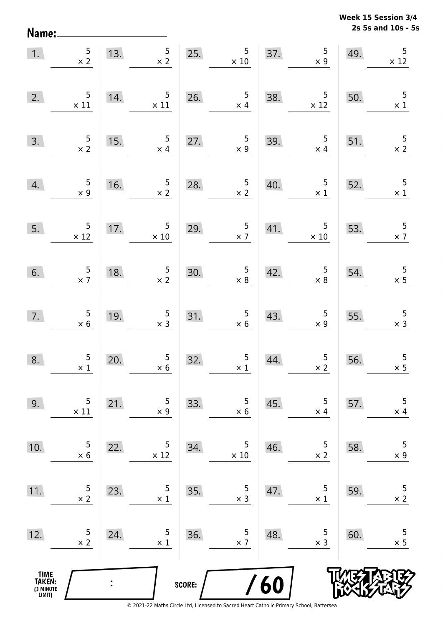**2s 5s and 10s - 5s Week 15 Session 3/4** 

| 1.                                            | $\frac{5}{x}$                                  | 13.            | 5 <sub>1</sub><br>$\times$ 2                 | 25.    | $5\phantom{.0}$<br>$\times$ 10               | 37. | $\begin{array}{c} 5 \\ \times 9 \end{array}$  | 49. | 5<br>$\times$ 12                        |
|-----------------------------------------------|------------------------------------------------|----------------|----------------------------------------------|--------|----------------------------------------------|-----|-----------------------------------------------|-----|-----------------------------------------|
| 2.                                            | $\overline{5}$<br>$\times$ 11                  | 14.            | $5\phantom{.0}$<br>$\times$ 11               | 26.    | $\frac{5}{\times 4}$                         | 38. | $\begin{array}{r} 5 \\ \times 12 \end{array}$ | 50. | 5<br>$\times$ 1                         |
| 3.                                            | $\frac{5}{x}$                                  | 15.            | $5\phantom{.0}$<br>$\times$ 4                | 27.    | $5\phantom{.0}$<br>$\times 9$                | 39. | $\overline{\phantom{0}}$ 5<br>$\times$ 4      | 51. | 5<br>$\times 2$                         |
| 4.                                            | $\begin{array}{c} 5 \\ \times 9 \end{array}$   | 16.            | $\frac{5}{x}$ 2                              | 28.    | $\frac{5}{\times 2}$                         | 40. | $\overline{\phantom{0}}$<br>$\times$ 1        | 52. | $\overline{\phantom{0}}$<br>$\times$ 1  |
| 5.                                            | $\begin{array}{c} 5 \\ \times 12 \end{array}$  | 17.            | $5\phantom{.0}$<br>$\times$ 10               | 29.    | $\frac{5}{2}$                                | 41. | 5 <sub>5</sub><br>$\times$ 10                 | 53. | $\frac{5}{2}$                           |
| 6.                                            | $\frac{5}{2}$                                  | 18.            | $\begin{array}{c} 5 \\ \times 2 \end{array}$ | 30.    | $\begin{array}{c} 5 \\ \times 8 \end{array}$ | 42. | $\begin{array}{c} 5 \\ \times 8 \end{array}$  | 54. | $\frac{5}{2}$                           |
| 7.                                            | $\begin{array}{c} 5 \\ \times \ 6 \end{array}$ | 19.            | $\begin{array}{c} 5 \\ \times 3 \end{array}$ | 31.    | $\begin{array}{c} 5 \\ \times 6 \end{array}$ | 43. | $\begin{array}{c} 5 \\ \times 9 \end{array}$  | 55. | $\begin{array}{c} 5 \\ x 3 \end{array}$ |
| 8.                                            | $\begin{array}{c} 5 \\ \times 1 \end{array}$   | 20.            | $\begin{array}{c} 5 \\ \times 6 \end{array}$ | 32.    | $\begin{array}{c} 5 \\ \times 1 \end{array}$ | 44. | $\frac{5}{\times 2}$                          | 56. | $\overline{5}$<br>$\times$ 5            |
| 9.                                            | 5<br>$\times$ 11                               | 21.            | 5<br>$\times$ 9                              | 33.    | 5<br>$\times$ 6                              | 45. | 5<br>$\times$ 4                               | 57. | 5<br>$\times$ 4                         |
| 10.                                           | 5<br>$\times$ 6                                | 22.            | 5<br>$\times 12$                             | 34.    | 5<br>$\times$ 10                             | 46. | 5<br>$\times$ 2                               | 58. | 5<br>$\times$ 9                         |
| 11.                                           | 5<br>$\times$ 2                                | 23.            | 5<br>$\times$ 1                              | 35.    | 5<br>$\times$ 3                              | 47. | 5<br>$\times$ 1                               | 59. | $\mathsf S$<br>$\times$ 2               |
| 12.                                           | 5<br>$\times$ 2                                | 24.            | 5<br>$\times$ 1                              | 36.    | 5<br>$\times$ 7                              | 48. | 5<br>$\times$ 3                               | 60. | 5<br>$\times$ 5                         |
| <b>TIME<br/>TAKEN:</b><br>(3 MINUTE<br>LIMIT) |                                                | $\ddot{\cdot}$ |                                              | SCORE: |                                              | 60  |                                               |     |                                         |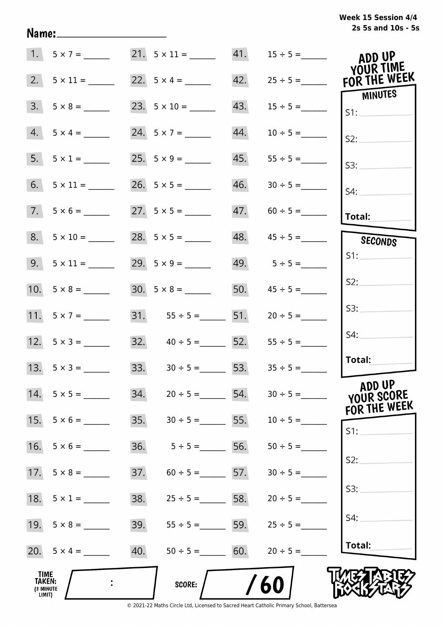| Week 15 Session 4/4 |                    |  |  |
|---------------------|--------------------|--|--|
|                     | 2s 5s and 10s - 5s |  |  |

|                                              | $1. 5 \times 7 =$  |     |                                                     |     | 21. $5 \times 11 =$ 41. $15 \div 5 =$ | ADD UP<br>YOUR TIME   |
|----------------------------------------------|--------------------|-----|-----------------------------------------------------|-----|---------------------------------------|-----------------------|
| 2.                                           | $5 \times 11 =$    |     | 22. $5 \times 4 =$                                  | 42. | $25 \div 5 =$                         | FOR THE WEEK          |
| 3.                                           |                    |     |                                                     | 43. | $15 \div 5 =$                         | <b>MINUTES</b><br>S1: |
| 4.                                           | $5 \times 4 =$     |     | 24. $5 \times 7 =$                                  | 44. | $10 \div 5 =$                         | S2:                   |
| 5.                                           | $5 \times 1 =$     |     |                                                     | 45. |                                       | S3:                   |
| 6.                                           |                    |     |                                                     | 46. |                                       | $S4$ :                |
|                                              | $7.5 \times 6 =$   |     |                                                     |     | $47. 60 \div 5 =$                     | <b>Total:</b>         |
| 8.                                           | $5 \times 10 =$    |     |                                                     |     | $48.$ $45 \div 5 =$                   | SECONDS               |
|                                              | $9. 5 \times 11 =$ |     | 29. $5 \times 9 =$                                  |     | 49. $5 \div 5 =$                      | S1:                   |
|                                              |                    |     |                                                     |     | 50. $45 \div 5 =$                     | S2:                   |
|                                              | 11. $5 \times 7 =$ |     | 31. $55 \div 5 =$ 51. $20 \div 5 =$                 |     |                                       | S3:                   |
|                                              | 12. $5 \times 3 =$ |     | 32. $40 \div 5 =$ 52.                               |     | $55 \div 5 =$                         | S4:                   |
|                                              | 13. $5 \times 3 =$ |     | $33. \hspace{1.5cm} 30 \div 5 = \hspace{1.5cm} 53.$ |     | $35 \div 5 =$                         | Total:                |
|                                              |                    | 34. | $20 \div 5 =$ 54.                                   |     | $30 \div 5 =$                         | ADD UP<br>YOUR SCORE  |
| 15.                                          | $5 \times 6 =$     | 35. | $30 \div 5 =$ 5.                                    |     | $10 \div 5 =$                         | FOR THE WEEK<br>S1:   |
| 16.                                          | $5 \times 6 =$     | 36. | $5 \div 5 =$ 50.                                    |     | $50 \div 5 =$                         |                       |
|                                              |                    | 37. | $60 \div 5 =$ 57.                                   |     | $30 \div 5 =$                         | S2:                   |
|                                              | 18. $5 \times 1 =$ | 38. | $25 \div 5 =$ 58.                                   |     | $20 \div 5 =$                         | S3:                   |
|                                              |                    | 39. | $55 \div 5 =$ 50.                                   |     | $25 \div 5 =$                         | S4:                   |
|                                              | 20. $5 \times 4 =$ | 40. | $50 \div 5 =$ 60.                                   |     | $20 \div 5 =$                         | Total:                |
| TIME<br><b>TAKEN:</b><br>(3 MINUTE<br>LIMIT) |                    |     | SCORE:                                              |     | 60                                    |                       |

Name: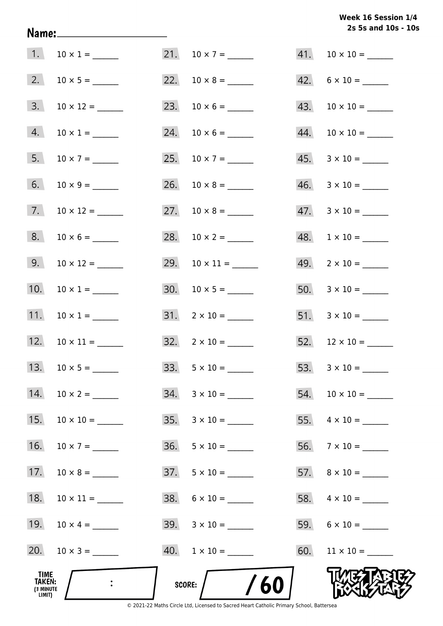# **2s 5s and 10s - 10s Week 16 Session 1/4**

| TIME<br>TAKEN:<br>(3 MINUTE<br>LIMIT) |                      | SCORE: $/$ /60            |                                |
|---------------------------------------|----------------------|---------------------------|--------------------------------|
|                                       | 20. $10 \times 3 =$  | $40. 1 \times 10 =$       |                                |
|                                       | 19. $10 \times 4 =$  | $39. \quad 3 \times 10 =$ |                                |
| 18.                                   |                      | $38. 6 \times 10 =$       |                                |
| 17.                                   |                      |                           |                                |
| 16.                                   |                      | $36. 5 \times 10 =$       | 56. $7 \times 10 =$            |
| 15.                                   |                      | $35. \quad 3 \times 10 =$ | 55. $4 \times 10 =$            |
| 14.                                   |                      | $34. 3 \times 10 =$       |                                |
| 13.                                   |                      | 33. $5 \times 10 =$       | 53. $3 \times 10 =$            |
|                                       | 12. $10 \times 11 =$ | $32. \quad 2 \times 10 =$ |                                |
| 11.                                   | $10 \times 1 =$      | $31. \quad 2 \times 10 =$ |                                |
| 10.                                   | $10 \times 1 =$      |                           |                                |
|                                       |                      |                           |                                |
| 8.                                    | $10 \times 6 =$      |                           |                                |
| 7.                                    |                      | 27. $10 \times 8 =$       | $47. \quad 3 \times 10 =$      |
| 6.                                    |                      |                           |                                |
| 5.                                    | $10 \times 7 =$      | 25. $10 \times 7 =$       |                                |
| 4.                                    | $10 \times 1 =$      |                           | $44.$ 10 $\times$ 10 = _______ |
| 3.                                    |                      | 23. $10 \times 6 =$       |                                |
| 2.                                    |                      | 22. $10 \times 8 =$       | $42. 6 \times 10 =$            |
| 1.                                    | $10 \times 1 =$      | 21. $10 \times 7 =$       |                                |

Name: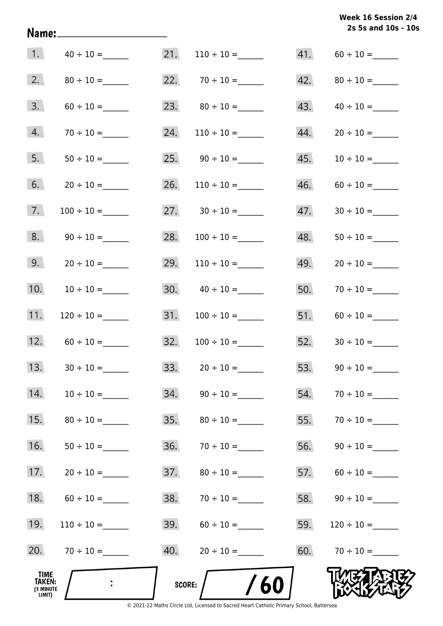# **2s 5s and 10s - 10s Week 16 Session 2/4**

| 1.                                    |                 | 21.    |                           | 41. |                 |
|---------------------------------------|-----------------|--------|---------------------------|-----|-----------------|
| 2.                                    |                 |        | 22. $70 \div 10 =$        | 42. |                 |
| 3.                                    |                 | 23.    |                           | 43. |                 |
| 4.                                    |                 | 24.    | $110 \div 10 =$           | 44. |                 |
| 5.                                    |                 | 25.    |                           | 45. | $10 \div 10 =$  |
| 6.                                    |                 | 26.    |                           | 46. |                 |
| 7.                                    | $100 \div 10 =$ |        |                           | 47. |                 |
| 8.                                    |                 | 28.    | $100 \div 10 =$           | 48. | $50 \div 10 =$  |
| 9.                                    |                 | 29.    | $110 \div 10 =$           | 49. | $20 \div 10 =$  |
| 10.                                   |                 |        | $30. \qquad 40 \div 10 =$ | 50. |                 |
| 11.                                   |                 | 31.    |                           | 51. |                 |
| 12.                                   |                 | 32.    |                           | 52. |                 |
| 13.                                   |                 | 33.    | $20 \div 10 =$            | 53. |                 |
| 14.                                   |                 | 34.    | $90 \div 10 =$            | 54. | $70 \div 10 =$  |
| 15.                                   |                 | 35.    | $80 \div 10 =$            | 55. |                 |
| 16.                                   |                 | 36.    |                           | 56. |                 |
| 17.                                   |                 | 37.    |                           | 57. |                 |
| 18.                                   |                 | 38.    |                           | 58. | $90 \div 10 =$  |
| 19.                                   |                 | 39.    |                           | 59. | $120 \div 10 =$ |
| 20.                                   |                 | 40.    |                           | 60. | $70 \div 10 =$  |
| TIME<br>TAKEN:<br>(3 MINUTE<br>LIMIT) |                 | SCORE: | 60                        |     |                 |

Name: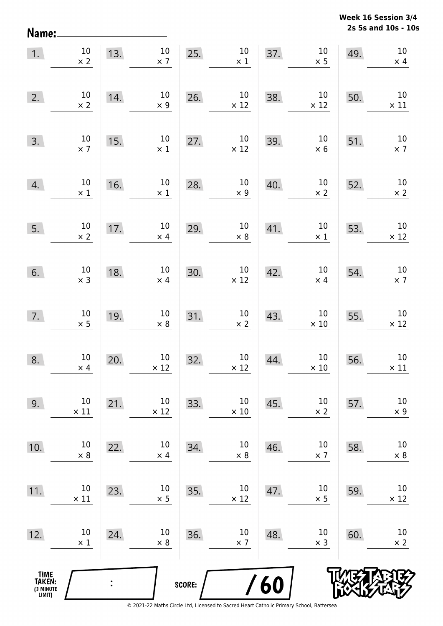**2s 5s and 10s - 10s Week 16 Session 3/4** 

| Name:                                         |                       |     |                                |        |                                |     |                       |     | 2s 5s and 10s - 10             |
|-----------------------------------------------|-----------------------|-----|--------------------------------|--------|--------------------------------|-----|-----------------------|-----|--------------------------------|
| 1.                                            | $10\,$<br>$\times$ 2  | 13. | $10\,$<br>$\times$ 7           | 25.    | $10\,$<br>$\times 1$           | 37. | $10\,$<br>$\times$ 5  | 49. | $10\,$<br>$\times$ 4           |
| 2.                                            | 10<br>$\times$ 2      | 14. | $10\,$<br>$\times$ 9           | 26.    | $10\,$<br>$\times$ 12          | 38. | $10\,$<br>$\times$ 12 | 50. | $10\,$<br>$\times$ 11          |
| 3.                                            | 10<br>$\times$ 7      | 15. | $10\,$<br>$\times$ 1           | 27.    | $10\,$<br>$\times$ 12          | 39. | $10\,$<br>$\times$ 6  | 51. | $10\,$<br>$\times$ 7           |
| 4.                                            | $10\,$<br>$\times$ 1  | 16. | $10\,$<br>$\times$ 1           | 28.    | $10\,$<br>$\times$ 9           | 40. | $10\,$<br>$\times$ 2  | 52. | $10\,$<br>$\times$ 2           |
| 5.                                            | $10\,$<br>$\times$ 2  | 17. | $10\,$<br>$\times$ 4           | 29.    | $10\,$<br>$\times$ 8           | 41. | $10\,$<br>$\times$ 1  | 53. | $10\,$<br>$\times$ 12          |
| 6.                                            | $10\,$<br>$\times$ 3  | 18. | $10\,$<br>$\times$ 4           | 30.    | $10\,$<br>$\times$ 12          | 42. | $10\,$<br>$\times$ 4  | 54. | $10\,$<br>$\times$ 7           |
| 7.                                            | $10\,$<br>$\times$ 5  | 19. | $10\,$<br>$\times$ 8           | 31.    | $10\,$<br>$\times$ 2           | 43. | $10\,$<br>$\times$ 10 | 55. | $10\,$<br>$\times$ 12          |
| 8.                                            | $10\,$<br>$\times$ 4  | 20. | 10 <sub>1</sub><br>$\times$ 12 | 32.    | 10 <sub>1</sub><br>$\times$ 12 | 44. | 10<br>$\times$ 10     | 56. | 10 <sup>°</sup><br>$\times$ 11 |
| 9.                                            | $10\,$<br>$\times$ 11 | 21. | $10\,$<br>$\times$ 12          | 33.    | $10\,$<br>$\times$ 10          | 45. | $10\,$<br>$\times$ 2  | 57. | 10<br>$\times$ 9               |
| 10.                                           | $10\,$<br>$\times 8$  | 22. | $10\,$<br>$\times$ 4           | 34.    | $10\,$<br>$\times$ 8           | 46. | $10\,$<br>$\times$ 7  | 58. | $10\,$<br>$\times$ 8           |
| 11.                                           | $10\,$<br>$\times$ 11 | 23. | $10\,$<br>$\times$ 5           | 35.    | $10\,$<br>$\times$ 12          | 47. | $10\,$<br>$\times$ 5  | 59. | $10\,$<br>$\times$ 12          |
| 12.                                           | $10\,$<br>$\times$ 1  | 24. | $10\,$<br>$\times$ 8           | 36.    | $10\,$<br>$\times$ 7           | 48. | $10\,$<br>$\times$ 3  | 60. | 10<br>$\times$ 2               |
| <b>TIME<br/>TAKEN:</b><br>(3 MINUTE<br>LIMIT) |                       |     |                                | SCORE: |                                | 60  |                       |     |                                |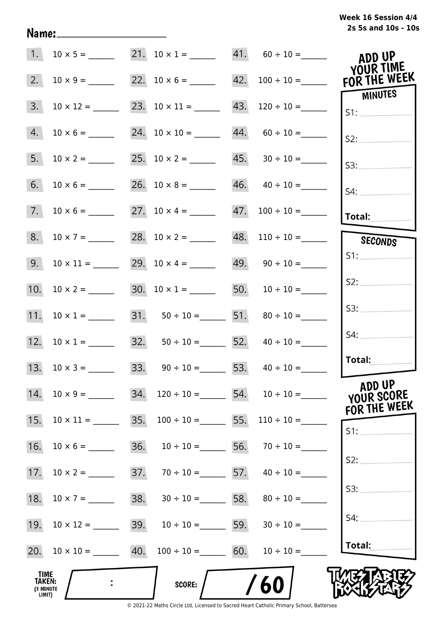| 1.                                                          |     |                                        | $10 \times 5 =$ 21. $10 \times 1 =$ 41. $60 \div 10 =$  | ADD UP<br><b>YOUR TIME</b>           |
|-------------------------------------------------------------|-----|----------------------------------------|---------------------------------------------------------|--------------------------------------|
| 2.                                                          |     |                                        | $10 \times 9 =$ 22. $10 \times 6 =$ 42. $100 \div 10 =$ | FOR THE WEEK<br><b>MINUTES</b>       |
| 3.<br>$10 \times 12 =$                                      |     |                                        | 23. $10 \times 11 =$ 43. $120 \div 10 =$                | SI:                                  |
| 4.                                                          |     |                                        | $44. 60 \div 10 =$                                      | S2:                                  |
| 5.<br>$10 \times 2 =$                                       |     |                                        |                                                         | S3:                                  |
| 6.<br>$10 \times 6 =$                                       |     |                                        | $46. \qquad 40 \div 10 =$                               | $S4$ :                               |
| 7.                                                          |     |                                        | $47. 100 \div 10 =$                                     | Total:                               |
| 8.<br>$10 \times 7 =$                                       |     |                                        | $48.$ 110 ÷ 10 =                                        | SECONDS                              |
| 9.                                                          |     | 29. $10 \times 4 =$                    | $49. \qquad 90 \div 10 =$                               |                                      |
|                                                             |     | 30. $10 \times 1 =$ 50. $10 \div 10 =$ |                                                         | S2:                                  |
| 11. $10 \times 1 =$                                         |     | 31. $50 \div 10 =$ 51. $80 \div 10 =$  |                                                         | S3:                                  |
| 12. $10 \times 1 =$                                         |     | 32. $50 \div 10 =$ 52. $40 \div 10 =$  |                                                         | S4:                                  |
|                                                             |     | 33. $90 \div 10 =$ 53. $40 \div 10 =$  |                                                         | Total:                               |
| 14.<br>$10 \times 9 =$                                      | 34. |                                        | $120 \div 10 =$ 54. $10 \div 10 =$                      | ADD UP<br>YOUR SCORE<br>FOR THE WEEK |
| 15.<br>$10 \times 11 =$                                     | 35. |                                        | $100 \div 10 =$ 55. $110 \div 10 =$                     | S1:                                  |
| 16.                                                         | 36. | $10 \div 10 =$ 56. $70 \div 10 =$      |                                                         |                                      |
| 17.                                                         |     | 37. $70 \div 10 =$ 57. $40 \div 10 =$  |                                                         | S2:                                  |
| 18.<br>$10 \times 7 =$                                      |     | 38. $30 \div 10 =$ 58. $80 \div 10 =$  |                                                         | S3:                                  |
| 19.<br>$10 \times 12 =$                                     |     | 39. $10 \div 10 =$ 59. $30 \div 10 =$  |                                                         | S4:                                  |
| 20. $10 \times 10 =$ 40. $100 \div 10 =$ 60. $10 \div 10 =$ |     |                                        |                                                         | Total:                               |
| <b>TIME</b><br>TAKEN:<br>(3 MINUTE<br>LIMIT)                |     | <b>SCORE:</b>                          | /60                                                     |                                      |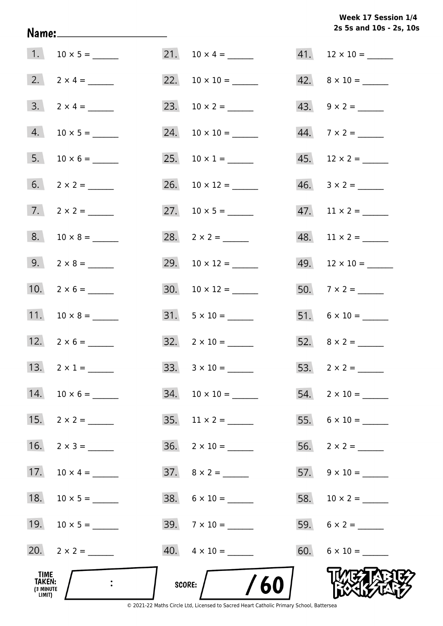# **2s 5s and 10s - 2s, 10s Week 17 Session 1/4**

| _TIME<br><b>TAKEN:</b><br>(3 MINUTE<br>LIMIT) |                     | SCORE: $/$ /60            |                           |
|-----------------------------------------------|---------------------|---------------------------|---------------------------|
|                                               | 20. $2 \times 2 =$  | $40. \quad 4 \times 10 =$ | $60. 6 \times 10 =$       |
|                                               | 19. $10 \times 5 =$ | $39.7 \times 10 =$        |                           |
|                                               |                     | $38. \quad 6 \times 10 =$ |                           |
|                                               | 17. $10 \times 4 =$ |                           | $57. 9 \times 10 =$       |
| 16.                                           | $2 \times 3 =$      | $36. \quad 2 \times 10 =$ |                           |
|                                               | 15. $2 \times 2 =$  | $35. \quad 11 \times 2 =$ |                           |
|                                               | 14. $10 \times 6 =$ |                           | $54. 2 \times 10 =$       |
|                                               | 13. $2 \times 1 =$  |                           | 53. $2 \times 2 =$        |
|                                               |                     | $32. \quad 2 \times 10 =$ |                           |
|                                               | 11. $10 \times 8 =$ |                           | $51. 6 \times 10 =$       |
|                                               | 10. $2 \times 6 =$  |                           | 50. $7 \times 2 =$        |
|                                               | 9. $2 \times 8 =$   |                           |                           |
|                                               | $8. 10 \times 8 =$  |                           | $48.$ 11 × 2 = _______    |
|                                               | $7. 2 \times 2 =$   |                           | $47.$ 11 × 2 = ______     |
|                                               |                     |                           |                           |
|                                               |                     | 25. $10 \times 1 =$       | $45.$ 12 × 2 = _______    |
|                                               |                     |                           |                           |
| 3.                                            | $2 \times 4 =$      |                           |                           |
|                                               |                     |                           | $42. \quad 8 \times 10 =$ |
|                                               | 1. $10 \times 5 =$  |                           | $41.$ 12 × 10 = ______    |

Name: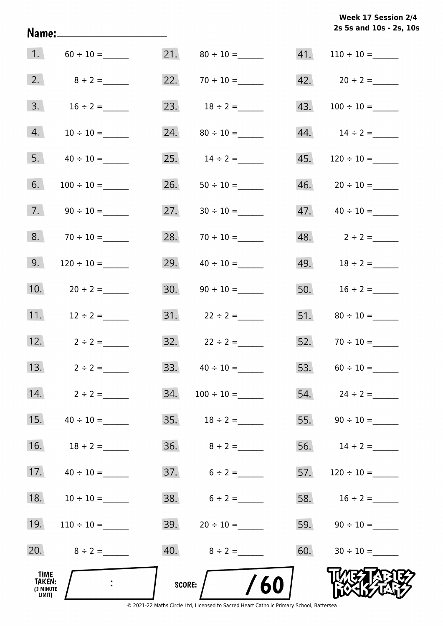**2s 5s and 10s - 2s, 10s Week 17 Session 2/4** 

| 1.                                     |                  |     |                          |     |                      |
|----------------------------------------|------------------|-----|--------------------------|-----|----------------------|
| 2.                                     | $8 \div 2 =$     |     | 22. $70 \div 10 =$       |     | 42. $20 \div 2 =$    |
| 3.                                     | $16 \div 2 =$    |     | 23. $18 \div 2 =$        | 43. |                      |
| 4.                                     |                  | 24. |                          |     |                      |
| 5.                                     | $40 \div 10 =$   | 25. | $14 \div 2 =$            | 45. |                      |
| 6.                                     | $100 \div 10 =$  | 26. |                          | 46. | $20 \div 10 =$       |
| 7.                                     |                  | 27. |                          | 47. |                      |
| 8.                                     |                  | 28. |                          |     | 48. $2 \div 2 =$     |
| 9.                                     |                  | 29. |                          |     | 49. $18 \div 2 =$    |
| 10.                                    | $20 \div 2 =$    | 30. |                          |     | 50. $16 \div 2 =$    |
| 11.                                    | $12 \div 2 =$    |     |                          | 51. |                      |
| 12.                                    | $2 \div 2 =$     |     | $32. \qquad 22 \div 2 =$ |     |                      |
| 13.                                    | $2 \div 2 =$     | 33. |                          |     | 53. $60 \div 10 =$   |
|                                        | 14. $2 \div 2 =$ | 34. | $100 \div 10 =$          |     | 54. $24 \div 2 =$    |
| 15.                                    | $40 \div 10 =$   |     |                          |     |                      |
| 16.                                    | $18 \div 2 =$    |     |                          |     | 56. $14 \div 2 =$    |
| 17.                                    | $40 \div 10 =$   |     | $37.6 \div 2 =$          |     |                      |
| 18.                                    | $10 \div 10 =$   |     | 38. $6 \div 2 =$         |     | 58. $16 \div 2 =$    |
| 19.                                    |                  |     | 39. $20 \div 10 =$       |     |                      |
| 20.                                    | $8 \div 2 =$     |     |                          |     | $60.$ $30 \div 10 =$ |
| _TIME<br>TAKEN:<br>(3 MINUTE<br>LIMIT) |                  |     | /60<br>SCORE:            |     |                      |

Name: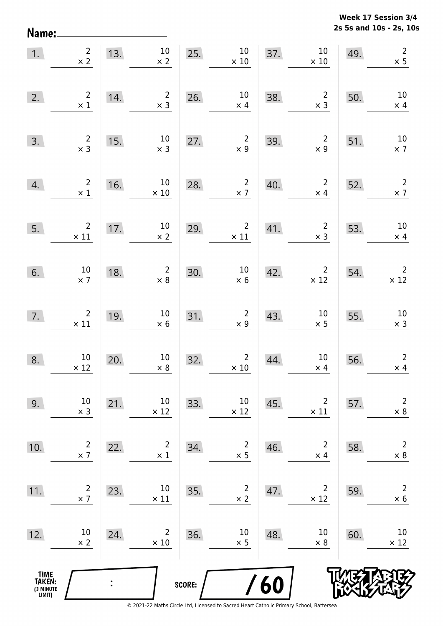**2s 5s and 10s - 2s, 10s Week 17 Session 3/4** 

| 1.                                    | $\overline{2}$<br>$\times 2$                  |                            | 13. $10$<br>$\times$ 2                       |        | $10\,$<br>$25. \times$<br>$\times$ 10            |     | $\begin{array}{c c}\n 37. & 10 \\  \times 10\n \end{array}$              | 49. | $\overline{2}$<br>$\times$ 5               |
|---------------------------------------|-----------------------------------------------|----------------------------|----------------------------------------------|--------|--------------------------------------------------|-----|--------------------------------------------------------------------------|-----|--------------------------------------------|
| 2.                                    | $\begin{array}{c} 2 \\ \times 1 \end{array}$  | 14.                        | $\overline{2}$<br>$\times$ 3                 |        | 26. $10 \times 4$<br>$\times$ 4                  | 38. | $\begin{array}{c} 2 \\ \times 3 \end{array}$                             | 50. | 10<br>$\times$ 4                           |
| 3.                                    | $\begin{array}{c} 2 \\ \times 3 \end{array}$  | 15.                        | $10\,$<br>$\times$ 3                         | 27.    | $\begin{array}{r} 2 \\ \times 9 \end{array}$     | 39. | $\overline{\mathbf{c}}$<br>$\times$ 9                                    | 51. | 10<br>$\times$ 7                           |
| 4.                                    | $\begin{array}{c} 2 \\ \times 1 \end{array}$  | 16.                        | 10<br>$\times$ 10                            |        | 28. $\begin{array}{c} 2 \\ \times 7 \end{array}$ | 40. | $\overline{\mathbf{2}}$<br>$\times$ 4                                    | 52. | $\frac{2}{\times 7}$                       |
| 5.                                    | $\begin{array}{c} 2 \\ \times 11 \end{array}$ | $\frac{17.1}{\frac{1}{2}}$ | 10<br>$\times$ 2                             |        | 29. $2$ $\times$ 11                              |     | 41. $\begin{array}{c c} 2 & 53. \\ \times 3 & \end{array}$<br>$\times$ 3 |     | $10\,$<br>$\times$ 4                       |
| 6.                                    | 10<br>$\times$ 7                              | 18.                        | $\begin{array}{r} 2 \\ \times 8 \end{array}$ | 30.    | $\begin{array}{c} 10 \\ \times 6 \end{array}$    |     | 42. $2 \times 12$                                                        | 54. | $\begin{array}{c}2\\ \times 12\end{array}$ |
| 7.                                    | $\begin{array}{c} 2 \\ \times 11 \end{array}$ | 19.                        | 10<br>$\times$ 6                             | 31.    | $\begin{array}{c} 2 \\ \times 9 \end{array}$     | 43. | $10\,$<br>$\times$ 5                                                     | 55. | 10<br>$\times$ 3                           |
| 8.                                    | 10<br>$\times$ 12                             | 20.                        | 10<br>$\times 8$                             | 32.    | $\overline{2}$<br>$\times$ 10                    | 44. | 10<br>$\times$ 4                                                         | 56. | $\overline{2}$<br>$\times$ 4               |
| 9.                                    | 10<br>$\times$ 3                              | 21.                        | 10<br>$\times$ 12                            | 33.    | $10\,$<br>$\times$ 12                            | 45. | $\overline{2}$<br>$\times$ 11                                            | 57. | $\overline{2}$<br>$\times$ 8               |
| 10.                                   | $\overline{2}$<br>$\times$ 7                  | 22.                        | $\overline{2}$<br>$\times$ 1                 | 34.    | $\overline{c}$<br>$\times$ 5                     | 46. | $\overline{2}$<br>$\times$ 4                                             | 58. | $\mathbf 2$<br>$\times$ 8                  |
| 11.                                   | $\overline{2}$<br>$\times$ 7                  | 23.                        | 10<br>$\times$ 11                            | 35.    | 2<br>$\times$ 2                                  | 47. | 2<br>$\times$ 12                                                         | 59. | $\overline{2}$<br>$\times 6$               |
| 12.                                   | 10<br>$\times$ 2                              | 24.                        | 2<br>$\times$ 10                             | 36.    | 10<br>$\times$ 5                                 | 48. | 10<br>$\times$ 8                                                         | 60. | 10<br>$\times$ 12                          |
| TIME<br>TAKEN:<br>(3 MINUTE<br>LIMIT) |                                               |                            |                                              | SCORE: |                                                  | /60 |                                                                          |     |                                            |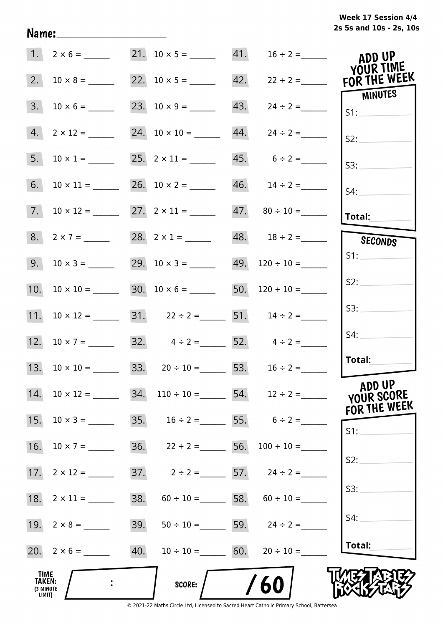# **2s 5s and 10s - 2s, 10s Week 17 Session 4/4**

|                                       | $1. 2 \times 6 =$    |     | 21. $10 \times 5 =$ 41.                                  |     | $16 \div 2 =$                     | ADD UP<br>YOUR TIME     |
|---------------------------------------|----------------------|-----|----------------------------------------------------------|-----|-----------------------------------|-------------------------|
| 2.                                    |                      |     |                                                          | 42. | $22 \div 2 =$                     | FOR THE WEEK<br>MINUTES |
| 3.                                    | $10 \times 6 =$      |     |                                                          | 43. | $24 \div 2 =$                     | S1:                     |
| 4.                                    | $2 \times 12 =$      |     | 24. $10 \times 10 =$ 44.                                 |     | $24 \div 2 =$                     | S2:                     |
| 5.                                    | $10 \times 1 =$      |     |                                                          |     | $45. 6 \div 2 =$                  | S3:                     |
| 6.                                    | $10 \times 11 =$     |     | 26. $10 \times 2 =$                                      |     |                                   | S4:                     |
|                                       |                      |     | $27. \quad 2 \times 11 =$                                |     | $47. \qquad 80 \div 10 =$         | <b>Total:</b>           |
|                                       | 8. $2 \times 7 =$    |     | 28. $2 \times 1 =$                                       |     | 48. $18 \div 2 =$                 | <b>SECONDS</b>          |
| 9.                                    |                      |     | 29. $10 \times 3 =$                                      |     | 49. $120 \div 10 =$               | S1:                     |
| 10.                                   | $10 \times 10 =$     |     | 30. $10 \times 6 =$ 50. $120 \div 10 =$                  |     |                                   | S2:                     |
|                                       |                      |     | 11. $10 \times 12 =$ 31. $22 \div 2 =$ 51. $14 \div 2 =$ |     |                                   | S3:                     |
|                                       | 12. $10 \times 7 =$  |     | 32. $4 \div 2 =$ 52. $4 \div 2 =$                        |     |                                   | S4:                     |
|                                       | 13. $10 \times 10 =$ |     | 33. $20 \div 10 =$ 53. $16 \div 2 =$                     |     |                                   | Total:                  |
| 14.                                   |                      |     | $10 \times 12 =$ 34. $110 \div 10 =$ 54. $12 \div 2 =$   |     |                                   | ADD UP<br>YOUR SCORE    |
| 15.                                   | $10 \times 3 =$      |     | 35. $16 \div 2 =$ 55. $6 \div 2 =$                       |     |                                   | FOR THE WEEK            |
| 16.                                   |                      |     | 36. $22 \div 2 =$ 56. $100 \div 10 =$                    |     |                                   | S1:                     |
| 17.                                   |                      |     | 37. $2 \div 2 =$ 57. $24 \div 2 =$                       |     |                                   | S2:                     |
| 18.                                   |                      | 38. |                                                          |     | $60 \div 10 =$ 58. $60 \div 10 =$ | S3:                     |
|                                       |                      | 39. |                                                          |     | $50 \div 10 =$ 59. $24 \div 2 =$  | S4:                     |
|                                       |                      | 40. |                                                          |     | $10 \div 10 =$ 60. $20 \div 10 =$ | Total:                  |
| TIME<br>TAKEN:<br>(3 MINUTE<br>LIMIT) |                      |     | <b>SCORE:</b>                                            |     | /60                               |                         |

Name: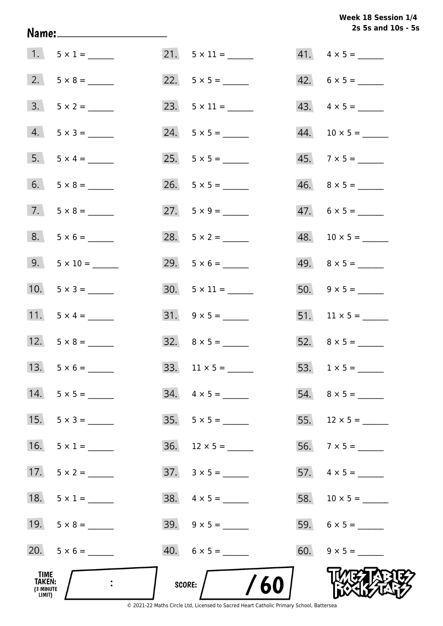Week 18 Session 1/4 2s 5s and 10s - 5s

|                                              |                    |     |                          | 2s 5s and 10s - 5        |
|----------------------------------------------|--------------------|-----|--------------------------|--------------------------|
|                                              | 1. $5 \times 1 =$  |     |                          | $41. \quad 4 \times 5 =$ |
|                                              |                    |     |                          | $42. 6 \times 5 =$       |
|                                              | $3. 5 \times 2 =$  |     |                          |                          |
|                                              | $4. 5 \times 3 =$  |     |                          |                          |
|                                              | 5. $5 \times 4 =$  |     |                          | $45. 7 \times 5 =$       |
|                                              | 6. $5 \times 8 =$  |     |                          | $46. \quad 8 \times 5 =$ |
|                                              | $7.5 \times 8 =$   |     | 27. $5 \times 9 =$       | $47. 6 \times 5 =$       |
|                                              | $8. 5 \times 6 =$  |     | 28. $5 \times 2 =$       | $48. 10 \times 5 =$      |
|                                              | 9. $5 \times 10 =$ |     | $29. 5 \times 6 =$       |                          |
|                                              | 10. $5 \times 3 =$ |     |                          |                          |
|                                              | 11. $5 \times 4 =$ |     |                          |                          |
|                                              | 12. $5 \times 8 =$ |     | $32. \quad 8 \times 5 =$ |                          |
| 13.                                          |                    | 33. |                          |                          |
|                                              | 14. $5 \times 5 =$ |     | $34. \quad 4 \times 5 =$ |                          |
| 15.                                          |                    |     | $35.5 \times 5 =$        |                          |
| 16.                                          | $5 \times 1 =$     |     | $36.$ 12 × 5 = ______    |                          |
| 17.                                          | $5 \times 2 =$     |     | $37. \quad 3 \times 5 =$ |                          |
| 18.                                          | $5 \times 1 =$     |     | $38. \quad 4 \times 5 =$ |                          |
|                                              | 19. $5 \times 8 =$ |     |                          |                          |
|                                              | 20. $5 \times 6 =$ |     | $40.6 \times 5 =$        |                          |
| TIME<br><b>TAKEN:</b><br>(3 MINUTE<br>LIMIT) |                    |     | /60<br>SCORE:            |                          |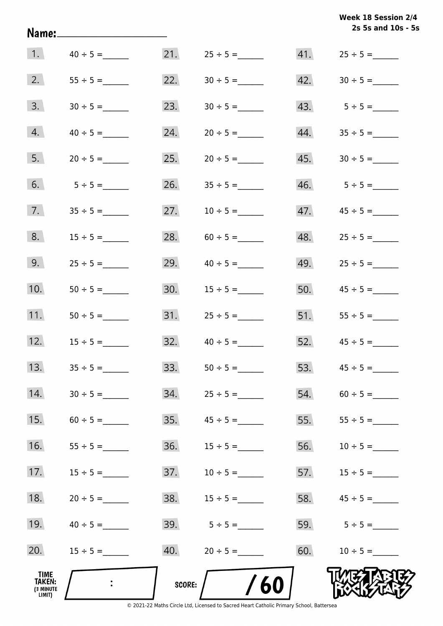|                                                     | Name:____________________ |               |                  |     | Week 18 Session 2/4<br>2s 5s and 10s - 5s |
|-----------------------------------------------------|---------------------------|---------------|------------------|-----|-------------------------------------------|
| 1.                                                  | $40 \div 5 =$             |               |                  |     |                                           |
| 2.                                                  |                           | 22.           |                  |     |                                           |
| 3.                                                  | $30 \div 5 =$             | 23.           | $30 \div 5 =$    |     |                                           |
| 4.                                                  | $40 \div 5 =$             | 24.           | $20 \div 5 =$    |     |                                           |
| 5.                                                  | $20 \div 5 =$             | 25.           |                  |     |                                           |
| 6.                                                  | $5 \div 5 =$              | 26.           |                  |     |                                           |
| 7.                                                  |                           | 27.           | $10 \div 5 =$    | 47. | $45 \div 5 =$                             |
| 8.                                                  | $15 \div 5 =$             | 28.           | $60 \div 5 =$    | 48. | $25 \div 5 =$                             |
| 9.                                                  |                           | 29.           | $40 \div 5 =$    | 49. | $25 \div 5 =$                             |
| 10.                                                 |                           | 30.           | $15 \div 5 =$    | 50. | $45 \div 5 =$                             |
| 11.                                                 | $50 \div 5 =$             |               |                  |     | 51. $55 \div 5 =$                         |
| 12.                                                 | $15 \div 5 =$             |               | $32.40 \div 5 =$ |     | $52.$ $45 \div 5 =$                       |
| 13.                                                 |                           | 33.           |                  | 53. |                                           |
| 14.                                                 |                           | 34.           |                  | 54. |                                           |
| 15.                                                 |                           | 35.           |                  | 55. |                                           |
| 16.                                                 |                           | 36.           |                  | 56. |                                           |
| 17.                                                 | $15 \div 5 =$             | 37.           | $10 \div 5 =$    | 57. | $15 \div 5 =$                             |
| 18.                                                 | $20 \div 5 =$             | 38.           | $15 \div 5 =$    | 58. | $45 \div 5 =$                             |
| 19.                                                 | $40 \div 5 =$             |               |                  |     | 59. $5 \div 5 =$                          |
| 20.                                                 |                           | 40.           | $20 \div 5 =$    | 60. | $10 \div 5 =$                             |
| <b>TIME</b><br><b>TAKEN:</b><br>(3 MINUTE<br>LIMIT) |                           | <b>SCORE:</b> | /60              |     |                                           |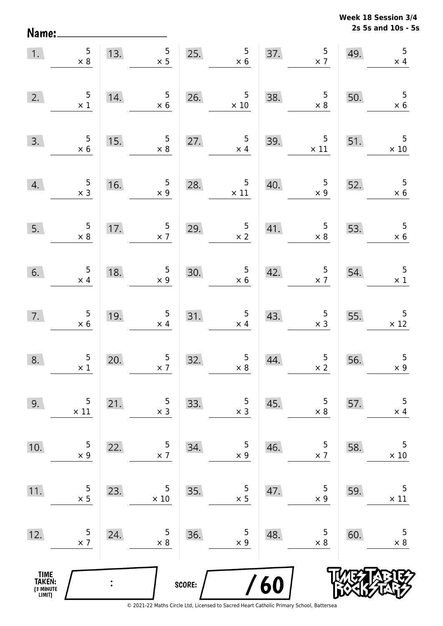**2s 5s and 10s - 5s Week 18 Session 3/4** 

| 1.                                            | $\begin{array}{c} 5 \\ \times 8 \end{array}$ | 13.            | $5\overline{)}$<br>$\times$ 5                |        | $\frac{5}{\times 6}$<br>25.                   | 37. | $\frac{5}{2}$                                 | 49. | $\overline{5}$<br>$\times$ 4            |
|-----------------------------------------------|----------------------------------------------|----------------|----------------------------------------------|--------|-----------------------------------------------|-----|-----------------------------------------------|-----|-----------------------------------------|
| 2.                                            | $\begin{array}{c} 5 \\ \times 1 \end{array}$ | 14.            | $\begin{array}{c} 5 \\ \times 6 \end{array}$ | 26.    | $\begin{array}{r} 5 \\ \times 10 \end{array}$ | 38. | $\begin{array}{c} 5 \\ \times 8 \end{array}$  | 50. | $\overline{5}$<br>$\times$ 6            |
| 3.                                            | $\begin{array}{r} 5 \\ \times 6 \end{array}$ | 15.            | $\begin{array}{c} 5 \\ \times 8 \end{array}$ | 27.    | $\frac{5}{x}$ 4                               | 39. | $\begin{array}{c} 5 \\ \times 11 \end{array}$ | 51. | 5<br>$\times$ 10                        |
| 4.                                            | $\frac{5}{\times 3}$                         | 16.            | $\frac{5}{x}$                                | 28.    | $\begin{array}{c} 5 \\ \times 11 \end{array}$ | 40. | $\begin{array}{r} 5 \\ \times 9 \end{array}$  | 52. | 5<br>$\times$ 6                         |
| 5.                                            | $\frac{5}{\times 8}$                         | 17.            | $\frac{5}{2}$                                | 29.    | $\frac{5}{\times 2}$                          | 41. | $\begin{array}{r} 5 \\ \times 8 \end{array}$  | 53. | 5<br>$\times$ 6                         |
| 6.                                            | $\frac{5}{x}$ 4                              | 18.            | $\begin{array}{c} 5 \\ x \ 9 \end{array}$    | 30.    | $\begin{array}{c} 5 \\ \times 6 \end{array}$  | 42. | $\frac{5}{2}$                                 | 54. | $\overline{\mathbf{5}}$<br>$\times$ 1   |
| 7.                                            | $\begin{array}{r} 5 \\ \times 6 \end{array}$ | 19.            | $\overline{5}$<br>$\times$ 4                 | 31.    | $\begin{array}{c} 5 \\ \times 4 \end{array}$  | 43. | $\begin{array}{c} 5 \\ \times 3 \end{array}$  | 55. | $\overline{\phantom{0}}$<br>$\times$ 12 |
| 8.                                            | $\begin{array}{c} 5 \\ \times 1 \end{array}$ | 20.            | $\frac{5}{2}$                                | 32.    | $\begin{array}{c} 5 \\ \times 8 \end{array}$  | 44. | $\frac{5}{2}$                                 | 56. | $\begin{array}{c} 5 \\ x 9 \end{array}$ |
| 9.                                            | 5<br>$\times$ 11                             | 21.            | 5<br>$\times$ 3                              | 33.    | 5<br>$\times$ 3                               | 45. | 5<br>$\times 8$                               | 57. | $\mathsf S$<br>$\times$ 4               |
| 10.                                           | 5<br>$\times$ 9                              | 22.            | 5<br>$\times$ 7                              | 34.    | 5<br>$\times$ 9                               | 46. | 5<br>$\times$ 7                               | 58. | 5<br>$\times$ 10                        |
| 11.                                           | 5<br>$\times$ 5                              | 23.            | 5<br>$\times$ 10                             | 35.    | 5<br>$\times$ 5                               | 47. | 5<br>$\times$ 9                               | 59. | $\mathsf S$<br>$\times$ 11              |
| 12.                                           | 5<br>$\times$ 7                              | 24.            | 5<br>$\times 8$                              | 36.    | 5<br>$\times$ 9                               | 48. | 5<br>$\times 8$                               | 60. | 5<br>$\times$ 8                         |
| <b>TIME<br/>TAKEN:</b><br>(3 MINUTE<br>LIMIT) |                                              | $\ddot{\cdot}$ |                                              | SCORE: | $\overline{\phantom{a}}$                      | 60  |                                               |     |                                         |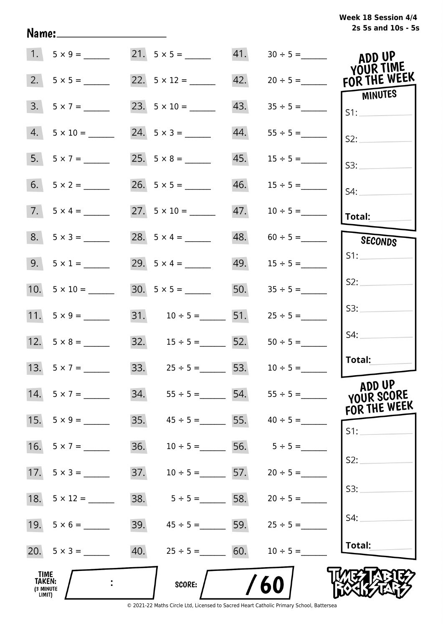| Week 18 Session 4/4 |                    |  |  |  |
|---------------------|--------------------|--|--|--|
|                     | 2s 5s and 10s - 5s |  |  |  |

|                                       | $1. 5 \times 9 =$   |     |                                     |     |               | ADD UP<br>YOUR TIME            |
|---------------------------------------|---------------------|-----|-------------------------------------|-----|---------------|--------------------------------|
| 2.                                    | $5 \times 5 =$      |     | 22. $5 \times 12 =$                 | 42. | $20 \div 5 =$ | FOR THE WEEK<br><b>MINUTES</b> |
| 3.                                    | $5 \times 7 =$      |     | 23. $5 \times 10 =$                 | 43. |               | S1:                            |
| 4.                                    | $5 \times 10 =$     |     | 24. $5 \times 3 =$                  | 44. |               | S2:                            |
| 5.                                    |                     |     |                                     | 45. | $15 \div 5 =$ | S3:                            |
| 6.                                    |                     |     |                                     | 46. | $15 \div 5 =$ | $S4$ :                         |
|                                       | $7. 5 \times 4 =$   |     |                                     | 47. | $10 \div 5 =$ | <b>Total:</b>                  |
|                                       | $8. 5 \times 3 =$   |     | 28. $5 \times 4 =$                  | 48. |               | SECONDS                        |
|                                       | 9. $5 \times 1 =$   |     | 29. $5 \times 4 =$                  | 49. | $15 \div 5 =$ | S1:                            |
|                                       | 10. $5 \times 10 =$ |     |                                     | 50. | $35 \div 5 =$ | S2:                            |
|                                       | 11. $5 \times 9 =$  |     | 31. $10 \div 5 =$ 51. $25 \div 5 =$ |     |               | S3:                            |
|                                       |                     |     | 32. $15 \div 5 =$ 52.               |     | $50 \div 5 =$ | S4:                            |
|                                       | 13. $5 \times 7 =$  |     | 33. $25 \div 5 =$ 53.               |     | $10 \div 5 =$ | Total:                         |
|                                       | 14. $5 \times 7 =$  | 34. | $55 \div 5 = 54.$ $55 \div 5 =$     |     |               | ADD UP<br>YOUR SCORE           |
| 15.                                   | $5 \times 9 =$      | 35. | $45 \div 5 =$ 55.                   |     | $40 \div 5 =$ | FOR THE WEEK<br>S1:            |
| 16.                                   | $5 \times 7 =$      | 36. | $10 \div 5 =$                       | 56. | $5 \div 5 =$  |                                |
| 17.                                   | $5 \times 3 =$      | 37. | $10 \div 5 = 57$ .                  |     | $20 \div 5 =$ | S2:                            |
| 18.                                   |                     | 38. | $5 \div 5 = 58$ .                   |     | $20 \div 5 =$ | S3:                            |
|                                       |                     | 39. | $45 \div 5 =$ 5.5 = 59.             |     | $25 \div 5 =$ | S4:                            |
|                                       | 20. $5 \times 3 =$  | 40. | $25 \div 5 = 60.$                   |     | $10 \div 5 =$ | Total:                         |
| TIME<br>TAKEN:<br>(3 MINUTE<br>LIMIT) |                     |     | <b>SCORE:</b>                       |     | 60            |                                |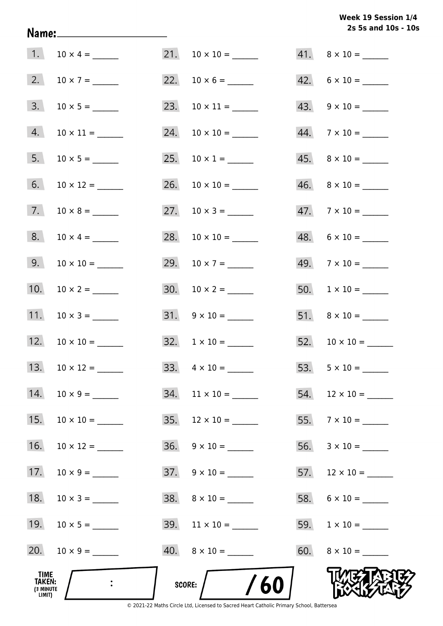# **2s 5s and 10s - 10s Week 19 Session 1/4**

|                                              | 1. $10 \times 4 =$   |               |                                                                                         |     | $41. \quad 8 \times 10 =$ |
|----------------------------------------------|----------------------|---------------|-----------------------------------------------------------------------------------------|-----|---------------------------|
|                                              | 2. $10 \times 7 =$   |               |                                                                                         |     | $42. 6 \times 10 =$       |
| 3.                                           |                      |               | 23. $10 \times 11 =$                                                                    |     | $43. 9 \times 10 =$       |
|                                              | $4. 10 \times 11 =$  |               |                                                                                         |     | $44.7 \times 10 =$        |
| 5.                                           |                      |               |                                                                                         |     | $45. \quad 8 \times 10 =$ |
| 6.                                           |                      |               |                                                                                         |     | $46. \quad 8 \times 10 =$ |
|                                              |                      |               |                                                                                         |     | $47.7 \times 10 =$        |
| 8.                                           | $10 \times 4 =$      |               |                                                                                         |     | $48. 6 \times 10 =$       |
|                                              |                      |               | 29. $10 \times 7 =$                                                                     |     | $49.7 \times 10 =$        |
|                                              | 10. $10 \times 2 =$  |               |                                                                                         |     |                           |
| 11.                                          |                      |               | $31. 9 \times 10 =$                                                                     |     | $51. \quad 8 \times 10 =$ |
|                                              |                      |               | $32. \quad 1 \times 10 =$                                                               |     |                           |
|                                              | 13. $10 \times 12 =$ |               |                                                                                         |     |                           |
| 14.                                          |                      | 34.           | $11 \times 10 =$                                                                        | 54. | $12 \times 10 =$          |
| 15.                                          |                      |               |                                                                                         |     |                           |
| 16.                                          | $10 \times 12 =$     |               | $36. \quad 9 \times 10 =$                                                               |     |                           |
| 17.                                          | $10 \times 9 =$      |               |                                                                                         |     |                           |
| 18.                                          | $10 \times 3 =$      |               | $38. \quad 8 \times 10 =$                                                               |     |                           |
| 19.                                          |                      |               |                                                                                         |     |                           |
| 20.                                          | $10 \times 9 =$      |               | $40. \quad 8 \times 10 =$                                                               |     |                           |
| TIME<br><b>TAKEN:</b><br>(3 MINUTE<br>LIMIT) |                      | <b>SCORE:</b> | © 2021-22 Maths Circle Ltd. Licensed to Sacred Heart Catholic Primary School, Battersea |     |                           |

Name: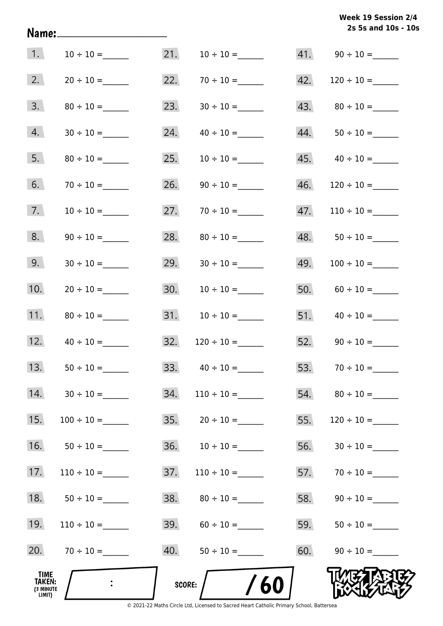**2s 5s and 10s - 10s Week 19 Session 2/4** 

| 1.                                    |                 | 21.    |                    |     |                           |
|---------------------------------------|-----------------|--------|--------------------|-----|---------------------------|
| 2.                                    | $20 \div 10 =$  | 22.    |                    | 42. |                           |
| 3.                                    | $80 \div 10 =$  | 23.    | $30 \div 10 =$     | 43. |                           |
| 4.                                    |                 | 24.    |                    | 44. |                           |
| 5.                                    |                 | 25.    |                    |     | $45. \qquad 40 \div 10 =$ |
| 6.                                    |                 | 26.    |                    | 46. |                           |
| 7.                                    |                 | 27.    | $70 \div 10 =$     | 47. | $110 \div 10 =$           |
| 8.                                    |                 | 28.    |                    | 48. |                           |
| 9.                                    |                 | 29.    |                    | 49. |                           |
| 10.                                   | $20 \div 10 =$  | 30.    | $10 \div 10 =$     | 50. | $60 \div 10 =$            |
| 11.                                   |                 | 31.    | $10 \div 10 =$     | 51. |                           |
| 12.                                   |                 | 32.    | $120 \div 10 =$    |     | 52. $90 \div 10 =$        |
| 13.                                   | $50 \div 10 =$  |        | 33. $40 \div 10 =$ | 53. |                           |
| 14.                                   | $30 \div 10 =$  | 34.    |                    | 54. |                           |
| 15.                                   | $100 \div 10 =$ | 35.    | $20 \div 10 =$     | 55. | $120 \div 10 =$           |
| 16.                                   |                 | 36.    |                    | 56. |                           |
| 17.                                   |                 | 37.    | $110 \div 10 =$    | 57. |                           |
| 18.                                   |                 | 38.    |                    | 58. |                           |
| 19.                                   |                 | 39.    |                    | 59. |                           |
| 20.                                   |                 | 40.    |                    | 60. |                           |
| TIME<br>TAKEN:<br>(3 MINUTE<br>LIMIT) | $\ddot{\cdot}$  | SCORE: | 60                 |     |                           |

Name: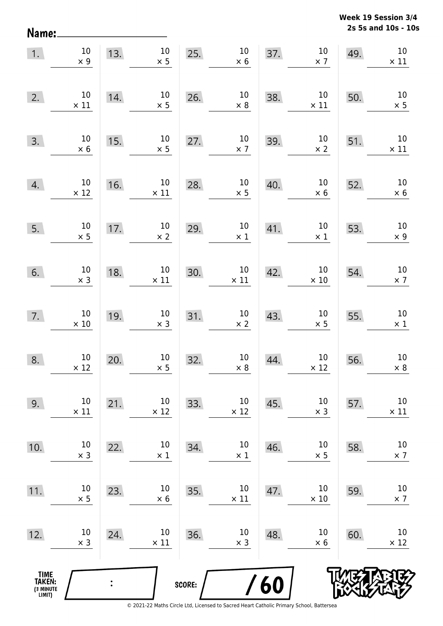**2s 5s and 10s - 10s Week 19 Session 3/4** 

| 1.                                            | $10\,$<br>$\times$ 9  | 13. | 10 <sup>°</sup><br>$\times$ 5 | 25.    | $10\,$<br>$\times$ 6  | 37.        | $10\,$<br>$\times$ 7  | 49. | 10<br>$\times$ 11     |
|-----------------------------------------------|-----------------------|-----|-------------------------------|--------|-----------------------|------------|-----------------------|-----|-----------------------|
| 2.                                            | $10\,$<br>$\times$ 11 | 14. | 10<br>$\times$ 5              | 26.    | $10\,$<br>$\times 8$  | 38.        | $10\,$<br>$\times$ 11 | 50. | 10<br>$\times$ 5      |
| 3.                                            | $10\,$<br>$\times$ 6  | 15. | $10\,$<br>$\times$ 5          | 27.    | $10\,$<br>$\times$ 7  | 39.        | 10<br>$\times$ 2      | 51. | $10\,$<br>$\times$ 11 |
| 4.                                            | $10\,$<br>$\times$ 12 | 16. | $10\,$<br>$\times$ 11         | 28.    | $10\,$<br>$\times$ 5  | 40.        | $10\,$<br>$\times$ 6  | 52. | $10\,$<br>$\times$ 6  |
| 5.                                            | $10\,$<br>$\times$ 5  | 17. | $10\,$<br>$\times 2$          | 29.    | $10\,$<br>$\times$ 1  | 41.        | $10\,$<br>$\times$ 1  | 53. | $10\,$<br>$\times$ 9  |
| 6.                                            | 10<br>$\times$ 3      | 18. | $10\,$<br>$\times$ 11         | 30.    | $10\,$<br>$\times$ 11 | 42.        | $10\,$<br>$\times$ 10 | 54. | $10\,$<br>$\times$ 7  |
| 7.                                            | $10\,$<br>$\times$ 10 | 19. | 10<br>$\times$ 3              | 31.    | $10\,$<br>$\times$ 2  | 43.        | $10\,$<br>$\times$ 5  | 55. | $10\,$<br>$\times$ 1  |
| 8.                                            | $10\,$<br>$\times$ 12 | 20. | $10\,$<br>$\times$ 5          | 32.    | $10\,$<br>$\times 8$  | 44.        | $10\,$<br>$\times$ 12 | 56. | $10\,$<br>$\times$ 8  |
| 9.                                            | 10<br>$\times$ 11     | 21. | 10<br>$\times$ 12             | 33.    | 10<br>$\times$ 12     | 45.        | 10<br>$\times$ 3      | 57. | $10\,$<br>$\times$ 11 |
| 10.                                           | 10<br>$\times$ 3      | 22. | 10<br>$\times$ 1              | 34.    | $10\,$<br>$\times$ 1  | 46.        | 10<br>$\times$ 5      | 58. | $10\,$<br>$\times$ 7  |
| 11.                                           | 10<br>$\times$ 5      | 23. | 10<br>$\times 6$              | 35.    | $10\,$<br>$\times$ 11 | 47.        | 10<br>$\times$ 10     | 59. | $10\,$<br>$\times$ 7  |
| 12.                                           | 10<br>$\times$ 3      | 24. | 10<br>$\times$ 11             | 36.    | $10\,$<br>$\times$ 3  | 48.        | 10<br>$\times$ 6      | 60. | 10<br>$\times$ 12     |
| <b>TIME<br/>TAKEN:</b><br>(3 MINUTE<br>LIMIT) |                       |     |                               | SCORE: |                       | <b>/60</b> |                       |     |                       |

Name: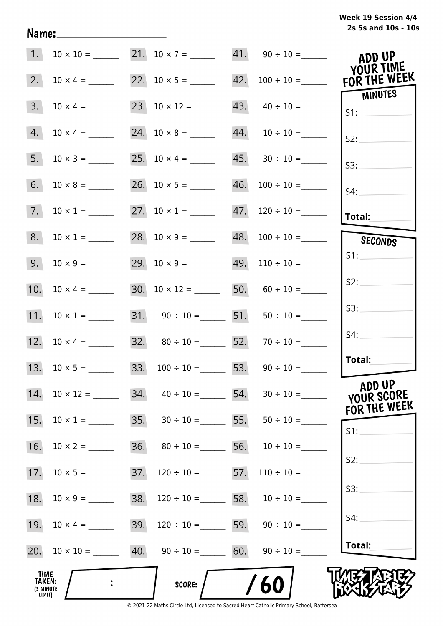| 1.                                    |                     |     | $10 \times 10 =$ 21. $10 \times 7 =$ 41. $90 \div 10 =$    |                                   | ADD UP<br>YOUR TIME                  |
|---------------------------------------|---------------------|-----|------------------------------------------------------------|-----------------------------------|--------------------------------------|
| 2.                                    | $10 \times 4 =$     |     |                                                            |                                   | FOR THE WEEK                         |
| 3.                                    |                     |     |                                                            | $43. \quad 40 \div 10 =$          | MINUTES<br>S1:                       |
| 4.                                    |                     |     |                                                            |                                   | S2:                                  |
| 5.                                    | $10 \times 3 =$     |     |                                                            | $45. \qquad 30 \div 10 =$         | S3:                                  |
| 6.                                    | $10 \times 8 =$     |     |                                                            | $46. 100 \div 10 =$               | S4:                                  |
| 7.                                    | $10 \times 1 =$     |     | 27. $10 \times 1 =$                                        | $47.$ 120 ÷ 10 =                  | Total:                               |
| 8.                                    | $10 \times 1 =$     |     |                                                            | $48. 100 \div 10 =$               | SECONDS                              |
| 9.                                    | $10 \times 9 =$     |     |                                                            | $49.$ 110 ÷ 10 =                  | S1:                                  |
| 10.                                   |                     |     | 30. $10 \times 12 =$ 50. $60 \div 10 =$                    |                                   | S2:                                  |
| 11.                                   |                     |     | 31. $90 \div 10 =$ 51. $50 \div 10 =$                      |                                   | S3:                                  |
|                                       | 12. $10 \times 4 =$ |     | 32. $80 \div 10 =$ 52. $70 \div 10 =$                      |                                   | S4:                                  |
|                                       |                     |     | 33. $100 \div 10 =$ 53. $90 \div 10 =$                     |                                   | Total:                               |
| 14.                                   | $10 \times 12 =$    | 34. |                                                            | $40 \div 10 =$ 54. $30 \div 10 =$ | ADD UP<br>YOUR SCORE<br>FOR THE WEEK |
| 15.                                   | $10 \times 1 =$     |     | 35. $30 \div 10 =$ 55. $50 \div 10 =$                      |                                   | S1:                                  |
| 16.                                   | $10 \times 2 =$     | 36. | $80 \div 10 =$ 56. $10 \div 10 =$                          |                                   |                                      |
| 17.                                   |                     | 37. | $120 \div 10 =$ 57.                                        | $110 \div 10 =$                   | S2:                                  |
| 18.                                   |                     | 38. | $120 \div 10 =$ 58. $10 \div 10 =$                         |                                   | S3:                                  |
| 19.                                   | $10 \times 4 =$     | 39. | $120 \div 10 =$ 59. $90 \div 10 =$                         |                                   | S4:                                  |
|                                       |                     |     | 20. $10 \times 10 =$ 40. $90 \div 10 =$ 60. $90 \div 10 =$ |                                   | Total:                               |
| TIME<br>TAKEN:<br>(3 MINUTE<br>LIMIT) |                     |     | SCORE:                                                     | 60                                |                                      |

Name: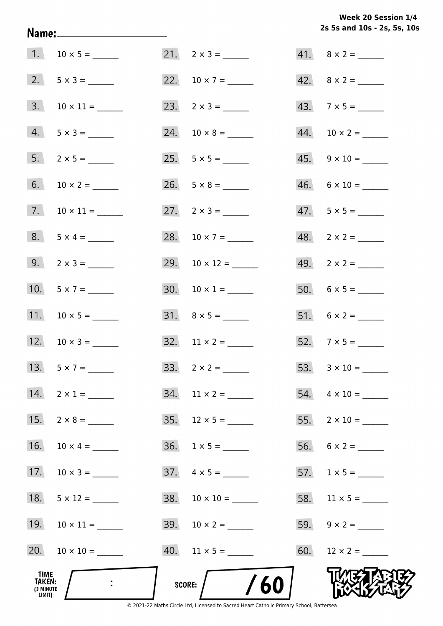**2s 5s and 10s - 2s, 5s, 10s Week 20 Session 1/4** 

| <b>TIME</b><br><b>TAKEN:</b><br>(3 MINUTE<br>LIMIT) |                     | /60<br>SCORE:            |                          |
|-----------------------------------------------------|---------------------|--------------------------|--------------------------|
| 20.                                                 |                     |                          |                          |
| 19.                                                 |                     |                          |                          |
| 18.                                                 | $5 \times 12 =$     |                          |                          |
| 17.                                                 |                     | $37. \quad 4 \times 5 =$ |                          |
| 16.                                                 | $10 \times 4 =$     | $36. 1 \times 5 =$       |                          |
|                                                     | 15. $2 \times 8 =$  | 35. $12 \times 5 =$      |                          |
|                                                     | 14. $2 \times 1 =$  |                          | 54. $4 \times 10 =$      |
|                                                     | 13. $5 \times 7 =$  |                          |                          |
|                                                     | 12. $10 \times 3 =$ |                          | 52. $7 \times 5 =$       |
|                                                     | 11. $10 \times 5 =$ |                          |                          |
|                                                     | 10. $5 \times 7 =$  |                          |                          |
|                                                     | 9. $2 \times 3 =$   | 29. $10 \times 12 =$     |                          |
|                                                     | $8. 5 \times 4 =$   | 28. $10 \times 7 =$      | $48. 2 \times 2 =$       |
|                                                     |                     | 27. $2 \times 3 =$       | $47. 5 \times 5 =$       |
|                                                     |                     |                          | $46. 6 \times 10 =$      |
|                                                     |                     |                          |                          |
|                                                     | $4. 5 \times 3 =$   |                          |                          |
|                                                     | $3. 10 \times 11 =$ |                          | $43.7 \times 5 =$        |
|                                                     | 2. $5 \times 3 =$   |                          |                          |
|                                                     |                     | $21. 2 \times 3 =$       | $41. \quad 8 \times 2 =$ |

Name: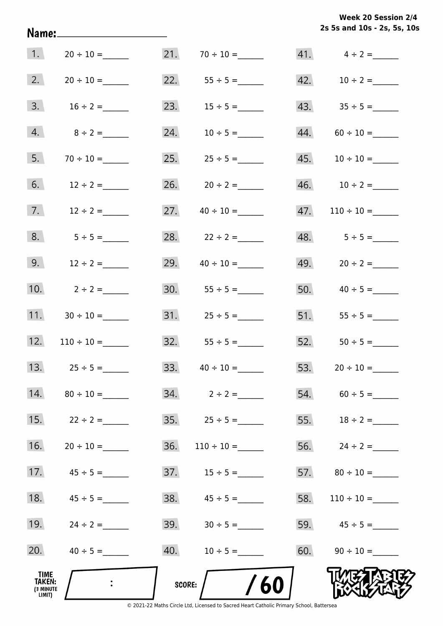**2s 5s and 10s - 2s, 5s, 10s Week 20 Session 2/4** 

| 1.                                    |                     |               |                     |     | $41.$ $4 \div 2 =$ |
|---------------------------------------|---------------------|---------------|---------------------|-----|--------------------|
| 2.                                    |                     |               | 22. $55 \div 5 =$   |     |                    |
| 3.                                    | $16 \div 2 =$       |               | 23. $15 \div 5 =$   |     |                    |
| 4.                                    | $8 \div 2 =$        | 24.           | $10 \div 5 =$       |     | $44. 60 \div 10 =$ |
| 5.                                    |                     |               |                     |     |                    |
| 6.                                    | $12 \div 2 =$       |               |                     |     |                    |
| 7.                                    | $12 \div 2 =$       | 27.           |                     | 47. |                    |
| 8.                                    | $5 \div 5 =$        |               | 28. $22 \div 2 =$   |     | $48. 5 \div 5 =$   |
| 9.                                    | $12 \div 2 =$       | 29.           | $40 \div 10 =$      |     | 49. $20 \div 2 =$  |
| 10.                                   | $2 \div 2 =$        |               | 30. $55 \div 5 =$   |     | 50. $40 \div 5 =$  |
|                                       | 11. $30 \div 10 =$  |               |                     |     |                    |
|                                       | 12. $110 \div 10 =$ |               |                     |     |                    |
|                                       | 13. $25 \div 5 =$   |               | 33. $40 \div 10 =$  |     |                    |
| 14.                                   |                     |               |                     |     | $54. 60 \div 5 =$  |
| 15.                                   | $22 \div 2 =$       |               | $35.$ $25 \div 5 =$ |     | 55. $18 \div 2 =$  |
| 16.                                   |                     | 36.           | $110 \div 10 =$     |     | 56. $24 \div 2 =$  |
| 17.                                   | $45 \div 5 =$       |               |                     |     |                    |
| 18.                                   | $45 \div 5 =$       |               |                     | 58. |                    |
| 19.                                   | $24 \div 2 =$       | 39.           | $30 \div 5 =$       |     | 59. $45 \div 5 =$  |
| 20.                                   |                     | 40.           | $10 \div 5 =$       |     | 60. $90 \div 10 =$ |
| TIME<br>TAKEN:<br>(3 MINUTE<br>LIMIT) |                     | <b>SCORE:</b> | /60                 |     |                    |

Name: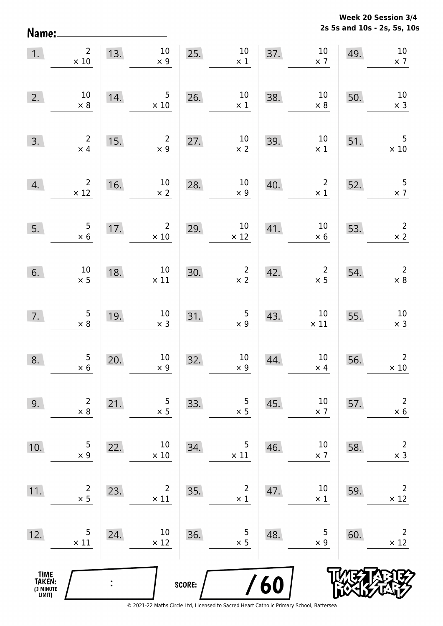**2s 5s and 10s - 2s, 5s, 10s Week 20 Session 3/4** 

| 1.                                            | $2^{\circ}$<br>$\times$ 10                   | 13.            | 10<br>$\times$ 9               | 25.    | 10<br>$\times$ 1                              | 37. | $10\,$<br>$\times$ 7                  | 49. | $10\,$<br>$\times$ 7                  |
|-----------------------------------------------|----------------------------------------------|----------------|--------------------------------|--------|-----------------------------------------------|-----|---------------------------------------|-----|---------------------------------------|
| 2.                                            | 10<br>$\times 8$                             | 14.            | $5\phantom{.0}$<br>$\times$ 10 | 26.    | 10<br>$\times$ 1                              | 38. | $10\,$<br>$\times$ 8                  | 50. | 10<br>$\times$ 3                      |
| 3.                                            | $\overline{2}$<br>$\times$ 4                 | 15.            | $\overline{2}$<br>$\times 9$   | 27.    | $\begin{array}{c} 10 \\ \times 2 \end{array}$ | 39. | 10<br>$\times$ 1                      | 51. | 5<br>$\times$ 10                      |
| 4.                                            | $\overline{2}$<br>$\times$ 12                | 16.            | $10\,$<br>$\times 2$           | 28.    | $10\,$<br>$\times$ 9                          | 40. | $\overline{\mathbf{c}}$<br>$\times$ 1 | 52. | $\overline{\mathbf{5}}$<br>$\times$ 7 |
| 5.                                            | $\begin{array}{c} 5 \\ \times 6 \end{array}$ | 17.            | $\overline{2}$<br>$\times$ 10  | 29.    | $10\,$<br>$\times$ 12                         | 41. | $10\,$<br>$\times$ 6                  | 53. | $\overline{2}$<br>$\times$ 2          |
| 6.                                            | $10$<br>$\times$ 5                           | 18.            | $10\,$<br>$\times$ 11          | 30.    | $\overline{2}$<br>$\times$ 2                  | 42. | $\overline{\mathbf{c}}$<br>$\times$ 5 | 54. | $\overline{2}$<br>$\times$ 8          |
| 7.                                            | $\begin{array}{c} 5 \\ \times 8 \end{array}$ | 19.            | 10<br>$\times$ 3               | 31.    | $\begin{array}{c} 5 \\ \times 9 \end{array}$  | 43. | $10\,$<br>$\times$ 11                 | 55. | $10\,$<br>$\times$ 3                  |
| 8.                                            | $\begin{array}{c} 5 \\ \times 6 \end{array}$ | 20.            | 10<br>$\times$ 9               | 32.    | $10\,$<br>$\times$ 9                          | 44. | $10\,$<br>$\times$ 4                  | 56. | $\overline{2}$<br>$\times$ 10         |
| 9.                                            | $\overline{2}$<br>$\times 8$                 | 21.            | 5<br>$\times$ 5                | 33.    | 5<br>$\times$ 5                               | 45. | 10<br>$\times$ 7                      | 57. | $\mathsf{2}\,$<br>$\times$ 6          |
| 10.                                           | 5<br>$\times$ 9                              | 22.            | 10<br>$\times$ 10              | 34.    | $\mathsf 5$<br>$\times$ 11                    | 46. | 10<br>$\times$ 7                      | 58. | $\mathsf{2}\,$<br>$\times$ 3          |
| 11.                                           | $\overline{c}$<br>$\times$ 5                 | 23.            | $\overline{2}$<br>$\times$ 11  | 35.    | $\overline{c}$<br>$\times$ 1                  | 47. | 10<br>$\times$ 1                      | 59. | $\overline{2}$<br>$\times$ 12         |
| 12.                                           | 5<br>$\times$ 11                             | 24.            | 10<br>$\times$ 12              | 36.    | 5<br>$\times$ 5                               | 48. | 5<br>$\times$ 9                       | 60. | $\overline{2}$<br>$\times$ 12         |
| <b>TIME<br/>TAKEN:</b><br>(3 MINUTE<br>LIMIT) |                                              | $\ddot{\cdot}$ |                                | SCORE: |                                               | 60  |                                       |     |                                       |

Name: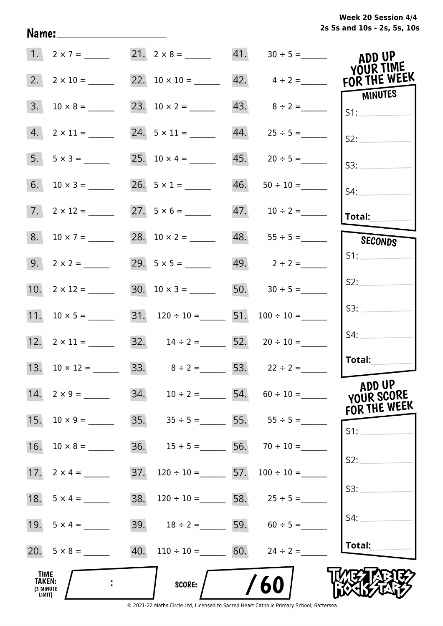|  | Week 20 Session 4/4         |  |  |  |
|--|-----------------------------|--|--|--|
|  | 2s 5s and 10s - 2s, 5s, 10s |  |  |  |

| 1.                                           | $2 \times 7 =$       |     |                                         | 21. $2 \times 8 =$ 41. $30 \div 5 =$               | ADD UP<br>YOUR TIME                  |
|----------------------------------------------|----------------------|-----|-----------------------------------------|----------------------------------------------------|--------------------------------------|
| 2.                                           |                      |     |                                         | 22. $10 \times 10 =$ 42. $4 \div 2 =$ FOR THE WEEK | MINUTES                              |
| 3.                                           |                      |     |                                         | 43. $8 \div 2 =$                                   | SI:                                  |
| 4.                                           |                      |     | 24. $5 \times 11 =$                     |                                                    | S2:                                  |
| 5.                                           | $5 \times 3 =$       |     | 25. $10 \times 4 =$                     | $45. 20 \div 5 =$                                  | S3:                                  |
| 6.                                           |                      |     | 26. $5 \times 1 =$                      |                                                    | $S4$ :                               |
|                                              | $7. 2 \times 12 =$   |     | $27. 5 \times 6 =$                      |                                                    | $ $ Total:                           |
| 8.                                           | $10 \times 7 =$      |     |                                         | $48. 55 \div 5 =$                                  | <b>SECONDS</b>                       |
|                                              | $9. 2 \times 2 =$    |     |                                         | 49. $2 \div 2 =$                                   | S1:                                  |
|                                              | 10. $2 \times 12 =$  |     | $30. 10 \times 3 =$                     | 50. $30 \div 5 =$                                  | S2:                                  |
|                                              | 11. $10 \times 5 =$  |     | 31. $120 \div 10 =$ 51. $100 \div 10 =$ |                                                    | S3:                                  |
|                                              |                      |     | 32. $14 \div 2 =$ 52. $20 \div 10 =$    |                                                    | S4:                                  |
|                                              | 13. $10 \times 12 =$ |     |                                         | 33. $8 \div 2 =$ 53. $22 \div 2 =$                 | <b>Total:</b>                        |
|                                              | 14. $2 \times 9 =$   |     |                                         | 34. $10 \div 2 =$ 54. $60 \div 10 =$               | ADD UP<br>YOUR SCORE<br>FOR THE WEEK |
| 15.                                          | $10 \times 9 =$      |     |                                         | 35. $35 \div 5 =$ 55. $55 \div 5 =$                | S1:                                  |
| 16.                                          |                      |     |                                         | 36. $15 \div 5 =$ 56. $70 \div 10 =$               |                                      |
|                                              |                      | 37. | $120 \div 10 =$ 57. $100 \div 10 =$     |                                                    | S2:                                  |
| 18.                                          | $5 \times 4 =$       | 38. |                                         | $120 \div 10 =$ 58. $25 \div 5 =$                  | S3:                                  |
|                                              |                      |     |                                         | 39. $18 \div 2 =$ 59. $60 \div 5 =$                | S4:                                  |
|                                              |                      |     | 40. $110 \div 10 =$ 60. $24 \div 2 =$   |                                                    | Total:                               |
| TIME<br><b>TAKEN:</b><br>(3 MINUTE<br>LIMIT) |                      |     | <b>SCORE:</b>                           | /60                                                |                                      |

Name: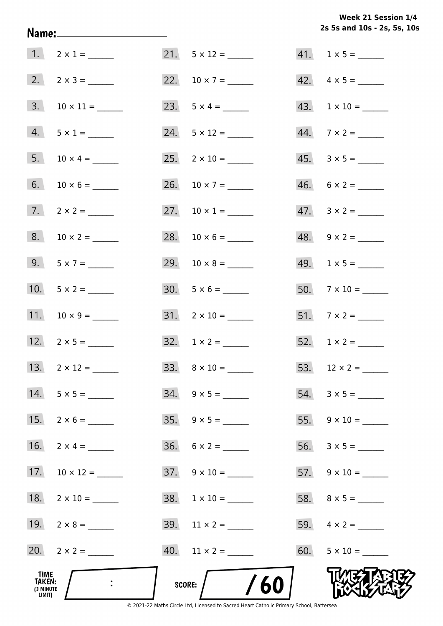**2s 5s and 10s - 2s, 5s, 10s Week 21 Session 1/4** 

|                                              | 1. $2 \times 1 =$        |                                                                                                          | $41. 1 \times 5 =$        |
|----------------------------------------------|--------------------------|----------------------------------------------------------------------------------------------------------|---------------------------|
|                                              |                          |                                                                                                          | $42. \quad 4 \times 5 =$  |
|                                              | $3. 10 \times 11 =$      |                                                                                                          |                           |
|                                              | $4. 5 \times 1 =$        |                                                                                                          | $44.7 \times 2 =$         |
|                                              |                          |                                                                                                          |                           |
|                                              |                          | 26. $10 \times 7 =$                                                                                      | $46. 6 \times 2 =$        |
|                                              | $7. \qquad 2 \times 2 =$ | 27. $10 \times 1 =$                                                                                      | $47. \quad 3 \times 2 =$  |
|                                              |                          |                                                                                                          |                           |
|                                              | 9. $5 \times 7 =$        |                                                                                                          | 49. $1 \times 5 =$        |
|                                              | 10. $5 \times 2 =$       | $30. 5 \times 6 =$                                                                                       | $50.7 \times 10 =$        |
|                                              | 11. $10 \times 9 =$      | $31. 2 \times 10 =$                                                                                      |                           |
|                                              | 12. $2 \times 5 =$       | $32. \quad 1 \times 2 =$                                                                                 |                           |
|                                              |                          |                                                                                                          |                           |
|                                              | 14. $5 \times 5 =$       | $34. 9 \times 5 =$                                                                                       | $54. 3 \times 5 =$        |
|                                              | 15. $2 \times 6 =$       | $35. \quad 9 \times 5 =$                                                                                 |                           |
| 16.                                          |                          | $36. 6 \times 2 =$                                                                                       |                           |
|                                              |                          | $37. \quad 9 \times 10 =$                                                                                | $57. \quad 9 \times 10 =$ |
|                                              |                          | $38. 1 \times 10 =$                                                                                      |                           |
|                                              | 19. $2 \times 8 =$       | 39. $11 \times 2 =$                                                                                      |                           |
|                                              | 20. $2 \times 2 =$       |                                                                                                          | $60.$ $5 \times 10 =$     |
| TIME<br><b>TAKEN:</b><br>(3 MINUTE<br>LIMIT) |                          | /60<br>SCORE:<br>© 2021-22 Maths Circle Ltd, Licensed to Sacred Heart Catholic Primary School, Battersea |                           |

Name: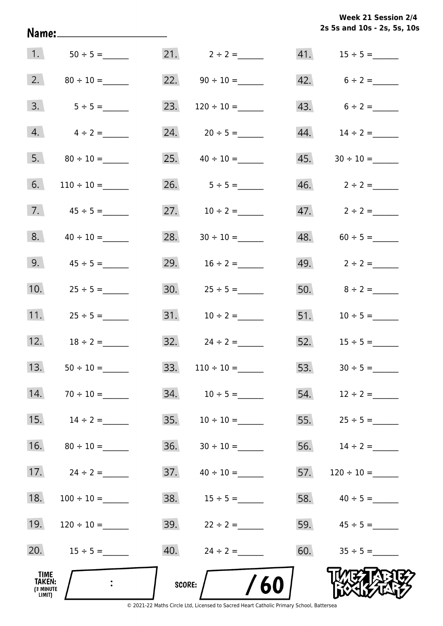|  | Week 21 Session 2/4         |  |  |
|--|-----------------------------|--|--|
|  | 2s 5s and 10s - 2s, 5s, 10s |  |  |

| 1.                                    | $50 \div 5 =$      |     | 21. $2 \div 2 =$         |     |                   |
|---------------------------------------|--------------------|-----|--------------------------|-----|-------------------|
|                                       |                    |     | 22. $90 \div 10 =$       |     | 42. $6 \div 2 =$  |
| 3.                                    | $5 \div 5 =$       | 23. | $120 \div 10 =$          |     | 43. $6 \div 2 =$  |
| 4.                                    | $4 \div 2 =$       |     | 24. $20 \div 5 =$        |     |                   |
| 5.                                    |                    |     | 25. $40 \div 10 =$       |     |                   |
| 6.                                    | $110 \div 10 =$    |     | 26. $5 \div 5 =$         |     |                   |
| 7.                                    | $45 \div 5 =$      |     | 27. $10 \div 2 =$        |     | 47. $2 \div 2 =$  |
| 8.                                    | $40 \div 10 =$     | 28. | $30 \div 10 =$           |     | $48. 60 \div 5 =$ |
| 9.                                    | $45 \div 5 =$      |     | 29. $16 \div 2 =$        |     | 49. $2 \div 2 =$  |
| 10.                                   | $25 \div 5 =$      |     | 30. $25 \div 5 =$        |     | 50. $8 \div 2 =$  |
| 11.                                   | $25 \div 5 =$      |     |                          |     | 51. $10 \div 5 =$ |
|                                       | 12. $18 \div 2 =$  |     | $32. \qquad 24 \div 2 =$ |     | 52. $15 \div 5 =$ |
|                                       | 13. $50 \div 10 =$ |     |                          |     | 53. $30 \div 5 =$ |
| 14.                                   |                    |     |                          |     |                   |
| 15.                                   | $14 \div 2 =$      | 35. | $10 \div 10 =$           |     | 55. $25 \div 5 =$ |
| 16.                                   | $80 \div 10 =$     | 36. | $30 \div 10 =$           |     | 56. $14 \div 2 =$ |
| 17.                                   | $24 \div 2 =$      | 37. | $40 \div 10 =$           | 57. |                   |
| 18.                                   | $100 \div 10 =$    | 38. | $15 \div 5 =$            |     | 58. $40 \div 5 =$ |
| 19.                                   |                    |     | 39. $22 \div 2 =$        |     | 59. $45 \div 5 =$ |
| 20.                                   | $15 \div 5 =$      |     |                          |     | 60. $35 \div 5 =$ |
| TIME<br>TAKEN:<br>(3 MINUTE<br>LIMIT) | $\ddot{\cdot}$     |     | 60<br><b>SCORE:</b>      |     |                   |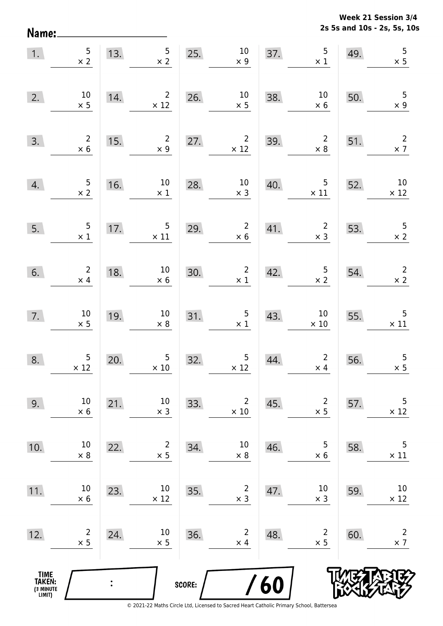**2s 5s and 10s - 2s, 5s, 10s Week 21 Session 3/4** 

| Name:                                         |                              |     |                               |        |                               |               |                                              |     | 2s 5s and 10s - 2s, 5s, 10   |
|-----------------------------------------------|------------------------------|-----|-------------------------------|--------|-------------------------------|---------------|----------------------------------------------|-----|------------------------------|
| 1.                                            | 5<br>$\times$ 2              | 13. | 5<br>$\times$ 2               | 25.    | $10\,$<br>$\times$ 9          | 37.           | 5<br>$\times$ 1                              | 49. | $\overline{5}$<br>$\times$ 5 |
| 2.                                            | $10\,$<br>$\times$ 5         | 14. | $\overline{2}$<br>$\times$ 12 | 26.    | $10\,$<br>$\times$ 5          | 38.           | $10\,$<br>$\times$ 6                         | 50. | $\mathsf 5$<br>$\times$ 9    |
| 3.                                            | $\overline{c}$<br>$\times$ 6 | 15. | $\overline{2}$<br>$\times$ 9  | 27.    | $\overline{2}$<br>$\times$ 12 | 39.           | $\overline{2}$<br>$\times$ 8                 | 51. | $\overline{2}$<br>$\times$ 7 |
| 4.                                            | 5<br>$\times$ 2              | 16. | $10\,$<br>$\times$ 1          | 28.    | $10\,$<br>$\times$ 3          | 40.           | 5<br>$\times$ 11                             | 52. | $10\,$<br>$\times$ 12        |
| 5.                                            | 5<br>$\times$ 1              | 17. | 5<br>$\times$ 11              | 29.    | $\overline{2}$<br>$\times$ 6  | 41.           | $\overline{c}$<br>$\times$ 3                 | 53. | $\overline{5}$<br>$\times$ 2 |
| 6.                                            | $\overline{2}$<br>$\times$ 4 | 18. | $10\,$<br>$\times$ 6          | 30.    | $\overline{c}$<br>$\times$ 1  | 42.           | $\begin{array}{c} 5 \\ \times 2 \end{array}$ | 54. | $\mathsf{2}\,$<br>$\times$ 2 |
| 7.                                            | $10\,$<br>$\times$ 5         | 19. | $10\,$<br>$\times$ 8          | 31.    | 5<br>$\times$ 1               | 43.           | $10\,$<br>$\times$ 10                        | 55. | 5<br>$\times$ 11             |
| 8.                                            | 5<br>$\times$ 12             | 20. | 5<br>$\times$ 10              | 32.    | $\overline{5}$<br>$\times$ 12 | 44.           | $\overline{2}$<br>$\times$ 4                 | 56. | 5<br>$\times$ 5              |
| 9.                                            | $10\,$<br>$\times$ 6         | 21. | $10\,$<br>$\times$ 3          | 33.    | $\overline{2}$<br>$\times$ 10 | 45.           | $\overline{2}$<br>$\times$ 5                 | 57. | 5<br>$\times$ 12             |
| 10.                                           | $10\,$<br>$\times$ 8         | 22. | $\overline{2}$<br>$\times$ 5  | 34.    | $10\,$<br>$\times$ 8          | 46.           | 5<br>$\times$ 6                              | 58. | 5<br>$\times$ 11             |
| 11.                                           | $10\,$<br>$\times$ 6         | 23. | $10\,$<br>$\times$ 12         | 35.    | $\overline{2}$<br>$\times$ 3  | 47.           | $10\,$<br>$\times$ 3                         | 59. | $10\,$<br>$\times$ 12        |
| 12.                                           | $\overline{2}$<br>$\times$ 5 | 24. | $10\,$<br>$\times$ 5          | 36.    | $\overline{2}$<br>$\times$ 4  | 48.           | $\overline{2}$<br>$\times$ 5                 | 60. | $\overline{2}$<br>$\times$ 7 |
| <b>TIME<br/>TAKEN:</b><br>(3 MINUTE<br>LIMIT) |                              |     |                               | SCORE: |                               | $\mathbf{60}$ |                                              |     |                              |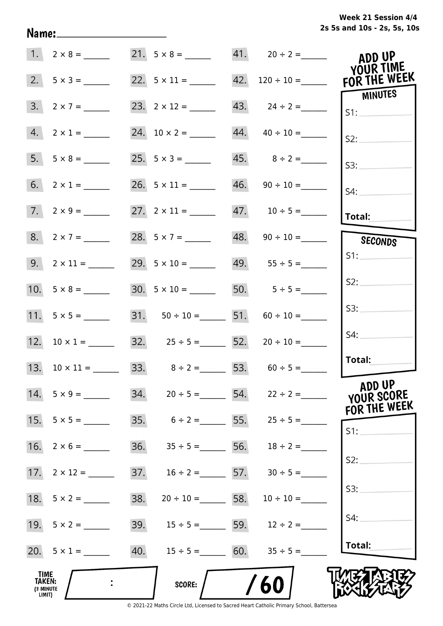**2s 5s and 10s - 2s, 5s, 10s Week 21 Session 4/4** 

| 1.                                                  |                     |                                       |                                      | ADD UP<br>YOUR TIME                  |
|-----------------------------------------------------|---------------------|---------------------------------------|--------------------------------------|--------------------------------------|
| 2.                                                  |                     |                                       | 42. $120 \div 10 =$ FOR THE WEEK     | MINUTES                              |
| 3.<br>$2 \times 7 =$                                |                     |                                       | $43. \qquad 24 \div 2 =$             |                                      |
| 4.<br>$2 \times 1 =$                                |                     |                                       | $44. \qquad 40 \div 10 =$            | S2:                                  |
| 5.<br>$5 \times 8 =$                                |                     |                                       | $45.$ $8 \div 2 =$                   | S3:                                  |
|                                                     |                     |                                       | $46. \qquad 90 \div 10 =$            | $S4$ :                               |
| $7. 2 \times 9 =$                                   |                     |                                       |                                      | $ $ Total: $\overline{\phantom{a}}$  |
| 8. $2 \times 7 =$                                   | 28. $5 \times 7 =$  |                                       | $48. \qquad 90 \div 10 =$            | SECONDS                              |
| $9. \quad 2 \times 11 =$                            | 29. $5 \times 10 =$ |                                       | $49.$ $55 \div 5 =$                  | S1:                                  |
|                                                     |                     |                                       | 30. $5 \times 10 =$ 50. $5 \div 5 =$ | S2:                                  |
|                                                     |                     | 31. $50 \div 10 =$ 51. $60 \div 10 =$ |                                      | S3:                                  |
|                                                     |                     | 32. $25 \div 5 =$ 52. $20 \div 10 =$  |                                      | S4:                                  |
|                                                     |                     |                                       | 33. $8 \div 2 = 53. 60 \div 5 =$     | Total:                               |
| $14. 5 \times 9 =$                                  |                     |                                       | 34. $20 \div 5 =$ 54. $22 \div 2 =$  | ADD UP<br>YOUR SCORE<br>FOR THE WEEK |
| 15. $5 \times 5 =$                                  |                     |                                       | 35. $6 \div 2 =$ 55. $25 \div 5 =$   | S1:                                  |
| $16. 2 \times 6 =$                                  |                     |                                       | 36. $35 \div 5 =$ 56. $18 \div 2 =$  |                                      |
|                                                     |                     | 37. $16 \div 2 =$ 57. $30 \div 5 =$   |                                      | S2:                                  |
|                                                     | 38.                 | $20 \div 10 =$ 58. $10 \div 10 =$     |                                      | S3:                                  |
| 19. $5 \times 2 =$                                  |                     |                                       | 39. $15 \div 5 =$ 59. $12 \div 2 =$  | S4:                                  |
| 20. $5 \times 1 =$                                  |                     | 40. $15 \div 5 =$ 60. $35 \div 5 =$   |                                      | Total:                               |
| <b>TIME</b><br><b>TAKEN:</b><br>(3 MINUTE<br>LIMIT) |                     | <b>SCORE:</b>                         | 60                                   |                                      |

Name: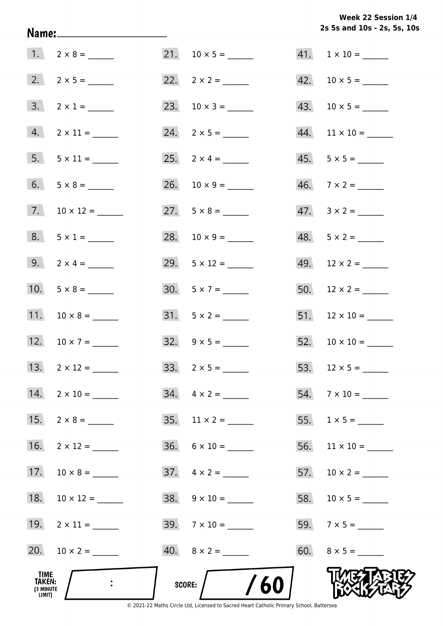**2s 5s and 10s - 2s, 5s, 10s Week 22 Session 1/4** 

| TIME<br>TAKEN:<br>(3 MINUTE<br>LIMIT) |                     | SCORE: $/$ /60           |                          |
|---------------------------------------|---------------------|--------------------------|--------------------------|
|                                       | 20. $10 \times 2 =$ | $40. \quad 8 \times 2 =$ | $60. 8 \times 5 =$       |
|                                       | 19. $2 \times 11 =$ | $39.7 \times 10 =$       |                          |
| 18.                                   | $10 \times 12 =$    | $38. 9 \times 10 =$      |                          |
| 17.                                   | $10 \times 8 =$     | $37. \quad 4 \times 2 =$ | 57. $10 \times 2 =$      |
| 16.                                   | $2 \times 12 =$     | $36. 6 \times 10 =$      |                          |
| 15.                                   |                     | 35. $11 \times 2 =$      |                          |
|                                       |                     |                          | $54.7 \times 10 =$       |
|                                       | 13. $2 \times 12 =$ |                          |                          |
|                                       | 12. $10 \times 7 =$ | $32. \quad 9 \times 5 =$ |                          |
|                                       | 11. $10 \times 8 =$ | $31. 5 \times 2 =$       |                          |
|                                       |                     | $30. 5 \times 7 =$       |                          |
|                                       | 9. $2 \times 4 =$   | 29. $5 \times 12 =$      | $49.$ 12 × 2 = ______    |
|                                       | $8. 5 \times 1 =$   | 28. $10 \times 9 =$      | $48. 5 \times 2 =$       |
|                                       | 7. $10 \times 12 =$ | $27. 5 \times 8 =$       | $47.3 \times 2 =$        |
|                                       | $6. 5 \times 8 =$   | 26. $10 \times 9 =$      | $46. \quad 7 \times 2 =$ |
|                                       |                     |                          | $45. 5 \times 5 =$       |
|                                       | 4. $2 \times 11 =$  |                          | $44.$ 11 × 10 = _______  |
|                                       | $3. 2 \times 1 =$   | 23. $10 \times 3 =$      |                          |
|                                       |                     |                          | $42. 10 \times 5 =$      |
|                                       | $1. 2 \times 8 =$   | 21. $10 \times 5 =$      | $41. 1 \times 10 =$      |

Name: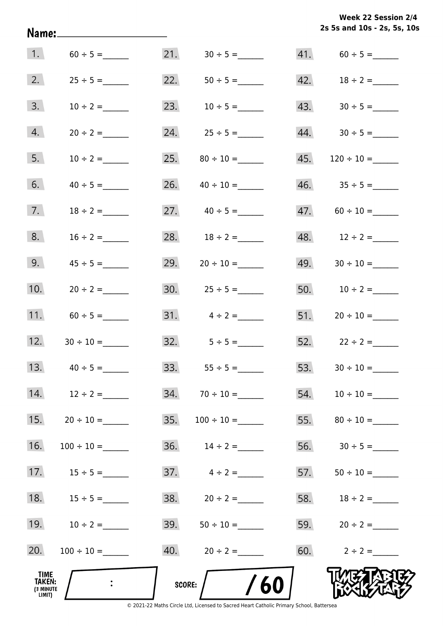**2s 5s and 10s - 2s, 5s, 10s Week 22 Session 2/4** 

|                                       | Name:_______________________ |     |                         |     | 2s 5s and 10s - 2s, 5s, 10 |  |
|---------------------------------------|------------------------------|-----|-------------------------|-----|----------------------------|--|
|                                       | 1. $60 \div 5 =$             | 21. |                         |     |                            |  |
| 2.                                    | $25 \div 5 =$                | 22. |                         |     |                            |  |
| 3.                                    | $10 \div 2 =$                | 23. | $10 \div 5 =$           |     |                            |  |
| 4.                                    | $20 \div 2 =$                |     | 24. $25 \div 5 =$       |     |                            |  |
| 5.                                    | $10 \div 2 =$                |     |                         | 45. | $120 \div 10 =$            |  |
| 6.                                    | $40 \div 5 =$                |     | 26. $40 \div 10 =$      |     |                            |  |
| 7.                                    | $18 \div 2 =$                |     | 27. $40 \div 5 =$       |     |                            |  |
| 8.                                    | $16 \div 2 =$                |     | 28. $18 \div 2 =$       |     | 48. $12 \div 2 =$          |  |
| 9.                                    | $45 \div 5 =$                |     | 29. $20 \div 10 =$      |     |                            |  |
| 10.                                   | $20 \div 2 =$                |     |                         |     | 50. $10 \div 2 =$          |  |
| 11.                                   |                              |     |                         |     |                            |  |
| 12.                                   |                              |     |                         |     | 52. $22 \div 2 =$          |  |
|                                       |                              |     | 33. $55 \div 5 =$       | 53. |                            |  |
|                                       | 14. $12 \div 2 =$            |     | $34. 70 \div 10 =$      |     |                            |  |
| 15.                                   |                              | 35. | $100 \div 10 =$         |     |                            |  |
| 16.                                   |                              |     | 36. $14 \div 2 =$       |     |                            |  |
|                                       | 17. $15 \div 5 =$            |     | $37. \qquad 4 \div 2 =$ |     |                            |  |
| 18.                                   | $15 \div 5 =$                |     |                         |     |                            |  |
|                                       | 19. $10 \div 2 =$            |     | $39. 50 \div 10 =$      |     | 59. $20 \div 2 =$          |  |
| 20.                                   | $100 \div 10 =$              |     |                         |     | 60. $2 \div 2 =$           |  |
| TIME<br>TAKEN:<br>(3 MINUTE<br>LIMIT) |                              |     | 60<br>SCORE:            |     |                            |  |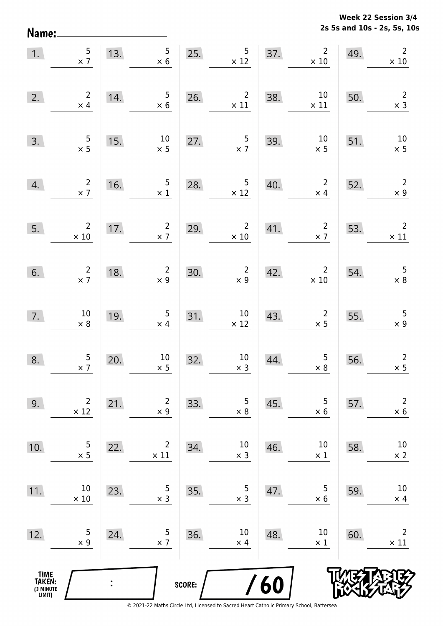**2s 5s and 10s - 2s, 5s, 10s Week 22 Session 3/4** 

| 1.                                    | $\frac{5}{2}$                                   | 13. | $5\phantom{.0}$<br>$\times$ 6                | 25.    | $5\phantom{.0}$<br>$\times$ 12                | 37. | $2\overline{ }$<br>$\times$ 10               | 49. | $\overline{2}$<br>$\times$ 10                |
|---------------------------------------|-------------------------------------------------|-----|----------------------------------------------|--------|-----------------------------------------------|-----|----------------------------------------------|-----|----------------------------------------------|
| 2.                                    | $\begin{array}{c} 2 \\ \times 4 \end{array}$    | 14. | $5\phantom{.0}$<br>$\times$ 6                | 26.    | $\overline{2}$<br>$\times$ 11                 | 38. | 10<br>$\times$ 11                            | 50. | $\overline{2}$<br>$\times$ 3                 |
| 3.                                    | $\frac{5}{x}$                                   | 15. | $10\,$<br>$\times$ 5                         | 27.    | $\frac{5}{x}$ 7                               | 39. | $10\,$<br>$\times$ 5                         | 51. | $10\,$<br>$\times$ 5                         |
| 4.                                    | $\frac{2}{\times 7}$                            | 16. | $\overline{5}$<br>$\times$ 1                 | 28.    | $\overline{5}$<br>$\times$ 12                 | 40. | 2 <sup>7</sup><br>$\times$ 4                 | 52. | $\overline{2}$<br>$\times$ 9                 |
| 5.                                    | $\overline{2}$<br>$\times$ 10                   | 17. | $\overline{2}$<br>$\times$ 7                 | 29.    | $\overline{2}$<br>$\times$ 10                 | 41. | $\overline{\mathbf{c}}$<br>$\times$ 7        | 53. | $\overline{2}$<br>$\times$ 11                |
| 6.                                    | $\begin{array}{c} 2 \\ \times 7 \end{array}$    | 18. | $\begin{array}{c} 2 \\ \times 9 \end{array}$ | 30.    | $\overline{2}$<br>$\times$ 9                  | 42. | $\overline{2}$<br>$\times$ 10                | 54. | $\begin{array}{c} 5 \\ \times 8 \end{array}$ |
| 7.                                    | $\begin{array}{c} 10 \\ \times \ 8 \end{array}$ | 19. | $\overline{5}$<br>$\times$ 4                 | 31.    | 10<br>$\times$ 12                             | 43. | $\overline{2}$<br>$\times$ 5                 | 55. | 5<br>$\times$ 9                              |
| 8.                                    | $\frac{5}{2}$                                   | 20. | $10\,$<br>$\times$ 5                         | 32.    | $\begin{array}{c} 10 \\ \times 3 \end{array}$ | 44. | $\begin{array}{c} 5 \\ \times 8 \end{array}$ | 56. | $\overline{2}$<br>$\times$ 5                 |
| 9.                                    | $\overline{2}$<br>$\times$ 12                   | 21. | $\overline{2}$<br>$\times$ 9                 | 33.    | 5<br>$\times$ 8                               | 45. | 5<br>$\times$ 6                              | 57. | $\overline{2}$<br>$\times$ 6                 |
| 10.                                   | 5<br>$\times$ 5                                 | 22. | $\overline{2}$<br>$\times$ 11                | 34.    | $10\,$<br>$\times$ 3                          | 46. | 10<br>$\times$ 1                             | 58. | $10\,$<br>$\times$ 2                         |
| 11.                                   | 10<br>$\times$ 10                               | 23. | 5<br>$\times$ 3                              | 35.    | 5<br>$\times$ 3                               | 47. | 5<br>$\times$ 6                              | 59. | $10\,$<br>$\times$ 4                         |
| 12.                                   | 5<br>$\times$ 9                                 | 24. | 5<br>$\times$ 7                              | 36.    | 10<br>$\times$ 4                              | 48. | 10<br>$\times$ 1                             | 60. | $\overline{2}$<br>$\times$ 11                |
| TIME<br>TAKEN:<br>(3 MINUTE<br>LIMIT) |                                                 |     |                                              | SCORE: |                                               | /60 |                                              |     |                                              |

Name: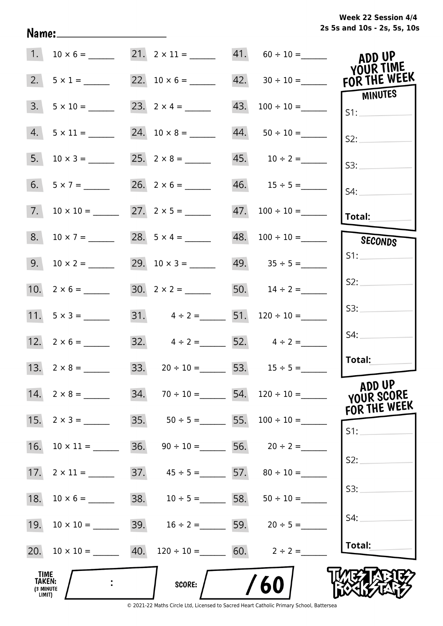**2s 5s and 10s - 2s, 5s, 10s Week 22 Session 4/4** 

| 1.                                           |                                                           |     |                                        |     | 21. $2 \times 11 =$ 41. $60 \div 10 =$ | ADD UP<br>YOUR TIME     |
|----------------------------------------------|-----------------------------------------------------------|-----|----------------------------------------|-----|----------------------------------------|-------------------------|
| 2.                                           | $5 \times 1 =$                                            |     |                                        |     |                                        | FOR THE WEEK<br>MINUTES |
| 3.                                           |                                                           |     | 23. $2 \times 4 =$                     | 43. |                                        | S1:                     |
| 4.                                           |                                                           |     |                                        |     | $44. 50 \div 10 =$                     | S2:                     |
| 5.                                           |                                                           |     |                                        |     |                                        | S3:                     |
| 6.                                           |                                                           |     |                                        |     |                                        | S4:                     |
| 7.                                           | $10 \times 10 =$                                          |     |                                        |     |                                        | <b>Total:</b>           |
| 8.                                           |                                                           |     | 28. $5 \times 4 =$                     |     | $48. 100 \div 10 =$                    | SECONDS                 |
|                                              |                                                           |     | 29. $10 \times 3 =$                    |     | $49. 35 \div 5 =$                      | S1:                     |
|                                              |                                                           |     |                                        |     | 50. $14 \div 2 =$                      | S2:                     |
|                                              | 11. $5 \times 3 =$                                        |     | 31. $4 \div 2 =$ 51. $120 \div 10 =$   |     |                                        | S3:                     |
|                                              |                                                           |     | 32. $4 \div 2 =$ 52. $4 \div 2 =$      |     |                                        | S4:                     |
|                                              |                                                           |     | 33. $20 \div 10 =$ 53. $15 \div 5 =$   |     |                                        | Total:                  |
|                                              | $14. 2 \times 8 =$                                        |     | 34. $70 \div 10 =$ 54. $120 \div 10 =$ |     |                                        | ADD UP<br>YOUR SCORE    |
| 15.                                          |                                                           |     |                                        |     | 35. $50 \div 5 =$ 55. $100 \div 10 =$  | FOR THE WEEK<br>S1:     |
| 16.                                          | $10 \times 11 =$                                          | 36. |                                        |     | $90 \div 10 =$ 56. $20 \div 2 =$       |                         |
|                                              |                                                           |     | 37. $45 \div 5 =$ 57. $80 \div 10 =$   |     |                                        | S2:                     |
| 18.                                          |                                                           |     | 38. $10 \div 5 =$ 58. $50 \div 10 =$   |     |                                        | S3:                     |
| 19.                                          | $10 \times 10 =$                                          |     | 39. $16 \div 2 =$ 59. $20 \div 5 =$    |     |                                        | S4:                     |
|                                              | 20. $10 \times 10 =$ 40. $120 \div 10 =$ 60. $2 \div 2 =$ |     |                                        |     |                                        | Total:                  |
| TIME<br><b>TAKEN:</b><br>(3 MINUTE<br>LIMIT) |                                                           |     | <b>SCORE:</b>                          |     | /60                                    |                         |

Name: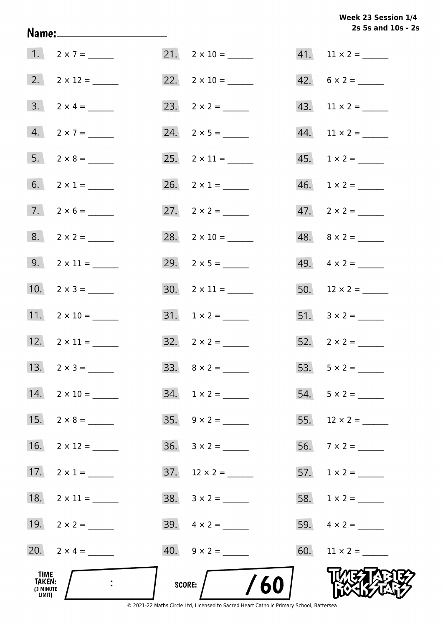# **2s 5s and 10s - 2s Week 23 Session 1/4**

| TIME<br>TAKEN:<br>(3 MINUTE<br>LIMIT) |                          | $\frac{1}{60}$<br>score:  |                          |
|---------------------------------------|--------------------------|---------------------------|--------------------------|
|                                       | 20. $2 \times 4 =$       |                           |                          |
|                                       | 19. $2 \times 2 =$       |                           |                          |
|                                       | 18. $2 \times 11 =$      | $38. 3 \times 2 =$        |                          |
|                                       | 17. $2 \times 1 =$       | $37. 12 \times 2 =$       |                          |
| 16.                                   |                          |                           |                          |
|                                       | 15. $2 \times 8 =$       |                           |                          |
|                                       | 14. $2 \times 10 =$      |                           | $54. 5 \times 2 =$       |
|                                       |                          |                           |                          |
|                                       | 12. $2 \times 11 =$      | $32. \quad 2 \times 2 =$  |                          |
|                                       | 11. $2 \times 10 =$      | $31. 1 \times 2 =$        |                          |
|                                       | 10. $2 \times 3 =$       | $30. 2 \times 11 =$       |                          |
|                                       |                          | 29. $2 \times 5 =$        |                          |
|                                       |                          | 28. $2 \times 10 =$       |                          |
|                                       | $7. \qquad 2 \times 6 =$ |                           | $47. \quad 2 \times 2 =$ |
|                                       | 6. $2 \times 1 =$        | 26. $2 \times 1 =$        |                          |
|                                       |                          | $25. \quad 2 \times 11 =$ |                          |
|                                       | $4. 2 \times 7 =$        |                           |                          |
|                                       | $3. \quad 2 \times 4 =$  |                           |                          |
|                                       |                          |                           | $42. 6 \times 2 =$       |
|                                       | $1. 2 \times 7 =$        | $21. 2 \times 10 =$       |                          |

Name: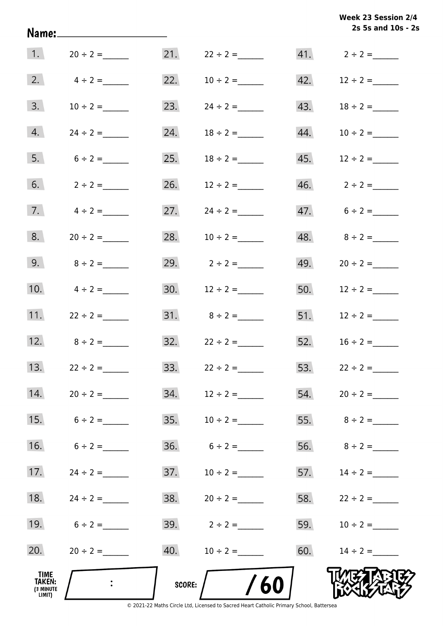| Week 23 Session 2/4 |                    |  |  |
|---------------------|--------------------|--|--|
|                     | 2s 5s and 10s - 2s |  |  |

|                                       |                |        |                                  |     | 2s 5s and 10s - 2s |
|---------------------------------------|----------------|--------|----------------------------------|-----|--------------------|
| $\vert$ 1.                            | $20 \div 2 =$  |        | 21. $22 \div 2 =$                |     | 41. $2 \div 2 =$   |
| 2.                                    | $4 \div 2 =$   | 22.    | $10 \div 2 =$                    |     | 42. $12 \div 2 =$  |
| 3.                                    | $10 \div 2 =$  | 23.    |                                  |     | 43. $18 \div 2 =$  |
| 4.                                    |                | 24.    | $18 \div 2 =$                    | 44. | $10 \div 2 =$      |
| 5.                                    | $6 \div 2 =$   | 25.    | $18 \div 2 =$                    | 45. | $12 \div 2 =$      |
| 6.                                    | $2 \div 2 =$   | 26.    | $12 \div 2 =$                    |     |                    |
| 7.                                    | $4 \div 2 =$   | 27.    | $24 \div 2 =$                    |     | $47.6 \div 2 =$    |
| 8.                                    | $20 \div 2 =$  | 28.    | $10 \div 2 =$                    |     | 48. $8 \div 2 =$   |
| 9.                                    | $8 \div 2 =$   |        | 29. $2 \div 2 =$                 |     | 49. $20 \div 2 =$  |
| 10.                                   | $4 \div 2 =$   |        | 30. $12 \div 2 =$                |     | 50. $12 \div 2 =$  |
| 11.                                   | $22 \div 2 =$  |        |                                  |     | 51. $12 \div 2 =$  |
| 12.                                   | $8 \div 2 =$   |        | $32. \hspace{1.5cm} 22 \div 2 =$ |     | 52. $16 \div 2 =$  |
| 13.                                   | $22 \div 2 =$  | 33.    | $22 \div 2 =$                    |     | 53. $22 \div 2 =$  |
| 14.                                   | $20 \div 2 =$  | 34.    | $12 \div 2 =$                    |     |                    |
| 15.                                   | $6 \div 2 =$   | 35.    | $10 \div 2 =$                    |     |                    |
| 16.                                   | $6 \div 2 =$   |        |                                  |     | 56. $8 \div 2 =$   |
| 17.                                   | $24 \div 2 =$  | 37.    | $10 \div 2 =$                    |     | 57. $14 \div 2 =$  |
| 18.                                   | $24 \div 2 =$  |        | $38. 20 \div 2 =$                |     |                    |
| 19.                                   | $6 \div 2 =$   |        | 39. $2 \div 2 =$                 |     | 59. $10 \div 2 =$  |
| 20.                                   | $20 \div 2 =$  | 40.    | $10 \div 2 =$                    |     | 60. $14 \div 2 =$  |
| TIME<br>TAKEN:<br>(3 MINUTE<br>LIMIT) | $\ddot{\cdot}$ | score: | 60                               |     |                    |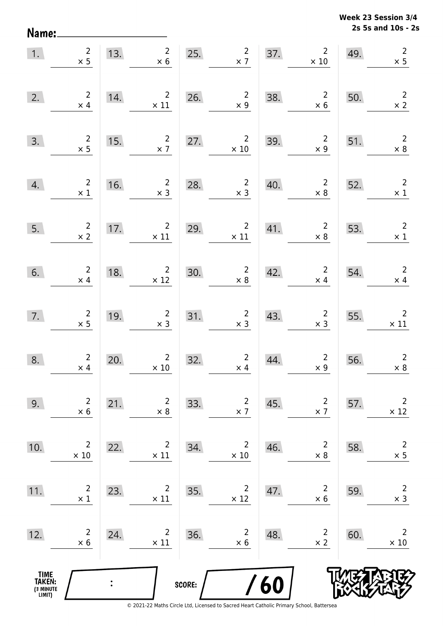Name:

**2s 5s and 10s - 2s Week 23 Session 3/4** 

| 1.                                            | $\begin{array}{c} 2 \\ \times 5 \end{array}$ |     | 13. $\begin{array}{r} 2 \\ \times 6 \end{array}$                |        | 25. $2^{2}$                                      |     | 37. $2 \times 10$                            | 49. | $\overline{2}$<br>$\times$ 5                 |
|-----------------------------------------------|----------------------------------------------|-----|-----------------------------------------------------------------|--------|--------------------------------------------------|-----|----------------------------------------------|-----|----------------------------------------------|
| 2.                                            | $\begin{array}{c} 2 \\ \times 4 \end{array}$ | 14. | $\begin{array}{c} 2 \\ \times 11 \end{array}$                   | 26.    | $\begin{array}{c} 2 \\ \times 9 \end{array}$     | 38. | $\begin{array}{r} 2 \\ \times 6 \end{array}$ | 50. | $\overline{\phantom{a}}$<br>$\times 2$       |
| 3.                                            | $\begin{array}{c}2\\ \times 5\end{array}$    | 15. | $\frac{2}{\times 7}$                                            |        | 27. $2 \times 10$                                | 39. | $\begin{array}{r} 2 \\ \times 9 \end{array}$ | 51. | $\overline{\phantom{a}}$<br>$\times 8$       |
| 4.                                            | $\begin{array}{c}2\\ \times 1\end{array}$    | 16. | $\overline{2}$<br>$\times$ 3                                    | 28.    | $\overline{\mathbf{2}}$<br>$\times$ 3            | 40. | $\overline{\mathbf{c}}$<br>$\times 8$        | 52. | $\overline{\phantom{a}}$<br>$\times$ 1       |
| 5.                                            | $\frac{2}{\times 2}$                         | 17. | $2^{\circ}$<br>$\times$ 11                                      |        | 29. $\frac{2}{x}$ $\frac{2}{11}$<br>$\times$ 11  | 41. | $\overline{\mathbf{c}}$<br>$\times$ 8        | 53. | $\overline{\phantom{a}}$<br>$\times$ 1       |
| 6.                                            | $\begin{array}{r} 2 \\ \times 4 \end{array}$ | 18. | $\begin{array}{r} 2 \\ \times 12 \end{array}$                   |        | 30. $2 \times 8$                                 | 42. | $\overline{\mathbf{2}}$<br>$\times$ 4        | 54. | $\begin{array}{r} 2 \\ \times 4 \end{array}$ |
| 7.                                            | $\begin{array}{r}2\\ \times 5\end{array}$    | 19. | $\begin{array}{r}2\\ \times 3\end{array}$                       |        | 31. $\begin{array}{r} 2 \\ \times 3 \end{array}$ | 43. | $\begin{array}{c} 2 \\ \times 3 \end{array}$ | 55. | $\overline{\phantom{a}}$<br>$\times 11$      |
| 8.                                            | $\begin{array}{c} 2 \\ \times 4 \end{array}$ | 20. | $\overline{2}$<br>$\begin{array}{c} 2 \\ \times 10 \end{array}$ | 32.    | $\begin{array}{c} 2 \\ \times 4 \end{array}$     | 44. | $\begin{array}{c} 2 \\ \times 9 \end{array}$ | 56. | $\overline{2}$<br>$\times 8$                 |
| 9.                                            | $\overline{2}$<br>$\times$ 6                 | 21. | $\overline{2}$<br>$\times 8$                                    | 33.    | $\overline{c}$<br>$\times$ 7                     | 45. | $\overline{2}$<br>$\times$ 7                 | 57. | $\overline{2}$<br>$\times$ 12                |
| 10.                                           | 2<br>$\times$ 10                             | 22. | $\overline{2}$<br>$\times$ 11                                   | 34.    | $\overline{2}$<br>$\times$ 10                    | 46. | $\overline{2}$<br>$\times 8$                 | 58. | $\overline{c}$<br>$\times$ 5                 |
| 11.                                           | $\overline{c}$<br>$\times$ 1                 | 23. | $\overline{2}$<br>$\times$ 11                                   | 35.    | $\overline{c}$<br>$\times$ 12                    | 47. | $\overline{2}$<br>$\times$ 6                 | 59. | $\overline{2}$<br>$\times$ 3                 |
| 12.                                           | $\overline{2}$<br>$\times 6$                 | 24. | $\overline{2}$<br>$\times$ 11                                   | 36.    | 2<br>$\times 6$                                  | 48. | $\overline{2}$<br>$\times$ 2                 | 60. | $\overline{2}$<br>$\times$ 10                |
| <b>TIME<br/>TAKEN:</b><br>(3 MINUTE<br>LIMIT) |                                              |     |                                                                 | SCORE: |                                                  | /60 |                                              |     |                                              |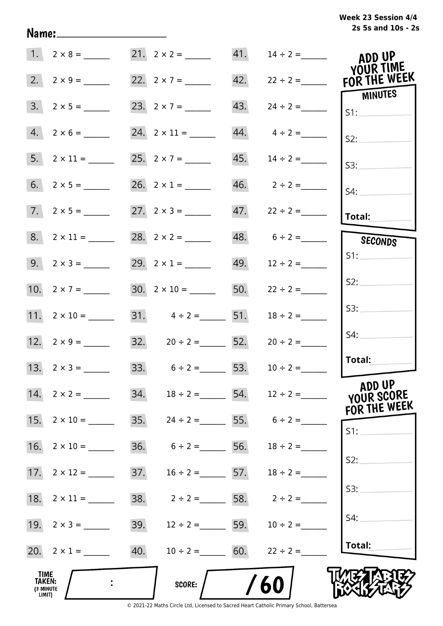# **2s 5s and 10s - 2s Week 23 Session 4/4**

|                                       | $1. 2 \times 8 =$   |                                        |     |                                 | ADD UP<br>YOUR TIME                       |
|---------------------------------------|---------------------|----------------------------------------|-----|---------------------------------|-------------------------------------------|
|                                       | 2. $2 \times 9 =$   | 22. $2 \times 7 =$                     |     |                                 | 42. $22 \div 2 =$ FOR THE WEEK<br>MINUTES |
|                                       | $3. 2 \times 5 =$   | 23. $2 \times 7 =$                     | 43. | $24 \div 2 =$                   | SI:                                       |
|                                       | $4. 2 \times 6 =$   |                                        |     | $44. \qquad 4 \div 2 =$         | S2:                                       |
|                                       | $5. 2 \times 11 =$  | 25. $2 \times 7 =$                     | 45. | $14 \div 2 =$                   | S3:                                       |
|                                       |                     | 26. $2 \times 1 =$                     |     |                                 | S4:                                       |
|                                       | $7.2 \times 5 =$    |                                        |     |                                 | Total:                                    |
|                                       |                     |                                        |     | $48. 6 \div 2 =$                | SECONDS                                   |
|                                       |                     | 29. $2 \times 1 =$                     |     | 49. $12 \div 2 =$               | S1:                                       |
|                                       |                     | $30. 2 \times 10 =$                    | 50. | $22 \div 2 =$                   | S2:                                       |
|                                       | 11. $2 \times 10 =$ | 31. $4 \div 2 =$ 51.                   |     | $18 \div 2 =$                   | S3:                                       |
|                                       | 12. $2 \times 9 =$  | 32. $20 \div 2 =$ 52.                  |     | $20 \div 2 =$                   | S4:                                       |
|                                       | 13. $2 \times 3 =$  | 33. $6 \div 2 =$ 53.                   |     | $10 \div 2 =$                   | Total:                                    |
|                                       |                     | 34. $18 \div 2 =$ 54. $12 \div 2 =$    |     |                                 | ADD UP<br>YOUR SCORE<br>FOR THE WEEK      |
|                                       |                     | 35. $24 \div 2 =$ 55. $6 \div 2 =$     |     |                                 | S1:                                       |
| 16.                                   |                     | 36. $6 \div 2 =$ 56. $18 \div 2 =$     |     |                                 |                                           |
|                                       |                     | 37. $16 \div 2 =$ 57. $18 \div 2 =$    |     |                                 | S2:                                       |
| 18.                                   |                     | 38. $2 \div 2 =$ 58. $2 \div 2 =$      |     |                                 | S3:                                       |
|                                       |                     | 39.                                    |     | $12 \div 2 =$ 59. $10 \div 2 =$ | S4:                                       |
|                                       | 20. $2 \times 1 =$  | 40.<br>$10 \div 2 =$ 60. $22 \div 2 =$ |     |                                 | Total:                                    |
| TIME<br>TAKEN:<br>(3 MINUTE<br>LIMIT) |                     | <b>SCORE:</b>                          |     | 60                              |                                           |

Name: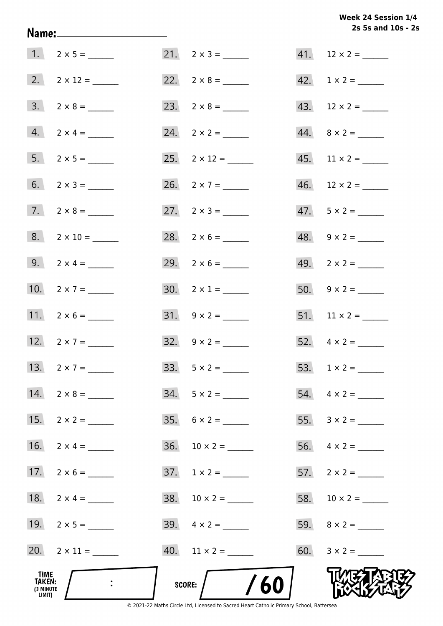Week 24 Session 1/4 2s 5s and 10s - 2s

|                                              |                     |                          | 2s 5s and 10s - 2        |
|----------------------------------------------|---------------------|--------------------------|--------------------------|
|                                              |                     | $21. \quad 2 \times 3 =$ |                          |
|                                              |                     | 22. $2 \times 8 =$       |                          |
|                                              | $3. 2 \times 8 =$   |                          |                          |
|                                              | $4. 2 \times 4 =$   | $24. \quad 2 \times 2 =$ | $44. \quad 8 \times 2 =$ |
|                                              |                     | 25. $2 \times 12 =$      | $45.$ 11 × 2 = ______    |
|                                              |                     | 26. $2 \times 7 =$       | $46.$ 12 × 2 = _______   |
|                                              | $7. 2 \times 8 =$   | 27. $2 \times 3 =$       | $47.5 \times 2 =$        |
|                                              | $8. 2 \times 10 =$  | 28. $2 \times 6 =$       | $48. 9 \times 2 =$       |
|                                              | 9. $2 \times 4 =$   | 29. $2 \times 6 =$       |                          |
|                                              | 10. $2 \times 7 =$  | $30. 2 \times 1 =$       |                          |
|                                              | 11. $2 \times 6 =$  |                          |                          |
|                                              | 12. $2 \times 7 =$  | $32. \quad 9 \times 2 =$ |                          |
|                                              | 13. $2 \times 7 =$  | $33. 5 \times 2 =$       |                          |
|                                              | 14. $2 \times 8 =$  | $34. 5 \times 2 =$       | 54. $4 \times 2 =$       |
|                                              | 15. $2 \times 2 =$  | $35. 6 \times 2 =$       |                          |
|                                              | 16. $2 \times 4 =$  |                          |                          |
|                                              | 17. $2 \times 6 =$  |                          |                          |
|                                              | 18. $2 \times 4 =$  |                          |                          |
|                                              | 19. $2 \times 5 =$  |                          |                          |
|                                              | 20. $2 \times 11 =$ |                          |                          |
| TIME<br><b>TAKEN:</b><br>(3 MINUTE<br>LIMIT) |                     | SCORE: $/$ /60           |                          |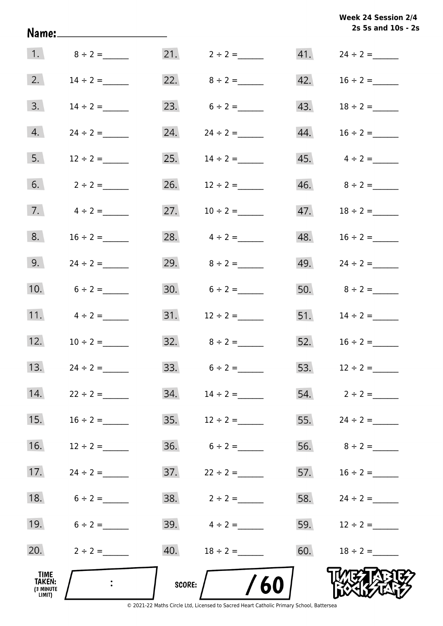| Week 24 Session 2/4 |                    |  |  |
|---------------------|--------------------|--|--|
|                     | 2s 5s and 10s - 2s |  |  |

|                                       |                 |     |                      |     | 2s 5s and 10s - 2s |
|---------------------------------------|-----------------|-----|----------------------|-----|--------------------|
|                                       | 1. $8 \div 2 =$ |     |                      |     |                    |
| 2.                                    | $14 \div 2 =$   |     | 22. $8 \div 2 =$     |     | 42. $16 \div 2 =$  |
| 3.                                    | $14 \div 2 =$   | 23. | $6 \div 2 =$         |     |                    |
| 4.                                    | $24 \div 2 =$   | 24. | $24 \div 2 =$        | 44. | $16 \div 2 =$      |
| 5.                                    | $12 \div 2 =$   | 25. | $14 \div 2 =$        |     |                    |
| 6.                                    | $2 \div 2 =$    |     | 26. $12 \div 2 =$    |     |                    |
| 7.                                    | $4 \div 2 =$    | 27. | $10 \div 2 =$        |     | 47. $18 \div 2 =$  |
| 8.                                    | $16 \div 2 =$   |     | 28. $4 \div 2 =$     |     | $48. 16 \div 2 =$  |
| 9.                                    | $24 \div 2 =$   |     | 29. $8 \div 2 =$     |     | 49. $24 \div 2 =$  |
| 10.                                   | $6 \div 2 =$    |     | 30. $6 \div 2 =$     |     | 50. $8 \div 2 =$   |
| 11.                                   | $4 \div 2 =$    |     |                      |     | 51. $14 \div 2 =$  |
| 12.                                   | $10 \div 2 =$   | 32. | $8 \div 2 =$         |     | 52. $16 \div 2 =$  |
| 13.                                   | $24 \div 2 =$   |     | $33.6 \div 2 =$      |     | 53. $12 \div 2 =$  |
| 14.                                   | $22 \div 2 =$   |     |                      |     | 54. $2 \div 2 =$   |
| 15.                                   | $16 \div 2 =$   |     |                      |     | 55. $24 \div 2 =$  |
| 16.                                   | $12 \div 2 =$   |     |                      |     |                    |
| 17.                                   | $24 \div 2 =$   |     |                      |     | 57. $16 \div 2 =$  |
| 18.                                   | $6 \div 2 =$    |     |                      |     | 58. $24 \div 2 =$  |
| 19.                                   | $6 \div 2 =$    |     | 39. $4 \div 2 =$     |     | 59. $12 \div 2 =$  |
| 20.                                   | $2 \div 2 =$    |     | 40. $18 \div 2 =$    |     | 60. $18 \div 2 =$  |
| TIME<br>TAKEN:<br>(3 MINUTE<br>LIMIT) | $\mathbb{R}^2$  |     | 60<br>SCORE: $\bigg$ |     |                    |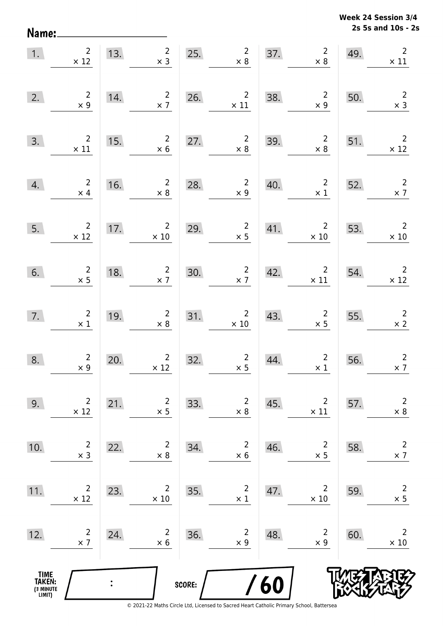Name:

**2s 5s and 10s - 2s Week 24 Session 3/4** 

| 1.                                            | $\begin{array}{c} 2 \\ \times 12 \end{array}$ | 13.            | $\overline{2}$<br>$\times$ 3                                 |        | 25.<br>$\begin{array}{c} 2 \\ \times 8 \end{array}$ | 37. | $\frac{2}{1}$<br>$\times$ 8                | 49. | $\overline{2}$<br>$\times$ 11                |
|-----------------------------------------------|-----------------------------------------------|----------------|--------------------------------------------------------------|--------|-----------------------------------------------------|-----|--------------------------------------------|-----|----------------------------------------------|
| 2.                                            | $\begin{array}{c} 2 \\ \times 9 \end{array}$  | 14.            | $\overline{2}$<br>$\times$ 7                                 | 26.    | $\overline{2}$<br>$\times$ 11                       | 38. | $\overline{\mathbf{2}}$<br>$\times$ 9      | 50. | $\overline{2}$<br>$\times$ 3                 |
| 3.                                            | $\begin{array}{c} 2 \\ \times 11 \end{array}$ | 15.            | $\overline{2}$<br>$\times$ 6                                 | 27.    | $\overline{2}$<br>$\times 8$                        | 39. | $\overline{\mathbf{c}}$<br>$\times$ 8      | 51. | $\overline{\phantom{a}}$<br>$\times$ 12      |
| 4.                                            | $\overline{\mathbf{c}}$<br>$\times$ 4         | 16.            | $\begin{array}{c} 2 \\ \times 8 \end{array}$                 | 28.    | $\begin{array}{c} 2 \\ \times 9 \end{array}$        | 40. | $\overline{\mathbf{c}}$<br>$\times$ 1      | 52. | $\begin{array}{c} 2 \\ \times 7 \end{array}$ |
| 5.                                            | $\begin{array}{c}2\\ \times 12\end{array}$    | 17.            | $\begin{array}{r}2 \\ \times 10\end{array}$                  | 29.    | $\begin{array}{c} 2 \\ \times 5 \end{array}$        | 41. | $\overline{\mathbf{c}}$<br>$\times$ 10     | 53. | $\overline{\phantom{a}}$<br>$\times$ 10      |
| 6.                                            | $\frac{2}{\times 5}$                          | 18.            | $\begin{array}{c} 2 \\ \times 7 \end{array}$                 | 30.    | $\frac{2}{x}$                                       | 42. | $\begin{array}{c}2\\ \times 11\end{array}$ | 54. | $\overline{2}$<br>$\times$ 12                |
| 7.                                            | $\begin{smallmatrix}2\\1\end{smallmatrix}$    | 19.            | $\overline{2}$<br>$\times$ 8                                 | 31.    | $\overline{a}$<br>$\times$ 10                       | 43. | $\overline{2}$<br>$\times$ 5               | 55. | $\overline{\phantom{a}}$<br>$\times$ 2       |
| 8.                                            | $\begin{array}{c} 2 \\ x \ 9 \end{array}$     | 20.            | $\overline{2}$<br>$\begin{array}{c}2\\ \times 12\end{array}$ | 32.    | $\begin{array}{c} 2 \\ \times 5 \end{array}$        | 44. | $\overline{2}$<br>$\times$ 1               | 56. | $\overline{2}$<br>$\times$ 7                 |
| 9.                                            | $\overline{2}$<br>$\times$ 12                 | 21.            | $\overline{2}$<br>$\times$ 5                                 | 33.    | $\overline{c}$<br>$\times$ 8                        | 45. | $\overline{2}$<br>$\times$ 11              | 57. | $\mathsf{2}\,$<br>$\times$ 8                 |
| 10.                                           | $\overline{c}$<br>$\times$ 3                  | 22.            | $\overline{2}$<br>$\times 8$                                 | 34.    | $\overline{c}$<br>$\times$ 6                        | 46. | $\overline{2}$<br>$\times$ 5               | 58. | $\mathbf 2$<br>$\times$ 7                    |
| 11.                                           | $\overline{c}$<br>$\times$ 12                 | 23.            | $\overline{2}$<br>$\times$ 10                                | 35.    | $\overline{c}$<br>$\times$ 1                        | 47. | $\overline{2}$<br>$\times$ 10              | 59. | $\overline{c}$<br>$\times$ 5                 |
| 12.                                           | $\overline{c}$<br>$\times$ 7                  | 24.            | $\overline{2}$<br>$\times$ 6                                 | 36.    | $\overline{c}$<br>$\times$ 9                        | 48. | $\overline{2}$<br>$\times$ 9               | 60. | $\overline{2}$<br>$\times$ 10                |
| <b>TIME<br/>TAKEN:</b><br>(3 MINUTE<br>LIMIT) |                                               | $\ddot{\cdot}$ |                                                              | SCORE: |                                                     | 60  |                                            |     |                                              |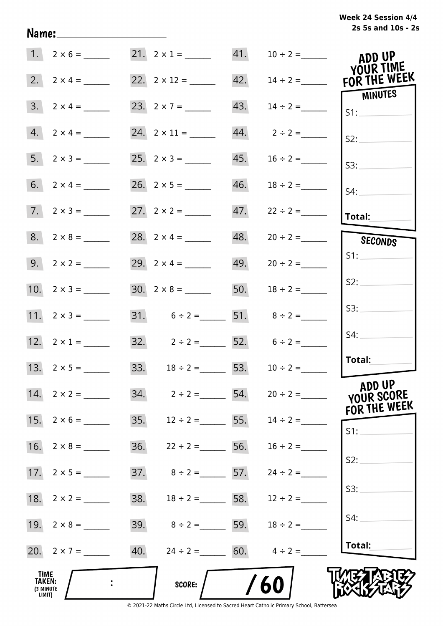# **2s 5s and 10s - 2s Week 24 Session 4/4**

|                                       | $1. 2 \times 6 =$  | 21. $2 \times 1 =$ 41. $10 \div 2 =$   |     |                                 | ADD UP<br>YOUR TIME                       |
|---------------------------------------|--------------------|----------------------------------------|-----|---------------------------------|-------------------------------------------|
| 2.                                    | $2 \times 4 =$     |                                        |     |                                 | 42. $14 \div 2 =$ FOR THE WEEK<br>MINUTES |
|                                       | $3. 2 \times 4 =$  |                                        | 43. | $14 \div 2 =$                   | SI:                                       |
|                                       | $4. 2 \times 4 =$  |                                        |     |                                 | S2:                                       |
|                                       |                    |                                        | 45. | $16 \div 2 =$                   | S3:                                       |
|                                       |                    |                                        | 46. | $18 \div 2 =$                   | S4:                                       |
|                                       | $7. 2 \times 3 =$  |                                        |     |                                 | Total:                                    |
|                                       |                    | 28. $2 \times 4 =$                     |     | $48. 20 \div 2 =$               | SECONDS                                   |
|                                       |                    |                                        |     | 49. $20 \div 2 =$               | S1:                                       |
|                                       |                    |                                        | 50. | $18 \div 2 =$                   | S2:                                       |
|                                       | 11. $2 \times 3 =$ | 31. $6 \div 2 =$ 51. $8 \div 2 =$      |     |                                 | S3:                                       |
|                                       | 12. $2 \times 1 =$ | 32. $2 \div 2 =$ 52. $6 \div 2 =$      |     |                                 | S4:                                       |
|                                       |                    | 33. $18 \div 2 =$ 53. $10 \div 2 =$    |     |                                 | Total:                                    |
|                                       | 14. $2 \times 2 =$ | 34. $2 \div 2 =$ 54. $20 \div 2 =$     |     |                                 | ADD UP<br>YOUR SCORE<br>FOR THE WEEK      |
|                                       |                    | 35. $12 \div 2 =$ 55. $14 \div 2 =$    |     |                                 | S1:                                       |
|                                       |                    | 36.                                    |     | $22 \div 2 =$ 56. $16 \div 2 =$ |                                           |
|                                       |                    | 37.<br>$8 \div 2 =$ 57. $24 \div 2 =$  |     |                                 | S2:                                       |
|                                       |                    | 38.<br>$18 \div 2 =$ 58. $12 \div 2 =$ |     |                                 | S3:                                       |
|                                       |                    | 39. $8 \div 2 =$ 59.                   |     | $18 \div 2 =$                   | S4:                                       |
|                                       | 20. $2 \times 7 =$ | 40. $24 \div 2 =$ 60. $4 \div 2 =$     |     |                                 | Total:                                    |
| TIME<br>TAKEN:<br>(3 MINUTE<br>LIMIT) |                    | <b>SCORE:</b>                          |     | 60                              |                                           |

Name: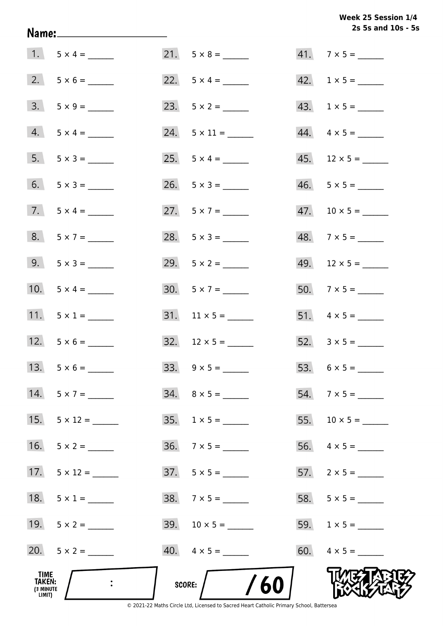Week 25 Session 1/4 2s 5s and 10s - 5s

|                                              |                     |                          | 2s 5s and 10s - 5        |
|----------------------------------------------|---------------------|--------------------------|--------------------------|
|                                              | $1. 5 \times 4 =$   |                          | $41.7 \times 5 =$        |
|                                              | $2. 5 \times 6 =$   | 22. $5 \times 4 =$       | $42. 1 \times 5 =$       |
|                                              | $3. 5 \times 9 =$   | 23. $5 \times 2 =$       | $43. 1 \times 5 =$       |
|                                              | $4. 5 \times 4 =$   | $24. 5 \times 11 =$      | $44. \quad 4 \times 5 =$ |
|                                              | $5. 5 \times 3 =$   |                          | $45.$ 12 × 5 = ______    |
|                                              | 6. $5 \times 3 =$   | 26. $5 \times 3 =$       | $46. 5 \times 5 =$       |
|                                              | 7. $5 \times 4 =$   | 27. $5 \times 7 =$       |                          |
|                                              | $8. 5 \times 7 =$   | 28. $5 \times 3 =$       | $48.7 \times 5 =$        |
|                                              | $9.5 \times 3 =$    |                          | $49.$ 12 × 5 = _____     |
|                                              | 10. $5 \times 4 =$  | $30. 5 \times 7 =$       | $50.7 \times 5 =$        |
|                                              | 11. $5 \times 1 =$  |                          |                          |
|                                              | 12. $5 \times 6 =$  | $32. 12 \times 5 =$      |                          |
|                                              | 13. $5 \times 6 =$  |                          |                          |
| 14.                                          | $5 \times 7 =$      | $34. \quad 8 \times 5 =$ | $54.7 \times 5 =$        |
| 15.                                          | $5 \times 12 =$     | $35. 1 \times 5 =$       |                          |
|                                              | 16. $5 \times 2 =$  | $36. 7 \times 5 =$       |                          |
|                                              | 17. $5 \times 12 =$ |                          |                          |
|                                              | 18. $5 \times 1 =$  |                          |                          |
|                                              | 19. $5 \times 2 =$  |                          | $59. 1 \times 5 =$       |
|                                              | 20. $5 \times 2 =$  | $40. \quad 4 \times 5 =$ |                          |
| TIME<br><b>TAKEN:</b><br>(3 MINUTE<br>LIMIT) |                     | /60<br>SCORE:            |                          |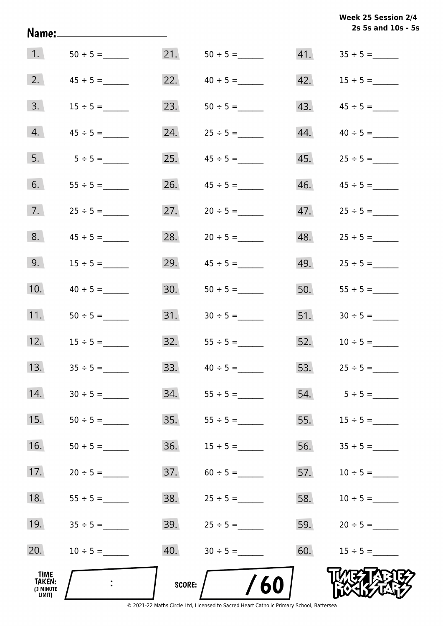|                                                     | Name:____________________ |               |                     |     | Week 25 Session 2/4<br>2s 5s and 10s - 5s |
|-----------------------------------------------------|---------------------------|---------------|---------------------|-----|-------------------------------------------|
| 1.                                                  |                           | 21.           |                     |     |                                           |
| 2.                                                  |                           | 22.           |                     | 42. | $15 \div 5 =$                             |
| 3.                                                  | $15 \div 5 =$             | 23.           | $50 \div 5 =$       | 43. |                                           |
| 4.                                                  | $45 \div 5 =$             | 24.           | $25 \div 5 =$       | 44. | $40 \div 5 =$                             |
| 5.                                                  | $5 \div 5 =$              | 25.           | $45 \div 5 =$       |     |                                           |
| 6.                                                  |                           | 26.           |                     | 46. | $45 \div 5 =$                             |
| 7.                                                  |                           | 27.           | $20 \div 5 =$       | 47. | $25 \div 5 =$                             |
| 8.                                                  |                           | 28.           | $20 \div 5 =$       | 48. |                                           |
| 9.                                                  | $15 \div 5 =$             | 29.           | $45 \div 5 =$       | 49. | $25 \div 5 =$                             |
| 10.                                                 | $40 \div 5 =$             | 30.           | $50 \div 5 =$       | 50. |                                           |
| 11.                                                 | $50 \div 5 =$             |               |                     |     | 51. $30 \div 5 =$                         |
| 12.                                                 | $15 \div 5 =$             |               | $32.$ $55 \div 5 =$ |     | $52. 10 \div 5 =$                         |
| 13.                                                 |                           | 33.           |                     | 53. |                                           |
| 14.                                                 |                           | 34.           |                     | 54. | $5 \div 5 =$                              |
| 15.                                                 |                           | 35.           |                     | 55. | $15 \div 5 =$                             |
| 16.                                                 |                           | 36.           |                     | 56. |                                           |
| 17.                                                 | $20 \div 5 =$             | 37.           | $60 \div 5 =$       | 57. | $10 \div 5 =$                             |
| 18.                                                 | $55 \div 5 =$             | 38.           | $25 \div 5 =$       | 58. | $10 \div 5 =$                             |
| 19.                                                 | $35 \div 5 =$             | 39.           | $25 \div 5 =$       | 59. |                                           |
| 20.                                                 | $10 \div 5 =$             | 40.           |                     | 60. |                                           |
| <b>TIME</b><br><b>TAKEN:</b><br>(3 MINUTE<br>LIMIT) |                           | <b>SCORE:</b> | /60                 |     |                                           |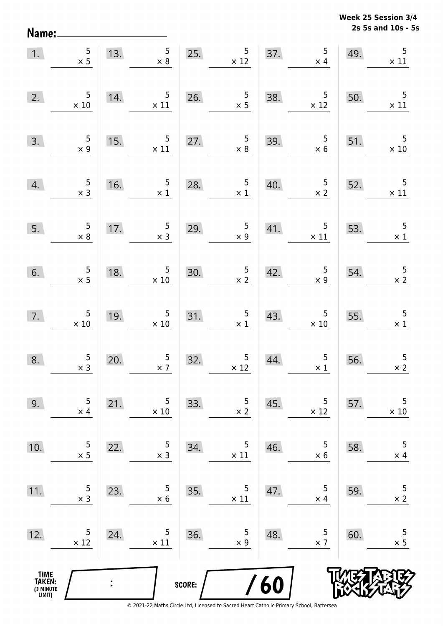**2s 5s and 10s - 5s Week 25 Session 3/4** 

| 1.                                            | $\begin{array}{r} 5 \\ \times 5 \end{array}$  |                | 13. $5 \times 8$                                                                                                                       | 25.    | $\begin{array}{r} 5 \\ \times 12 \end{array}$    |     | $\overline{5}$<br>37. $\times$<br>$\times$ 4  | 49. | 5<br>$\times$ 11                             |
|-----------------------------------------------|-----------------------------------------------|----------------|----------------------------------------------------------------------------------------------------------------------------------------|--------|--------------------------------------------------|-----|-----------------------------------------------|-----|----------------------------------------------|
| 2.                                            | $\begin{array}{r} 5 \\ \times 10 \end{array}$ | 14.            | $\overline{5}$<br>$\times$ 11                                                                                                          |        | 26. $5 \times 5$                                 | 38. | $\begin{array}{r} 5 \\ \times 12 \end{array}$ | 50. | $\overline{\phantom{0}}$<br>$\times$ 11      |
| 3.                                            | $\frac{5}{x 9}$                               | 15.            | $\overline{\phantom{0}}$<br>$\times$ 11                                                                                                | 27.    | $\frac{5}{\times 8}$                             |     | 39. $5 \times 6$                              | 51. | $\overline{\phantom{0}}$<br>$\times$ 10      |
| 4.                                            | $\frac{5}{x}$                                 | 16.            | $\begin{array}{r} 5 \\ \times 1 \end{array}$                                                                                           | 28.    | $\begin{array}{r} 5 \\ \times 1 \end{array}$     | 40. | $\begin{array}{c} 5 \\ \times 2 \end{array}$  | 52. | $\overline{\phantom{0}}$<br>$\times$ 11      |
| 5.                                            | $\begin{array}{r} 5 \\ \times 8 \end{array}$  | 17.            | $\overline{\phantom{0}}$ 5<br>$\begin{array}{ccc} \text{1} & & \text{3} \\ \text{2} & & \text{4} \\ \text{3} & & \text{5} \end{array}$ | 29.    | $\begin{array}{c} 5 \\ \times 9 \end{array}$     | 41. | $\frac{5}{\times 11}$                         | 53. | $\begin{array}{r} 5 \\ \times 1 \end{array}$ |
| 6.                                            | $\begin{array}{r} 5 \\ \times 5 \end{array}$  | 18.            | $\begin{array}{c} 5 \\ \times 10 \end{array}$                                                                                          | 30.    | $\frac{5}{x^2}$                                  | 42. | $\begin{array}{c} 5 \\ x \ 9 \end{array}$     | 54. | $\frac{5}{\times 2}$                         |
| 7.                                            | $\begin{array}{r} 5 \\ \times 10 \end{array}$ |                | 19. $5 \times 10$                                                                                                                      |        | 31. $\begin{array}{c} 5 \\ \times 1 \end{array}$ | 43. | $\begin{array}{c} 5 \\ \times 10 \end{array}$ | 55. | $\begin{array}{c} 5 \\ \times 1 \end{array}$ |
| 8.                                            | $\begin{array}{c} 5 \\ x \end{array}$         | 20.            | $\frac{5}{x}$                                                                                                                          | 32.    | $\begin{array}{c} 5 \\ \times 12 \end{array}$    | 44. | $\begin{array}{c} 5 \\ \times 1 \end{array}$  | 56. | $\overline{5}$<br>$\times 2$                 |
| 9.                                            | 5<br>$\times$ 4                               | 21.            | 5<br>$\times$ 10                                                                                                                       | 33.    | 5<br>$\times$ 2                                  | 45. | 5<br>$\times$ 12                              | 57. | 5<br>$\times$ 10                             |
| 10.                                           | 5<br>$\times$ 5                               | 22.            | 5<br>$\times$ 3                                                                                                                        | 34.    | 5<br>$\times$ 11                                 | 46. | 5<br>$\times$ 6                               | 58. | $\mathsf S$<br>$\times$ 4                    |
| 11.                                           | 5<br>$\times$ 3                               | 23.            | 5<br>$\times$ 6                                                                                                                        | 35.    | 5<br>$\times$ 11                                 | 47. | 5<br>$\times$ 4                               | 59. | 5<br>$\times$ 2                              |
| 12.                                           | 5<br>$\times$ 12                              | 24.            | 5<br>$\times$ 11                                                                                                                       | 36.    | 5<br>$\times$ 9                                  | 48. | 5<br>$\times$ 7                               | 60. | 5<br>$\times$ 5                              |
| <b>TIME<br/>TAKEN:</b><br>(3 MINUTE<br>LIMIT) |                                               | $\ddot{\cdot}$ |                                                                                                                                        | SCORE: |                                                  | /60 |                                               |     |                                              |

Name: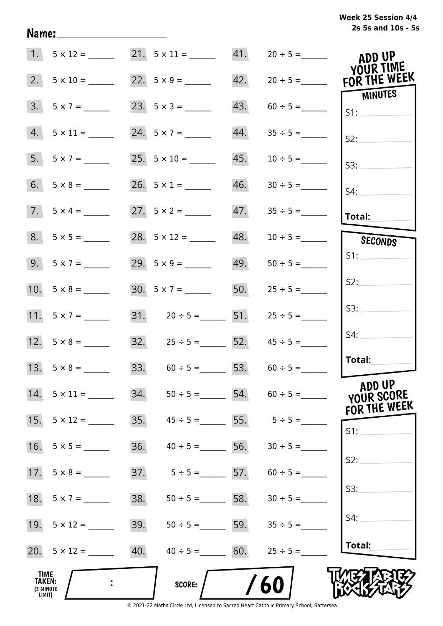| Week 25 Session 4/4 |                    |  |  |
|---------------------|--------------------|--|--|
|                     | 2s 5s and 10s - 5s |  |  |

|                                              | $1. 5 \times 12 =$  | $21. \quad 5 \times 11 =$ |                   |     |                                     | ADD UP<br>YOUR TIME   |
|----------------------------------------------|---------------------|---------------------------|-------------------|-----|-------------------------------------|-----------------------|
| 2.                                           |                     | 22. $5 \times 9 =$        |                   | 42. | $20 \div 5 =$                       | FOR THE WEEK          |
| 3.                                           |                     | 23. $5 \times 3 =$        |                   | 43. |                                     | <b>MINUTES</b><br>S1: |
| 4.                                           | $5 \times 11 =$     | 24. $5 \times 7 =$        |                   | 44. | $35 \div 5 =$                       | S2:                   |
| 5.                                           |                     | 25. $5 \times 10 =$       |                   | 45. | $10 \div 5 =$                       | S3:                   |
| 6.                                           |                     |                           |                   | 46. |                                     | $S4$ :                |
|                                              | $7.5 \times 4 =$    |                           |                   | 47. |                                     | Total:                |
|                                              | $8. 5 \times 5 =$   |                           |                   | 48. | $10 \div 5 =$                       | SECONDS               |
|                                              | 9. $5 \times 7 =$   | 29. $5 \times 9 =$        |                   | 49. | $50 \div 5 =$                       | S1:                   |
|                                              |                     | $30. 5 \times 7 =$        |                   |     | 50. $25 \div 5 =$                   | S2:                   |
|                                              | 11. $5 \times 7 =$  | 31. $20 \div 5 =$ 51.     |                   |     | $25 \div 5 =$                       | S3:                   |
|                                              |                     |                           |                   |     | 32. $25 \div 5 =$ 52. $45 \div 5 =$ | S4:                   |
|                                              |                     |                           |                   |     | 33. $60 \div 5 =$ 53. $60 \div 5 =$ | Total:                |
| 14.                                          | $5 \times 11 =$     | 34.                       |                   |     | $50 \div 5 =$ 54. $60 \div 5 =$     | ADD UP<br>YOUR SCORE  |
| 15.                                          | $5 \times 12 =$     | 35.                       |                   |     | $45 \div 5 = 55.$ $5 \div 5 = 5$    | FOR THE WEEK<br>S1:   |
| 16.                                          | $5 \times 5 =$      | 36.                       | $40 \div 5 =$     | 56. | $30 \div 5 =$                       |                       |
|                                              |                     | 37.                       |                   |     | $5 \div 5 = 57.$ $60 \div 5 =$      | S2:                   |
|                                              | 18. $5 \times 7 =$  | 38.                       | $50 \div 5 =$ 58. |     | $30 \div 5 =$                       | S3:                   |
|                                              |                     | 39.                       | $50 \div 5 =$ 59. |     | $35 \div 5 =$                       | S4:                   |
|                                              | 20. $5 \times 12 =$ | 40.                       | $40 \div 5 = 60.$ |     | $25 \div 5 =$                       | Total:                |
| <b>TIME</b><br>TAKEN:<br>(3 MINUTE<br>LIMIT) |                     |                           | <b>SCORE:</b>     |     | 60                                  |                       |

Name: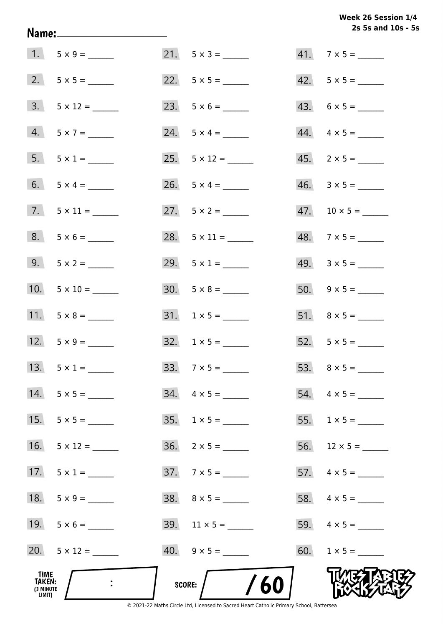Week 26 Session 1/4 2s 5s and 10s - 5s

|                                              |                      |                          | 2s 5s and 10s - 5        |
|----------------------------------------------|----------------------|--------------------------|--------------------------|
|                                              | $1. 5 \times 9 =$    | $21. 5 \times 3 =$       | $41.7 \times 5 =$        |
|                                              |                      |                          |                          |
|                                              |                      |                          | $43. 6 \times 5 =$       |
|                                              | $4. 5 \times 7 =$    | $24. 5 \times 4 =$       | $44. \quad 4 \times 5 =$ |
|                                              | $5. 5 \times 1 =$    | $25. 5 \times 12 =$      | $45. \quad 2 \times 5 =$ |
|                                              | 6. $5 \times 4 =$    | 26. $5 \times 4 =$       |                          |
|                                              | $7.$ $5 \times 11 =$ | 27. $5 \times 2 =$       |                          |
|                                              | $8. 5 \times 6 =$    | 28. $5 \times 11 =$      | $48.7 \times 5 =$        |
|                                              | 9. $5 \times 2 =$    |                          | $49. 3 \times 5 =$       |
|                                              | 10. $5 \times 10 =$  |                          |                          |
|                                              |                      |                          |                          |
|                                              | 12. $5 \times 9 =$   | $32. 1 \times 5 =$       | 52. $5 \times 5 =$       |
| 13.                                          |                      |                          |                          |
|                                              | 14. $5 \times 5 =$   | $34. \quad 4 \times 5 =$ | $54. \quad 4 \times 5 =$ |
| 15.                                          |                      |                          |                          |
| 16.                                          | $5 \times 12 =$      | $36. 2 \times 5 =$       |                          |
| 17.                                          | $5 \times 1 =$       | $37.7 \times 5 =$        |                          |
| 18.                                          |                      |                          |                          |
|                                              |                      |                          |                          |
|                                              | 20. $5 \times 12 =$  |                          |                          |
| TIME<br><b>TAKEN:</b><br>(3 MINUTE<br>LIMIT) |                      | /60<br>SCORE:            |                          |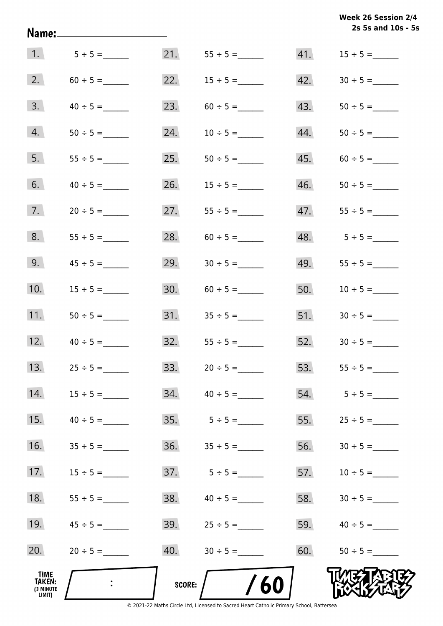|                                                     | Name:_____________________ |               |                     |     | Week 26 Session 2/4<br>2s 5s and 10s - 5s |
|-----------------------------------------------------|----------------------------|---------------|---------------------|-----|-------------------------------------------|
| 1.                                                  | $5 \div 5 =$               |               | 21. $55 \div 5 =$   | 41. | $15 \div 5 =$                             |
| 2.                                                  |                            |               |                     | 42. |                                           |
| 3.                                                  | $40 \div 5 =$              | 23.           | $60 \div 5 =$       | 43. |                                           |
| 4.                                                  |                            | 24.           | $10 \div 5 =$       | 44. |                                           |
| 5.                                                  |                            | 25.           |                     | 45. |                                           |
| 6.                                                  | $40 \div 5 =$              | 26.           | $15 \div 5 =$       | 46. |                                           |
| 7.                                                  |                            | 27.           |                     | 47. | $55 \div 5 =$                             |
| 8.                                                  |                            | 28.           | $60 \div 5 =$       |     |                                           |
| 9.                                                  |                            | 29.           | $30 \div 5 =$       | 49. |                                           |
| 10.                                                 | $15 \div 5 =$              | 30.           | $60 \div 5 =$       | 50. | $10 \div 5 =$                             |
| 11.                                                 | $50 \div 5 =$              |               |                     |     | 51. $30 \div 5 =$                         |
| 12.                                                 | $40 \div 5 =$              |               | $32.$ $55 \div 5 =$ |     | $52.$ $30 \div 5 =$                       |
| 13.                                                 |                            | 33.           |                     |     | 53. $55 \div 5 =$                         |
| 14.                                                 |                            | 34.           | $40 \div 5 =$       | 54. | $5 \div 5 =$                              |
| 15.                                                 | $40 \div 5 =$              | 35.           | $5 \div 5 =$        | 55. | $25 \div 5 =$                             |
| 16.                                                 |                            | 36.           |                     | 56. |                                           |
| 17.                                                 | $15 \div 5 =$              | 37.           | $5 \div 5 =$        | 57. | $10 \div 5 =$                             |
| 18.                                                 | $55 \div 5 =$              | 38.           | $40 \div 5 =$       | 58. |                                           |
| 19.                                                 | $45 \div 5 =$              | 39.           | $25 \div 5 =$       | 59. | $40 \div 5 =$                             |
| 20.                                                 | $20 \div 5 =$              | 40.           | $30 \div 5 =$       | 60. |                                           |
| <b>TIME</b><br><b>TAKEN:</b><br>(3 MINUTE<br>LIMIT) | $\ddot{\cdot}$             | <b>SCORE:</b> | /60                 |     |                                           |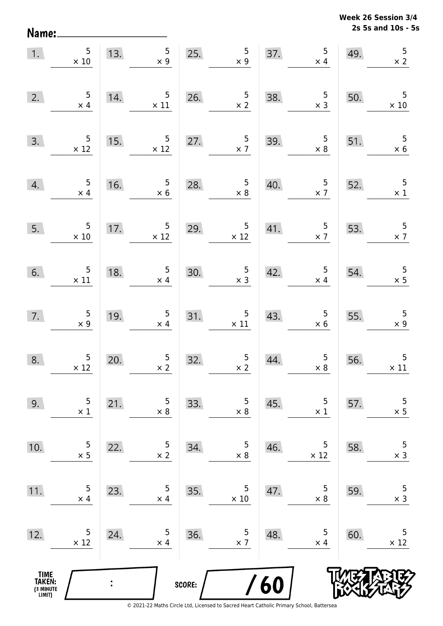Name:

**2s 5s and 10s - 5s Week 26 Session 3/4** 

|                                       | 1. $\begin{array}{c} 5 \\ \times 10 \end{array}$ |                | 13.5<br>$\times$ 9                                             |        | 25. $\begin{array}{r} 5 \\ \times 9 \end{array}$            |     | $\begin{array}{c c}\n 37. & 5 \\ \times 4 & \n\end{array}$    | 49. | 5<br>$\times 2$                              |
|---------------------------------------|--------------------------------------------------|----------------|----------------------------------------------------------------|--------|-------------------------------------------------------------|-----|---------------------------------------------------------------|-----|----------------------------------------------|
| 2.                                    | $\begin{array}{c} 5 \\ \times 4 \end{array}$     | 14.            | $\overline{5}$<br>$\times$ 11                                  |        | 26. $\frac{5}{\times 2}$                                    | 38. | $\begin{array}{r} 5 \\ \times 3 \end{array}$                  | 50. | $\overline{\phantom{0}}$<br>$\times 10$      |
| 3.                                    | $\begin{array}{r} 5 \\ \times 12 \end{array}$    |                | 15. $\begin{array}{r} 5 \\ \times 12 \end{array}$              |        | 27. $\begin{array}{c} 5 \\ \times 7 \end{array}$            | 39. | $\begin{array}{c} 5 \\ \times 8 \end{array}$                  | 51. | $\frac{5}{x}$ 6                              |
| 4.                                    | $\frac{5}{\times 4}$                             | 16.            | $\begin{array}{c} 5 \\ \times 6 \end{array}$                   | 28.    | $\frac{5}{x 8}$                                             | 40. | $\frac{5}{x}$                                                 | 52. | $\overline{\phantom{0}}$<br>$\times$ 1       |
| 5.                                    | $\begin{array}{r} 5 \\ \times 10 \end{array}$    | 17.            | $\begin{array}{r} 5 \\ \times 12 \end{array}$                  |        | 29. $5 \times 12$                                           |     | 41. $\begin{array}{c c} 5 & 53. \\ \hline & x7 & \end{array}$ |     | $\frac{5}{\times 7}$                         |
| 6.                                    | $\frac{5}{2}$ $\times 11$                        | 18.            | $\begin{array}{r} 5 \\ \times 4 \end{array}$                   |        | 30. $\begin{array}{r} 5 \\ \times 3 \end{array}$            | 42. | $\frac{5}{2}$ $\times$ 4                                      | 54. | $\frac{5}{x}$                                |
| 7.                                    | $\begin{array}{c} 5 \\ \times 9 \end{array}$     | 19.            | $\begin{array}{c c}\n 19. & & 5 \\ \times 4 & & \n\end{array}$ |        | $\begin{array}{c c}\n 31. & & 5 \\ \times 11\n \end{array}$ | 43. | $\begin{array}{c} 5 \\ \times 6 \end{array}$                  | 55. | $\begin{array}{r} 5 \\ \times 9 \end{array}$ |
| 8.                                    | $\begin{array}{c} 5 \\ \times 12 \end{array}$    | 20.            | $\begin{array}{c} 5 \\ x 2 \end{array}$                        | 32.    | $\begin{array}{c} 5 \\ \times 2 \end{array}$                | 44. | $\begin{array}{c} 5 \\ \times 8 \end{array}$                  | 56. | $\overline{5}$<br>$\times$ 11                |
| 9.                                    | 5<br>$\times$ 1                                  | 21.            | 5<br>$\times 8$                                                | 33.    | 5<br>$\times 8$                                             | 45. | 5<br>$\times$ 1                                               | 57. | $\mathsf S$<br>$\times$ 5                    |
| 10.                                   | 5<br>$\times$ 5                                  | 22.            | 5<br>$\times$ 2                                                | 34.    | 5<br>$\times 8$                                             | 46. | 5<br>$\times$ 12                                              | 58. | 5<br>$\times$ 3                              |
| 11.                                   | 5<br>$\times$ 4                                  | 23.            | 5<br>$\times$ 4                                                | 35.    | 5<br>$\times 10$                                            | 47. | 5<br>$\times 8$                                               | 59. | 5<br>$\times$ 3                              |
| 12.                                   | 5<br>$\times$ 12                                 | 24.            | 5<br>$\times$ 4                                                | 36.    | 5<br>$\times$ 7                                             | 48. | 5<br>$\times$ 4                                               | 60. | 5<br>$\times$ 12                             |
| TIME<br>TAKEN:<br>(3 MINUTE<br>LIMIT) |                                                  | $\ddot{\cdot}$ |                                                                | SCORE: |                                                             | 60  |                                                               |     |                                              |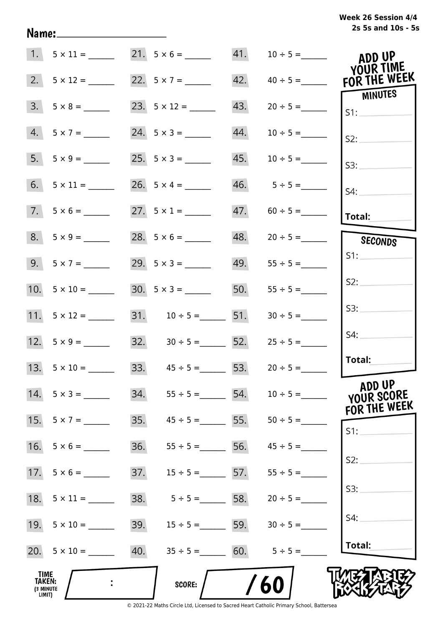# **2s 5s and 10s - 5s Week 26 Session 4/4**

|                                                     |                     | 1. $5 \times 11 =$ 21. $5 \times 6 =$ 21. |                    |                     | ADD UP<br>YOUR TIME            |
|-----------------------------------------------------|---------------------|-------------------------------------------|--------------------|---------------------|--------------------------------|
| 2.                                                  | $5 \times 12 =$     | 22. $5 \times 7 =$                        |                    |                     | 42. $40 \div 5 =$ FOR THE WEEK |
| 3.                                                  |                     |                                           | 43.                |                     | MINUTES<br>SI:                 |
| 4.                                                  | $5 \times 7 =$      | 24. $5 \times 3 =$                        | 44.                | $10 \div 5 =$       | S2:                            |
|                                                     |                     |                                           | 45.                | $10 \div 5 =$       | S3:                            |
|                                                     |                     | 26. $5 \times 4 =$                        |                    |                     | $S4$ :                         |
|                                                     | $7. 5 \times 6 =$   | 27. $5 \times 1 =$                        |                    | $47. 60 \div 5 =$   | Total:                         |
|                                                     | $8. 5 \times 9 =$   |                                           |                    | $48. 20 \div 5 =$   | SECONDS                        |
|                                                     |                     | $29.5 \times 3 =$                         |                    | $49.$ $55 \div 5 =$ | S1:                            |
|                                                     |                     |                                           | 50.                | $55 \div 5 =$       | S2:                            |
|                                                     | 11. $5 \times 12 =$ | $31.$ $10 \div 5 =$ 51.                   |                    | $30 \div 5 =$       | S3:                            |
|                                                     | 12. $5 \times 9 =$  | $32. \hspace{1.5cm} 30 \div 5 =$ 52.      |                    | $25 \div 5 =$       | S4:                            |
|                                                     | 13. $5 \times 10 =$ | 33. $45 \div 5 =$ 53. $20 \div 5 =$       |                    |                     | Total:                         |
| 14.                                                 | $5 \times 3 =$      | 34.<br>$55 \div 5 =$                      | 54.                | $10 \div 5 =$       | ADD UP<br>YOUR SCORE           |
| 15.                                                 | $5 \times 7 =$      | 35.                                       | $45 \div 5 =$ 55.  |                     | FOR THE WEEK<br>S1:            |
| 16.                                                 | $5 \times 6 =$      | 36.                                       | $55 \div 5 = 56.$  | $45 \div 5 =$       |                                |
| 17.                                                 | $5 \times 6 =$      | 37.                                       | $15 \div 5 = 57$ . | $55 \div 5 =$       | S2:                            |
| 18.                                                 | $5 \times 11 =$     | 38.                                       | $5 \div 5 = 58$ .  | $20 \div 5 =$       | S3:                            |
| 19.                                                 | $5 \times 10 =$     | 39.                                       | $15 \div 5 =$ 59.  | $30 \div 5 =$       | S4:                            |
|                                                     | 20. $5 \times 10 =$ | 40.                                       | $35 \div 5 = 60.$  | $5 \div 5 =$        | Total:                         |
| <b>TIME</b><br><b>TAKEN:</b><br>(3 MINUTE<br>LIMIT) |                     | <b>SCORE:</b>                             |                    | 60                  |                                |

Name: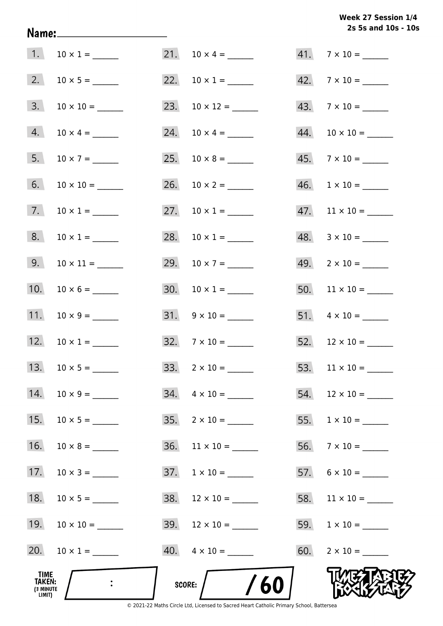# **2s 5s and 10s - 10s Week 27 Session 1/4**

| TIME<br>TAKEN:<br>(3 MINUTE<br>LIMIT) |                     | /60<br>SCORE:             |                               |
|---------------------------------------|---------------------|---------------------------|-------------------------------|
| 20.                                   | $10 \times 1 =$     | $40. \quad 4 \times 10 =$ |                               |
| 19.                                   | $10 \times 10 =$    |                           |                               |
| 18.                                   |                     | $38.$ 12 × 10 = ______    |                               |
| 17.                                   |                     | $37. 1 \times 10 =$       |                               |
| 16.                                   |                     | $36.$ 11 × 10 = ______    |                               |
| 15.                                   | $10 \times 5 =$     | $35. \quad 2 \times 10 =$ |                               |
| 14.                                   |                     | $34. \quad 4 \times 10 =$ |                               |
|                                       | 13. $10 \times 5 =$ |                           |                               |
|                                       | 12. $10 \times 1 =$ | $32.7 \times 10 =$        |                               |
| 11.                                   |                     | $31. \quad 9 \times 10 =$ |                               |
| 10.                                   |                     |                           |                               |
|                                       |                     | 29. $10 \times 7 =$       | $49. \quad 2 \times 10 =$     |
| 8.                                    | $10 \times 1 =$     | 28. $10 \times 1 =$       | $48. 3 \times 10 =$           |
|                                       | 7. $10 \times 1 =$  | 27. $10 \times 1 =$       |                               |
| 6.                                    |                     |                           | $46. \quad 1 \times 10 =$     |
| 5.                                    | $10 \times 7 =$     |                           | $45.7 \times 10 =$            |
| 4.                                    | $10 \times 4 =$     | 24. $10 \times 4 =$       | $44.$ 10 $\times$ 10 = ______ |
| 3.                                    | $10 \times 10 =$    |                           | $43.7 \times 10 =$            |
|                                       |                     | 22. $10 \times 1 =$       | $42.7 \times 10 =$            |
|                                       |                     |                           | $41.7 \times 10 =$            |

Name: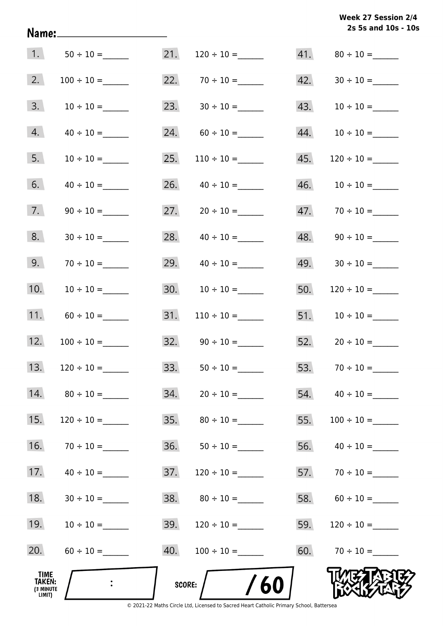# **2s 5s and 10s - 10s Week 27 Session 2/4**

| 1.                                           |                 | 21.    |                    | 41. |                      |
|----------------------------------------------|-----------------|--------|--------------------|-----|----------------------|
| 2.                                           |                 | 22.    |                    | 42. |                      |
| 3.                                           |                 |        | 23. $30 \div 10 =$ | 43. | $10 \div 10 =$       |
| 4.                                           |                 | 24.    |                    | 44. |                      |
| 5.                                           | $10 \div 10 =$  | 25.    | $110 \div 10 =$    | 45. |                      |
| 6.                                           |                 | 26.    |                    | 46. |                      |
| 7.                                           |                 | 27.    |                    |     | $47.70 \div 10 =$    |
| 8.                                           | $30 \div 10 =$  | 28.    | $40 \div 10 =$     | 48. | $90 \div 10 =$       |
| 9.                                           |                 | 29.    | $40 \div 10 =$     | 49. |                      |
| 10.                                          | $10 \div 10 =$  | 30.    | $10 \div 10 =$     | 50. |                      |
| 11.                                          | $60 \div 10 =$  | 31.    | $110 \div 10 =$    | 51. |                      |
| 12.                                          | $100 \div 10 =$ |        |                    |     | 52. $20 \div 10 =$   |
| 13.                                          | $120 \div 10 =$ | 33.    |                    | 53. |                      |
| 14.                                          | $80 \div 10 =$  | 34.    | $20 \div 10 =$     |     | $54.$ $40 \div 10 =$ |
| 15.                                          | $120 \div 10 =$ |        |                    | 55. | $100 \div 10 =$      |
| 16.                                          | $70 \div 10 =$  | 36.    |                    | 56. | $40 \div 10 =$       |
| 17.                                          | $40 \div 10 =$  | 37.    |                    |     | 57. $70 \div 10 =$   |
| 18.                                          | $30 \div 10 =$  | 38.    | $80 \div 10 =$     |     | 58. $60 \div 10 =$   |
| 19.                                          | $10 \div 10 =$  | 39.    |                    | 59. |                      |
| 20.                                          |                 | 40.    |                    | 60. | $70 \div 10 =$       |
| TIME<br><b>TAKEN:</b><br>(3 MINUTE<br>LIMIT) |                 | SCORE: | /60                |     |                      |

Name: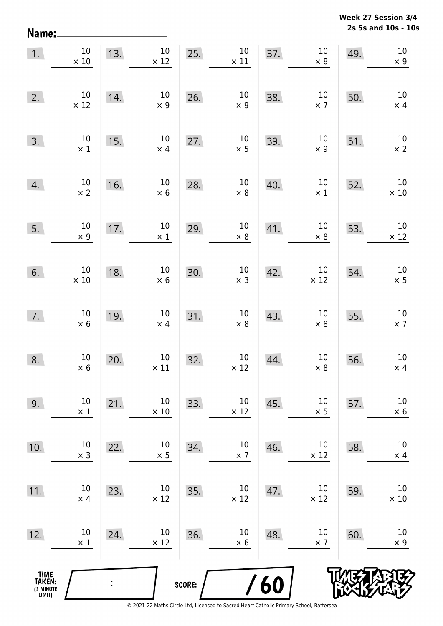**2s 5s and 10s - 10s Week 27 Session 3/4** 

| Name:                                         |                               |     |                                |        |                                |     |                       |     | 2s 5s and 10s - 10            |
|-----------------------------------------------|-------------------------------|-----|--------------------------------|--------|--------------------------------|-----|-----------------------|-----|-------------------------------|
| 1.                                            | $10\,$<br>$\times 10$         | 13. | $10\,$<br>$\times$ 12          | 25.    | $10\,$<br>$\times$ 11          | 37. | $10\,$<br>$\times$ 8  | 49. | $10\,$<br>$\times$ 9          |
| 2.                                            | 10<br>$\times$ 12             | 14. | $10\,$<br>$\times$ 9           | 26.    | $10\,$<br>$\times$ 9           | 38. | $10\,$<br>$\times$ 7  | 50. | $10\,$<br>$\times$ 4          |
| 3.                                            | 10<br>$\times$ 1              | 15. | $10\,$<br>$\times$ 4           | 27.    | $10\,$<br>$\times$ 5           | 39. | $10\,$<br>$\times$ 9  | 51. | $10\,$<br>$\times$ 2          |
| 4.                                            | $10\,$<br>$\times$ 2          | 16. | $10\,$<br>$\times$ 6           | 28.    | $10\,$<br>$\times$ 8           | 40. | $10\,$<br>$\times$ 1  | 52. | $10\,$<br>$\times$ 10         |
| 5.                                            | $10\,$<br>$\times$ 9          | 17. | $10\,$<br>$\times$ 1           | 29.    | $10\,$<br>$\times$ 8           | 41. | $10\,$<br>$\times$ 8  | 53. | $10\,$<br>$\times$ 12         |
| 6.                                            | $10\,$<br>$\times 10$         | 18. | $10\,$<br>$\times$ 6           | 30.    | $10\,$<br>$\times$ 3           | 42. | $10\,$<br>$\times$ 12 | 54. | $10\,$<br>$\times$ 5          |
| 7.                                            | $10\,$<br>$\times$ 6          | 19. | $10\,$<br>$\times$ 4           | 31.    | $10\,$<br>$\times$ 8           | 43. | $10\,$<br>$\times$ 8  | 55. | $10\,$<br>$\times$ 7          |
| 8.                                            | 10 <sub>1</sub><br>$\times$ 6 | 20. | 10 <sub>1</sub><br>$\times$ 11 | 32.    | 10 <sub>1</sub><br>$\times$ 12 | 44. | 10<br>$\times$ 8      | 56. | 10 <sup>°</sup><br>$\times$ 4 |
| 9.                                            | $10\,$<br>$\times$ 1          | 21. | $10\,$<br>$\times$ 10          | 33.    | $10\,$<br>$\times$ 12          | 45. | $10\,$<br>$\times$ 5  | 57. | $10\,$<br>$\times$ 6          |
| 10.                                           | $10\,$<br>$\times$ 3          | 22. | $10\,$<br>$\times$ 5           | 34.    | $10\,$<br>$\times$ 7           | 46. | $10\,$<br>$\times$ 12 | 58. | $10\,$<br>$\times$ 4          |
| 11.                                           | $10\,$<br>$\times$ 4          | 23. | $10\,$<br>$\times$ 12          | 35.    | $10\,$<br>$\times$ 12          | 47. | $10\,$<br>$\times$ 12 | 59. | $10\,$<br>$\times$ 10         |
| 12.                                           | $10\,$<br>$\times$ 1          | 24. | $10\,$<br>$\times$ 12          | 36.    | $10\,$<br>$\times$ 6           | 48. | $10\,$<br>$\times$ 7  | 60. | 10<br>$\times$ 9              |
| <b>TIME<br/>TAKEN:</b><br>(3 MINUTE<br>LIMIT) |                               |     |                                | SCORE: |                                | 60  |                       |     |                               |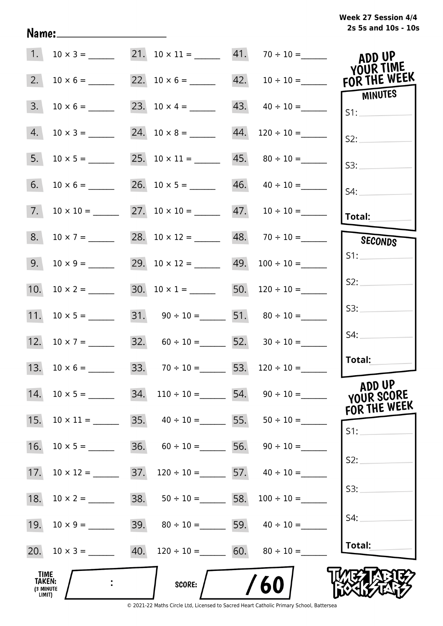|  | Week 27 Session 4/4 |  |  |
|--|---------------------|--|--|
|  | 2s 5s and 10s - 10s |  |  |

| 1.                                    |                     |     | 21. $10 \times 11 =$ 41. $70 \div 10 =$                    |                                        | ADD UP<br>YOUR TIME                  |
|---------------------------------------|---------------------|-----|------------------------------------------------------------|----------------------------------------|--------------------------------------|
| 2.                                    | $10 \times 6 =$     |     |                                                            | 22. $10 \times 6 =$ 42. $10 \div 10 =$ | FOR THE WEEK<br>MINUTES              |
| 3.                                    | $10 \times 6 =$     |     | 23. $10 \times 4 =$ 43. $40 \div 10 =$                     |                                        | S1:                                  |
| 4.                                    |                     |     | 24. $10 \times 8 =$ 44. $120 \div 10 =$                    |                                        | S2:                                  |
| 5.                                    |                     |     | 25. $10 \times 11 =$ 45. $80 \div 10 =$                    |                                        | S3:                                  |
| 6.                                    | $10 \times 6 =$     |     | 26. $10 \times 5 =$ 46. $40 \div 10 =$                     |                                        | S4:                                  |
| 7.                                    |                     |     | 27. $10 \times 10 =$ 47. $10 \div 10 =$                    |                                        | Total:                               |
| 8.                                    | $10 \times 7 =$     |     | 28. $10 \times 12 =$ 48. $70 \div 10 =$                    |                                        | SECONDS                              |
| 9.                                    | $10 \times 9 =$     |     | 29. $10 \times 12 =$ 49. $100 \div 10 =$                   |                                        | S1:                                  |
| 10.                                   |                     |     | 30. $10 \times 1 =$ 50. $120 \div 10 =$                    |                                        | S2:                                  |
|                                       |                     |     | 31. $90 \div 10 =$ 51. $80 \div 10 =$                      |                                        | S3:                                  |
|                                       | 12. $10 \times 7 =$ |     | 32. $60 \div 10 =$ 52. $30 \div 10 =$                      |                                        | S4:                                  |
|                                       | 13. $10 \times 6 =$ |     | 33. $70 \div 10 = 53.$ $120 \div 10 =$                     |                                        | Total:                               |
| 14.                                   |                     | 34. |                                                            | $110 \div 10 =$ 54. $90 \div 10 =$     | ADD UP<br>YOUR SCORE<br>FOR THE WEEK |
| 15.                                   | $10 \times 11 =$    |     | 35. $40 \div 10 =$ 55. $50 \div 10 =$                      |                                        | S1:                                  |
| 16.                                   |                     |     | 36. $60 \div 10 =$ 56. $90 \div 10 =$                      |                                        |                                      |
| 17.                                   | $10 \times 12 =$    | 37. | $120 \div 10 =$ 57. $40 \div 10 =$                         |                                        | S2:                                  |
| 18.                                   |                     |     | 38. $50 \div 10 =$ 58.                                     | $100 \div 10 =$                        | S3:                                  |
| 19.                                   |                     |     | 39. $80 \div 10 =$ 59. $40 \div 10 =$                      |                                        | S4:                                  |
|                                       |                     |     | 20. $10 \times 3 =$ 40. $120 \div 10 =$ 60. $80 \div 10 =$ |                                        | Total:                               |
| TIME<br>TAKEN:<br>(3 MINUTE<br>LIMIT) |                     |     | SCORE:                                                     | 60                                     |                                      |

Name: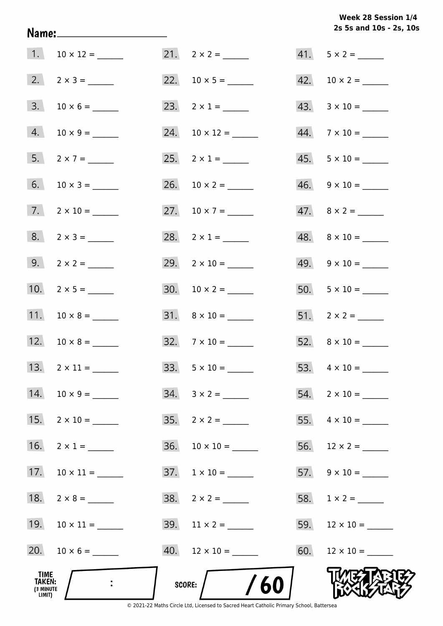# **2s 5s and 10s - 2s, 10s Week 28 Session 1/4**

| TIME<br><b>TAKEN:</b><br>(3 MINUTE<br>LIMIT) |                       | /60<br>SCORE: $/$         |                           |
|----------------------------------------------|-----------------------|---------------------------|---------------------------|
|                                              | 20. $10 \times 6 =$   | $40.$ 12 × 10 = _____     |                           |
|                                              | 19. $10 \times 11 =$  |                           |                           |
| 18.                                          |                       |                           |                           |
| 17.                                          | $10 \times 11 =$      |                           | $57. \quad 9 \times 10 =$ |
| 16.                                          | $2 \times 1 =$        |                           |                           |
| 15.                                          | $2 \times 10 =$       | $35. \quad 2 \times 2 =$  |                           |
|                                              | 14. $10 \times 9 =$   |                           |                           |
|                                              | 13. $2 \times 11 =$   |                           |                           |
|                                              | 12. $10 \times 8 =$   | $32.7 \times 10 =$        |                           |
|                                              | 11. $10 \times 8 =$   | $31. \quad 8 \times 10 =$ | $51. 2 \times 2 =$        |
|                                              | 10. $2 \times 5 =$    |                           |                           |
|                                              | 9. $2 \times 2 =$     | 29. $2 \times 10 =$       | $49. 9 \times 10 =$       |
|                                              |                       | 28. $2 \times 1 =$        | $48. \quad 8 \times 10 =$ |
|                                              | $7.$ 2 x 10 = _______ | 27. $10 \times 7 =$       | $47.8 \times 2 =$         |
|                                              |                       |                           | $46. 9 \times 10 =$       |
|                                              | $5. 2 \times 7 =$     | 25. $2 \times 1 =$        | $45. 5 \times 10 =$       |
| 4.                                           |                       | 24. $10 \times 12 =$      |                           |
| 3.                                           |                       | 23. $2 \times 1 =$        | $43. \quad 3 \times 10 =$ |
|                                              |                       |                           |                           |
|                                              | 1. $10 \times 12 =$   |                           | $41. 5 \times 2 =$        |

Name: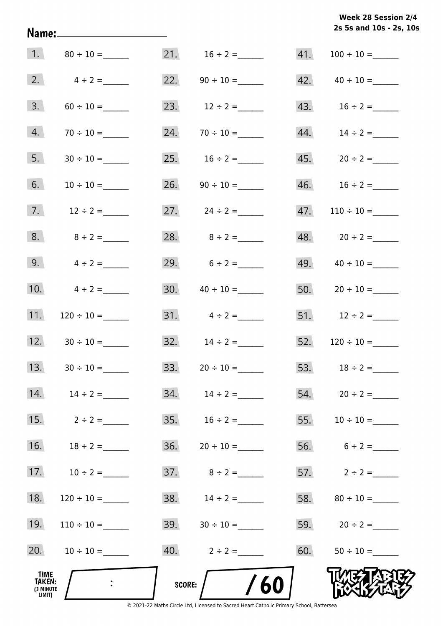**2s 5s and 10s - 2s, 10s Week 28 Session 2/4** 

| 1.                                                  |                 |        | 21. $16 \div 2 =$                 | 41. |                           |
|-----------------------------------------------------|-----------------|--------|-----------------------------------|-----|---------------------------|
| 2.                                                  | $4 \div 2 =$    |        | 22. $90 \div 10 =$                |     | $42. \qquad 40 \div 10 =$ |
| 3.                                                  |                 |        | 23. $12 \div 2 =$                 |     | $43. 16 \div 2 =$         |
| 4.                                                  | $70 \div 10 =$  | 24.    |                                   | 44. | $14 \div 2 =$             |
| 5.                                                  | $30 \div 10 =$  |        |                                   |     | $45. 20 \div 2 =$         |
| 6.                                                  | $10 \div 10 =$  |        |                                   |     |                           |
| 7.                                                  | $12 \div 2 =$   |        | 27. $24 \div 2 =$                 | 47. | $110 \div 10 =$           |
| 8.                                                  | $8 \div 2 =$    |        | 28. $8 \div 2 =$                  |     | 48. $20 \div 2 =$         |
| 9.                                                  | $4 \div 2 =$    |        | 29. $6 \div 2 =$                  |     | 49. $40 \div 10 =$        |
| 10.                                                 | $4 \div 2 =$    |        |                                   |     | 50. $20 \div 10 =$        |
| 11.                                                 |                 |        | $31. \qquad 4 \div 2 =$           |     | 51. $12 \div 2 =$         |
| 12.                                                 | $30 \div 10 =$  |        | 32. $14 \div 2 =$                 |     |                           |
| 13.                                                 | $30 \div 10 =$  |        | 33. $20 \div 10 =$                |     | 53. $18 \div 2 =$         |
| 14.                                                 | $14 \div 2 =$   |        | $34. \hspace{1.5cm} 14 \div 2 =$  |     |                           |
| 15.                                                 | $2 \div 2 =$    |        |                                   |     |                           |
| 16.                                                 | $18 \div 2 =$   |        |                                   |     | 56. $6 \div 2 =$          |
| 17.                                                 | $10 \div 2 =$   |        |                                   |     | 57. $2 \div 2 =$          |
| 18.                                                 |                 |        | 38. $14 \div 2 =$                 |     |                           |
| 19.                                                 | $110 \div 10 =$ |        | $39. \hspace{1.5cm} 30 \div 10 =$ |     | 59. $20 \div 2 =$         |
| 20.                                                 | $10 \div 10 =$  |        | 40. $2 \div 2 =$                  | 60. |                           |
| <b>TIME</b><br><b>TAKEN:</b><br>(3 MINUTE<br>LIMIT) |                 | SCORE: | /60                               |     |                           |

Name: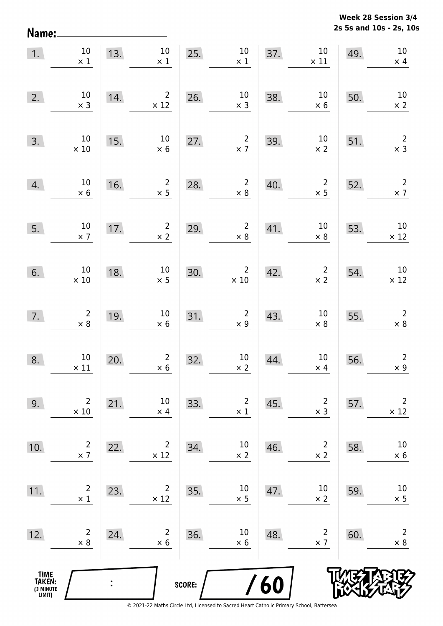**2s 5s and 10s - 2s, 10s Week 28 Session 3/4** 

| 1.                                    | $10\,$<br>$\times$ 1                         | 13. | $10\,$<br>$\times$ 1          | 25.    | $10\,$<br>$\times$ 1          | 37. | $10\,$<br>$\times$ 11        | 49. | $10\,$<br>$\times$ 4          |
|---------------------------------------|----------------------------------------------|-----|-------------------------------|--------|-------------------------------|-----|------------------------------|-----|-------------------------------|
| 2.                                    | $10\,$<br>$\times$ 3                         | 14. | $\overline{2}$<br>$\times$ 12 | 26.    | $10\,$<br>$\times$ 3          | 38. | $10\,$<br>$\times$ 6         | 50. | $10\,$<br>$\times$ 2          |
| 3.                                    | $10\,$<br>$\times$ 10                        | 15. | $10\,$<br>$\times$ 6          | 27.    | $\overline{2}$<br>$\times$ 7  | 39. | $10\,$<br>$\times$ 2         | 51. | $\mathbf 2$<br>$\times$ 3     |
| 4.                                    | $10\,$<br>$\times$ 6                         | 16. | $\overline{2}$<br>$\times$ 5  | 28.    | $\overline{2}$<br>$\times$ 8  | 40. | $\overline{2}$<br>$\times$ 5 | 52. | $\mathbf 2$<br>$\times$ 7     |
| 5.                                    | $10\,$<br>$\times$ 7                         | 17. | $\overline{2}$<br>$\times$ 2  | 29.    | $\overline{2}$<br>$\times$ 8  | 41. | $10\,$<br>$\times$ 8         | 53. | $10\,$<br>$\times$ 12         |
| 6.                                    | $10\,$<br>$\times$ 10                        | 18. | $10\,$<br>$\times$ 5          | 30.    | $\overline{2}$<br>$\times$ 10 | 42. | $\overline{2}$<br>$\times$ 2 | 54. | 10<br>$\times$ 12             |
| 7.                                    | $\begin{array}{c} 2 \\ \times 8 \end{array}$ | 19. | $10\,$<br>$\times$ 6          | 31.    | $\overline{2}$<br>$\times$ 9  | 43. | $10\,$<br>$\times$ 8         | 55. | $\overline{2}$<br>$\times$ 8  |
| 8.                                    | $10\,$<br>$\times$ 11                        | 20. | $\overline{2}$<br>$\times$ 6  | 32.    | $10\,$<br>$\times$ 2          | 44. | $10\,$<br>$\times$ 4         | 56. | $\overline{2}$<br>$\times$ 9  |
| 9.                                    | $\overline{2}$<br>$\times$ 10                | 21. | 10<br>$\times$ 4              | 33.    | $\overline{c}$<br>$\times$ 1  | 45. | $\overline{2}$<br>$\times$ 3 | 57. | $\overline{2}$<br>$\times$ 12 |
| 10.                                   | $\overline{2}$<br>$\times$ 7                 | 22. | $\overline{2}$<br>$\times$ 12 | 34.    | $10\,$<br>$\times$ 2          | 46. | $\overline{2}$<br>$\times$ 2 | 58. | $10\,$<br>$\times$ 6          |
| 11.                                   | $\overline{c}$<br>$\times$ 1                 | 23. | 2<br>$\times$ 12              | 35.    | 10<br>$\times$ 5              | 47. | 10<br>$\times$ 2             | 59. | $10\,$<br>$\times$ 5          |
| 12.                                   | $\overline{2}$<br>$\times 8$                 | 24. | $\overline{2}$<br>$\times$ 6  | 36.    | 10<br>$\times$ 6              | 48. | $\overline{2}$<br>$\times$ 7 | 60. | $\overline{2}$<br>$\times$ 8  |
| TIME<br>TAKEN:<br>(3 MINUTE<br>LIMIT) |                                              |     |                               | SCORE: |                               | /60 |                              |     |                               |

Name: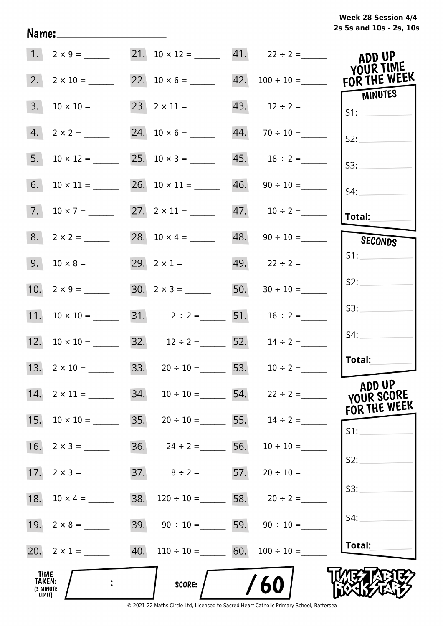|  |  | Week 28 Session 4/4     |
|--|--|-------------------------|
|  |  | 2s 5s and 10s - 2s, 10s |

| 1.                                    |                    |     | 21. $10 \times 12 =$ 41. $22 \div 2 =$                   |                                         | ADD UP<br>YOUR TIME  |
|---------------------------------------|--------------------|-----|----------------------------------------------------------|-----------------------------------------|----------------------|
| 2.                                    |                    |     |                                                          | 22. $10 \times 6 =$ 42. $100 \div 10 =$ | FOR THE WEEK         |
| 3.                                    |                    |     |                                                          | 43. $12 \div 2 =$                       | MINUTES<br>S1:       |
| 4.                                    | $2 \times 2 =$     |     | 24. $10 \times 6 =$ 44. $70 \div 10 =$                   |                                         | S2:                  |
| 5.                                    | $10 \times 12 =$   |     | 25. $10 \times 3 =$ 45. $18 \div 2 =$                    |                                         | S3:                  |
|                                       |                    |     | 26. $10 \times 11 =$ 46. $90 \div 10 =$                  |                                         | S4:                  |
|                                       |                    |     | 27. $2 \times 11 =$ 47. $10 \div 2 =$                    |                                         | <b>Total:</b>        |
|                                       |                    |     | 28. $10 \times 4 =$ 48. $90 \div 10 =$                   |                                         | SECONDS              |
|                                       | $9. 10 \times 8 =$ |     | 29. $2 \times 1 =$                                       | $49.$ $22 \div 2 =$                     | S1:                  |
|                                       |                    |     | 30. $2 \times 3 =$ 50. $30 \div 10 =$                    |                                         | S2:                  |
|                                       |                    |     | 31. $2 \div 2 =$ 51. $16 \div 2 =$                       |                                         | S3:                  |
|                                       |                    |     | 32. $12 \div 2 =$ 52. $14 \div 2 =$                      |                                         | S4:                  |
|                                       |                    |     | 13. $2 \times 10 =$ 33. $20 \div 10 =$ 53. $10 \div 2 =$ |                                         | Total:               |
| 14.                                   |                    | 34. |                                                          | $10 \div 10 =$ 54. $22 \div 2 =$        | ADD UP<br>YOUR SCORE |
| 15.                                   |                    |     | 35. $20 \div 10 =$ 55. $14 \div 2 =$                     |                                         | FOR THE WEEK         |
| 16.                                   |                    |     | 36. $24 \div 2 =$ 56.                                    | $10 \div 10 =$                          | S1:                  |
| 17.                                   | $2 \times 3 =$     |     | 37. $8 \div 2 =$ 57. $20 \div 10 =$                      |                                         | S2:                  |
| 18.                                   | $10 \times 4 =$    | 38. |                                                          | $120 \div 10 =$ 58. $20 \div 2 =$       | S3:                  |
| 19.                                   | $2 \times 8 =$     | 39. |                                                          | $90 \div 10 =$ 59. $90 \div 10 =$       | S4:                  |
|                                       | 20. $2 \times 1 =$ |     | 40. $110 \div 10 =$ 60. $100 \div 10 =$                  |                                         | Total:               |
| TIME<br>TAKEN:<br>(3 MINUTE<br>LIMIT) |                    |     | <b>SCORE:</b>                                            | 60                                      |                      |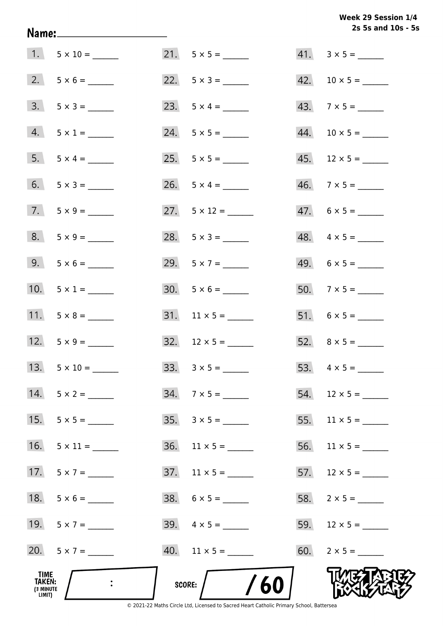**2s 5s and 10s - 5s Week 29 Session 1/4** 

|                                              |                    |                              | 2s 5s and 10s - 5        |
|----------------------------------------------|--------------------|------------------------------|--------------------------|
|                                              | $1. 5 \times 10 =$ |                              | $41. \quad 3 \times 5 =$ |
|                                              |                    | 22. $5 \times 3 =$           |                          |
|                                              | $3. 5 \times 3 =$  | 23. $5 \times 4 =$           | $43.7 \times 5 =$        |
|                                              | $4. 5 \times 1 =$  | $24. 5 \times 5 =$           |                          |
|                                              | $5. 5 \times 4 =$  |                              |                          |
|                                              | 6. $5 \times 3 =$  |                              | $46. \quad 7 \times 5 =$ |
|                                              |                    | 27. $5 \times 12 =$          | $47.6 \times 5 =$        |
|                                              | $8. 5 \times 9 =$  | 28. $5 \times 3 =$           | $48. 4 \times 5 =$       |
|                                              | $9. 5 \times 6 =$  | 29. $5 \times 7 =$           | $49. 6 \times 5 =$       |
|                                              | 10. $5 \times 1 =$ |                              | $50.7 \times 5 =$        |
|                                              |                    |                              |                          |
|                                              | 12. $5 \times 9 =$ | $32. 12 \times 5 =$          |                          |
| 13.                                          |                    | $33. \quad 3 \times 5 =$     | 53. $4 \times 5 =$       |
|                                              | $14. 5 \times 2 =$ | $34.7 \times 5 =$            |                          |
| 15.                                          | $5 \times 5 =$     | $35. \quad 3 \times 5 =$     |                          |
| 16.                                          | $5 \times 11 =$    | $36.$ 11 × 5 = ______        |                          |
| 17.                                          | $5 \times 7 =$     |                              |                          |
| 18.                                          |                    |                              |                          |
|                                              | 19. $5 \times 7 =$ |                              |                          |
|                                              | 20. $5 \times 7 =$ | $40.$ 11 $\times$ 5 = ______ |                          |
| TIME<br><b>TAKEN:</b><br>(3 MINUTE<br>LIMIT) |                    | /60<br>SCORE:                |                          |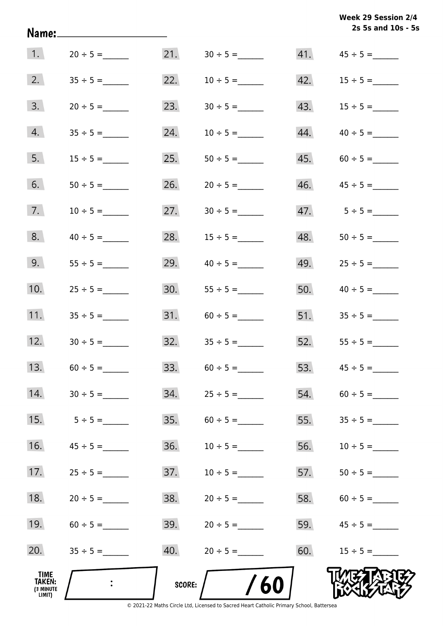|                                                     | Name:____________________ |               |                     |     | Week 29 Session 2/4<br>2s 5s and 10s - 5s |
|-----------------------------------------------------|---------------------------|---------------|---------------------|-----|-------------------------------------------|
| 1.                                                  | $20 \div 5 =$             |               |                     | 41. | $45 \div 5 =$                             |
| 2.                                                  |                           | 22.           |                     | 42. | $15 \div 5 =$                             |
| 3.                                                  | $20 \div 5 =$             | 23.           |                     |     |                                           |
| 4.                                                  |                           | 24.           | $10 \div 5 =$       | 44. | $40 \div 5 =$                             |
| 5.                                                  | $15 \div 5 =$             | 25.           |                     |     |                                           |
| 6.                                                  |                           | 26.           | $20 \div 5 =$       |     |                                           |
| 7.                                                  | $10 \div 5 =$             | 27.           |                     |     |                                           |
| 8.                                                  | $40 \div 5 =$             | 28.           | $15 \div 5 =$       | 48. |                                           |
| 9.                                                  |                           | 29.           | $40 \div 5 =$       | 49. | $25 \div 5 =$                             |
| 10.                                                 | $25 \div 5 =$             | 30.           | $55 \div 5 =$       | 50. | $40 \div 5 =$                             |
| 11.                                                 | $35 \div 5 =$             |               |                     |     | $51.$ $35 \div 5 =$                       |
| 12.                                                 | $30 \div 5 =$             |               | $32.$ $35 \div 5 =$ |     | $52.$ $55 \div 5 =$                       |
| 13.                                                 |                           | 33.           |                     | 53. |                                           |
| 14.                                                 |                           | 34.           |                     | 54. |                                           |
| 15.                                                 | $5 \div 5 =$              | 35.           |                     | 55. |                                           |
| 16.                                                 |                           | 36.           | $10 \div 5 =$       | 56. |                                           |
| 17.                                                 | $25 \div 5 =$             | 37.           | $10 \div 5 =$       | 57. | $50 \div 5 =$                             |
| 18.                                                 | $20 \div 5 =$             | 38.           | $20 \div 5 =$       | 58. |                                           |
| 19.                                                 |                           | 39.           | $20 \div 5 =$       | 59. |                                           |
| 20.                                                 |                           | 40.           |                     | 60. | $15 \div 5 =$                             |
| <b>TIME</b><br><b>TAKEN:</b><br>(3 MINUTE<br>LIMIT) |                           | <b>SCORE:</b> | /60                 |     |                                           |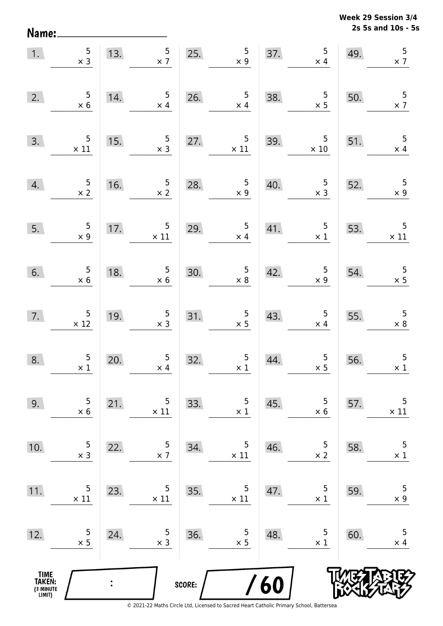**2s 5s and 10s - 5s Week 29 Session 3/4** 

| 1.                                            | $\begin{array}{r} 5 \\ \times 3 \end{array}$  |                | 5 <sub>5</sub><br>13.<br>$\times$ 7           | 25.    | $\frac{5}{x}$                                |     | $5\phantom{.0}$<br>37.<br>$\times$ 4         | 49. | 5<br>$\times$ 7                               |
|-----------------------------------------------|-----------------------------------------------|----------------|-----------------------------------------------|--------|----------------------------------------------|-----|----------------------------------------------|-----|-----------------------------------------------|
| 2.                                            | $\begin{array}{r} 5 \\ \times 6 \end{array}$  | 14.            | $5\phantom{.0}$<br>$\times$ 4                 | 26.    | $\frac{5}{x 4}$                              | 38. | $\begin{array}{r} 5 \\ \times 5 \end{array}$ | 50. | $\frac{5}{x}$ 7                               |
| 3.                                            | $\frac{5}{\times 11}$                         | 15.            | $\begin{array}{c} 5 \\ \times 3 \end{array}$  | 27.    | $\frac{5}{\times 11}$                        | 39. | $\overline{\phantom{0}}$<br>$\times$ 10      | 51. | 5<br>$\times$ 4                               |
| 4.                                            | $\frac{5}{\times 2}$                          | 16.            | $\frac{5}{x}$ 2                               | 28.    | $\overline{5}$<br>$\times 9$                 | 40. | $\begin{array}{c} 5 \\ \times 3 \end{array}$ | 52. | $\overline{\mathbf{5}}$<br>$\times 9$         |
| 5.                                            | $\begin{array}{r} 5 \\ \times 9 \end{array}$  | 17.            | $\begin{array}{r} 5 \\ \times 11 \end{array}$ | 29.    | $\begin{array}{c} 5 \\ \times 4 \end{array}$ | 41. | $\overline{5}$<br>$\times$ 1                 | 53. | $\begin{array}{r} 5 \\ \times 11 \end{array}$ |
| 6.                                            | $\begin{array}{c} 5 \\ \times 6 \end{array}$  | 18.            | $\begin{array}{r} 5 \\ \times 6 \end{array}$  | 30.    | $\begin{array}{c} 5 \\ \times 8 \end{array}$ | 42. | $\begin{array}{c} 5 \\ x \end{array}$        | 54. | $\begin{array}{r} 5 \\ \times 5 \end{array}$  |
| 7.                                            | $\begin{array}{c} 5 \\ \times 12 \end{array}$ | 19.            | $\begin{array}{r} 5 \\ \times 3 \end{array}$  | 31.    | $\begin{array}{r} 5 \\ \times 5 \end{array}$ | 43. | $\begin{array}{c} 5 \\ \times 4 \end{array}$ | 55. | $\begin{array}{r} 5 \\ \times 8 \end{array}$  |
| 8.                                            | $\begin{array}{c} 5 \\ \times 1 \end{array}$  | 20.            | $\frac{5}{x 4}$                               | 32.    | $\begin{array}{c} 5 \\ \times 1 \end{array}$ | 44. | $\frac{5}{2}$                                | 56. | $\overline{5}$<br>$\times$ 1                  |
| 9.                                            | 5<br>$\times 6$                               | 21.            | 5<br>$\times$ 11                              | 33.    | 5<br>$\times$ 1                              | 45. | 5<br>$\times$ 6                              | 57. | 5<br>$\times$ 11                              |
| 10.                                           | 5<br>$\times$ 3                               | 22.            | 5<br>$\times$ 7                               | 34.    | 5<br>$\times$ 11                             | 46. | 5<br>$\times$ 2                              | 58. | $\overline{5}$<br>$\times$ 1                  |
| 11.                                           | 5<br>$\times$ 11                              | 23.            | 5<br>$\times$ 11                              | 35.    | 5<br>$\times$ 11                             | 47. | 5<br>$\times$ 1                              | 59. | 5<br>$\times$ 9                               |
| 12.                                           | 5<br>$\times$ 5                               | 24.            | 5<br>$\times$ 3                               | 36.    | 5<br>$\times$ 5                              | 48. | 5<br>$\times$ 1                              | 60. | 5<br>$\times$ 4                               |
| <b>TIME<br/>TAKEN:</b><br>(3 MINUTE<br>LIMIT) |                                               | $\ddot{\cdot}$ |                                               | SCORE: |                                              | 60  |                                              |     |                                               |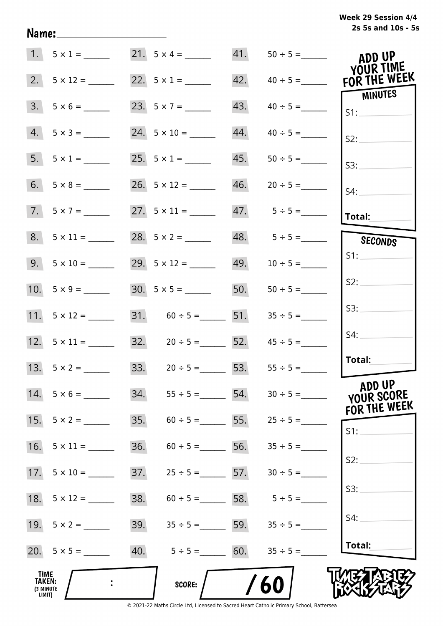|                                              | 1. $5 \times 1 =$   |     | 21. $5 \times 4 =$                  |     | 41. $50 \div 5 =$               | ADD UP<br>YOUR TIME     |
|----------------------------------------------|---------------------|-----|-------------------------------------|-----|---------------------------------|-------------------------|
| 2.                                           |                     |     | 22. $5 \times 1 =$                  |     | $42. \qquad 40 \div 5 =$        | FOR THE WEEK<br>MINUTES |
| 3.                                           |                     |     | 23. $5 \times 7 =$                  | 43. | $40 \div 5 =$                   | S1:                     |
|                                              | $4. 5 \times 3 =$   |     | 24. $5 \times 10 =$                 | 44. | $40 \div 5 =$                   | S2:                     |
|                                              | $5. 5 \times 1 =$   |     | 25. $5 \times 1 =$                  | 45. | $50 \div 5 =$                   | S3:                     |
|                                              |                     |     |                                     | 46. |                                 | $S4$ :                  |
|                                              | $7. 5 \times 7 =$   |     |                                     |     | $47. 5 \div 5 =$                | <b>Total:</b>           |
|                                              | $8. 5 \times 11 =$  |     | 28. $5 \times 2 =$                  |     | 48. $5 \div 5 =$                | SECONDS                 |
|                                              | $9. 5 \times 10 =$  |     | 29. $5 \times 12 =$                 |     |                                 | S1:                     |
|                                              |                     |     |                                     |     | 50. $50 \div 5 =$               | S2:                     |
|                                              |                     |     | 31. $60 \div 5 =$ 51.               |     | $35 \div 5 =$                   | S3:                     |
|                                              |                     |     | 32. $20 \div 5 =$ 52. $45 \div 5 =$ |     |                                 | S4:                     |
|                                              | 13. $5 \times 2 =$  |     | 33. $20 \div 5 = 53.$ $55 \div 5 =$ |     |                                 | Total:                  |
|                                              | $14. 5 \times 6 =$  |     | 34. $55 \div 5 =$ 54. $30 \div 5 =$ |     |                                 | ADD UP<br>YOUR SCORE    |
|                                              |                     | 35. |                                     |     | $60 \div 5 =$ 55. $25 \div 5 =$ | FOR THE WEEK<br>S1:     |
| 16.                                          | $5 \times 11 =$     | 36. | $60 \div 5 =$ 56. $35 \div 5 =$     |     |                                 |                         |
|                                              |                     | 37. | $25 \div 5 =$ 5.5 = 57.             |     | $30 \div 5 =$                   | S2:                     |
|                                              | 18. $5 \times 12 =$ | 38. | $60 \div 5 = 58.$ $5 \div 5 =$      |     |                                 | S3:                     |
|                                              | 19. $5 \times 2 =$  | 39. | $35 \div 5 =$ 59.                   |     | $35 \div 5 =$                   | S4:                     |
|                                              |                     | 40. | $5 \div 5 = 60.$                    |     | $35 \div 5 =$                   | Total:                  |
| TIME<br><b>TAKEN:</b><br>(3 MINUTE<br>LIMIT) |                     |     | <b>SCORE:</b>                       |     | 60                              |                         |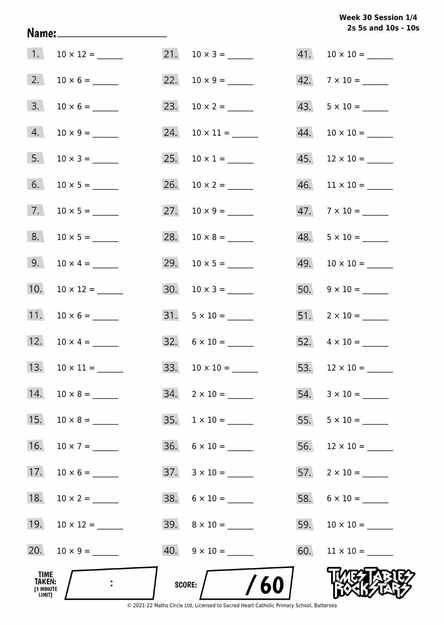# **2s 5s and 10s - 10s Week 30 Session 1/4**

| TIME<br>TAKEN:<br>(3 MINUTE<br>LIMIT) |                    |     | 60<br>SCORE:              |     |                           |
|---------------------------------------|--------------------|-----|---------------------------|-----|---------------------------|
| 20.                                   |                    |     |                           |     |                           |
| 19.                                   |                    |     |                           | 59. |                           |
| 18.                                   | $10 \times 2 =$    |     | $38. 6 \times 10 =$       |     |                           |
| 17.                                   |                    |     | $37. \quad 3 \times 10 =$ |     | $57.$ 2 x 10 = _______    |
| 16.                                   | $10 \times 7 =$    |     | $36. 6 \times 10 =$       |     |                           |
| 15.                                   |                    |     | $35. \quad 1 \times 10 =$ |     |                           |
| 14.                                   |                    | 34. |                           |     |                           |
| 13.                                   |                    |     |                           |     |                           |
| 12.                                   |                    |     |                           |     |                           |
| 11.                                   |                    |     | $31. 5 \times 10 =$       |     |                           |
| 10.                                   |                    |     |                           |     | $50. 9 \times 10 =$       |
| 9.                                    | $10 \times 4 =$    |     |                           |     |                           |
| 8.                                    |                    |     |                           |     | $48. 5 \times 10 =$       |
| 7.                                    |                    |     |                           |     | $47.7 \times 10 =$        |
| 6.                                    |                    |     |                           |     | $46.$ 11 × 10 = _______   |
|                                       | $5. 10 \times 3 =$ |     | 25. $10 \times 1 =$       |     | $45.$ 12 × 10 = ______    |
| 4.                                    |                    |     | 24. $10 \times 11 =$      |     |                           |
| 3.                                    |                    |     |                           |     | $43. 5 \times 10 =$       |
| 2.                                    |                    |     |                           |     | $42. \quad 7 \times 10 =$ |
| 1.                                    |                    |     |                           |     |                           |

Name: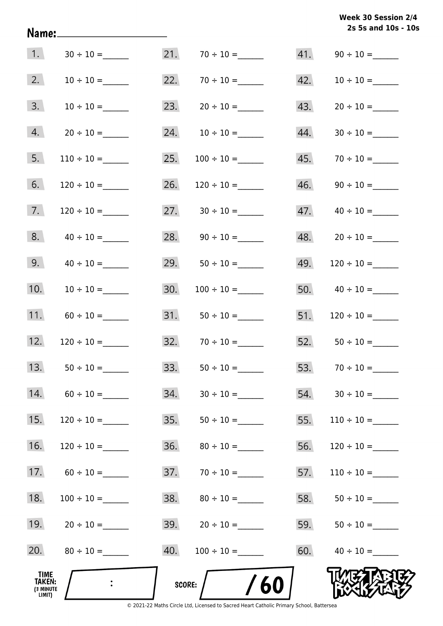**2s 5s and 10s - 10s Week 30 Session 2/4** 

|                                       | Name:__________________________ |     |                    |     | 2s 5s and 10s - 10 |
|---------------------------------------|---------------------------------|-----|--------------------|-----|--------------------|
| 1.                                    |                                 | 21. |                    | 41. |                    |
| 2.                                    |                                 | 22. |                    | 42. |                    |
| 3.                                    |                                 | 23. |                    | 43. |                    |
| 4.                                    |                                 | 24. |                    | 44. |                    |
| 5.                                    | $110 \div 10 =$                 | 25. | $100 \div 10 =$    | 45. |                    |
| 6.                                    | $120 \div 10 =$                 | 26. | $120 \div 10 =$    | 46. |                    |
| 7.                                    |                                 |     | 27. $30 \div 10 =$ | 47. |                    |
| 8.                                    |                                 |     | 28. $90 \div 10 =$ |     |                    |
| 9.                                    | $40 \div 10 =$                  | 29. | $50 \div 10 =$     | 49. |                    |
| 10.                                   |                                 | 30. |                    |     | 50. $40 \div 10 =$ |
| 11.                                   |                                 |     |                    | 51. | $120 \div 10 =$    |
| 12.                                   |                                 |     | $32.70 \div 10 =$  |     | 52. $50 \div 10 =$ |
| 13.                                   | $50 \div 10 =$                  | 33. | $50 \div 10 =$     | 53. | $70 \div 10 =$     |
| 14.                                   |                                 | 34. |                    |     | $54. 30 \div 10 =$ |
| 15.                                   |                                 | 35. |                    | 55. |                    |
| 16.                                   | $120 \div 10 =$                 | 36. | $80 \div 10 =$     | 56. |                    |
| 17.                                   |                                 | 37. |                    | 57. |                    |
| 18.                                   | $100 \div 10 =$                 | 38. |                    | 58. |                    |
| 19.                                   | $20 \div 10 =$                  |     | 39. $20 \div 10 =$ | 59. |                    |
| 20.                                   |                                 | 40. | $100 \div 10 =$    | 60. | $40 \div 10 =$     |
| TIME<br>TAKEN:<br>(3 MINUTE<br>LIMIT) |                                 |     | /60<br>SCORE:      |     |                    |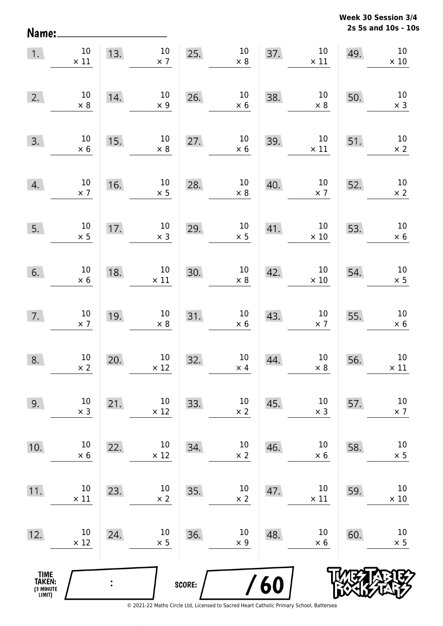**2s 5s and 10s - 10s Week 30 Session 3/4** 

| Name:                                         |                               |     |                                |        |                               |     |                       |     | 2s 5s and 10s - 10             |
|-----------------------------------------------|-------------------------------|-----|--------------------------------|--------|-------------------------------|-----|-----------------------|-----|--------------------------------|
| 1.                                            | $10\,$<br>$\times$ 11         | 13. | $10\,$<br>$\times$ 7           | 25.    | $10\,$<br>$\times$ 8          | 37. | $10\,$<br>$\times$ 11 | 49. | $10\,$<br>$\times$ 10          |
| 2.                                            | 10<br>$\times 8$              | 14. | $10\,$<br>$\times$ 9           | 26.    | $10\,$<br>$\times$ 6          | 38. | $10\,$<br>$\times$ 8  | 50. | $10\,$<br>$\times$ 3           |
| 3.                                            | 10<br>$\times$ 6              | 15. | $10\,$<br>$\times$ 8           | 27.    | $10\,$<br>$\times$ 6          | 39. | $10\,$<br>$\times$ 11 | 51. | $10\,$<br>$\times$ 2           |
| 4.                                            | $10\,$<br>$\times$ 7          | 16. | $10\,$<br>$\times$ 5           | 28.    | $10\,$<br>$\times$ 8          | 40. | $10\,$<br>$\times$ 7  | 52. | $10\,$<br>$\times$ 2           |
| 5.                                            | $10\,$<br>$\times$ 5          | 17. | $10\,$<br>$\times$ 3           | 29.    | $10\,$<br>$\times$ 5          | 41. | $10\,$<br>$\times$ 10 | 53. | $10\,$<br>$\times$ 6           |
| 6.                                            | $10\,$<br>$\times$ 6          | 18. | $10\,$<br>$\times$ 11          | 30.    | $10\,$<br>$\times$ 8          | 42. | $10\,$<br>$\times$ 10 | 54. | $10\,$<br>$\times$ 5           |
| 7.                                            | $10\,$<br>$\times$ 7          | 19. | $10\,$<br>$\times$ 8           | 31.    | $10\,$<br>$\times$ 6          | 43. | $10\,$<br>$\times$ 7  | 55. | $10\,$<br>$\times$ 6           |
| 8.                                            | 10 <sub>1</sub><br>$\times$ 2 | 20. | 10 <sub>1</sub><br>$\times$ 12 | 32.    | 10 <sub>1</sub><br>$\times$ 4 | 44. | 10<br>$\times$ 8      | 56. | 10 <sup>°</sup><br>$\times$ 11 |
| 9.                                            | $10\,$<br>$\times$ 3          | 21. | $10\,$<br>$\times$ 12          | 33.    | $10\,$<br>$\times$ 2          | 45. | $10\,$<br>$\times$ 3  | 57. | $10\,$<br>$\times$ 7           |
| 10.                                           | $10\,$<br>$\times$ 6          | 22. | $10\,$<br>$\times$ 12          | 34.    | $10\,$<br>$\times$ 2          | 46. | $10\,$<br>$\times$ 6  | 58. | $10\,$<br>$\times$ 5           |
| 11.                                           | $10\,$<br>$\times$ 11         | 23. | $10\,$<br>$\times$ 2           | 35.    | $10\,$<br>$\times$ 2          | 47. | $10\,$<br>$\times$ 11 | 59. | $10\,$<br>$\times$ 10          |
| 12.                                           | $10\,$<br>$\times$ 12         | 24. | $10\,$<br>$\times$ 5           | 36.    | $10\,$<br>$\times$ 9          | 48. | $10\,$<br>$\times$ 6  | 60. | 10<br>$\times$ 5               |
| <b>TIME<br/>TAKEN:</b><br>(3 MINUTE<br>LIMIT) |                               |     |                                | SCORE: |                               | 60  |                       |     |                                |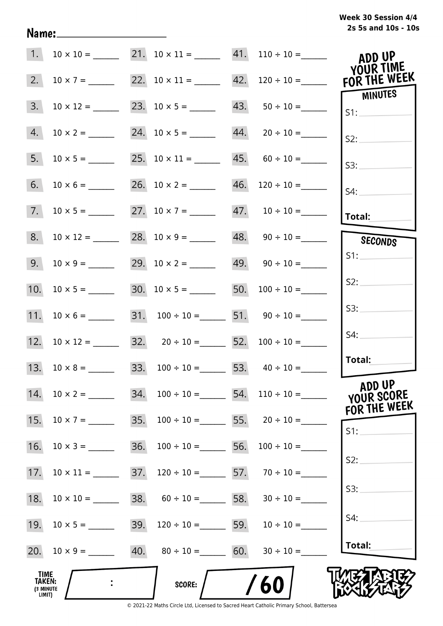|  |  |  |  | Week 30 Session 4/4 |  |
|--|--|--|--|---------------------|--|
|  |  |  |  | 2s 5s and 10s - 10s |  |

|                                                     |                  |     |                                         | 1. $10 \times 10 =$ 21. $10 \times 11 =$ 41. $110 \div 10 =$ ADD UP | YOUR TIME                            |
|-----------------------------------------------------|------------------|-----|-----------------------------------------|---------------------------------------------------------------------|--------------------------------------|
| 2.                                                  | $10 \times 7 =$  |     |                                         | 22. $10 \times 11 =$ 42. $120 \div 10 =$ FOR THE WEEK               |                                      |
| 3.                                                  | $10 \times 12 =$ |     | 23. $10 \times 5 =$ 43. $50 \div 10 =$  |                                                                     | <b>MINUTES</b><br>S1:                |
| 4.                                                  | $10 \times 2 =$  |     | 24. $10 \times 5 =$ 44. $20 \div 10 =$  |                                                                     | S2:                                  |
| 5.                                                  |                  |     | 25. $10 \times 11 =$ 45. $60 \div 10 =$ |                                                                     | S3:                                  |
| 6.                                                  |                  |     | 26. $10 \times 2 =$ 46. $120 \div 10 =$ |                                                                     | S4:                                  |
| 7.                                                  |                  |     | 27. $10 \times 7 =$ 47. $10 \div 10 =$  |                                                                     | <b>Total:</b>                        |
| 8.                                                  | $10 \times 12 =$ |     |                                         | $48. \qquad 90 \div 10 =$                                           | SECONDS                              |
| 9.                                                  | $10 \times 9 =$  |     | 29. $10 \times 2 =$ 49. $90 \div 10 =$  |                                                                     | S1:                                  |
| 10.                                                 | $10 \times 5 =$  |     | 30. $10 \times 5 =$ 50. $100 \div 10 =$ |                                                                     | S2:                                  |
| 11.                                                 | $10 \times 6 =$  |     | 31. $100 \div 10 =$ 51. $90 \div 10 =$  |                                                                     | S3:                                  |
| 12.                                                 | $10 \times 12 =$ |     | 32. $20 \div 10 =$ 52. $100 \div 10 =$  |                                                                     | S4:                                  |
|                                                     |                  |     | 33. $100 \div 10 =$ 53. $40 \div 10 =$  |                                                                     | Total:                               |
| 14.                                                 | $10 \times 2 =$  | 34. | $100 \div 10 =$ 54.                     | $110 \div 10 =$                                                     | ADD UP<br>YOUR SCORE<br>FOR THE WEEK |
| 15.                                                 | $10 \times 7 =$  | 35. |                                         | $100 \div 10 =$ 55. $20 \div 10 =$                                  | S1:                                  |
| 16.                                                 |                  | 36. | $100 \div 10 = 56.$                     | $100 \div 10 =$                                                     | S2:                                  |
| 17.                                                 |                  | 37. |                                         | $120 \div 10 =$ 57. $70 \div 10 =$                                  |                                      |
| 18.                                                 | $10 \times 10 =$ | 38. | $60 \div 10 =$ 58. $30 \div 10 =$       |                                                                     | S3:                                  |
| 19.                                                 |                  | 39. |                                         | $120 \div 10 =$ 59. $10 \div 10 =$                                  | S4:                                  |
| 20.                                                 | $10 \times 9 =$  |     | 40. $80 \div 10 =$ 60. $30 \div 10 =$   |                                                                     | Total:                               |
| <b>TIME</b><br><b>TAKEN:</b><br>(3 MINUTE<br>LIMIT) | $\ddot{\cdot}$   |     | SCORE:                                  | 60                                                                  |                                      |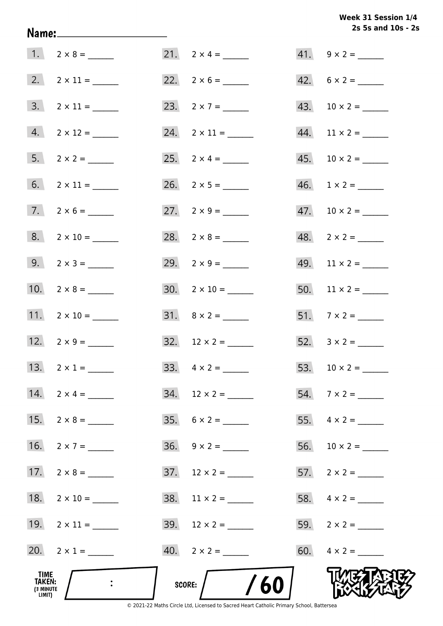**2s 5s and 10s - 2s Week 31 Session 1/4** 

|                                              | Name:_________________________    |                          | 2s 5s and 10s - 2           |
|----------------------------------------------|-----------------------------------|--------------------------|-----------------------------|
|                                              |                                   | 21. $2 \times 4 =$       | $41. 9 \times 2 =$          |
|                                              |                                   | 22. $2 \times 6 =$       | $42. 6 \times 2 =$          |
|                                              | $3. \quad 2 \times 11 =$          | 23. $2 \times 7 =$       |                             |
|                                              | $4. 2 \times 12 =$                | 24. $2 \times 11 =$      | $44.$ 11 × 2 = ________     |
|                                              | $5. 2 \times 2 =$                 | 25. $2 \times 4 =$       |                             |
|                                              | 6. $2 \times 11 =$                |                          | $46. \quad 1 \times 2 = \_$ |
|                                              | $7. 2 \times 6 =$                 | 27. $2 \times 9 =$       |                             |
|                                              | $8. 2 \times 10 =$                | 28. $2 \times 8 =$       |                             |
|                                              | $9.2 \times 3 =$                  | 29. $2 \times 9 =$       | $49.$ 11 × 2 = ______       |
|                                              | 10. $2 \times 8 =$                |                          | $50.$ 11 × 2 = _______      |
|                                              | 11. $2 \times 10 =$               |                          |                             |
|                                              | 12. $2 \times 9 =$                |                          |                             |
|                                              | 13. $2 \times 1 =$                |                          |                             |
|                                              | 14. $2 \times 4 =$                | $34.$ 12 × 2 = _______   |                             |
|                                              | 15. $2 \times 8 =$                | $35. \quad 6 \times 2 =$ |                             |
|                                              | 16. $2 \times 7 =$                | $36. \quad 9 \times 2 =$ |                             |
|                                              |                                   |                          |                             |
|                                              | 18. $2 \times 10 =$               |                          |                             |
|                                              | 19. $2 \times 11 =$               |                          | 59. $2 \times 2 =$          |
|                                              | 20. $2 \times 1 =$                |                          | 60. $4 \times 2 =$          |
| TIME<br><b>TAKEN:</b><br>(3 MINUTE<br>LIMIT) | $\mathbb{R}^n$ and $\mathbb{R}^n$ | SCORE: $\sqrt{60}$       |                             |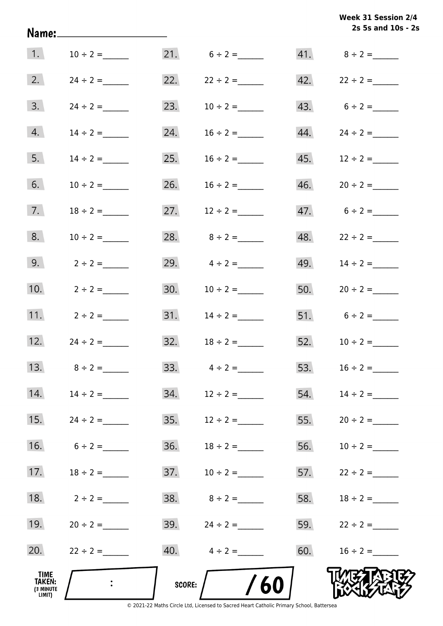|                                        |                   |            |                   |     | 2s 5s and 10s - 2 |
|----------------------------------------|-------------------|------------|-------------------|-----|-------------------|
| $\vert 1. \vert$                       | $10 \div 2 =$     |            |                   |     | 41. $8 \div 2 =$  |
| 2.                                     |                   | 22.        | $22 \div 2 =$     | 42. | $22 \div 2 =$     |
| 3.                                     |                   | 23.        | $10 \div 2 =$     |     | 43. $6 \div 2 =$  |
| 4.                                     |                   | 24.        | $16 \div 2 =$     | 44. | $24 \div 2 =$     |
| 5.                                     | $14 \div 2 =$     | 25.        | $16 \div 2 =$     | 45. | $12 \div 2 =$     |
| 6.                                     | $10 \div 2 =$     | 26.        | $16 \div 2 =$     | 46. | $20 \div 2 =$     |
| 7.                                     | $18 \div 2 =$     | 27.        | $12 \div 2 =$     |     | $47.6 \div 2 =$   |
| 8.                                     | $10 \div 2 =$     | 28.        | $8 \div 2 =$      | 48. | $22 \div 2 =$     |
| 9.                                     | $2 \div 2 =$      | 29.        | $4 \div 2 =$      | 49. | $14 \div 2 =$     |
| 10.                                    | $2 \div 2 =$      | 30.        | $10 \div 2 =$     | 50. | $20 \div 2 =$     |
| 11.                                    | $2 \div 2 =$      | 31.        | $14 \div 2 =$     |     |                   |
| 12.                                    | $24 \div 2 =$     | 32.        | $18 \div 2 =$     | 52. | $10 \div 2 =$     |
| 13.                                    | $8 \div 2 =$      |            | 33. $4 \div 2 =$  | 53. | $16 \div 2 =$     |
|                                        | 14. $14 \div 2 =$ |            |                   | 54. | $14 \div 2 =$     |
| 15.                                    | $24 \div 2 =$     | 35.        | $12 \div 2 =$     | 55. | $20 \div 2 =$     |
| 16.                                    | $6 \div 2 =$      | 36.        | $18 \div 2 =$     | 56. | $10 \div 2 =$     |
| 17.                                    | $18 \div 2 =$     | 37.        | $10 \div 2 =$     | 57. | $22 \div 2 =$     |
| 18.                                    | $2 \div 2 =$      |            |                   | 58. | $18 \div 2 =$     |
| 19.                                    | $20 \div 2 =$     |            | 39. $24 \div 2 =$ |     | 59. $22 \div 2 =$ |
| 20.                                    | $22 \div 2 =$     |            | 40. $4 \div 2 =$  | 60. | $16 \div 2 =$     |
| _TIME<br>TAKEN:<br>(3 MINUTE<br>LIMIT) |                   | SCORE: $/$ | /60               |     |                   |

© 2021-22 Maths Circle Ltd, Licensed to Sacred Heart Catholic Primary School, Battersea

**2s 5s and 10s - 2s Week 31 Session 2/4**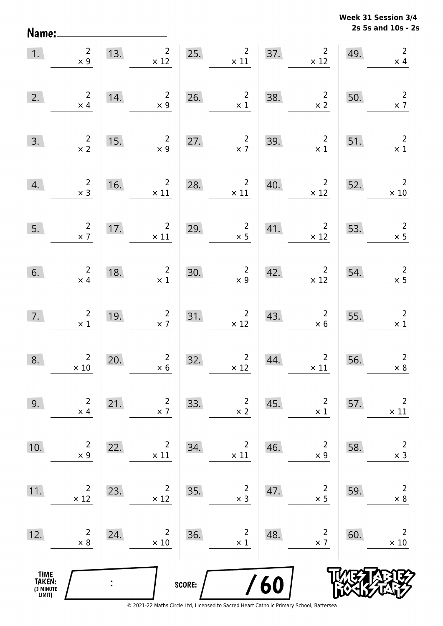**2s 5s and 10s - 2s Week 31 Session 3/4** 

| 1.                                            | $\begin{array}{c} 2 \\ \times 9 \end{array}$  |     | 13. $2 \times 12$                            |        | 25. $2^2$                                                 |     | $2\overline{ }$<br>37. $2 \times 12$                             | 49. | $\overline{2}$<br>$\times$ 4                 |
|-----------------------------------------------|-----------------------------------------------|-----|----------------------------------------------|--------|-----------------------------------------------------------|-----|------------------------------------------------------------------|-----|----------------------------------------------|
| 2.                                            | $\begin{array}{c} 2 \\ \times 4 \end{array}$  | 14. | $\begin{array}{c} 2 \\ \times 9 \end{array}$ | 26.    | $\frac{2}{x1}$                                            | 38. | $\begin{array}{c} 2 \\ \times 2 \end{array}$                     | 50. | $\overline{2}$<br>$\times$ 7                 |
| 3.                                            | $\frac{2}{x^2}$                               | 15. | $\begin{array}{c} 2 \\ \times 9 \end{array}$ | 27.    | $\overline{2}$<br>$\times$ 7                              | 39. | $\overline{2}$<br>$\times$ 1                                     | 51. | $\overline{\phantom{a}}$<br>$\times$ 1       |
| 4.                                            | $\begin{array}{r} 2 \\ \times 3 \end{array}$  | 16. | $\overline{\mathbf{c}}$<br>$\times$ 11       |        | 28. $2$<br>$\times 11$                                    | 40. | $2 \mid 52.$<br>$\times$ 12                                      |     | $\overline{\phantom{a}}$<br>$\times$ 10      |
| 5.                                            | $\frac{2}{x}$                                 |     | 17. $2 \times 11$                            | 29.    | $\frac{2}{x}$                                             | 41. | $\begin{array}{c c} & 2 \\ \times & 12 \end{array}$              | 53. | $\begin{array}{r} 2 \\ \times 5 \end{array}$ |
| 6.                                            | $\begin{array}{c} 2 \\ \times 4 \end{array}$  | 18. | $\begin{array}{c} 2 \\ \times 1 \end{array}$ | 30.    | $\begin{array}{c} 2 \\ \times 9 \end{array}$              |     | 42. $2 \times 12$                                                | 54. | $\begin{array}{c} 2 \\ \times 5 \end{array}$ |
| 7.                                            | $\begin{smallmatrix}2\\1\end{smallmatrix}$    | 19. | $\begin{array}{r}2\\ \times 7\end{array}$    |        | $\begin{array}{c c}\n 31. & 2 \\ \times 12\n \end{array}$ | 43. | $\begin{array}{c} 2 \\ \times 6 \end{array}$                     | 55. | $\overline{\phantom{a}}$<br>$\times$ 1       |
| 8.                                            | $\begin{array}{c} 2 \\ \times 10 \end{array}$ | 20. | $\begin{array}{c} 2 \\ \times 6 \end{array}$ | 32.    | $\begin{array}{r} 2 \\ \times 12 \end{array}$             | 44. | $2\overline{ }$<br>$\begin{array}{c} 2 \\ \times 11 \end{array}$ | 56. | $\overline{2}$<br>$\times 8$                 |
| 9.                                            | $\overline{2}$<br>$\times$ 4                  | 21. | $\overline{2}$<br>$\times$ 7                 | 33.    | $\overline{c}$<br>$\times 2$                              | 45. | $\overline{2}$<br>$\times$ 1                                     | 57. | $\overline{2}$<br>$\times$ 11                |
| 10.                                           | $\overline{2}$<br>$\times$ 9                  | 22. | $\overline{2}$<br>$\times$ 11                | 34.    | $\overline{c}$<br>$\times$ 11                             | 46. | $\overline{2}$<br>$\times$ 9                                     | 58. | $\mathsf{2}\,$<br>$\times$ 3                 |
| 11.                                           | 2<br>$\times$ 12                              | 23. | $\overline{2}$<br>$\times$ 12                | 35.    | $\overline{c}$<br>$\times$ 3                              | 47. | $\overline{2}$<br>$\times$ 5                                     | 59. | $\overline{2}$<br>$\times$ 8                 |
| 12.                                           | $\overline{2}$<br>$\times 8$                  | 24. | $\overline{2}$<br>$\times$ 10                | 36.    | $\overline{2}$<br>$\times$ 1                              | 48. | $\overline{2}$<br>$\times$ 7                                     | 60. | $\overline{2}$<br>$\times$ 10                |
| <b>TIME<br/>TAKEN:</b><br>(3 MINUTE<br>LIMIT) |                                               |     |                                              | SCORE: |                                                           | 60  |                                                                  |     |                                              |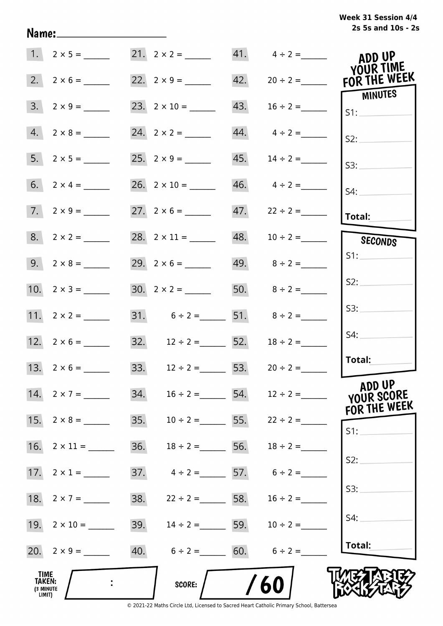# **2s 5s and 10s - 2s Week 31 Session 4/4**

| ADD UP<br>YOUR TIME                              |                                 |     | 21. $2 \times 2 =$ 41. $4 \div 2 =$   |                    |                                              |
|--------------------------------------------------|---------------------------------|-----|---------------------------------------|--------------------|----------------------------------------------|
| 42. $20 \div 2 =$ FOR THE WEEK<br><b>MINUTES</b> |                                 |     |                                       |                    |                                              |
| S1:                                              | $16 \div 2 =$                   | 43. | 23. $2 \times 10 =$                   | $3. 2 \times 9 =$  |                                              |
| S2:                                              | $44. \qquad 4 \div 2 =$         |     |                                       | $4. 2 \times 8 =$  |                                              |
| S3:                                              |                                 |     |                                       | $5. 2 \times 5 =$  |                                              |
| S4:                                              | $46. \qquad 4 \div 2 =$         |     | $26. 2 \times 10 =$                   |                    |                                              |
| Total:                                           |                                 |     |                                       | $7. 2 \times 9 =$  |                                              |
| SECONDS                                          |                                 |     | 28. $2 \times 11 =$ 48. $10 \div 2 =$ | $8. 2 \times 2 =$  |                                              |
| S1:                                              |                                 |     |                                       |                    |                                              |
| S2:                                              |                                 |     | 30. $2 \times 2 =$ 50. $8 \div 2 =$   | 10. $2 \times 3 =$ |                                              |
| S3:                                              |                                 |     | 31. $6 \div 2 =$ 51. $8 \div 2 =$     |                    |                                              |
| S4:                                              | $18 \div 2 =$                   |     | 32. $12 \div 2 =$ 52.                 | 12. $2 \times 6 =$ |                                              |
| Total:                                           |                                 |     | 33. $12 \div 2 =$ 53. $20 \div 2 =$   | 13. $2 \times 6 =$ |                                              |
| ADD UP<br>YOUR SCORE<br>FOR THE WEEK             | $16 \div 2 =$ 54. $12 \div 2 =$ |     | 34.                                   | 14. $2 \times 7 =$ |                                              |
| S1:                                              |                                 |     | 35. $10 \div 2 =$ 55. $22 \div 2 =$   |                    |                                              |
|                                                  | $18 \div 2 =$ 56. $18 \div 2 =$ |     | 36.                                   |                    |                                              |
| S2:                                              | $4 \div 2 = 57.$ $6 \div 2 =$   |     | 37.                                   |                    |                                              |
| S3:                                              | $22 \div 2 =$ 58. $16 \div 2 =$ |     | 38.                                   | 18. $2 \times 7 =$ |                                              |
| S4:                                              |                                 |     | 39. $14 \div 2 =$ 59. $10 \div 2 =$   |                    |                                              |
| Total:                                           |                                 |     | 40. $6 \div 2 =$ 60. $6 \div 2 =$     | 20. $2 \times 9 =$ |                                              |
|                                                  | 60                              |     | <b>SCORE:</b>                         |                    | TIME<br><b>TAKEN:</b><br>(3 MINUTE<br>LIMIT) |

Name: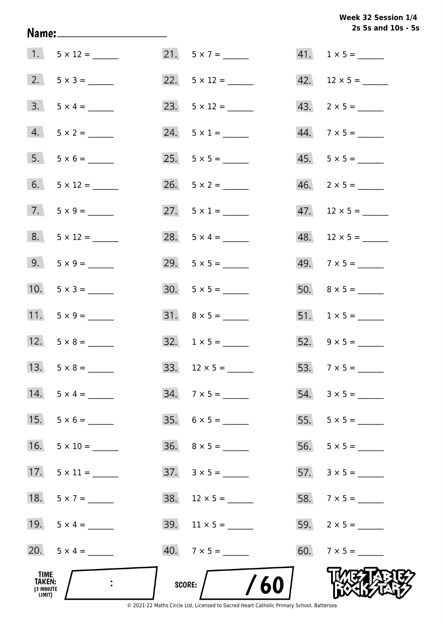Week 32 Session 1/4 2s 5s and 10s - 5s

| TIME<br>TAKEN:<br>(3 MINUTE<br>LIMIT) |                    | /60<br>SCORE:            |                          |
|---------------------------------------|--------------------|--------------------------|--------------------------|
|                                       | 20. $5 \times 4 =$ | $40.7 \times 5 =$        |                          |
|                                       | 19. $5 \times 4 =$ |                          |                          |
| 18.                                   | $5 \times 7 =$     |                          | 58. $7 \times 5 =$       |
| 17.                                   |                    | $37. \quad 3 \times 5 =$ |                          |
| 16.                                   |                    |                          |                          |
| 15.                                   | $5 \times 6 =$     |                          |                          |
| 14.                                   | $5 \times 4 =$     | $34. 7 \times 5 =$       |                          |
|                                       |                    |                          |                          |
|                                       | 12. $5 \times 8 =$ | $32. 1 \times 5 =$       | 52. $9 \times 5 =$       |
|                                       | 11. $5 \times 9 =$ | $31. \quad 8 \times 5 =$ | 51. $1 \times 5 =$       |
|                                       | 10. $5 \times 3 =$ | $30. 5 \times 5 =$       |                          |
|                                       | 9. $5 \times 9 =$  |                          |                          |
|                                       | $8. 5 \times 12 =$ | 28. $5 \times 4 =$       | $48.$ 12 × 5 = ______    |
|                                       | $7. 5 \times 9 =$  | 27. $5 \times 1 =$       | $47.$ 12 × 5 = ______    |
|                                       |                    |                          | $46. \quad 2 \times 5 =$ |
|                                       | $5. 5 \times 6 =$  |                          | $45. 5 \times 5 =$       |
|                                       | $4. 5 \times 2 =$  | $24. 5 \times 1 =$       | $44.7 \times 5 =$        |
|                                       | $3. 5 \times 4 =$  |                          |                          |
|                                       |                    |                          |                          |
|                                       | $1. 5 \times 12 =$ |                          | $41. 1 \times 5 =$       |

Name: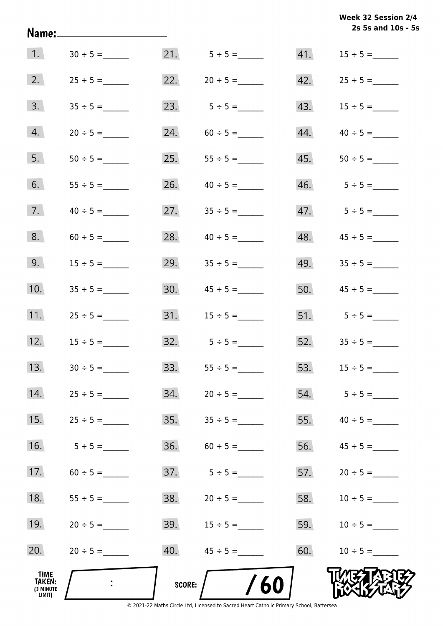|                                                     | Name:_____________________ |               |                  |     | Week 32 Session 2/4<br>2s 5s and 10s - 5s |
|-----------------------------------------------------|----------------------------|---------------|------------------|-----|-------------------------------------------|
| 1.                                                  | $30 \div 5 =$              |               |                  | 41. | $15 \div 5 =$                             |
| 2.                                                  | $25 \div 5 =$              |               |                  |     |                                           |
| 3.                                                  | $35 \div 5 =$              |               | 23. $5 \div 5 =$ | 43. | $15 \div 5 =$                             |
| 4.                                                  | $20 \div 5 =$              | 24.           | $60 \div 5 =$    | 44. | $40 \div 5 =$                             |
| 5.                                                  | $50 \div 5 =$              |               |                  | 45. |                                           |
| 6.                                                  |                            | 26.           | $40 \div 5 =$    |     |                                           |
| 7.                                                  | $40 \div 5 =$              | 27.           | $35 \div 5 =$    |     |                                           |
| 8.                                                  |                            | 28.           | $40 \div 5 =$    | 48. |                                           |
| 9.                                                  | $15 \div 5 =$              | 29.           | $35 \div 5 =$    | 49. | $35 \div 5 =$                             |
| 10.                                                 | $35 \div 5 =$              |               |                  |     | $50.$ $45 \div 5 =$                       |
| 11.                                                 | $25 \div 5 =$              |               |                  |     | 51. $5 \div 5 =$                          |
| 12.                                                 | $15 \div 5 =$              |               | $32.5 \div 5 =$  |     | $52.$ $35 \div 5 =$                       |
| 13.                                                 |                            | 33.           |                  | 53. | $15 \div 5 =$                             |
| 14.                                                 |                            | 34.           |                  | 54. | $5 \div 5 =$                              |
| 15.                                                 |                            | 35.           |                  | 55. |                                           |
| 16.                                                 | $5 \div 5 =$               | 36.           |                  | 56. |                                           |
| 17.                                                 | $60 \div 5 =$              | 37.           | $5 \div 5 =$     | 57. | $20 \div 5 =$                             |
| 18.                                                 | $55 \div 5 =$              | 38.           | $20 \div 5 =$    | 58. | $10 \div 5 =$                             |
| 19.                                                 | $20 \div 5 =$              | 39.           | $15 \div 5 =$    | 59. | $10 \div 5 =$                             |
| 20.                                                 | $20 \div 5 =$              | 40.           | $45 \div 5 =$    | 60. | $10 \div 5 =$                             |
| <b>TIME</b><br><b>TAKEN:</b><br>(3 MINUTE<br>LIMIT) |                            | <b>SCORE:</b> | <b>/60</b>       |     |                                           |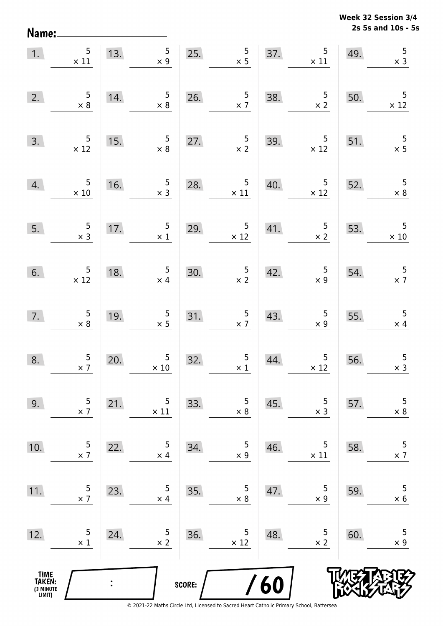**2s 5s and 10s - 5s Week 32 Session 3/4** 

| 1.                                            | 5<br>$\times$ 11                              | 13.            | $5\overline{)}$<br>$\times$ 9                   |        | $\frac{5}{x}$<br>25.                          | 37. | $\begin{array}{c} 5 \\ \times 11 \end{array}$       | 49. | $\overline{5}$<br>$\times$ 3            |
|-----------------------------------------------|-----------------------------------------------|----------------|-------------------------------------------------|--------|-----------------------------------------------|-----|-----------------------------------------------------|-----|-----------------------------------------|
| 2.                                            | $\begin{array}{r} 5 \\ \times 8 \end{array}$  | 14.            | $5\phantom{.0}$<br>$\times 8$                   | 26.    | $\frac{5}{\times 7}$                          | 38. | $\frac{5}{2}$                                       | 50. | $\overline{5}$<br>$\times$ 12           |
| 3.                                            | $\begin{array}{r} 5 \\ \times 12 \end{array}$ | 15.            | $\begin{array}{c} 5 \\ \times 8 \end{array}$    | 27.    | $\frac{5}{2}$                                 | 39. | $\overline{5}$<br>$\times$ 12                       | 51. | $\frac{5}{x}$ 5                         |
| 4.                                            | $\begin{array}{r} 5 \\ \times 10 \end{array}$ | 16.            | $\begin{array}{c} 5 \\ x 3 \end{array}$         | 28.    | $\begin{array}{c} 5 \\ \times 11 \end{array}$ | 40. | $5\phantom{.0}$<br>$\times$ 12                      | 52. | 5<br>$\times$ 8                         |
| 5.                                            | $\frac{5}{x}$                                 | 17.            | $5\phantom{.0}$<br>$\times$ 1                   | 29.    | $\begin{array}{c} 5 \\ \times 12 \end{array}$ | 41. | $\begin{array}{c} 5 \\ \times 2 \end{array}$        | 53. | 5<br>$\times$ 10                        |
| 6.                                            | $\begin{array}{c} 5 \\ \times 12 \end{array}$ | 18.            | $5\phantom{.0}$<br>$\times$ 4                   | 30.    | $\frac{5}{x}$                                 | 42. | $\begin{array}{c} 5 \\ x \underline{9} \end{array}$ | 54. | $\overline{\phantom{0}}$<br>$\times$ 7  |
| 7.                                            | $\begin{array}{c} 5 \\ \times 8 \end{array}$  | 19.            | $\begin{array}{c} 5 \\ \times 5 \end{array}$    | 31.    | $\frac{5}{2}$                                 | 43. | $\begin{array}{c} 5 \\ \times 9 \end{array}$        | 55. | $\overline{\phantom{0}}$<br>$\times$ 4  |
| 8.                                            | $\frac{5}{2}$                                 | 20.            | $\begin{array}{c} 5 \\ \times \ 10 \end{array}$ | 32.    | $\begin{array}{c} 5 \\ \times 1 \end{array}$  | 44. | $\begin{array}{c} 5 \\ \times 12 \end{array}$       | 56. | $\begin{array}{c} 5 \\ x 3 \end{array}$ |
| 9.                                            | 5<br>$\times$ 7                               | 21.            | 5<br>$\times$ 11                                | 33.    | 5<br>$\times$ 8                               | 45. | 5<br>$\times$ 3                                     | 57. | $\mathsf S$<br>$\times$ 8               |
| 10.                                           | 5<br>$\times$ 7                               | 22.            | 5<br>$\times$ 4                                 | 34.    | 5<br>$\times$ 9                               | 46. | 5<br>$\times$ 11                                    | 58. | 5<br>$\times$ 7                         |
| 11.                                           | 5<br>$\times$ 7                               | 23.            | 5<br>$\times$ 4                                 | 35.    | 5<br>$\times 8$                               | 47. | 5<br>$\times$ 9                                     | 59. | 5<br>$\times$ 6                         |
| 12.                                           | 5<br>$\times$ 1                               | 24.            | 5<br>$\times 2$                                 | 36.    | 5<br>$\times$ 12                              | 48. | 5<br>$\times 2$                                     | 60. | 5<br>$\times$ 9                         |
| <b>TIME<br/>TAKEN:</b><br>(3 MINUTE<br>LIMIT) |                                               | $\ddot{\cdot}$ |                                                 | SCORE: |                                               | /60 |                                                     |     |                                         |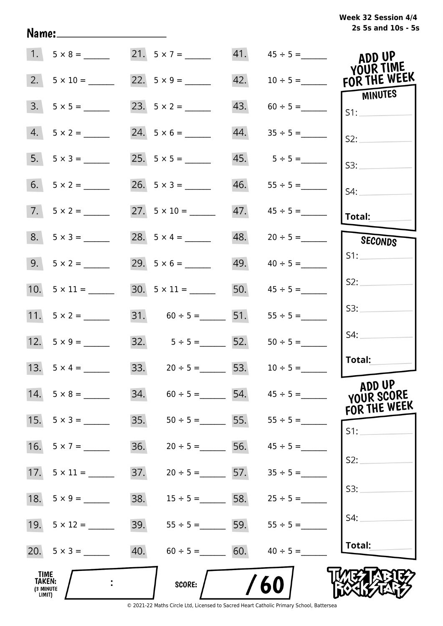| Week 32 Session 4/4 |                    |  |  |
|---------------------|--------------------|--|--|
|                     | 2s 5s and 10s - 5s |  |  |

|                                       |                     |     |                         |     | 41. $45 \div 5 =$               | ADD UP<br>YOUR TIME            |
|---------------------------------------|---------------------|-----|-------------------------|-----|---------------------------------|--------------------------------|
| 2.                                    | $5 \times 10 =$     |     | 22. $5 \times 9 =$      | 42. | $10 \div 5 =$                   | FOR THE WEEK<br><b>MINUTES</b> |
| 3.                                    |                     |     |                         | 43. |                                 | S1:                            |
| 4.                                    | $5 \times 2 =$      |     |                         | 44. |                                 | S2:                            |
|                                       | $5. 5 \times 3 =$   |     |                         |     | $45. 5 \div 5 =$                | S3:                            |
| 6.                                    | $5 \times 2 =$      |     |                         | 46. |                                 | $S4$ :                         |
|                                       | $7.5 \times 2 =$    |     |                         |     |                                 | Total:                         |
|                                       | $8. 5 \times 3 =$   |     | 28. $5 \times 4 =$      | 48. | $20 \div 5 =$                   | SECONDS                        |
|                                       | $9. 5 \times 2 =$   |     |                         | 49. | $40 \div 5 =$                   | S1:                            |
|                                       | 10. $5 \times 11 =$ |     | $30.5 \times 11 =$      |     | 50. $45 \div 5 =$               | S2:                            |
|                                       |                     |     | $31. 60 \div 5 =$ 51.   |     | $55 \div 5 =$                   | S3:                            |
|                                       |                     |     | $32.$ $5 \div 5 =$ 52.  |     | $50 \div 5 =$                   | S4:                            |
|                                       | 13. $5 \times 4 =$  |     | 33. $20 \div 5 =$ 53.   |     | $10 \div 5 =$                   | Total:                         |
| 14.                                   | $5 \times 8 =$      | 34. |                         |     | $60 \div 5 = 54.$ $45 \div 5 =$ | ADD UP<br>YOUR SCORE           |
| 15.                                   | $5 \times 3 =$      | 35. | $50 \div 5 = 55$ .      |     | $55 \div 5 =$                   | FOR THE WEEK<br>S1:            |
| 16.                                   | $5 \times 7 =$      | 36. | $20 \div 5 =$           | 56. | $45 \div 5 =$                   |                                |
| 17.                                   | $5 \times 11 =$     | 37. | $20 \div 5 = 57$ .      |     | $35 \div 5 =$                   | S2:                            |
| 18.                                   | $5 \times 9 =$      | 38. | $15 \div 5 = 58$ .      |     | $25 \div 5 =$                   | S3:                            |
|                                       | 19. $5 \times 12 =$ | 39. | $55 \div 5 =$ 5.5 = 59. |     | $55 \div 5 =$                   | S4:                            |
|                                       | 20. $5 \times 3 =$  | 40. | $60 \div 5 = 60.$       |     | $40 \div 5 =$                   | Total:                         |
| TIME<br>TAKEN:<br>(3 MINUTE<br>LIMIT) |                     |     | <b>SCORE:</b>           |     | 60                              |                                |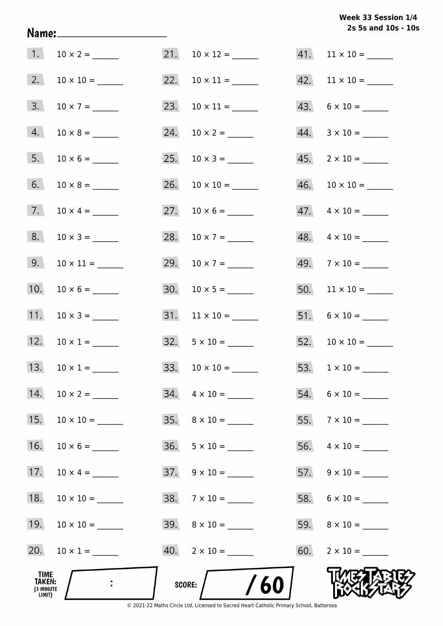# **2s 5s and 10s - 10s Week 33 Session 1/4**

| TIME<br>TAKEN:<br>(3 MINUTE<br>LIMIT) |                     | /60<br>score:             |                           |
|---------------------------------------|---------------------|---------------------------|---------------------------|
| 20.                                   |                     | $40. \quad 2 \times 10 =$ |                           |
| 19.                                   |                     |                           |                           |
| 18.                                   |                     | $38. 7 \times 10 =$       |                           |
| 17.                                   | $10 \times 4 =$     |                           |                           |
| 16.                                   |                     | $36. 5 \times 10 =$       |                           |
| 15.                                   | $10 \times 10 =$    | $35. \quad 8 \times 10 =$ |                           |
| 14.                                   |                     | $34. \quad 4 \times 10 =$ | $54. 6 \times 10 =$       |
|                                       | 13. $10 \times 1 =$ |                           |                           |
| 12.                                   | $10 \times 1 =$     | $32. \quad 5 \times 10 =$ |                           |
| 11.                                   |                     |                           | $51. 6 \times 10 =$       |
| 10.                                   |                     |                           |                           |
| 9.                                    |                     | 29. $10 \times 7 =$       | $49.7 \times 10 =$        |
| 8.                                    | $10 \times 3 =$     | 28. $10 \times 7 =$       | $48. \quad 4 \times 10 =$ |
| 7.                                    | $10 \times 4 =$     |                           | $47. \quad 4 \times 10 =$ |
| 6.                                    |                     |                           |                           |
| 5.                                    |                     |                           | $45. \quad 2 \times 10 =$ |
| 4.                                    |                     | 24. $10 \times 2 =$       | $44. \quad 3 \times 10 =$ |
| 3.                                    | $10 \times 7 =$     |                           | $43. 6 \times 10 =$       |
| 2.                                    |                     |                           | $42.$ 11 × 10 = ______    |
| 1.                                    |                     | $21. 10 \times 12 =$      | $41.$ 11 × 10 = ______    |

Name: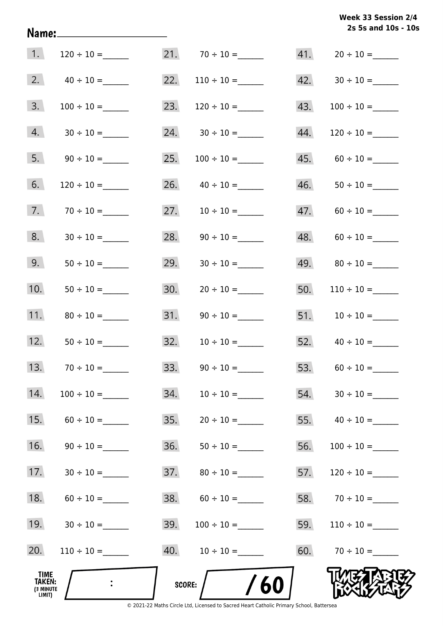# **2s 5s and 10s - 10s Week 33 Session 2/4**

| TIME<br>TAKEN:<br>(3 MINUTE<br>LIMIT) | $\mathbf{L}$    | SCORE: | 60                |     |                                   |
|---------------------------------------|-----------------|--------|-------------------|-----|-----------------------------------|
| 20.                                   | $110 \div 10 =$ |        |                   |     | 60. $70 \div 10 =$                |
| 19.                                   | $30 \div 10 =$  | 39.    | $100 \div 10 =$   | 59. | $110 \div 10 =$                   |
| 18.                                   | $60 \div 10 =$  | 38.    |                   |     |                                   |
| 17.                                   | $30 \div 10 =$  | 37.    |                   | 57. |                                   |
| 16.                                   | $90 \div 10 =$  | 36.    | $50 \div 10 =$    | 56. | $100 \div 10 =$                   |
| 15.                                   | $60 \div 10 =$  | 35.    |                   |     | 55. $40 \div 10 =$                |
| 14.                                   |                 | 34.    | $10 \div 10 =$    | 54. |                                   |
| 13.                                   |                 | 33.    |                   |     |                                   |
| 12.                                   |                 | 32.    |                   |     | 52. $40 \div 10 =$                |
| 11.                                   |                 | 31.    |                   |     |                                   |
| 10.                                   |                 | 30.    | $20 \div 10 =$    | 50. | $110 \div 10 =$                   |
| 9.                                    |                 | 29.    | $30 \div 10 =$    |     |                                   |
| 8.                                    |                 | 28.    |                   |     | 48. $60 \div 10 =$                |
| 7.                                    |                 | 27.    |                   |     | $47. 60 \div 10 =$                |
| 6.                                    | $120 \div 10 =$ | 26.    | $40 \div 10 =$    | 46. |                                   |
| 5.                                    | $90 \div 10 =$  | 25.    | $100 \div 10 =$   | 45. |                                   |
| 4.                                    |                 | 24.    |                   | 44. |                                   |
| 3.                                    | $100 \div 10 =$ | 23.    |                   | 43. |                                   |
| 2.                                    | $40 \div 10 =$  | 22.    | $110 \div 10 =$   |     | $42. \hspace{1.5cm} 30 \div 10 =$ |
| 1.                                    |                 |        | $21.70 \div 10 =$ |     |                                   |

Name: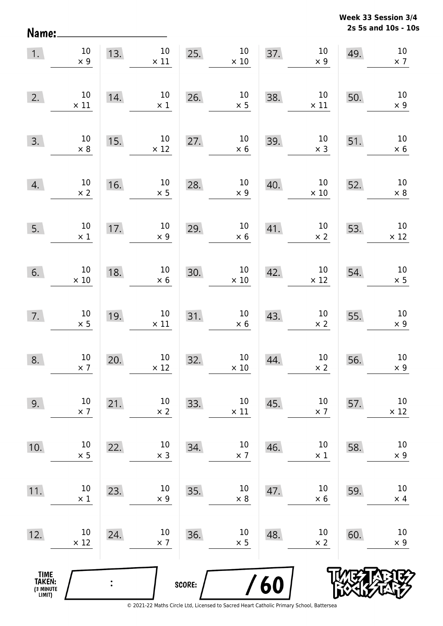**2s 5s and 10s - 10s Week 33 Session 3/4** 

| 1.                                    | $10\,$<br>$\times$ 9  | 13. | $10\,$<br>$\times$ 11 | 25.    | $10\,$<br>$\times$ 10 | 37. | $10\,$<br>$\times$ 9  | 49. | $10\,$<br>$\times$ 7  |
|---------------------------------------|-----------------------|-----|-----------------------|--------|-----------------------|-----|-----------------------|-----|-----------------------|
| 2.                                    | $10\,$<br>$\times$ 11 | 14. | $10\,$<br>$\times$ 1  | 26.    | 10<br>$\times$ 5      | 38. | $10\,$<br>$\times$ 11 | 50. | 10<br>$\times$ 9      |
| 3.                                    | $10\,$<br>$\times$ 8  | 15. | $10\,$<br>$\times$ 12 | 27.    | $10\,$<br>$\times$ 6  | 39. | $10\,$<br>$\times$ 3  | 51. | $10\,$<br>$\times$ 6  |
| 4.                                    | $10\,$<br>$\times$ 2  | 16. | $10\,$<br>$\times$ 5  | 28.    | $10\,$<br>$\times$ 9  | 40. | $10\,$<br>$\times$ 10 | 52. | $10\,$<br>$\times$ 8  |
| 5.                                    | $10\,$<br>$\times$ 1  | 17. | $10\,$<br>$\times$ 9  | 29.    | $10\,$<br>$\times$ 6  | 41. | $10\,$<br>$\times$ 2  | 53. | $10\,$<br>$\times$ 12 |
| 6.                                    | $10\,$<br>$\times$ 10 | 18. | $10\,$<br>$\times$ 6  | 30.    | $10\,$<br>$\times$ 10 | 42. | $10\,$<br>$\times$ 12 | 54. | $10\,$<br>$\times$ 5  |
| 7.                                    | $10\,$<br>$\times$ 5  | 19. | $10\,$<br>$\times$ 11 | 31.    | $10\,$<br>$\times$ 6  | 43. | $10\,$<br>$\times$ 2  | 55. | $10\,$<br>$\times$ 9  |
| 8.                                    | $10\,$<br>$\times$ 7  | 20. | $10\,$<br>$\times$ 12 | 32.    | $10\,$<br>$\times$ 10 | 44. | $10\,$<br>$\times$ 2  | 56. | $10\,$<br>$\times$ 9  |
| 9.                                    | 10<br>$\times$ 7      | 21. | 10<br>$\times 2$      | 33.    | 10<br>$\times$ 11     | 45. | 10<br>$\times$ 7      | 57. | $10\,$<br>$\times$ 12 |
| 10.                                   | 10<br>$\times$ 5      | 22. | 10<br>$\times$ 3      | 34.    | $10\,$<br>$\times$ 7  | 46. | 10<br>$\times$ 1      | 58. | $10\,$<br>$\times$ 9  |
| 11.                                   | 10<br>$\times$ 1      | 23. | 10<br>$\times$ 9      | 35.    | $10\,$<br>$\times 8$  | 47. | 10<br>$\times$ 6      | 59. | 10<br>$\times$ 4      |
| 12.                                   | 10<br>$\times$ 12     | 24. | 10<br>$\times$ 7      | 36.    | 10<br>$\times$ 5      | 48. | 10<br>$\times$ 2      | 60. | 10<br>$\times$ 9      |
| TIME<br>TAKEN:<br>(3 MINUTE<br>LIMIT) |                       |     |                       | SCORE: |                       | /60 |                       |     |                       |

Name: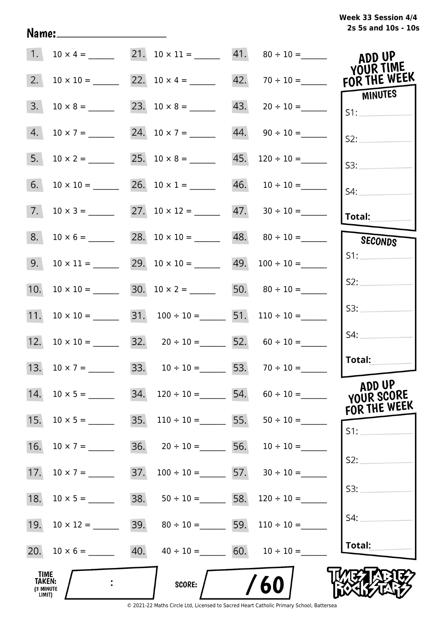| Week 33 Session 4/4 |  |  |
|---------------------|--|--|
| 2s 5s and 10s - 10s |  |  |

| 1.                                    | $10 \times 4 =$  |     | 21. $10 \times 11 =$ 41. $80 \div 10 =$                    |     |                                    | ADD UP<br>YOUR TIME   |
|---------------------------------------|------------------|-----|------------------------------------------------------------|-----|------------------------------------|-----------------------|
| 2.                                    | $10 \times 10 =$ |     |                                                            |     |                                    | FOR THE WEEK          |
| 3.                                    |                  |     |                                                            |     | $43. \qquad 20 \div 10 =$          | <b>MINUTES</b><br>S1: |
| 4.                                    | $10 \times 7 =$  |     | 24. $10 \times 7 =$                                        |     | $44. \qquad 90 \div 10 =$          | S2:                   |
| 5.                                    | $10 \times 2 =$  |     |                                                            | 45. | $120 \div 10 =$                    | S3:                   |
| 6.                                    |                  |     |                                                            |     |                                    | S4:                   |
| 7.                                    | $10 \times 3 =$  |     | 27. $10 \times 12 =$ 47. $30 \div 10 =$                    |     |                                    | Total:                |
| 8.                                    | $10 \times 6 =$  |     |                                                            |     | $48. \qquad 80 \div 10 =$          | SECONDS               |
| 9.                                    | $10 \times 11 =$ |     | 29. $10 \times 10 =$ 49. $100 \div 10 =$                   |     |                                    | S1:                   |
| 10.                                   | $10 \times 10 =$ |     | 30. $10 \times 2 =$ 50. $80 \div 10 =$                     |     |                                    | S2:                   |
| 11.                                   | $10 \times 10 =$ |     | 31. $100 \div 10 =$ 51. $110 \div 10 =$                    |     |                                    | S3:                   |
|                                       |                  |     | 12. $10 \times 10 =$ 32. $20 \div 10 =$ 52. $60 \div 10 =$ |     |                                    | S4:                   |
|                                       |                  |     | 33. $10 \div 10 = 53. 70 \div 10 =$                        |     |                                    | Total:                |
| 14.                                   | $10 \times 5 =$  | 34. |                                                            |     | $120 \div 10 =$ 54. $60 \div 10 =$ | ADD UP<br>YOUR SCORE  |
| 15.                                   | $10 \times 5 =$  | 35. | $110 \div 10 = 55.$                                        |     | $50 \div 10 =$                     | FOR THE WEEK<br>S1:   |
| 16.                                   | $10 \times 7 =$  | 36. | $20 \div 10 =$ 56.                                         |     | $10 \div 10 =$                     |                       |
| 17.                                   |                  | 37. | $100 \div 10 =$ 57. $30 \div 10 =$                         |     |                                    | S2:                   |
| 18.                                   |                  | 38. | $50 \div 10 =$ 58.                                         |     | $120 \div 10 =$                    | S3:                   |
| 19.                                   |                  | 39. | $80 \div 10 =$ 59.                                         |     | $110 \div 10 =$                    | S4:                   |
|                                       |                  |     | 40. $40 \div 10 =$ 60. $10 \div 10 =$                      |     |                                    | Total:                |
| TIME<br>TAKEN:<br>(3 MINUTE<br>LIMIT) |                  |     | SCORE:                                                     |     | /60                                |                       |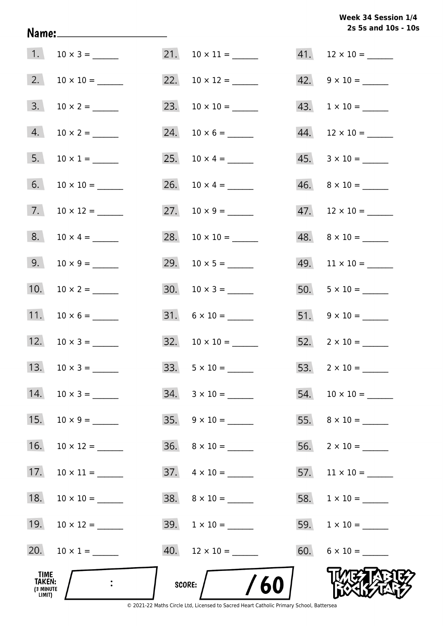# **2s 5s and 10s - 10s Week 34 Session 1/4**

| TIME<br>TAKEN:<br>(3 MINUTE<br>LIMIT) |                     | /60<br>SCORE:             |                           |
|---------------------------------------|---------------------|---------------------------|---------------------------|
| 20.                                   | $10 \times 1 =$     |                           | $60. 6 \times 10 =$       |
| 19.                                   |                     | $39. \quad 1 \times 10 =$ |                           |
| 18.                                   |                     | $38. \quad 8 \times 10 =$ |                           |
| 17.                                   |                     | $37. \quad 4 \times 10 =$ |                           |
| 16.                                   |                     | $36. \quad 8 \times 10 =$ | $56. 2 \times 10 =$       |
| 15.                                   |                     | $35. \quad 9 \times 10 =$ |                           |
| 14.                                   |                     | $34. \quad 3 \times 10 =$ |                           |
|                                       | 13. $10 \times 3 =$ |                           |                           |
|                                       | 12. $10 \times 3 =$ |                           | $52. \quad 2 \times 10 =$ |
| 11.                                   |                     | $31. \quad 6 \times 10 =$ | $51. 9 \times 10 =$       |
| 10.                                   |                     |                           |                           |
| 9.                                    |                     |                           |                           |
| 8.                                    | $10 \times 4 =$     |                           |                           |
| 7.                                    |                     |                           | $47.$ 12 × 10 = ______    |
| 6.                                    |                     |                           | $46. \quad 8 \times 10 =$ |
| 5.                                    |                     |                           | $45. \quad 3 \times 10 =$ |
| 4.                                    |                     |                           | $44.$ 12 × 10 = ______    |
| 3.                                    |                     |                           |                           |
| 2.                                    |                     | 22. $10 \times 12 =$      | $42. \quad 9 \times 10 =$ |
| 1.                                    |                     | $21. 10 \times 11 =$      | $41.$ 12 × 10 = ______    |

Name: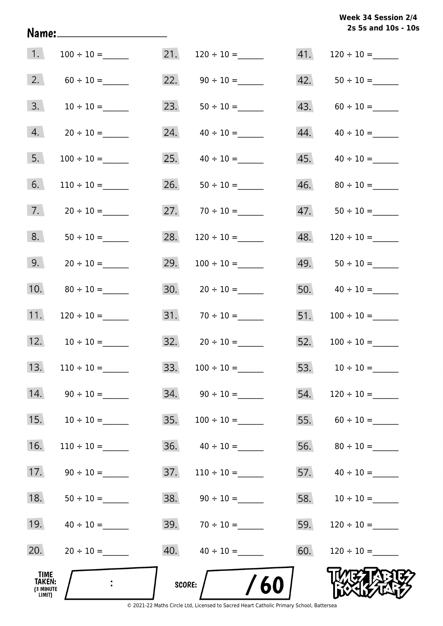# **2s 5s and 10s - 10s Week 34 Session 2/4**

| 1.                                           |                 | 21.           |                           | 41. | $120 \div 10 =$    |
|----------------------------------------------|-----------------|---------------|---------------------------|-----|--------------------|
| 2.                                           |                 | 22.           |                           | 42. |                    |
| 3.                                           | $10 \div 10 =$  | 23.           |                           | 43. |                    |
| 4.                                           |                 | 24.           | $40 \div 10 =$            | 44. | $40 \div 10 =$     |
| 5.                                           |                 | 25.           |                           | 45. |                    |
| 6.                                           | $110 \div 10 =$ | 26.           | $50 \div 10 =$            | 46. | $80 \div 10 =$     |
| 7.                                           |                 |               | $27.70 \div 10 =$         | 47. |                    |
| 8.                                           |                 | 28.           |                           | 48. |                    |
| 9.                                           |                 | 29.           |                           | 49. |                    |
| 10.                                          |                 |               |                           |     | 50. $40 \div 10 =$ |
| 11.                                          |                 |               |                           | 51. |                    |
| 12.                                          | $10 \div 10 =$  |               | $32. \qquad 20 \div 10 =$ | 52. |                    |
| 13.                                          | $110 \div 10 =$ | 33.           | $100 \div 10 =$           |     | 53. $10 \div 10 =$ |
| 14.                                          | $90 \div 10 =$  |               |                           | 54. | $120 \div 10 =$    |
| 15.                                          | $10 \div 10 =$  | 35.           |                           |     | 55. $60 \div 10 =$ |
| 16.                                          | $110 \div 10 =$ | 36.           | $40 \div 10 =$            | 56. |                    |
| 17.                                          | $90 \div 10 =$  | 37.           | $110 \div 10 =$           |     |                    |
| 18.                                          | $50 \div 10 =$  |               | $38. \qquad 90 \div 10 =$ |     | 58. $10 \div 10 =$ |
| 19.                                          |                 |               | 39. $70 \div 10 =$        | 59. |                    |
| 20.                                          |                 | 40.           | $40 \div 10 =$            | 60. | $120 \div 10 =$    |
| TIME<br><b>TAKEN:</b><br>(3 MINUTE<br>LIMIT) |                 | <b>SCORE:</b> | /60                       |     |                    |

Name: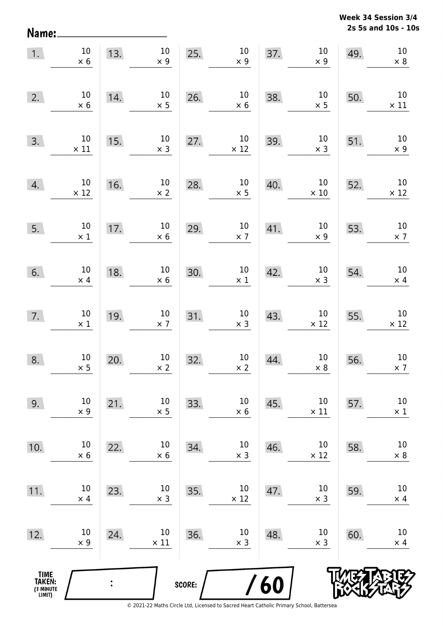**2s 5s and 10s - 10s Week 34 Session 3/4** 

| Name:                                         |                               |     |                       |        |                               |     |                       |     | 2s 5s and 10s - 10            |
|-----------------------------------------------|-------------------------------|-----|-----------------------|--------|-------------------------------|-----|-----------------------|-----|-------------------------------|
| 1.                                            | $10\,$<br>$\times$ 6          | 13. | $10\,$<br>$\times$ 9  | 25.    | $10\,$<br>$\times$ 9          | 37. | $10\,$<br>$\times$ 9  | 49. | $10\,$<br>$\times$ 8          |
| 2.                                            | 10<br>$\times$ 6              | 14. | $10\,$<br>$\times$ 5  | 26.    | $10\,$<br>$\times$ 6          | 38. | $10\,$<br>$\times$ 5  | 50. | $10\,$<br>$\times$ 11         |
| 3.                                            | $10\,$<br>$\times$ 11         | 15. | $10\,$<br>$\times$ 3  | 27.    | $10\,$<br>$\times$ 12         | 39. | $10\,$<br>$\times$ 3  | 51. | 10<br>$\times$ 9              |
| 4.                                            | 10<br>$\times$ 12             | 16. | $10\,$<br>$\times$ 2  | 28.    | $10\,$<br>$\times$ 5          | 40. | $10\,$<br>$\times$ 10 | 52. | $10\,$<br>$\times$ 12         |
| 5.                                            | $10\,$<br>$\times$ 1          | 17. | $10\,$<br>$\times$ 6  | 29.    | $10\,$<br>$\times$ 7          | 41. | $10\,$<br>$\times$ 9  | 53. | $10\,$<br>$\times$ 7          |
| 6.                                            | $10\,$<br>$\times$ 4          | 18. | $10\,$<br>$\times$ 6  | 30.    | $10\,$<br>$\times$ 1          | 42. | $10\,$<br>$\times$ 3  | 54. | $10\,$<br>$\times$ 4          |
| 7.                                            | $10\,$<br>$\times$ 1          | 19. | $10\,$<br>$\times$ 7  | 31.    | $10\,$<br>$\times$ 3          | 43. | $10\,$<br>$\times$ 12 | 55. | $10\,$<br>$\times$ 12         |
| 8.                                            | 10 <sub>1</sub><br>$\times$ 5 | 20. | $10\,$<br>$\times$ 2  | 32.    | 10 <sub>1</sub><br>$\times$ 2 | 44. | 10<br>$\times$ 8      | 56. | 10 <sup>°</sup><br>$\times$ 7 |
| 9.                                            | 10<br>$\times$ 9              | 21. | 10<br>$\times$ 5      | 33.    | $10\,$<br>$\times$ 6          | 45. | $10\,$<br>$\times$ 11 | 57. | $10\,$<br>$\times$ 1          |
| 10.                                           | $10\,$<br>$\times$ 6          | 22. | $10\,$<br>$\times$ 6  | 34.    | $10\,$<br>$\times$ 3          | 46. | $10\,$<br>$\times$ 12 | 58. | $10\,$<br>$\times$ 8          |
| 11.                                           | $10\,$<br>$\times$ 4          | 23. | $10\,$<br>$\times$ 3  | 35.    | $10\,$<br>$\times$ 12         | 47. | $10\,$<br>$\times$ 3  | 59. | $10\,$<br>$\times$ 4          |
| 12.                                           | $10\,$<br>$\times$ 9          | 24. | $10\,$<br>$\times$ 11 | 36.    | $10\,$<br>$\times$ 3          | 48. | $10\,$<br>$\times$ 3  | 60. | $10\,$<br>$\times$ 4          |
| <b>TIME<br/>TAKEN:</b><br>(3 MINUTE<br>LIMIT) |                               |     |                       | SCORE: |                               | /60 |                       |     |                               |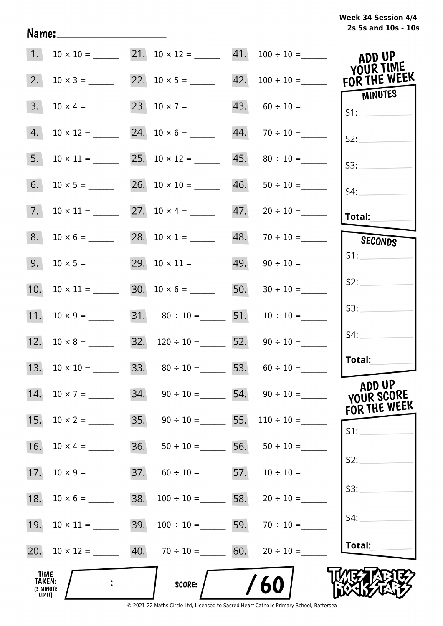| Week 34 Session 4/4 |  |                     |  |
|---------------------|--|---------------------|--|
|                     |  | 2s 5s and 10s - 10s |  |

| 1.                                                  |                  |     |                                        |     | $10 \times 10 =$ 21. $10 \times 12 =$ 41. $100 \div 10 =$ | ADD UP<br><b>YOUR TIME</b> |
|-----------------------------------------------------|------------------|-----|----------------------------------------|-----|-----------------------------------------------------------|----------------------------|
| 2.                                                  | $10 \times 3 =$  |     |                                        |     | $42. 100 \div 10 =$                                       | FOR THE WEEK               |
| 3.                                                  | $10 \times 4 =$  |     | 23. $10 \times 7 =$                    |     | $43. 60 \div 10 =$                                        | MINUTES<br>S1:             |
| 4.                                                  | $10 \times 12 =$ |     |                                        |     | $44. 70 \div 10 =$                                        | S2:                        |
| 5.                                                  | $10 \times 11 =$ |     | 25. $10 \times 12 =$                   |     |                                                           | S3:                        |
| 6.                                                  |                  |     |                                        |     |                                                           | S4:                        |
| 7.                                                  | $10 \times 11 =$ |     |                                        | 47. |                                                           | <b>Total:</b>              |
| 8.                                                  |                  |     | 28. $10 \times 1 =$                    | 48. |                                                           | SECONDS                    |
| 9.                                                  | $10 \times 5 =$  |     |                                        | 49. | $90 \div 10 =$                                            | S1:                        |
| 10.                                                 | $10 \times 11 =$ |     |                                        | 50. | $30 \div 10 =$                                            | S2:                        |
| 11.                                                 | $10 \times 9 =$  |     | 31. $80 \div 10 =$ 51. $10 \div 10 =$  |     |                                                           | S3:                        |
| 12.                                                 | $10 \times 8 =$  |     | 32. $120 \div 10 =$ 52. $90 \div 10 =$ |     |                                                           | S4:                        |
|                                                     |                  |     | 33. $80 \div 10 =$ 53. $60 \div 10 =$  |     |                                                           | Total:                     |
| 14.                                                 | $10 \times 7 =$  | 34. |                                        |     | $90 \div 10 =$ 54. $90 \div 10 =$                         | ADD UP<br>YOUR SCORE       |
| 15.                                                 | $10 \times 2 =$  | 35. | $90 \div 10 =$ 55.                     |     | $110 \div 10 =$                                           | FOR THE WEEK<br>S1:        |
| 16.                                                 | $10 \times 4 =$  | 36. | $50 \div 10 =$ 56.                     |     | $50 \div 10 =$                                            |                            |
| 17.                                                 | $10 \times 9 =$  | 37. | $60 \div 10 =$ 57.                     |     | $10 \div 10 =$                                            | S2:                        |
| 18.                                                 | $10 \times 6 =$  | 38. | $100 \div 10 =$ 58.                    |     | $20 \div 10 =$                                            | S3:                        |
| 19.                                                 | $10 \times 11 =$ | 39. | $100 \div 10 =$ 59.                    |     | $70 \div 10 =$                                            | S4:                        |
| 20.                                                 | $10 \times 12 =$ |     | 40. $70 \div 10 =$ 60.                 |     | $20 \div 10 =$                                            | Total:                     |
| <b>TIME</b><br><b>TAKEN:</b><br>(3 MINUTE<br>LIMIT) |                  |     | <b>SCORE:</b>                          |     | / 60                                                      |                            |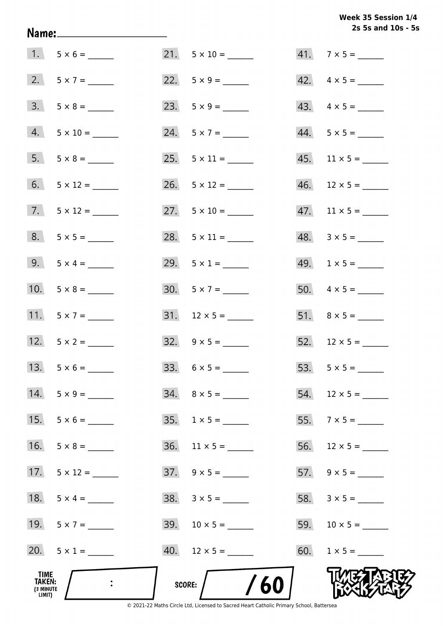**2s 5s and 10s - 5s Week 35 Session 1/4** 

|                                       |                    |                          | 2s 5s and 10s - 5s            |
|---------------------------------------|--------------------|--------------------------|-------------------------------|
|                                       | $1. 5 \times 6 =$  |                          | $41.7 \times 5 =$             |
|                                       | $2. 5 \times 7 =$  |                          | $42. \quad 4 \times 5 =$      |
|                                       | $3. 5 \times 8 =$  | 23. $5 \times 9 =$       | $43. \quad 4 \times 5 =$      |
| 4.                                    |                    | 24. $5 \times 7 =$       | $44. 5 \times 5 =$            |
|                                       | $5. 5 \times 8 =$  |                          |                               |
| 6.                                    | $5 \times 12 =$    |                          | $46.$ 12 × 5 = ______         |
|                                       |                    | 27. $5 \times 10 =$      | $47.$ 11 $\times$ 5 = _______ |
|                                       | $8. 5 \times 5 =$  | 28. $5 \times 11 =$      | $48. 3 \times 5 =$            |
|                                       | 9. $5 \times 4 =$  | 29. $5 \times 1 =$       | $49. 1 \times 5 =$            |
| 10.                                   |                    |                          |                               |
|                                       | 11. $5 \times 7 =$ |                          |                               |
|                                       | 12. $5 \times 2 =$ |                          |                               |
| 13.                                   |                    |                          |                               |
| 14.                                   | $5 \times 9 =$     | $34. \quad 8 \times 5 =$ | $54.$ 12 × 5 = ______         |
| 15.                                   | $5 \times 6 =$     | $35. 1 \times 5 =$       |                               |
| 16.                                   | $5 \times 8 =$     | $36.$ 11 x 5 = ______    |                               |
| 17.                                   | $5 \times 12 =$    |                          |                               |
| 18.                                   |                    |                          |                               |
|                                       | 19. $5 \times 7 =$ |                          |                               |
|                                       | 20. $5 \times 1 =$ |                          | 60. $1 \times 5 =$            |
| TIME<br>TAKEN:<br>(3 MINUTE<br>LIMIT) |                    | 60<br>SCORE: /           |                               |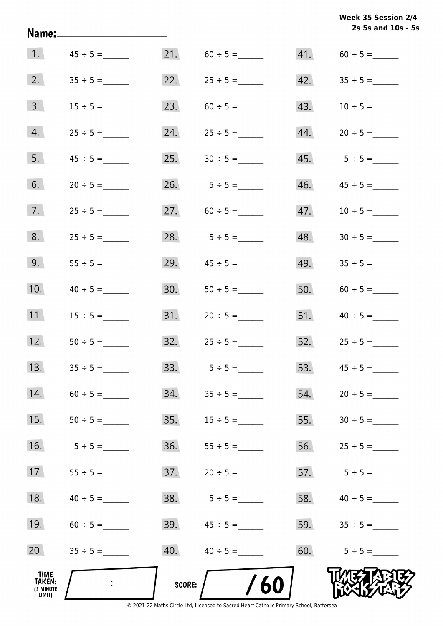|                                       | Name:_____________________ |        |                     |     | Week 35 Session 2/4<br>2s 5s and 10s - 5s |
|---------------------------------------|----------------------------|--------|---------------------|-----|-------------------------------------------|
| 1.                                    |                            |        |                     |     | $41. 60 \div 5 =$                         |
| 2.                                    |                            |        | 22. $25 \div 5 =$   |     |                                           |
| 3.                                    | $15 \div 5 =$              | 23.    | $60 \div 5 =$       |     | $43. 10 \div 5 =$                         |
| 4.                                    | $25 \div 5 =$              |        |                     |     |                                           |
| 5.                                    |                            |        |                     |     |                                           |
| 6.                                    | $20 \div 5 =$              |        | 26. $5 \div 5 =$    | 46. | $45 \div 5 =$                             |
| 7.                                    | $25 \div 5 =$              |        | 27. $60 \div 5 =$   | 47. |                                           |
| 8.                                    | $25 \div 5 =$              |        | 28. $5 \div 5 =$    | 48. |                                           |
| 9.                                    | $55 \div 5 =$              | 29.    |                     | 49. | $35 \div 5 =$                             |
| 10.                                   | $40 \div 5 =$              | 30.    |                     | 50. | $60 \div 5 =$                             |
| 11.                                   | $15 \div 5 =$              |        |                     |     | 51. $40 \div 5 =$                         |
| 12.                                   | $50 \div 5 =$              |        | $32.$ $25 \div 5 =$ |     | $52.$ $25 \div 5 =$                       |
| 13.                                   |                            | 33.    | $5 \div 5 =$        | 53. |                                           |
| 14.                                   |                            | 34.    |                     | 54. |                                           |
| 15.                                   |                            | 35.    |                     | 55. |                                           |
| 16.                                   | $5 \div 5 =$               | 36.    |                     | 56. | $25 \div 5 =$                             |
| 17.                                   | $55 \div 5 =$              | 37.    | $20 \div 5 =$       | 57. | $5 \div 5 =$                              |
| 18.                                   | $40 \div 5 =$              | 38.    | $5 \div 5 =$        | 58. | $40 \div 5 =$                             |
| 19.                                   |                            | 39.    | $45 \div 5 =$       | 59. | $35 \div 5 =$                             |
| 20.                                   |                            | 40.    | $40 \div 5 =$       | 60. | $5 \div 5 =$                              |
| TIME<br>TAKEN:<br>(3 MINUTE<br>LIMIT) |                            | SCORE: | /60                 |     |                                           |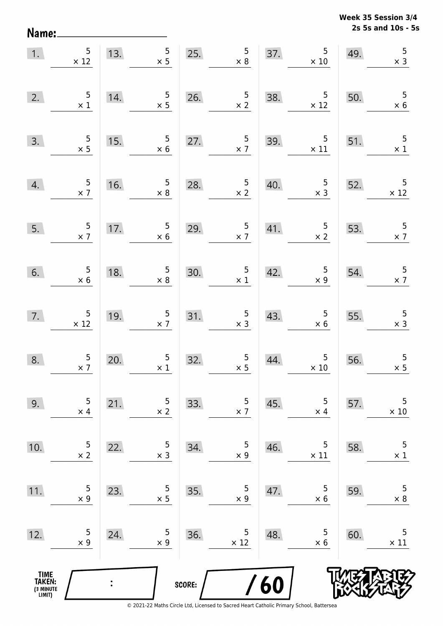**2s 5s and 10s - 5s Week 35 Session 3/4** 

| 1.                                            | $\begin{array}{r} 5 \\ \times 12 \end{array}$ | 13.            | $5\overline{)}$<br>$\times$ 5                | 25.    | $\begin{array}{c} 5 \\ \times 8 \end{array}$ | 37. | $\begin{array}{r} 5 \\ \times 10 \end{array}$   | 49. | $\overline{5}$<br>$\times$ 3                 |
|-----------------------------------------------|-----------------------------------------------|----------------|----------------------------------------------|--------|----------------------------------------------|-----|-------------------------------------------------|-----|----------------------------------------------|
| 2.                                            | $\begin{array}{c} 5 \\ \times 1 \end{array}$  | 14.            | $\begin{array}{c} 5 \\ \times 5 \end{array}$ | 26.    | $\frac{5}{\times 2}$                         | 38. | $\overline{\phantom{0}}$<br>$\times$ 12         | 50. | 5<br>$\times$ 6                              |
| 3.                                            | $\begin{array}{r} 5 \\ \times 5 \end{array}$  | 15.            | $\begin{array}{c} 5 \\ \times 6 \end{array}$ | 27.    | $\frac{5}{\times 7}$                         | 39. | $\begin{array}{c} 5 \\ \times 11 \end{array}$   | 51. | 5<br>$\times$ 1                              |
| 4.                                            | $\frac{5}{\times 7}$                          | 16.            | $\begin{array}{c} 5 \\ \times 8 \end{array}$ | 28.    | $\frac{5}{\times 2}$                         | 40. | $\frac{5}{x}$                                   | 52. | 5<br>$\times$ 12                             |
| 5.                                            | $\frac{5}{2}$                                 | 17.            | $\overline{5}$<br>$\times 6$                 | 29.    | $\frac{5}{\times 7}$                         | 41. | $\frac{5}{x}$                                   | 53. | $\frac{5}{2}$                                |
| 6.                                            | $\begin{array}{c} 5 \\ \times 6 \end{array}$  | 18.            | $\begin{array}{c} 5 \\ \times 8 \end{array}$ | 30.    | $\begin{array}{c} 5 \\ \times 1 \end{array}$ | 42. | $\begin{array}{c} 5 \\ \times 9 \end{array}$    | 54. | $\frac{5}{x}$ 7                              |
| 7.                                            | $\begin{array}{c} 5 \\ \times 12 \end{array}$ | 19.            | $\frac{5}{2}$                                | 31.    | $\begin{array}{c} 5 \\ \times 3 \end{array}$ | 43. | $\begin{array}{c} 5 \\ \times 6 \end{array}$    | 55. | $\begin{array}{c} 5 \\ \times 3 \end{array}$ |
| 8.                                            | $\frac{5}{2}$                                 | 20.            | $\begin{array}{c} 5 \\ \times 1 \end{array}$ | 32.    | $\begin{array}{c} 5 \\ \times 5 \end{array}$ | 44. | $\begin{array}{c} 5 \\ \times \ 10 \end{array}$ | 56. | $\begin{array}{c} 5 \\ \times 5 \end{array}$ |
| 9.                                            | 5<br>$\times$ 4                               | 21.            | 5<br>$\times$ 2                              | 33.    | 5<br>$\times$ 7                              | 45. | 5<br>$\times$ 4                                 | 57. | 5<br>$\times$ 10                             |
| 10.                                           | 5<br>$\times$ 2                               | 22.            | 5<br>$\times$ 3                              | 34.    | 5<br>$\times$ 9                              | 46. | 5<br>$\times$ 11                                | 58. | 5<br>$\times$ 1                              |
| 11.                                           | 5<br>$\times$ 9                               | 23.            | 5<br>$\times$ 5                              | 35.    | 5<br>$\times$ 9                              | 47. | 5<br>$\times 6$                                 | 59. | 5<br>$\times$ 8                              |
| 12.                                           | 5<br>$\times$ 9                               | 24.            | 5<br>$\times$ 9                              | 36.    | 5<br>$\times$ 12                             | 48. | 5<br>$\times 6$                                 | 60. | $\mathsf S$<br>$\times$ 11                   |
| <b>TIME<br/>TAKEN:</b><br>(3 MINUTE<br>LIMIT) |                                               | $\ddot{\cdot}$ |                                              | SCORE: |                                              | /60 |                                                 |     |                                              |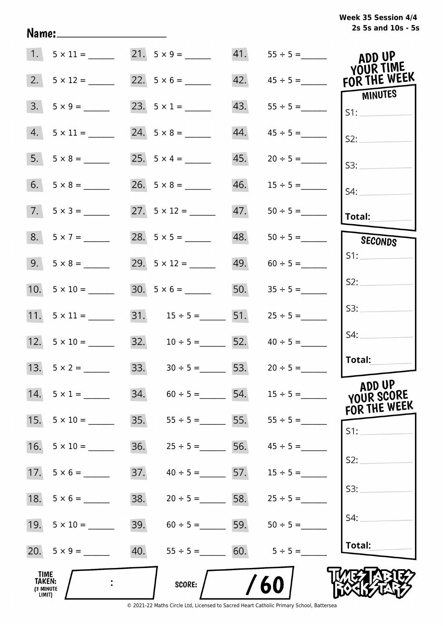# **2s 5s and 10s - 5s Week 35 Session 4/4**

|                                                     | 1. $5 \times 11 =$ 21. $5 \times 9 =$ ______ |                                     |                    |                   | ADD UP<br>YOUR TIME            |
|-----------------------------------------------------|----------------------------------------------|-------------------------------------|--------------------|-------------------|--------------------------------|
| 2.                                                  | $5 \times 12 =$                              |                                     |                    |                   | 42. $45 \div 5 =$ FOR THE WEEK |
| 3.                                                  |                                              | 23. $5 \times 1 =$                  | 43.                |                   | MINUTES<br>S1:                 |
| 4.                                                  | $5 \times 11 =$                              | 24. $5 \times 8 =$                  | 44.                | $45 \div 5 =$     | S2:                            |
|                                                     |                                              | 25. $5 \times 4 =$                  | 45.                | $20 \div 5 =$     | S3:                            |
|                                                     |                                              | $26. 5 \times 8 =$                  |                    |                   | $S4$ :                         |
|                                                     | $7. 5 \times 3 =$                            | 27. $5 \times 12 =$                 | 47.                |                   | Total:                         |
|                                                     | $8. 5 \times 7 =$                            |                                     |                    | $48. 50 \div 5 =$ | SECONDS                        |
|                                                     |                                              |                                     |                    | $49. 60 \div 5 =$ | S1:                            |
|                                                     | 10. $5 \times 10 =$                          |                                     |                    | 50. $35 \div 5 =$ | S2:                            |
|                                                     |                                              | 31. $15 \div 5 =$ 51.               |                    | $25 \div 5 =$     | S3:                            |
|                                                     | $12. 5 \times 10 =$                          | 32. $10 \div 5 =$ 52. $40 \div 5 =$ |                    |                   | S4:                            |
|                                                     | 13. $5 \times 2 =$                           | 33. $30 \div 5 =$ 53. $20 \div 5 =$ |                    |                   | Total:                         |
| 14.                                                 | $5 \times 1 =$                               | 34.<br>$60 \div 5 =$                | 54.                | $15 \div 5 =$     | ADD UP<br>YOUR SCORE           |
| 15.                                                 | $5 \times 10 =$                              | 35.                                 | $55 \div 5 =$ 5.   |                   | FOR THE WEEK<br>$S1$ :         |
| 16.                                                 | $5 \times 10 =$                              | 36.                                 | $25 \div 5 =$ 56.  | $45 \div 5 =$     |                                |
| 17.                                                 | $5 \times 6 =$                               | 37.                                 | $40 \div 5 = 57$ . | $15 \div 5 =$     | S2:                            |
| 18.                                                 | $5 \times 6 =$                               | 38.                                 | $20 \div 5 = 58$ . | $25 \div 5 =$     | S3:                            |
| 19.                                                 | $5 \times 10 =$                              | 39.                                 | $60 \div 5 =$ 59.  | $50 \div 5 =$     | S4:                            |
|                                                     |                                              | 40.<br>$55 \div 5 =$                | 60.                | $5 \div 5 =$      | Total:                         |
| <b>TIME</b><br><b>TAKEN:</b><br>(3 MINUTE<br>LIMIT) |                                              | <b>SCORE:</b>                       |                    | 60                |                                |

Name: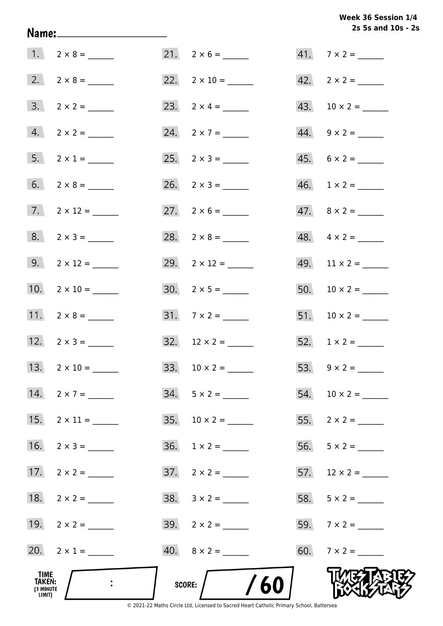# **2s 5s and 10s - 2s Week 36 Session 1/4**

| <b>TIME</b><br><b>TAKEN:</b><br>(3 MINUTE<br>LIMIT) |                     | $\frac{1}{60}$<br>score: |                             |
|-----------------------------------------------------|---------------------|--------------------------|-----------------------------|
|                                                     | 20. $2 \times 1 =$  | $40. 8 \times 2 =$       | 60. $7 \times 2 =$          |
|                                                     | 19. $2 \times 2 =$  |                          | 59. $7 \times 2 =$          |
|                                                     |                     |                          |                             |
|                                                     | 17. $2 \times 2 =$  | $37. \quad 2 \times 2 =$ | 57. $12 \times 2 =$         |
|                                                     | 16. $2 \times 3 =$  | $36. 1 \times 2 =$       | $56. 5 \times 2 =$          |
|                                                     |                     |                          |                             |
|                                                     | 14. $2 \times 7 =$  | $34. 5 \times 2 =$       |                             |
|                                                     |                     |                          |                             |
|                                                     | 12. $2 \times 3 =$  |                          |                             |
|                                                     |                     |                          |                             |
|                                                     | 10. $2 \times 10 =$ |                          |                             |
|                                                     |                     | 29. $2 \times 12 =$      |                             |
|                                                     | $8. 2 \times 3 =$   |                          |                             |
|                                                     | 7. $2 \times 12 =$  |                          |                             |
|                                                     |                     |                          | $46. \quad 1 \times 2 = \_$ |
|                                                     | 5. $2 \times 1 =$   |                          |                             |
|                                                     |                     |                          | $44. \quad 9 \times 2 =$    |
|                                                     |                     |                          |                             |
|                                                     |                     | 22. $2 \times 10 =$      |                             |
|                                                     |                     | $21. 2 \times 6 =$       | $41.7 \times 2 =$           |

Name: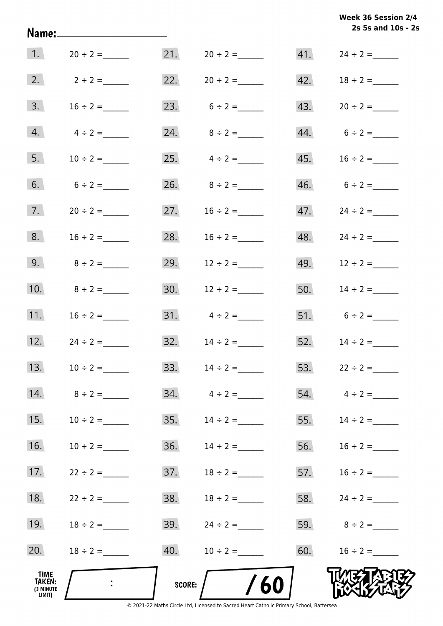|                                                     |               |               |                     |     | Week 36 Session 2/4<br>2s 5s and 10s - 2s |
|-----------------------------------------------------|---------------|---------------|---------------------|-----|-------------------------------------------|
| $\vert$ 1.                                          | $20 \div 2 =$ |               |                     |     |                                           |
| 2.                                                  | $2 \div 2 =$  |               | 22. $20 \div 2 =$   |     |                                           |
| 3.                                                  | $16 \div 2 =$ |               | 23. $6 \div 2 =$    |     | $43. 20 \div 2 =$                         |
| 4.                                                  | $4 \div 2 =$  |               | 24. $8 \div 2 =$    |     | $44. 6 \div 2 =$                          |
| 5.                                                  | $10 \div 2 =$ |               | 25. $4 \div 2 =$    |     |                                           |
| 6.                                                  | $6 \div 2 =$  |               | 26. $8 \div 2 =$    |     |                                           |
| 7.                                                  | $20 \div 2 =$ | 27.           | $16 \div 2 =$       |     |                                           |
| 8.                                                  | $16 \div 2 =$ | 28.           | $16 \div 2 =$       |     |                                           |
| 9.                                                  | $8 \div 2 =$  | 29.           | $12 \div 2 =$       |     |                                           |
| 10.                                                 | $8 \div 2 =$  |               | 30. $12 \div 2 =$   | 50. | $14 \div 2 =$                             |
| 11.                                                 | $16 \div 2 =$ |               |                     |     | 51. $6 \div 2 =$                          |
| 12.                                                 | $24 \div 2 =$ |               | $32.$ $14 \div 2 =$ |     | 52. $14 \div 2 =$                         |
| 13.                                                 | $10 \div 2 =$ | 33.           |                     | 53. | $22 \div 2 =$                             |
| 14.                                                 | $8 \div 2 =$  | 34.           | $4 \div 2 =$        | 54. | $4 \div 2 =$                              |
| 15.                                                 | $10 \div 2 =$ | 35.           |                     | 55. | $14 \div 2 =$                             |
| 16.                                                 | $10 \div 2 =$ | 36.           | $14 \div 2 =$       | 56. | $16 \div 2 =$                             |
| 17.                                                 | $22 \div 2 =$ | 37.           | $18 \div 2 =$       | 57. | $16 \div 2 =$                             |
| 18.                                                 | $22 \div 2 =$ | 38.           | $18 \div 2 =$       | 58. | $24 \div 2 =$                             |
| 19.                                                 | $18 \div 2 =$ | 39.           | $24 \div 2 =$       |     | 59. $8 \div 2 =$                          |
| 20.                                                 | $18 \div 2 =$ | 40.           | $10 \div 2 =$       |     | 60. $16 \div 2 =$                         |
| <b>TIME</b><br><b>TAKEN:</b><br>(3 MINUTE<br>LIMIT) |               | <b>SCORE:</b> | /60                 |     |                                           |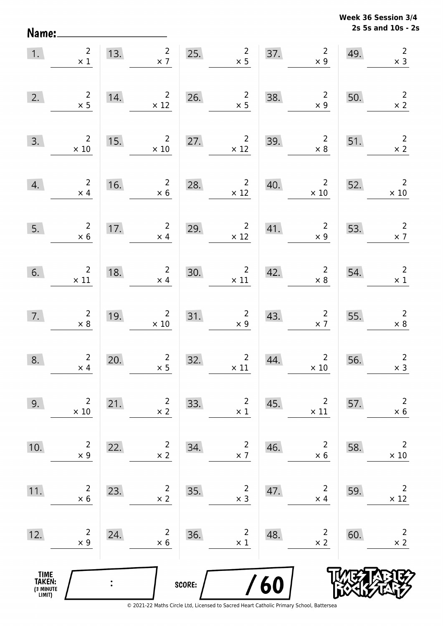**2s 5s and 10s - 2s Week 36 Session 3/4** 

| Name:                                         |                               |     |                                           |        |                                |     |                               |     | 2s 5s and 10s - 2             |
|-----------------------------------------------|-------------------------------|-----|-------------------------------------------|--------|--------------------------------|-----|-------------------------------|-----|-------------------------------|
| 1.                                            | $\overline{2}$<br>$\times$ 1  | 13. | $\overline{2}$<br>$\times$ 7              | 25.    | $\overline{2}$<br>$\times$ 5   | 37. | $\overline{2}$<br>$\times$ 9  | 49. | $\overline{2}$<br>$\times$ 3  |
| 2.                                            | $\overline{2}$<br>$\times$ 5  | 14. | $\overline{2}$<br>$\times$ 12             | 26.    | $\overline{2}$<br>$\times$ 5   | 38. | $\overline{2}$<br>$\times$ 9  | 50. | $\overline{2}$<br>$\times$ 2  |
| 3.                                            | $\overline{2}$<br>$\times$ 10 | 15. | $\overline{2}$<br>$\times$ 10             | 27.    | $\overline{2}$<br>$\times$ 12  | 39. | $\overline{2}$<br>$\times$ 8  | 51. | $\overline{2}$<br>$\times$ 2  |
| 4.                                            | $\mathbf 2$<br>$\times$ 4     | 16. | $\overline{2}$<br>$\times$ 6              | 28.    | $\overline{2}$<br>$\times$ 12  | 40. | $\overline{2}$<br>$\times$ 10 | 52. | $\overline{2}$<br>$\times$ 10 |
| 5.                                            | $\overline{c}$<br>$\times$ 6  | 17. | $\overline{c}$<br>$\times$ 4              | 29.    | $\overline{2}$<br>$\times$ 12  | 41. | $\overline{2}$<br>$\times$ 9  | 53. | $\overline{2}$<br>$\times$ 7  |
| 6.                                            | $\overline{2}$<br>$\times$ 11 | 18. | $\overline{2}$<br>$\times$ 4              | 30.    | $\overline{c}$<br>$\times$ 11  | 42. | $\overline{c}$<br>$\times$ 8  | 54. | $\overline{2}$<br>$\times$ 1  |
| 7.                                            | $\overline{c}$<br>$\times 8$  | 19. | $\overline{2}$<br>$\times$ 10             | 31.    | $\overline{2}$<br>$\times$ 9   | 43. | $\overline{2}$<br>$\times$ 7  | 55. | $\overline{2}$<br>$\times$ 8  |
| 8.                                            | $\overline{2}$<br>$\times$ 4  | 20. | $\begin{array}{c}2\\ \times 5\end{array}$ | 32.    | $2\overline{ }$<br>$\times$ 11 | 44. | $2^{\circ}$<br>$\times$ 10    | 56. | $\overline{2}$<br>$\times$ 3  |
| 9.                                            | $\overline{2}$<br>$\times$ 10 | 21. | $\overline{2}$<br>$\times$ 2              | 33.    | $\overline{2}$<br>$\times$ 1   | 45. | $\overline{2}$<br>$\times$ 11 | 57. | $\overline{2}$<br>$\times$ 6  |
| 10.                                           | $\overline{2}$<br>$\times$ 9  | 22. | $\overline{2}$<br>$\times$ 2              | 34.    | $\overline{2}$<br>$\times$ 7   | 46. | $\overline{2}$<br>$\times$ 6  | 58. | $\overline{2}$<br>$\times$ 10 |
| 11.                                           | $\overline{2}$<br>$\times$ 6  | 23. | $\overline{2}$<br>$\times$ 2              | 35.    | $\overline{2}$<br>$\times$ 3   | 47. | $\overline{2}$<br>$\times$ 4  | 59. | $\overline{2}$<br>$\times$ 12 |
| 12.                                           | $\overline{2}$<br>$\times$ 9  | 24. | $\overline{2}$<br>$\times$ 6              | 36.    | $\overline{2}$<br>$\times$ 1   | 48. | $\overline{2}$<br>$\times$ 2  | 60. | $\overline{2}$<br>$\times$ 2  |
| <b>TIME<br/>TAKEN:</b><br>(3 MINUTE<br>LIMIT) |                               |     |                                           | SCORE: |                                | 60  |                               |     |                               |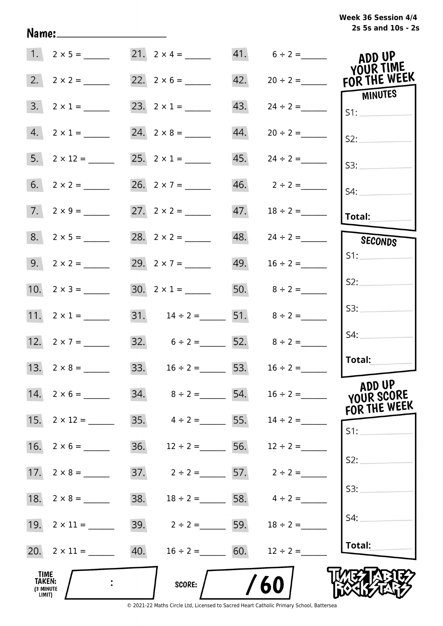# **2s 5s and 10s - 2s Week 36 Session 4/4**

|                                              | $1. 2 \times 5 =$   |                                     |     | $41. 6 \div 2 =$         | ADD UP<br>YOUR TIME                   |
|----------------------------------------------|---------------------|-------------------------------------|-----|--------------------------|---------------------------------------|
|                                              |                     |                                     | 42. |                          | $20 \div 2 =$ FOR THE WEEK<br>MINUTES |
|                                              | $3. 2 \times 1 =$   |                                     | 43. | $24 \div 2 =$            | SI:                                   |
|                                              | $4. 2 \times 1 =$   |                                     | 44. | $20 \div 2 =$            | S2:                                   |
|                                              |                     | 25. $2 \times 1 =$                  | 45. |                          | S3:                                   |
|                                              |                     | 26. $2 \times 7 =$                  |     |                          | $S4$ :                                |
|                                              | $7. 2 \times 9 =$   |                                     |     |                          | Total:                                |
|                                              | $8. 2 \times 5 =$   |                                     |     | $48. \qquad 24 \div 2 =$ | SECONDS                               |
|                                              |                     | 29. $2 \times 7 =$                  |     | 49. $16 \div 2 =$        | S1:                                   |
|                                              |                     | $30. 2 \times 1 =$                  |     | 50. $8 \div 2 =$         | S2:                                   |
|                                              | 11. $2 \times 1 =$  | 31. $14 \div 2 =$ 51. $8 \div 2 =$  |     |                          | S3:                                   |
|                                              | 12. $2 \times 7 =$  | 32. $6 \div 2 =$ 52. $8 \div 2 =$   |     |                          | S4:                                   |
|                                              | 13. $2 \times 8 =$  | 33. $16 \div 2 =$ 53. $16 \div 2 =$ |     |                          | Total:                                |
|                                              | 14. $2 \times 6 =$  | 34. $8 \div 2 =$ 54. $16 \div 2 =$  |     |                          | ADD UP<br>YOUR SCORE<br>FOR THE WEEK  |
|                                              | 15. $2 \times 12 =$ | 35. $4 \div 2 =$ 55. $14 \div 2 =$  |     |                          | S1:                                   |
|                                              |                     | 36. $12 \div 2 =$ 56. $12 \div 2 =$ |     |                          |                                       |
|                                              |                     | 37. $2 \div 2 =$ 57. $2 \div 2 =$   |     |                          | S2:                                   |
|                                              |                     | 38. $18 \div 2 =$ 58. $4 \div 2 =$  |     |                          | S3:                                   |
|                                              | 19. $2 \times 11 =$ | 39. $2 \div 2 =$ 59. $18 \div 2 =$  |     |                          | S4:                                   |
|                                              | 20. $2 \times 11 =$ | 40. $16 \div 2 =$ 60. $12 \div 2 =$ |     |                          | Total:                                |
| TIME<br><b>TAKEN:</b><br>(3 MINUTE<br>LIMIT) |                     | <b>SCORE:</b>                       |     | 60                       |                                       |

Name: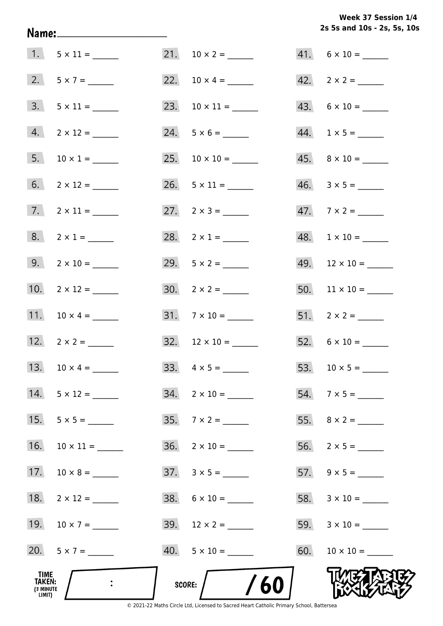**2s 5s and 10s - 2s, 5s, 10s Week 37 Session 1/4** 

|                                       |                              |                           | $41. 6 \times 10 =$         |
|---------------------------------------|------------------------------|---------------------------|-----------------------------|
|                                       | 2. $5 \times 7 =$            |                           | $42. \quad 2 \times 2 =$    |
|                                       | $3. 5 \times 11 =$           | 23. $10 \times 11 =$      | 43. $6 \times 10 =$         |
|                                       | $4. 2 \times 12 =$           |                           | $44. \quad 1 \times 5 = \_$ |
|                                       | 5. $10 \times 1 =$           |                           | $45. \quad 8 \times 10 =$   |
|                                       |                              |                           |                             |
|                                       | $7. \qquad 2 \times 11 = \_$ | 27. $2 \times 3 =$        | 47. $7 \times 2 =$          |
|                                       | $8. 2 \times 1 =$            | 28. $2 \times 1 =$        | $48. 1 \times 10 =$         |
|                                       |                              |                           |                             |
|                                       | 10. $2 \times 12 =$          |                           |                             |
|                                       | 11. $10 \times 4 =$          | $31.7 \times 10 =$        |                             |
|                                       | 12. $2 \times 2 =$           |                           |                             |
|                                       |                              |                           |                             |
| 14.                                   |                              | $34.$ 2 × 10 = ______     |                             |
| 15.                                   |                              | 35. $7 \times 2 =$        |                             |
| 16.                                   |                              | $36. \quad 2 \times 10 =$ |                             |
| 17.                                   |                              |                           |                             |
| 18.                                   |                              | $38. 6 \times 10 =$       |                             |
|                                       | 19. $10 \times 7 =$          | 39. $12 \times 2 =$       |                             |
|                                       | 20. $5 \times 7 =$           | $40. 5 \times 10 =$       |                             |
| TIME<br>TAKEN:<br>(3 MINUTE<br>LIMIT) |                              | SCORE: $/$ /60            |                             |

Name: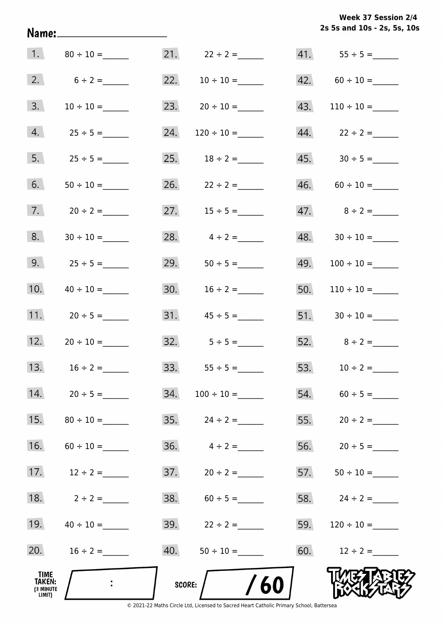**2s 5s and 10s - 2s, 5s, 10s Week 37 Session 2/4** 

| 1.                                    |                |        |                         |     |                    |
|---------------------------------------|----------------|--------|-------------------------|-----|--------------------|
| 2.                                    | $6 \div 2 =$   |        | 22. $10 \div 10 =$      |     | $42. 60 \div 10 =$ |
| 3.                                    | $10 \div 10 =$ |        | 23. $20 \div 10 =$      | 43. | $110 \div 10 =$    |
| 4.                                    | $25 \div 5 =$  | 24.    |                         |     |                    |
| 5.                                    | $25 \div 5 =$  |        | 25. $18 \div 2 =$       |     |                    |
| 6.                                    |                |        | 26. $22 \div 2 =$       |     | $46. 60 \div 10 =$ |
| 7.                                    | $20 \div 2 =$  |        | 27. $15 \div 5 =$       |     | 47. $8 \div 2 =$   |
| 8.                                    |                | 28.    | $4 \div 2 =$            |     |                    |
| 9.                                    | $25 \div 5 =$  | 29.    |                         | 49. |                    |
| 10.                                   |                | 30.    | $16 \div 2 =$           | 50. | $110 \div 10 =$    |
| 11.                                   | $20 \div 5 =$  | 31.    | $45 \div 5 =$           |     |                    |
| 12.                                   | $20 \div 10 =$ | 32.    | $5 \div 5 =$            |     | 52. $8 \div 2 =$   |
| 13.                                   | $16 \div 2 =$  |        | 33. $55 \div 5 =$       |     | 53. $10 \div 2 =$  |
| 14.                                   | $20 \div 5 =$  | 34.    |                         |     | $54. 60 \div 5 =$  |
| 15.                                   |                |        |                         |     |                    |
| 16.                                   | $60 \div 10 =$ |        | $36. \qquad 4 \div 2 =$ |     | 56. $20 \div 5 =$  |
| 17.                                   | $12 \div 2 =$  |        |                         |     |                    |
| 18.                                   | $2 \div 2 =$   |        | $38. 60 \div 5 =$       |     | 58. $24 \div 2 =$  |
| 19.                                   |                |        | 39. $22 \div 2 =$       | 59. |                    |
| 20.                                   | $16 \div 2 =$  | 40.    | $50 \div 10 =$          |     | 60. $12 \div 2 =$  |
| TIME<br>TAKEN:<br>(3 MINUTE<br>LIMIT) |                | score: | 60                      |     |                    |

Name: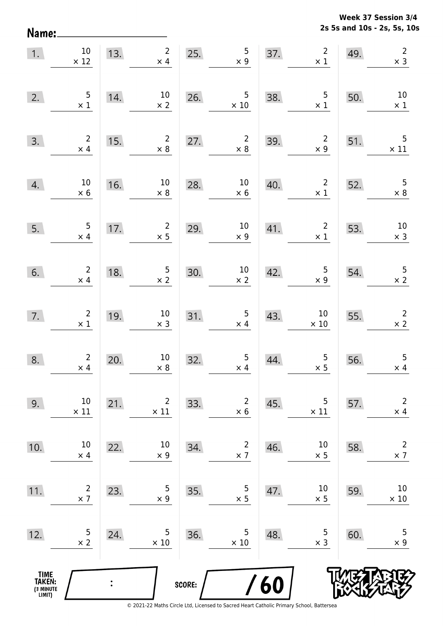Name:

**2s 5s and 10s - 2s, 5s, 10s Week 37 Session 3/4** 

| 1.                                            | $10\,$<br>$\times$ 12                                | 13. | $\overline{2}$<br>$\times$ 4              | 25.    | 5<br>$\times 9$                                 | 37. | $\overline{2}$<br>$\times$ 1                 | 49. | $\overline{2}$<br>$\times$ 3                 |
|-----------------------------------------------|------------------------------------------------------|-----|-------------------------------------------|--------|-------------------------------------------------|-----|----------------------------------------------|-----|----------------------------------------------|
| 2.                                            | $\frac{5}{\times 1}$                                 | 14. | $10\,$<br>$\times$ 2                      | 26.    | $\overline{5}$<br>$\times$ 10                   | 38. | $\begin{array}{c} 5 \\ \times 1 \end{array}$ | 50. | $10\,$<br>$\times$ 1                         |
| 3.                                            | $\begin{array}{c} 2 \\ \times 4 \end{array}$         | 15. | $\begin{array}{c}2\\ \times 8\end{array}$ | 27.    | $\overline{2}$<br>$\times 8$                    | 39. | $\overline{\mathbf{2}}$<br>$\times$ 9        | 51. | 5<br>$\times$ 11                             |
| 4.                                            | $10\,$<br>$\times 6$                                 | 16. | 10 <sub>1</sub><br>$\times$ 8             | 28.    | $\begin{array}{c}\n10 \\ \times 6\n\end{array}$ | 40. | $2\overline{ }$<br>$\times$ 1                | 52. | $\begin{array}{c} 5 \\ \times 8 \end{array}$ |
| 5.                                            | $\frac{5}{\times 4}$                                 | 17. | $\overline{2}$<br>$\times$ 5              | 29.    | $10\,$<br>$\times$ 9                            | 41. | $\overline{2}$<br>$\times$ 1                 | 53. | $10\,$<br>$\times$ 3                         |
| 6.                                            | $\begin{array}{c} 2 \\ \times \end{array}$           | 18. | $\frac{5}{x}$                             | 30.    | $\begin{array}{c} 10 \\ \times \end{array}$     | 42. | $\begin{array}{c} 5 \\ x \ 9 \end{array}$    | 54. | $\frac{5}{2}$                                |
| 7.                                            | $\begin{smallmatrix}2\\ \times \ 1\end{smallmatrix}$ | 19. | 10<br>$\times$ 3                          | 31.    | $\begin{array}{c} 5 \\ \times 4 \end{array}$    | 43. | 10<br>$\times$ 10                            | 55. | $\begin{array}{c} 2 \\ \times 2 \end{array}$ |
| 8.                                            | $\overline{2}$<br>$\times$ 4                         | 20. | $10\,$<br>$\times$ 8                      | 32.    | $\begin{array}{c} 5 \\ \times 4 \end{array}$    | 44. | $\frac{5}{2}$                                | 56. | 5<br>$\times$ 4                              |
| 9.                                            | 10<br>$\times$ 11                                    | 21. | $\overline{2}$<br>$\times$ 11             | 33.    | $\overline{c}$<br>$\times$ 6                    | 45. | 5<br>$\times$ 11                             | 57. | $\overline{2}$<br>$\times$ 4                 |
| 10.                                           | 10<br>$\times$ 4                                     | 22. | 10<br>$\times$ 9                          | 34.    | $\overline{c}$<br>$\times$ 7                    | 46. | 10<br>$\times$ 5                             | 58. | $\overline{2}$<br>$\times$ 7                 |
| 11.                                           | $\overline{2}$<br>$\times$ 7                         | 23. | 5<br>$\times$ 9                           | 35.    | 5<br>$\times$ 5                                 | 47. | 10<br>$\times$ 5                             | 59. | 10<br>$\times$ 10                            |
| 12.                                           | 5<br>$\times$ 2                                      | 24. | 5<br>$\times$ 10                          | 36.    | 5<br>$\times$ 10                                | 48. | 5<br>$\times$ 3                              | 60. | 5<br>$\times$ 9                              |
| <b>TIME<br/>TAKEN:</b><br>(3 MINUTE<br>LIMIT) |                                                      |     |                                           | SCORE: |                                                 | 60  |                                              |     |                                              |